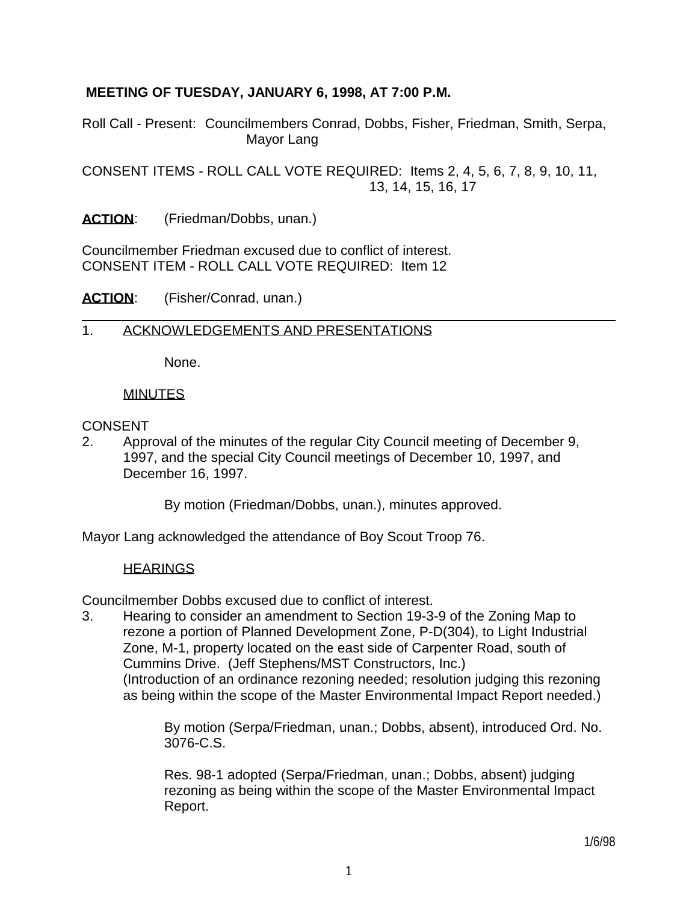## **MEETING OF TUESDAY, JANUARY 6, 1998, AT 7:00 P.M.**

Roll Call - Present: Councilmembers Conrad, Dobbs, Fisher, Friedman, Smith, Serpa, Mayor Lang

CONSENT ITEMS - ROLL CALL VOTE REQUIRED: Items 2, 4, 5, 6, 7, 8, 9, 10, 11, 13, 14, 15, 16, 17

ACTION: (Friedman/Dobbs, unan.)

Councilmember Friedman excused due to conflict of interest. CONSENT ITEM - ROLL CALL VOTE REQUIRED: Item 12

ACTION: (Fisher/Conrad, unan.)

### 1. ACKNOWLEDGEMENTS AND PRESENTATIONS

None.

### MINUTES

### **CONSENT**

2. Approval of the minutes of the regular City Council meeting of December 9, 1997, and the special City Council meetings of December 10, 1997, and December 16, 1997.

By motion (Friedman/Dobbs, unan.), minutes approved.

Mayor Lang acknowledged the attendance of Boy Scout Troop 76.

#### HEARINGS

Councilmember Dobbs excused due to conflict of interest.

3. Hearing to consider an amendment to Section 19-3-9 of the Zoning Map to rezone a portion of Planned Development Zone, P-D(304), to Light Industrial Zone, M-1, property located on the east side of Carpenter Road, south of Cummins Drive. (Jeff Stephens/MST Constructors, Inc.) (Introduction of an ordinance rezoning needed; resolution judging this rezoning

as being within the scope of the Master Environmental Impact Report needed.)

 By motion (Serpa/Friedman, unan.; Dobbs, absent), introduced Ord. No. 3076-C.S.

 Res. 98-1 adopted (Serpa/Friedman, unan.; Dobbs, absent) judging rezoning as being within the scope of the Master Environmental Impact Report.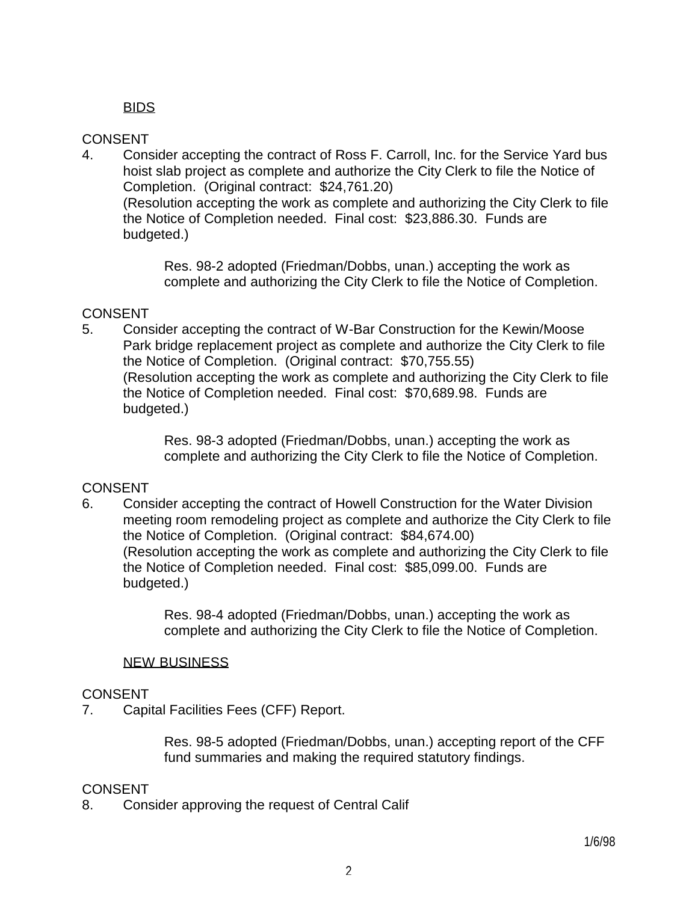## **BIDS**

## **CONSENT**

4. Consider accepting the contract of Ross F. Carroll, Inc. for the Service Yard bus hoist slab project as complete and authorize the City Clerk to file the Notice of Completion. (Original contract: \$24,761.20) (Resolution accepting the work as complete and authorizing the City Clerk to file the Notice of Completion needed. Final cost: \$23,886.30. Funds are budgeted.)

> Res. 98-2 adopted (Friedman/Dobbs, unan.) accepting the work as complete and authorizing the City Clerk to file the Notice of Completion.

## CONSENT

5. Consider accepting the contract of W-Bar Construction for the Kewin/Moose Park bridge replacement project as complete and authorize the City Clerk to file the Notice of Completion. (Original contract: \$70,755.55) (Resolution accepting the work as complete and authorizing the City Clerk to file the Notice of Completion needed. Final cost: \$70,689.98. Funds are budgeted.)

> Res. 98-3 adopted (Friedman/Dobbs, unan.) accepting the work as complete and authorizing the City Clerk to file the Notice of Completion.

## CONSENT

6. Consider accepting the contract of Howell Construction for the Water Division meeting room remodeling project as complete and authorize the City Clerk to file the Notice of Completion. (Original contract: \$84,674.00) (Resolution accepting the work as complete and authorizing the City Clerk to file the Notice of Completion needed. Final cost: \$85,099.00. Funds are budgeted.)

> Res. 98-4 adopted (Friedman/Dobbs, unan.) accepting the work as complete and authorizing the City Clerk to file the Notice of Completion.

### NEW BUSINESS

## **CONSENT**

7. Capital Facilities Fees (CFF) Report.

 Res. 98-5 adopted (Friedman/Dobbs, unan.) accepting report of the CFF fund summaries and making the required statutory findings.

## CONSENT

8. Consider approving the request of Central Calif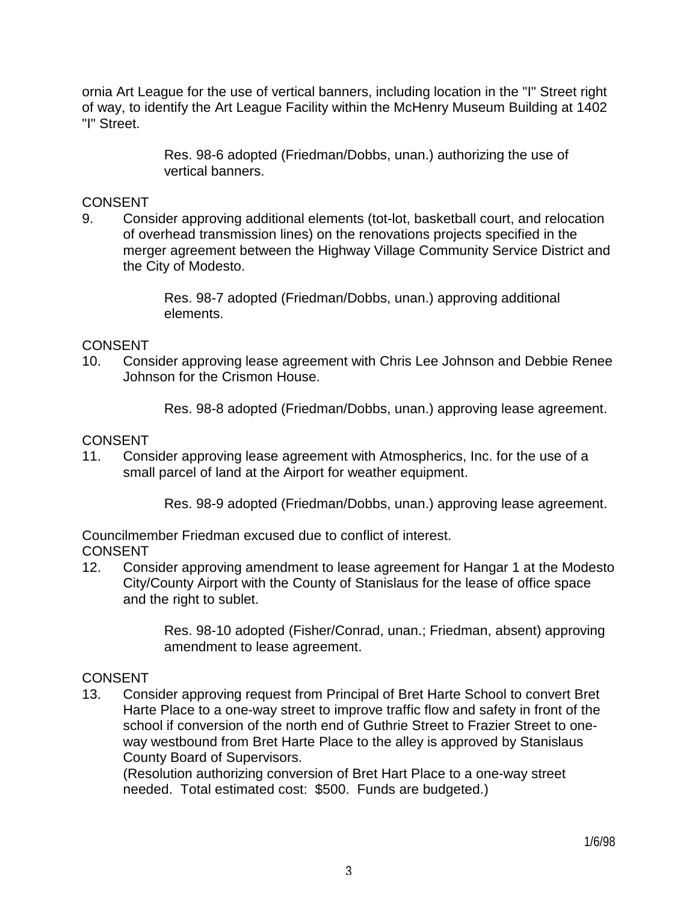ornia Art League for the use of vertical banners, including location in the "I" Street right of way, to identify the Art League Facility within the McHenry Museum Building at 1402 "I" Street.

> Res. 98-6 adopted (Friedman/Dobbs, unan.) authorizing the use of vertical banners.

## **CONSENT**

9. Consider approving additional elements (tot-lot, basketball court, and relocation of overhead transmission lines) on the renovations projects specified in the merger agreement between the Highway Village Community Service District and the City of Modesto.

> Res. 98-7 adopted (Friedman/Dobbs, unan.) approving additional elements.

## CONSENT

10. Consider approving lease agreement with Chris Lee Johnson and Debbie Renee Johnson for the Crismon House.

Res. 98-8 adopted (Friedman/Dobbs, unan.) approving lease agreement.

## **CONSENT**

11. Consider approving lease agreement with Atmospherics, Inc. for the use of a small parcel of land at the Airport for weather equipment.

Res. 98-9 adopted (Friedman/Dobbs, unan.) approving lease agreement.

Councilmember Friedman excused due to conflict of interest. CONSENT

12. Consider approving amendment to lease agreement for Hangar 1 at the Modesto City/County Airport with the County of Stanislaus for the lease of office space and the right to sublet.

> Res. 98-10 adopted (Fisher/Conrad, unan.; Friedman, absent) approving amendment to lease agreement.

### **CONSENT**

13. Consider approving request from Principal of Bret Harte School to convert Bret Harte Place to a one-way street to improve traffic flow and safety in front of the school if conversion of the north end of Guthrie Street to Frazier Street to oneway westbound from Bret Harte Place to the alley is approved by Stanislaus County Board of Supervisors.

 (Resolution authorizing conversion of Bret Hart Place to a one-way street needed. Total estimated cost: \$500. Funds are budgeted.)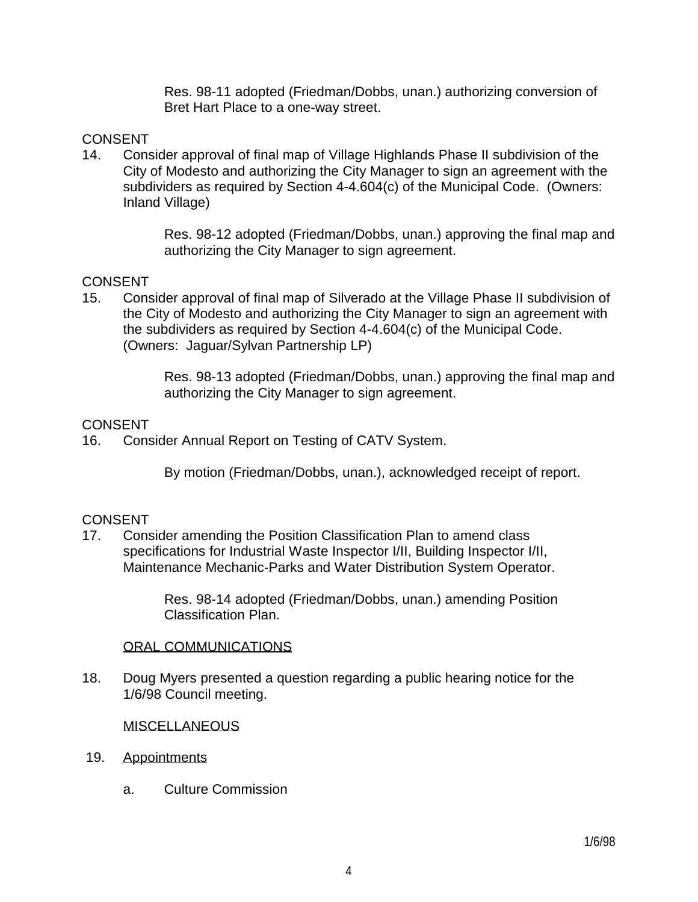Res. 98-11 adopted (Friedman/Dobbs, unan.) authorizing conversion of Bret Hart Place to a one-way street.

## **CONSENT**

14. Consider approval of final map of Village Highlands Phase II subdivision of the City of Modesto and authorizing the City Manager to sign an agreement with the subdividers as required by Section 4-4.604(c) of the Municipal Code. (Owners: Inland Village)

> Res. 98-12 adopted (Friedman/Dobbs, unan.) approving the final map and authorizing the City Manager to sign agreement.

## CONSENT

15. Consider approval of final map of Silverado at the Village Phase II subdivision of the City of Modesto and authorizing the City Manager to sign an agreement with the subdividers as required by Section 4-4.604(c) of the Municipal Code. (Owners: Jaguar/Sylvan Partnership LP)

> Res. 98-13 adopted (Friedman/Dobbs, unan.) approving the final map and authorizing the City Manager to sign agreement.

### **CONSENT**

16. Consider Annual Report on Testing of CATV System.

By motion (Friedman/Dobbs, unan.), acknowledged receipt of report.

## **CONSENT**

17. Consider amending the Position Classification Plan to amend class specifications for Industrial Waste Inspector I/II, Building Inspector I/II, Maintenance Mechanic-Parks and Water Distribution System Operator.

> Res. 98-14 adopted (Friedman/Dobbs, unan.) amending Position Classification Plan.

### ORAL COMMUNICATIONS

18. Doug Myers presented a question regarding a public hearing notice for the 1/6/98 Council meeting.

### MISCELLANEOUS

- 19. Appointments
	- a. Culture Commission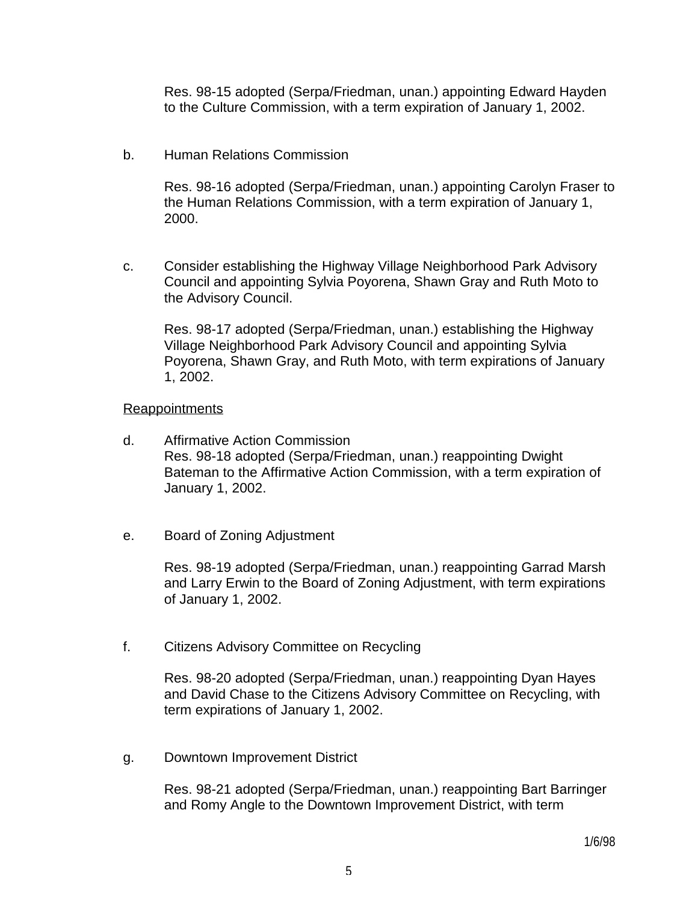Res. 98-15 adopted (Serpa/Friedman, unan.) appointing Edward Hayden to the Culture Commission, with a term expiration of January 1, 2002.

b. Human Relations Commission

 Res. 98-16 adopted (Serpa/Friedman, unan.) appointing Carolyn Fraser to the Human Relations Commission, with a term expiration of January 1, 2000.

 c. Consider establishing the Highway Village Neighborhood Park Advisory Council and appointing Sylvia Poyorena, Shawn Gray and Ruth Moto to the Advisory Council.

 Res. 98-17 adopted (Serpa/Friedman, unan.) establishing the Highway Village Neighborhood Park Advisory Council and appointing Sylvia Poyorena, Shawn Gray, and Ruth Moto, with term expirations of January 1, 2002.

#### **Reappointments**

- d. Affirmative Action Commission Res. 98-18 adopted (Serpa/Friedman, unan.) reappointing Dwight Bateman to the Affirmative Action Commission, with a term expiration of January 1, 2002.
- e. Board of Zoning Adjustment

 Res. 98-19 adopted (Serpa/Friedman, unan.) reappointing Garrad Marsh and Larry Erwin to the Board of Zoning Adjustment, with term expirations of January 1, 2002.

f. Citizens Advisory Committee on Recycling

 Res. 98-20 adopted (Serpa/Friedman, unan.) reappointing Dyan Hayes and David Chase to the Citizens Advisory Committee on Recycling, with term expirations of January 1, 2002.

g. Downtown Improvement District

 Res. 98-21 adopted (Serpa/Friedman, unan.) reappointing Bart Barringer and Romy Angle to the Downtown Improvement District, with term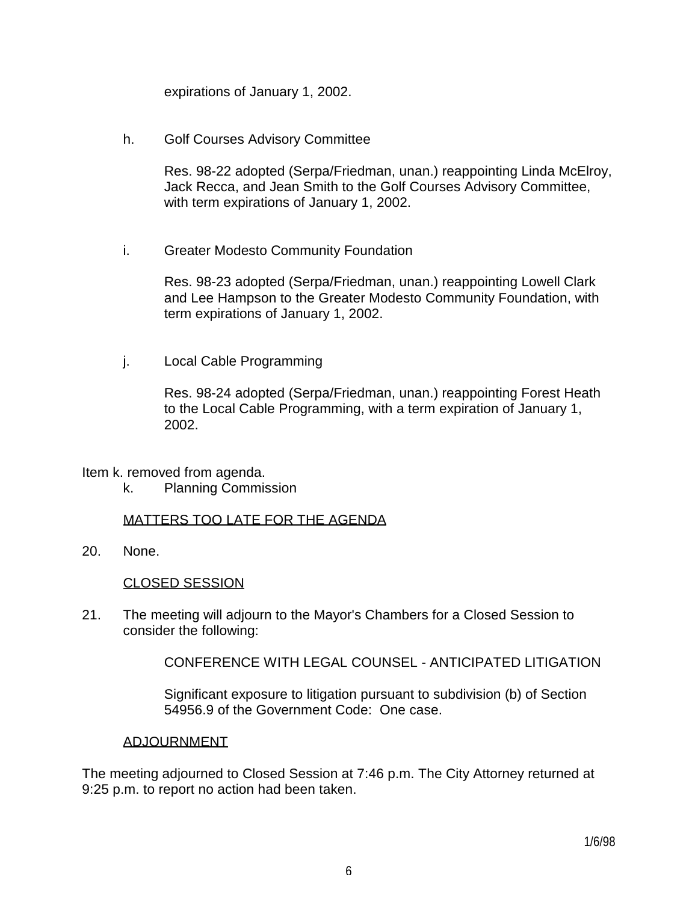expirations of January 1, 2002.

h. Golf Courses Advisory Committee

 Res. 98-22 adopted (Serpa/Friedman, unan.) reappointing Linda McElroy, Jack Recca, and Jean Smith to the Golf Courses Advisory Committee, with term expirations of January 1, 2002.

i. Greater Modesto Community Foundation

 Res. 98-23 adopted (Serpa/Friedman, unan.) reappointing Lowell Clark and Lee Hampson to the Greater Modesto Community Foundation, with term expirations of January 1, 2002.

j. Local Cable Programming

 Res. 98-24 adopted (Serpa/Friedman, unan.) reappointing Forest Heath to the Local Cable Programming, with a term expiration of January 1, 2002.

Item k. removed from agenda.

k. Planning Commission

#### MATTERS TOO LATE FOR THE AGENDA

20. None.

#### CLOSED SESSION

21. The meeting will adjourn to the Mayor's Chambers for a Closed Session to consider the following:

CONFERENCE WITH LEGAL COUNSEL - ANTICIPATED LITIGATION

 Significant exposure to litigation pursuant to subdivision (b) of Section 54956.9 of the Government Code: One case.

#### ADJOURNMENT

The meeting adjourned to Closed Session at 7:46 p.m. The City Attorney returned at 9:25 p.m. to report no action had been taken.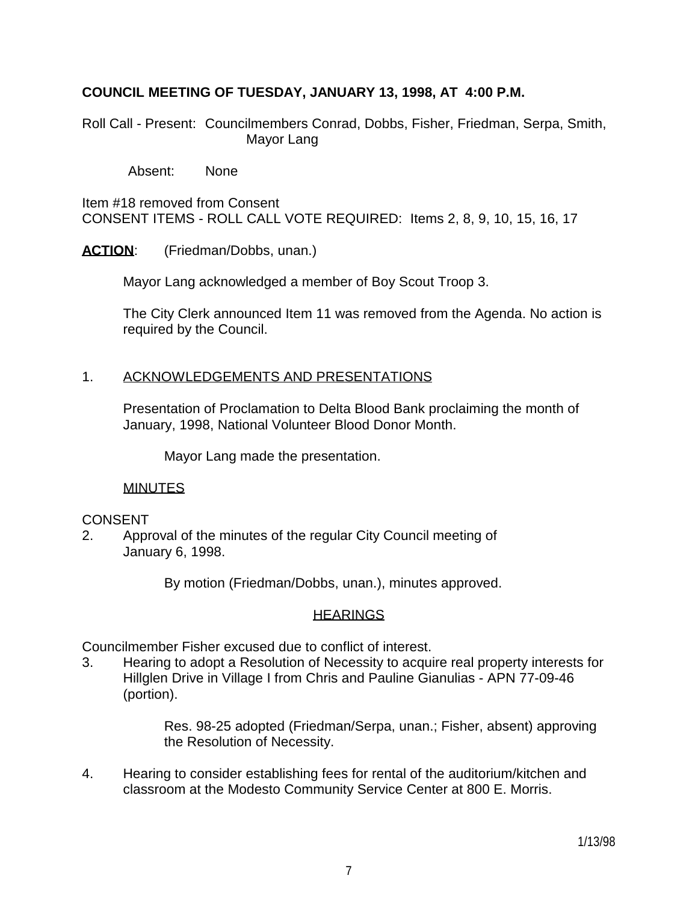## **COUNCIL MEETING OF TUESDAY, JANUARY 13, 1998, AT 4:00 P.M.**

Roll Call - Present: Councilmembers Conrad, Dobbs, Fisher, Friedman, Serpa, Smith, Mayor Lang

Absent: None

Item #18 removed from Consent CONSENT ITEMS - ROLL CALL VOTE REQUIRED: Items 2, 8, 9, 10, 15, 16, 17

ACTION: (Friedman/Dobbs, unan.)

Mayor Lang acknowledged a member of Boy Scout Troop 3.

 The City Clerk announced Item 11 was removed from the Agenda. No action is required by the Council.

### 1. ACKNOWLEDGEMENTS AND PRESENTATIONS

 Presentation of Proclamation to Delta Blood Bank proclaiming the month of January, 1998, National Volunteer Blood Donor Month.

Mayor Lang made the presentation.

### MINUTES

### CONSENT

2. Approval of the minutes of the regular City Council meeting of January 6, 1998.

By motion (Friedman/Dobbs, unan.), minutes approved.

### **HEARINGS**

Councilmember Fisher excused due to conflict of interest.

3. Hearing to adopt a Resolution of Necessity to acquire real property interests for Hillglen Drive in Village I from Chris and Pauline Gianulias - APN 77-09-46 (portion).

> Res. 98-25 adopted (Friedman/Serpa, unan.; Fisher, absent) approving the Resolution of Necessity.

4. Hearing to consider establishing fees for rental of the auditorium/kitchen and classroom at the Modesto Community Service Center at 800 E. Morris.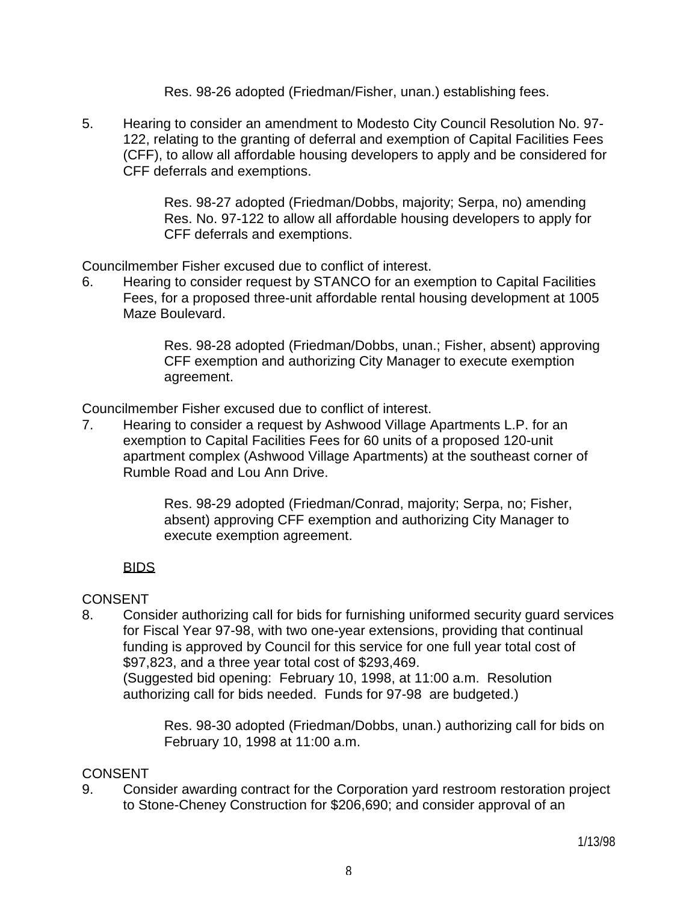Res. 98-26 adopted (Friedman/Fisher, unan.) establishing fees.

5. Hearing to consider an amendment to Modesto City Council Resolution No. 97- 122, relating to the granting of deferral and exemption of Capital Facilities Fees (CFF), to allow all affordable housing developers to apply and be considered for CFF deferrals and exemptions.

> Res. 98-27 adopted (Friedman/Dobbs, majority; Serpa, no) amending Res. No. 97-122 to allow all affordable housing developers to apply for CFF deferrals and exemptions.

Councilmember Fisher excused due to conflict of interest.

6. Hearing to consider request by STANCO for an exemption to Capital Facilities Fees, for a proposed three-unit affordable rental housing development at 1005 Maze Boulevard.

> Res. 98-28 adopted (Friedman/Dobbs, unan.; Fisher, absent) approving CFF exemption and authorizing City Manager to execute exemption agreement.

Councilmember Fisher excused due to conflict of interest.

7. Hearing to consider a request by Ashwood Village Apartments L.P. for an exemption to Capital Facilities Fees for 60 units of a proposed 120-unit apartment complex (Ashwood Village Apartments) at the southeast corner of Rumble Road and Lou Ann Drive.

> Res. 98-29 adopted (Friedman/Conrad, majority; Serpa, no; Fisher, absent) approving CFF exemption and authorizing City Manager to execute exemption agreement.

## **BIDS**

## **CONSENT**

8. Consider authorizing call for bids for furnishing uniformed security guard services for Fiscal Year 97-98, with two one-year extensions, providing that continual funding is approved by Council for this service for one full year total cost of \$97,823, and a three year total cost of \$293,469. (Suggested bid opening: February 10, 1998, at 11:00 a.m. Resolution authorizing call for bids needed. Funds for 97-98 are budgeted.)

> Res. 98-30 adopted (Friedman/Dobbs, unan.) authorizing call for bids on February 10, 1998 at 11:00 a.m.

## **CONSENT**

9. Consider awarding contract for the Corporation yard restroom restoration project to Stone-Cheney Construction for \$206,690; and consider approval of an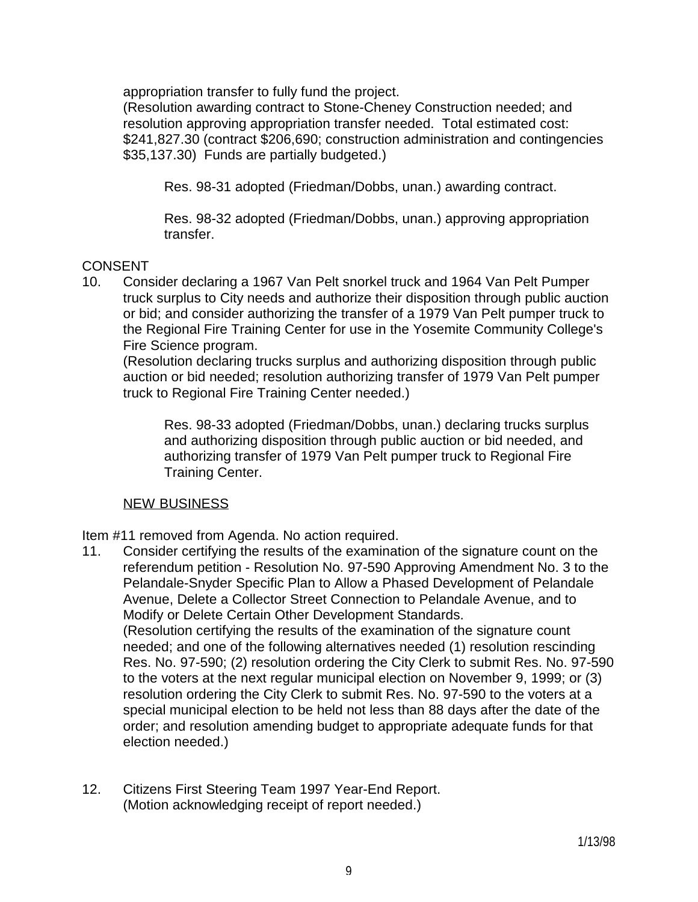appropriation transfer to fully fund the project.

 (Resolution awarding contract to Stone-Cheney Construction needed; and resolution approving appropriation transfer needed. Total estimated cost: \$241,827.30 (contract \$206,690; construction administration and contingencies \$35,137.30) Funds are partially budgeted.)

Res. 98-31 adopted (Friedman/Dobbs, unan.) awarding contract.

 Res. 98-32 adopted (Friedman/Dobbs, unan.) approving appropriation transfer.

## CONSENT

10. Consider declaring a 1967 Van Pelt snorkel truck and 1964 Van Pelt Pumper truck surplus to City needs and authorize their disposition through public auction or bid; and consider authorizing the transfer of a 1979 Van Pelt pumper truck to the Regional Fire Training Center for use in the Yosemite Community College's Fire Science program.

 (Resolution declaring trucks surplus and authorizing disposition through public auction or bid needed; resolution authorizing transfer of 1979 Van Pelt pumper truck to Regional Fire Training Center needed.)

 Res. 98-33 adopted (Friedman/Dobbs, unan.) declaring trucks surplus and authorizing disposition through public auction or bid needed, and authorizing transfer of 1979 Van Pelt pumper truck to Regional Fire Training Center.

### NEW BUSINESS

Item #11 removed from Agenda. No action required.

- 11. Consider certifying the results of the examination of the signature count on the referendum petition - Resolution No. 97-590 Approving Amendment No. 3 to the Pelandale-Snyder Specific Plan to Allow a Phased Development of Pelandale Avenue, Delete a Collector Street Connection to Pelandale Avenue, and to Modify or Delete Certain Other Development Standards. (Resolution certifying the results of the examination of the signature count needed; and one of the following alternatives needed (1) resolution rescinding Res. No. 97-590; (2) resolution ordering the City Clerk to submit Res. No. 97-590 to the voters at the next regular municipal election on November 9, 1999; or (3) resolution ordering the City Clerk to submit Res. No. 97-590 to the voters at a special municipal election to be held not less than 88 days after the date of the order; and resolution amending budget to appropriate adequate funds for that election needed.)
- 12. Citizens First Steering Team 1997 Year-End Report. (Motion acknowledging receipt of report needed.)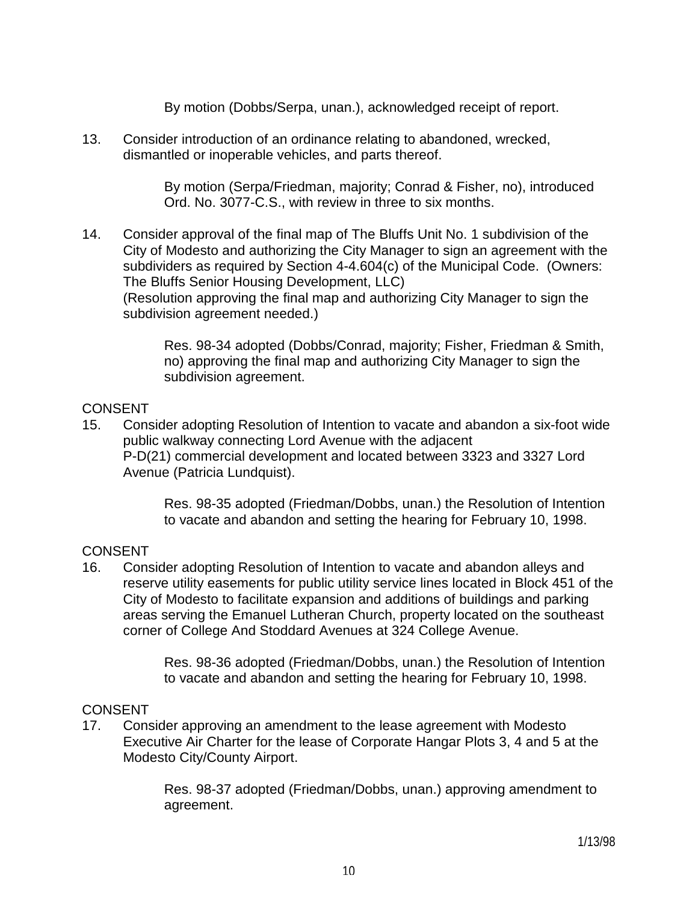By motion (Dobbs/Serpa, unan.), acknowledged receipt of report.

13. Consider introduction of an ordinance relating to abandoned, wrecked, dismantled or inoperable vehicles, and parts thereof.

> By motion (Serpa/Friedman, majority; Conrad & Fisher, no), introduced Ord. No. 3077-C.S., with review in three to six months.

14. Consider approval of the final map of The Bluffs Unit No. 1 subdivision of the City of Modesto and authorizing the City Manager to sign an agreement with the subdividers as required by Section 4-4.604(c) of the Municipal Code. (Owners: The Bluffs Senior Housing Development, LLC) (Resolution approving the final map and authorizing City Manager to sign the subdivision agreement needed.)

> Res. 98-34 adopted (Dobbs/Conrad, majority; Fisher, Friedman & Smith, no) approving the final map and authorizing City Manager to sign the subdivision agreement.

## CONSENT

15. Consider adopting Resolution of Intention to vacate and abandon a six-foot wide public walkway connecting Lord Avenue with the adjacent P-D(21) commercial development and located between 3323 and 3327 Lord Avenue (Patricia Lundquist).

> Res. 98-35 adopted (Friedman/Dobbs, unan.) the Resolution of Intention to vacate and abandon and setting the hearing for February 10, 1998.

## CONSENT

16. Consider adopting Resolution of Intention to vacate and abandon alleys and reserve utility easements for public utility service lines located in Block 451 of the City of Modesto to facilitate expansion and additions of buildings and parking areas serving the Emanuel Lutheran Church, property located on the southeast corner of College And Stoddard Avenues at 324 College Avenue.

> Res. 98-36 adopted (Friedman/Dobbs, unan.) the Resolution of Intention to vacate and abandon and setting the hearing for February 10, 1998.

## **CONSENT**

17. Consider approving an amendment to the lease agreement with Modesto Executive Air Charter for the lease of Corporate Hangar Plots 3, 4 and 5 at the Modesto City/County Airport.

> Res. 98-37 adopted (Friedman/Dobbs, unan.) approving amendment to agreement.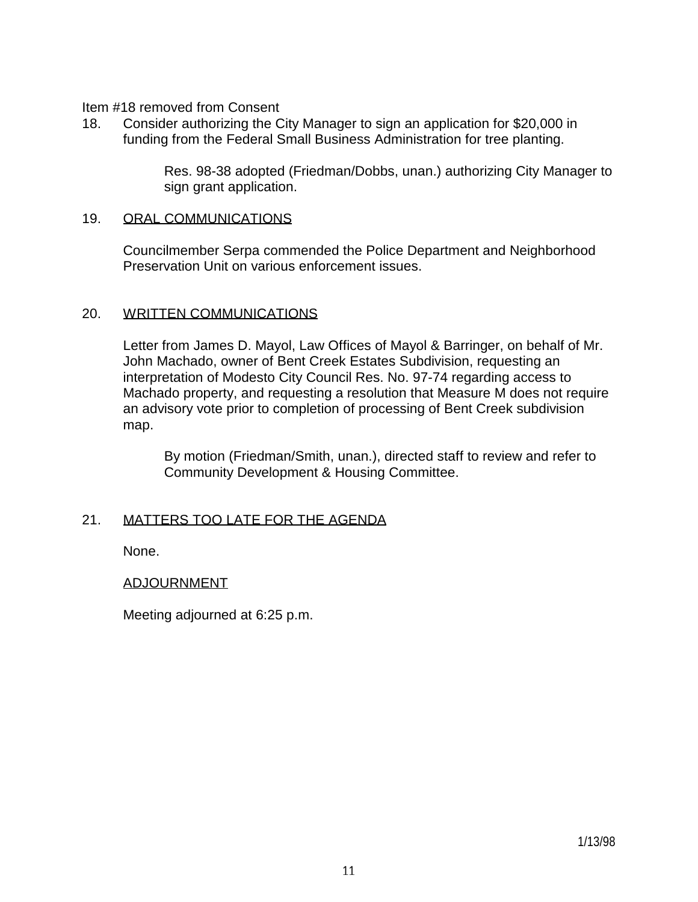Item #18 removed from Consent

18. Consider authorizing the City Manager to sign an application for \$20,000 in funding from the Federal Small Business Administration for tree planting.

> Res. 98-38 adopted (Friedman/Dobbs, unan.) authorizing City Manager to sign grant application.

### 19. ORAL COMMUNICATIONS

 Councilmember Serpa commended the Police Department and Neighborhood Preservation Unit on various enforcement issues.

#### 20. WRITTEN COMMUNICATIONS

 Letter from James D. Mayol, Law Offices of Mayol & Barringer, on behalf of Mr. John Machado, owner of Bent Creek Estates Subdivision, requesting an interpretation of Modesto City Council Res. No. 97-74 regarding access to Machado property, and requesting a resolution that Measure M does not require an advisory vote prior to completion of processing of Bent Creek subdivision map.

 By motion (Friedman/Smith, unan.), directed staff to review and refer to Community Development & Housing Committee.

### 21. MATTERS TOO LATE FOR THE AGENDA

None.

### ADJOURNMENT

Meeting adjourned at 6:25 p.m.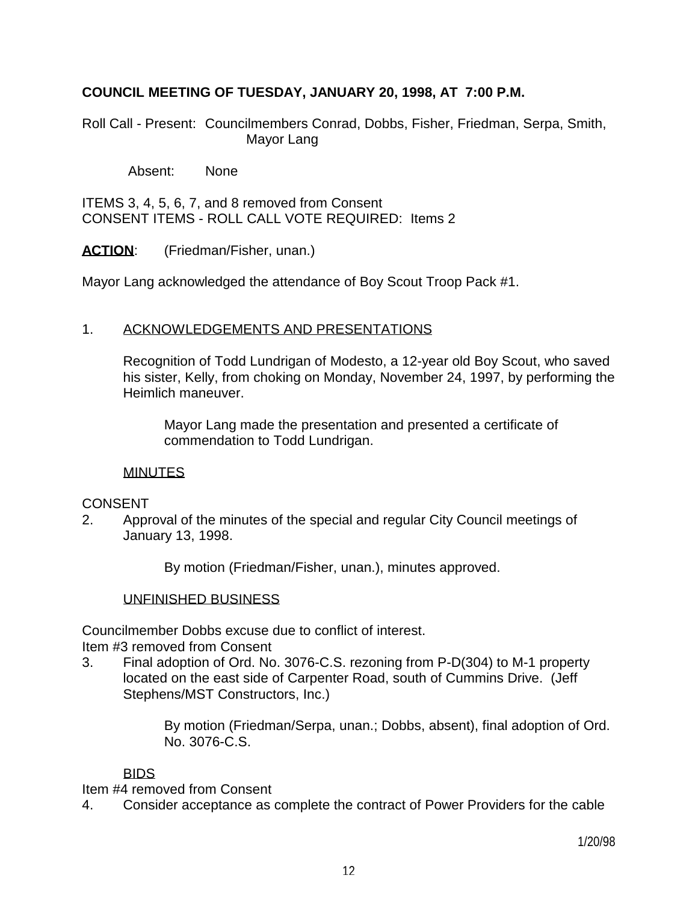## **COUNCIL MEETING OF TUESDAY, JANUARY 20, 1998, AT 7:00 P.M.**

Roll Call - Present: Councilmembers Conrad, Dobbs, Fisher, Friedman, Serpa, Smith, Mayor Lang

Absent: None

ITEMS 3, 4, 5, 6, 7, and 8 removed from Consent CONSENT ITEMS - ROLL CALL VOTE REQUIRED: Items 2

ACTION: (Friedman/Fisher, unan.)

Mayor Lang acknowledged the attendance of Boy Scout Troop Pack #1.

### 1. ACKNOWLEDGEMENTS AND PRESENTATIONS

 Recognition of Todd Lundrigan of Modesto, a 12-year old Boy Scout, who saved his sister, Kelly, from choking on Monday, November 24, 1997, by performing the Heimlich maneuver.

 Mayor Lang made the presentation and presented a certificate of commendation to Todd Lundrigan.

#### MINUTES

### **CONSENT**

2. Approval of the minutes of the special and regular City Council meetings of January 13, 1998.

By motion (Friedman/Fisher, unan.), minutes approved.

#### UNFINISHED BUSINESS

Councilmember Dobbs excuse due to conflict of interest.

Item #3 removed from Consent

3. Final adoption of Ord. No. 3076-C.S. rezoning from P-D(304) to M-1 property located on the east side of Carpenter Road, south of Cummins Drive. (Jeff Stephens/MST Constructors, Inc.)

> By motion (Friedman/Serpa, unan.; Dobbs, absent), final adoption of Ord. No. 3076-C.S.

### BIDS

Item #4 removed from Consent

4. Consider acceptance as complete the contract of Power Providers for the cable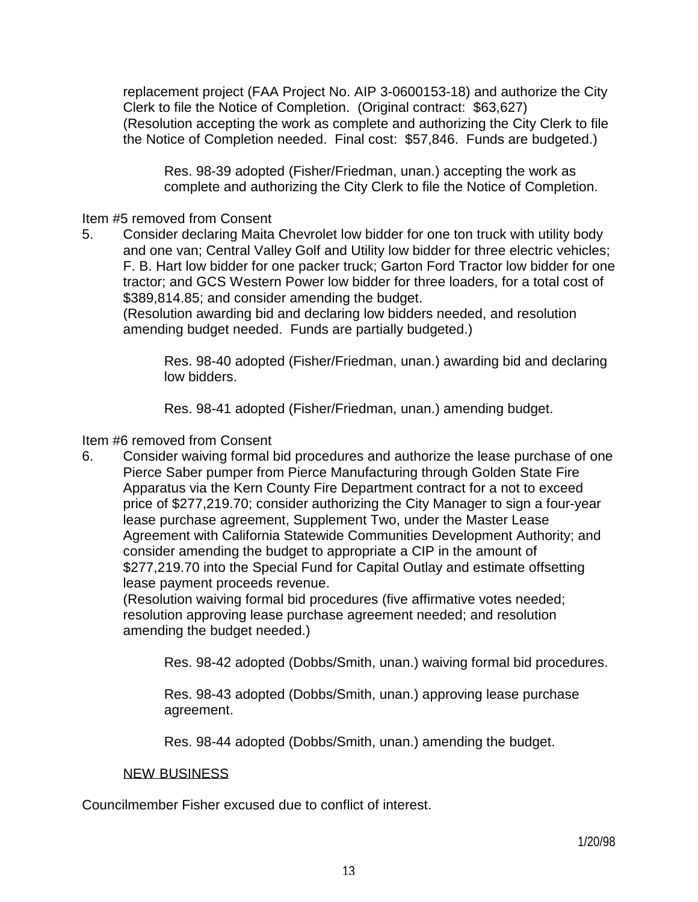replacement project (FAA Project No. AIP 3-0600153-18) and authorize the City Clerk to file the Notice of Completion. (Original contract: \$63,627) (Resolution accepting the work as complete and authorizing the City Clerk to file the Notice of Completion needed. Final cost: \$57,846. Funds are budgeted.)

 Res. 98-39 adopted (Fisher/Friedman, unan.) accepting the work as complete and authorizing the City Clerk to file the Notice of Completion.

### Item #5 removed from Consent

5. Consider declaring Maita Chevrolet low bidder for one ton truck with utility body and one van; Central Valley Golf and Utility low bidder for three electric vehicles; F. B. Hart low bidder for one packer truck; Garton Ford Tractor low bidder for one tractor; and GCS Western Power low bidder for three loaders, for a total cost of \$389,814.85; and consider amending the budget.

 (Resolution awarding bid and declaring low bidders needed, and resolution amending budget needed. Funds are partially budgeted.)

 Res. 98-40 adopted (Fisher/Friedman, unan.) awarding bid and declaring low bidders.

Res. 98-41 adopted (Fisher/Friedman, unan.) amending budget.

Item #6 removed from Consent

6. Consider waiving formal bid procedures and authorize the lease purchase of one Pierce Saber pumper from Pierce Manufacturing through Golden State Fire Apparatus via the Kern County Fire Department contract for a not to exceed price of \$277,219.70; consider authorizing the City Manager to sign a four-year lease purchase agreement, Supplement Two, under the Master Lease Agreement with California Statewide Communities Development Authority; and consider amending the budget to appropriate a CIP in the amount of \$277,219.70 into the Special Fund for Capital Outlay and estimate offsetting lease payment proceeds revenue.

 (Resolution waiving formal bid procedures (five affirmative votes needed; resolution approving lease purchase agreement needed; and resolution amending the budget needed.)

Res. 98-42 adopted (Dobbs/Smith, unan.) waiving formal bid procedures.

 Res. 98-43 adopted (Dobbs/Smith, unan.) approving lease purchase agreement.

Res. 98-44 adopted (Dobbs/Smith, unan.) amending the budget.

#### NEW BUSINESS

Councilmember Fisher excused due to conflict of interest.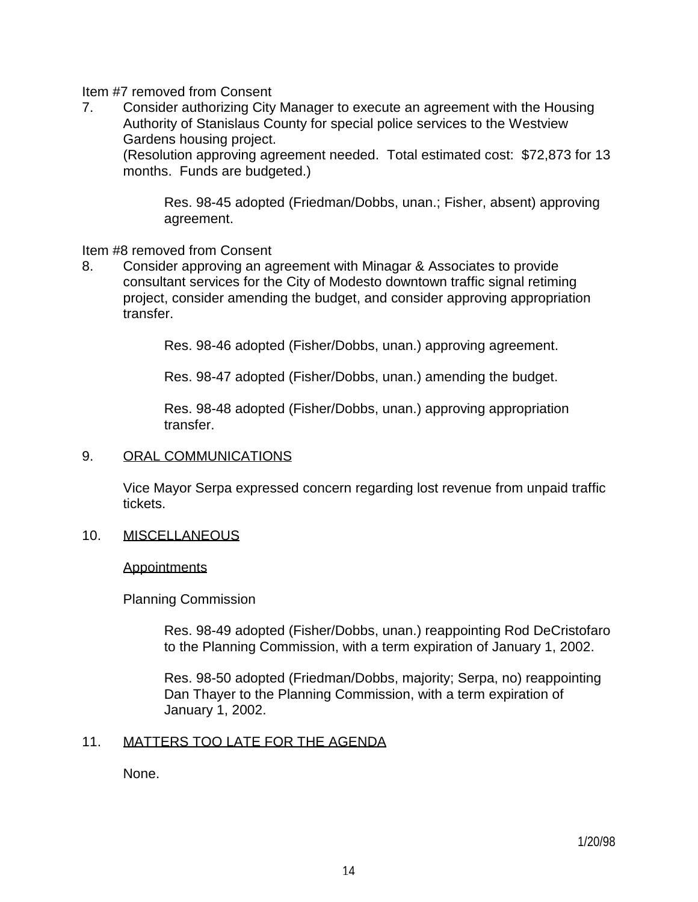### Item #7 removed from Consent

7. Consider authorizing City Manager to execute an agreement with the Housing Authority of Stanislaus County for special police services to the Westview Gardens housing project.

 (Resolution approving agreement needed. Total estimated cost: \$72,873 for 13 months. Funds are budgeted.)

 Res. 98-45 adopted (Friedman/Dobbs, unan.; Fisher, absent) approving agreement.

Item #8 removed from Consent

8. Consider approving an agreement with Minagar & Associates to provide consultant services for the City of Modesto downtown traffic signal retiming project, consider amending the budget, and consider approving appropriation transfer.

Res. 98-46 adopted (Fisher/Dobbs, unan.) approving agreement.

Res. 98-47 adopted (Fisher/Dobbs, unan.) amending the budget.

 Res. 98-48 adopted (Fisher/Dobbs, unan.) approving appropriation transfer.

#### 9. ORAL COMMUNICATIONS

 Vice Mayor Serpa expressed concern regarding lost revenue from unpaid traffic tickets.

10. MISCELLANEOUS

#### **Appointments**

Planning Commission

 Res. 98-49 adopted (Fisher/Dobbs, unan.) reappointing Rod DeCristofaro to the Planning Commission, with a term expiration of January 1, 2002.

 Res. 98-50 adopted (Friedman/Dobbs, majority; Serpa, no) reappointing Dan Thayer to the Planning Commission, with a term expiration of January 1, 2002.

### 11. MATTERS TOO LATE FOR THE AGENDA

None.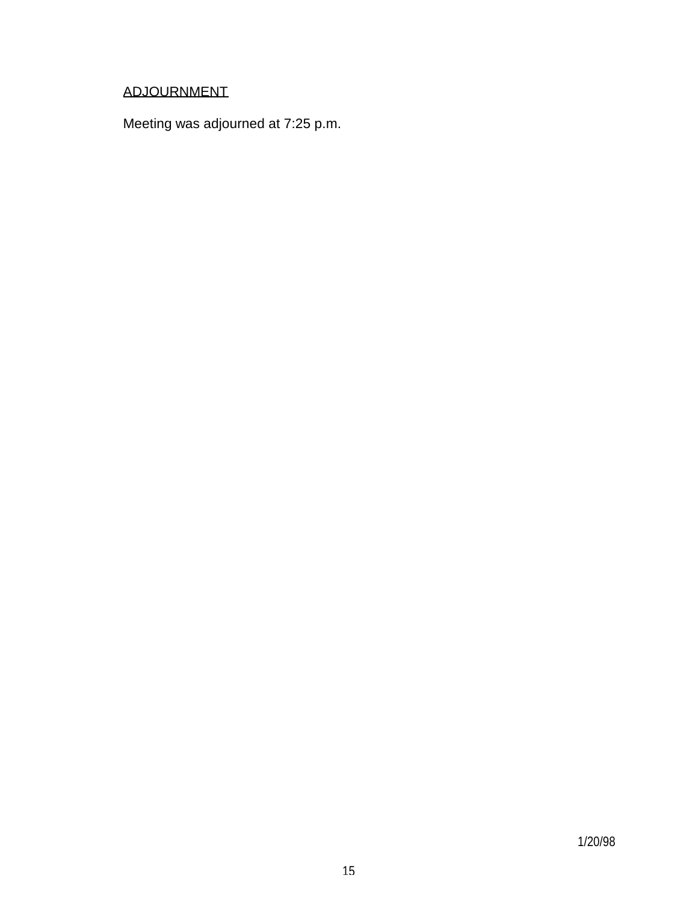# ADJOURNMENT

Meeting was adjourned at 7:25 p.m.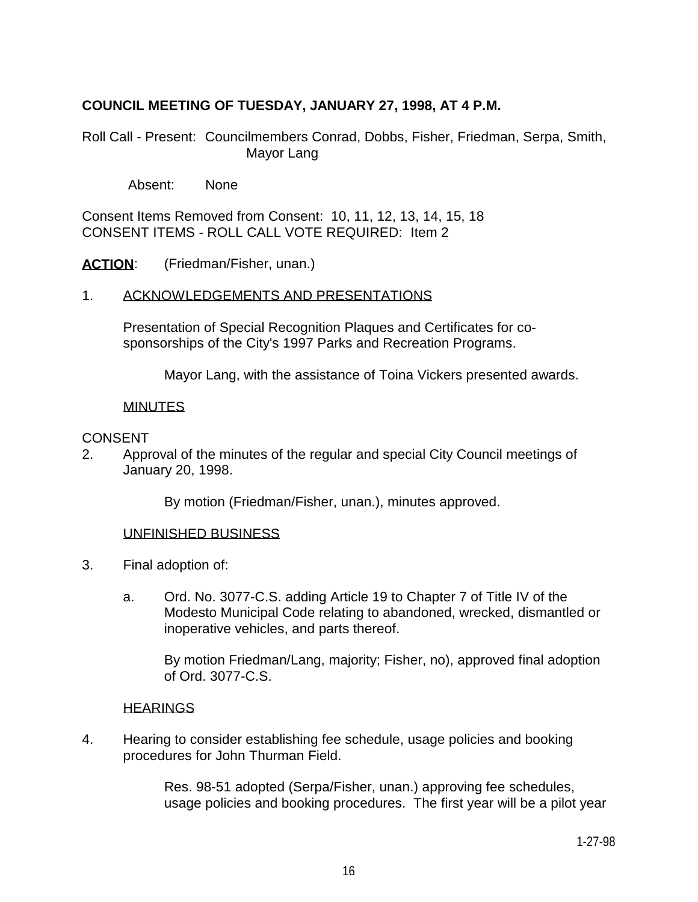## **COUNCIL MEETING OF TUESDAY, JANUARY 27, 1998, AT 4 P.M.**

Roll Call - Present: Councilmembers Conrad, Dobbs, Fisher, Friedman, Serpa, Smith, Mayor Lang

Absent: None

Consent Items Removed from Consent: 10, 11, 12, 13, 14, 15, 18 CONSENT ITEMS - ROLL CALL VOTE REQUIRED: Item 2

ACTION: (Friedman/Fisher, unan.)

#### 1. ACKNOWLEDGEMENTS AND PRESENTATIONS

 Presentation of Special Recognition Plaques and Certificates for cosponsorships of the City's 1997 Parks and Recreation Programs.

Mayor Lang, with the assistance of Toina Vickers presented awards.

#### MINUTES

#### **CONSENT**

2. Approval of the minutes of the regular and special City Council meetings of January 20, 1998.

By motion (Friedman/Fisher, unan.), minutes approved.

#### UNFINISHED BUSINESS

- 3. Final adoption of:
	- a. Ord. No. 3077-C.S. adding Article 19 to Chapter 7 of Title IV of the Modesto Municipal Code relating to abandoned, wrecked, dismantled or inoperative vehicles, and parts thereof.

 By motion Friedman/Lang, majority; Fisher, no), approved final adoption of Ord. 3077-C.S.

### **HEARINGS**

4. Hearing to consider establishing fee schedule, usage policies and booking procedures for John Thurman Field.

> Res. 98-51 adopted (Serpa/Fisher, unan.) approving fee schedules, usage policies and booking procedures. The first year will be a pilot year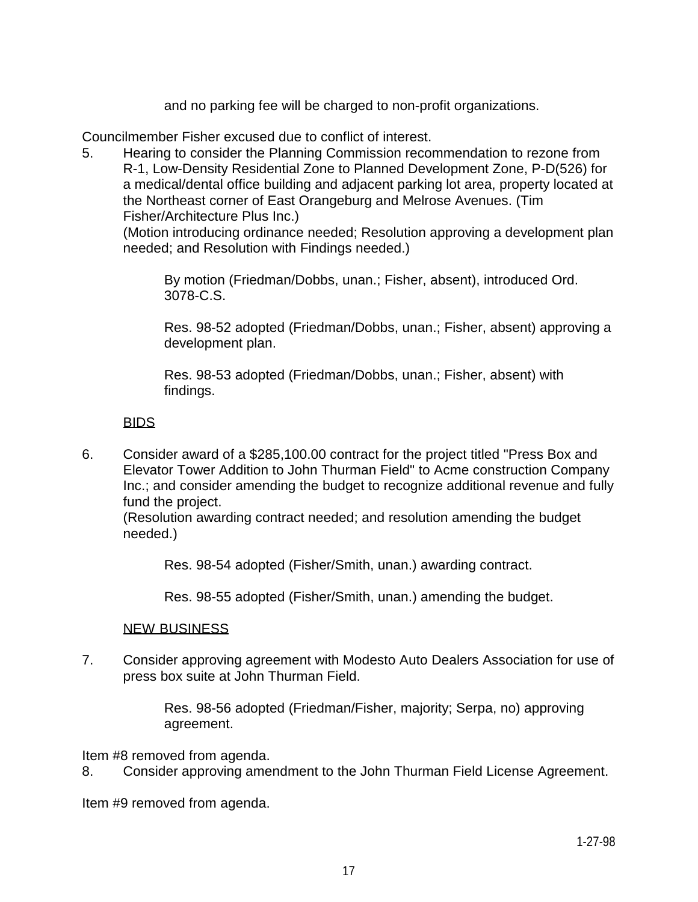and no parking fee will be charged to non-profit organizations.

Councilmember Fisher excused due to conflict of interest.

5. Hearing to consider the Planning Commission recommendation to rezone from R-1, Low-Density Residential Zone to Planned Development Zone, P-D(526) for a medical/dental office building and adjacent parking lot area, property located at the Northeast corner of East Orangeburg and Melrose Avenues. (Tim Fisher/Architecture Plus Inc.)

 (Motion introducing ordinance needed; Resolution approving a development plan needed; and Resolution with Findings needed.)

 By motion (Friedman/Dobbs, unan.; Fisher, absent), introduced Ord. 3078-C.S.

 Res. 98-52 adopted (Friedman/Dobbs, unan.; Fisher, absent) approving a development plan.

 Res. 98-53 adopted (Friedman/Dobbs, unan.; Fisher, absent) with findings.

## BIDS

6. Consider award of a \$285,100.00 contract for the project titled "Press Box and Elevator Tower Addition to John Thurman Field" to Acme construction Company Inc.; and consider amending the budget to recognize additional revenue and fully fund the project.

 (Resolution awarding contract needed; and resolution amending the budget needed.)

Res. 98-54 adopted (Fisher/Smith, unan.) awarding contract.

Res. 98-55 adopted (Fisher/Smith, unan.) amending the budget.

### NEW BUSINESS

7. Consider approving agreement with Modesto Auto Dealers Association for use of press box suite at John Thurman Field.

> Res. 98-56 adopted (Friedman/Fisher, majority; Serpa, no) approving agreement.

Item #8 removed from agenda.

8. Consider approving amendment to the John Thurman Field License Agreement.

Item #9 removed from agenda.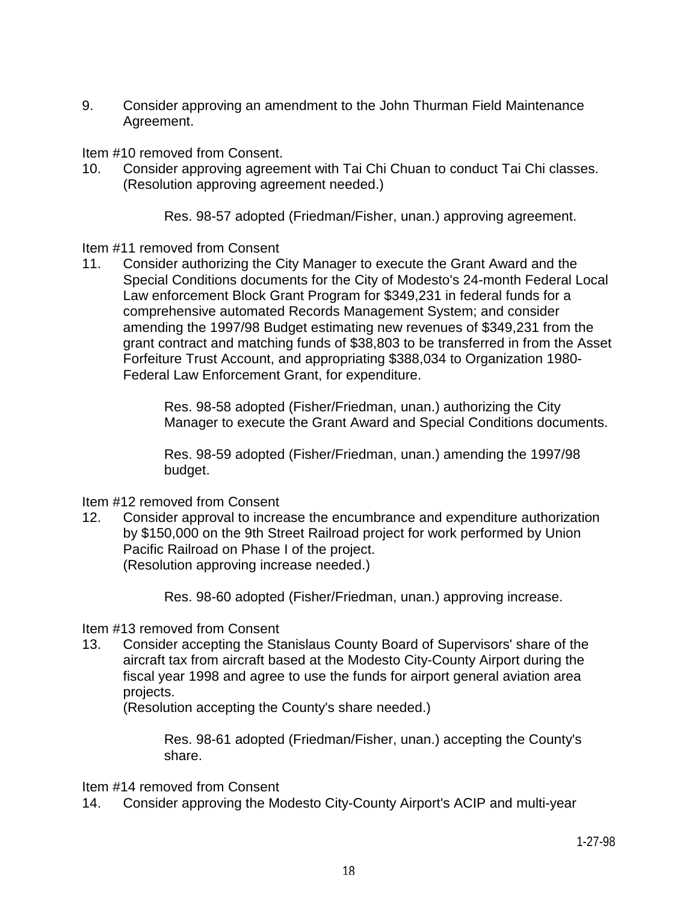9. Consider approving an amendment to the John Thurman Field Maintenance Agreement.

Item #10 removed from Consent.

10. Consider approving agreement with Tai Chi Chuan to conduct Tai Chi classes. (Resolution approving agreement needed.)

Res. 98-57 adopted (Friedman/Fisher, unan.) approving agreement.

Item #11 removed from Consent

11. Consider authorizing the City Manager to execute the Grant Award and the Special Conditions documents for the City of Modesto's 24-month Federal Local Law enforcement Block Grant Program for \$349,231 in federal funds for a comprehensive automated Records Management System; and consider amending the 1997/98 Budget estimating new revenues of \$349,231 from the grant contract and matching funds of \$38,803 to be transferred in from the Asset Forfeiture Trust Account, and appropriating \$388,034 to Organization 1980- Federal Law Enforcement Grant, for expenditure.

> Res. 98-58 adopted (Fisher/Friedman, unan.) authorizing the City Manager to execute the Grant Award and Special Conditions documents.

 Res. 98-59 adopted (Fisher/Friedman, unan.) amending the 1997/98 budget.

Item #12 removed from Consent

12. Consider approval to increase the encumbrance and expenditure authorization by \$150,000 on the 9th Street Railroad project for work performed by Union Pacific Railroad on Phase I of the project. (Resolution approving increase needed.)

Res. 98-60 adopted (Fisher/Friedman, unan.) approving increase.

Item #13 removed from Consent

13. Consider accepting the Stanislaus County Board of Supervisors' share of the aircraft tax from aircraft based at the Modesto City-County Airport during the fiscal year 1998 and agree to use the funds for airport general aviation area projects.

(Resolution accepting the County's share needed.)

 Res. 98-61 adopted (Friedman/Fisher, unan.) accepting the County's share.

Item #14 removed from Consent

14. Consider approving the Modesto City-County Airport's ACIP and multi-year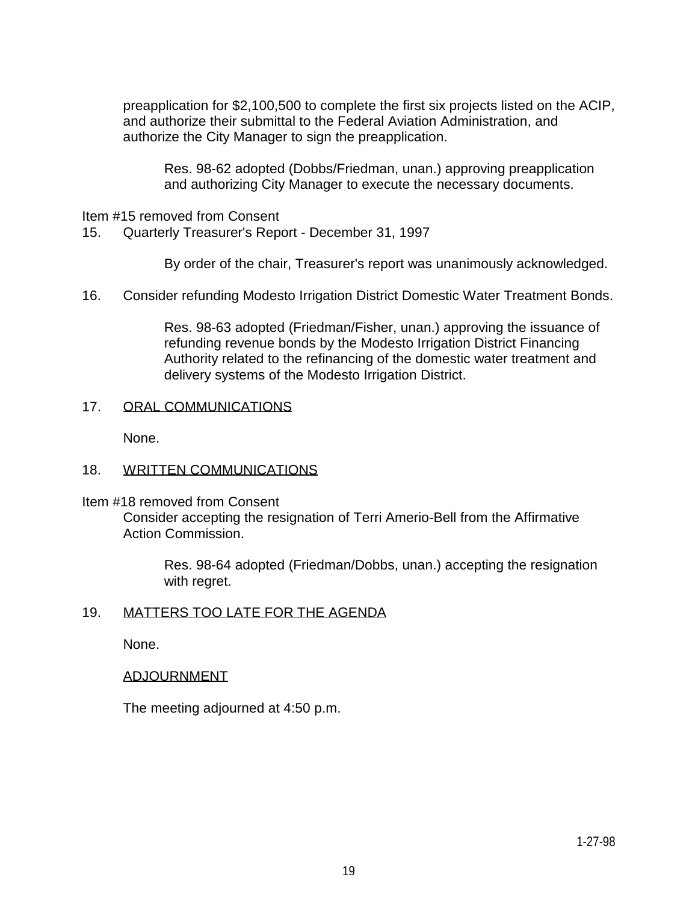preapplication for \$2,100,500 to complete the first six projects listed on the ACIP, and authorize their submittal to the Federal Aviation Administration, and authorize the City Manager to sign the preapplication.

 Res. 98-62 adopted (Dobbs/Friedman, unan.) approving preapplication and authorizing City Manager to execute the necessary documents.

#### Item #15 removed from Consent

15. Quarterly Treasurer's Report - December 31, 1997

By order of the chair, Treasurer's report was unanimously acknowledged.

16. Consider refunding Modesto Irrigation District Domestic Water Treatment Bonds.

 Res. 98-63 adopted (Friedman/Fisher, unan.) approving the issuance of refunding revenue bonds by the Modesto Irrigation District Financing Authority related to the refinancing of the domestic water treatment and delivery systems of the Modesto Irrigation District.

#### 17. ORAL COMMUNICATIONS

None.

#### 18. WRITTEN COMMUNICATIONS

Item #18 removed from Consent

 Consider accepting the resignation of Terri Amerio-Bell from the Affirmative Action Commission.

 Res. 98-64 adopted (Friedman/Dobbs, unan.) accepting the resignation with regret.

#### 19. MATTERS TOO LATE FOR THE AGENDA

None.

#### ADJOURNMENT

The meeting adjourned at 4:50 p.m.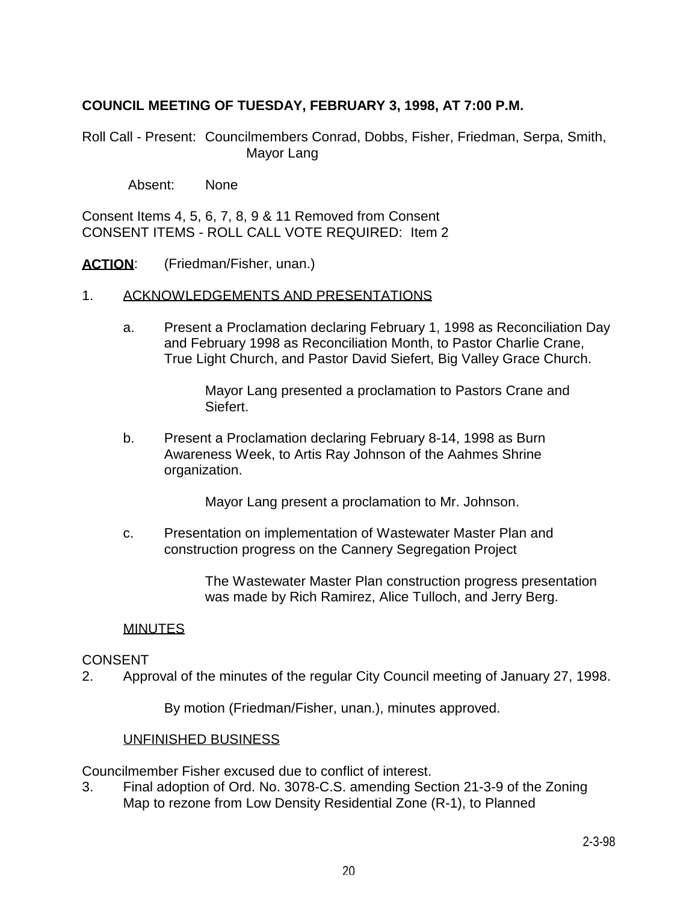## **COUNCIL MEETING OF TUESDAY, FEBRUARY 3, 1998, AT 7:00 P.M.**

Roll Call - Present: Councilmembers Conrad, Dobbs, Fisher, Friedman, Serpa, Smith, Mayor Lang

Absent: None

Consent Items 4, 5, 6, 7, 8, 9 & 11 Removed from Consent CONSENT ITEMS - ROLL CALL VOTE REQUIRED: Item 2

ACTION: (Friedman/Fisher, unan.)

#### 1. ACKNOWLEDGEMENTS AND PRESENTATIONS

 a. Present a Proclamation declaring February 1, 1998 as Reconciliation Day and February 1998 as Reconciliation Month, to Pastor Charlie Crane, True Light Church, and Pastor David Siefert, Big Valley Grace Church.

> Mayor Lang presented a proclamation to Pastors Crane and Siefert.

 b. Present a Proclamation declaring February 8-14, 1998 as Burn Awareness Week, to Artis Ray Johnson of the Aahmes Shrine organization.

Mayor Lang present a proclamation to Mr. Johnson.

 c. Presentation on implementation of Wastewater Master Plan and construction progress on the Cannery Segregation Project

> The Wastewater Master Plan construction progress presentation was made by Rich Ramirez, Alice Tulloch, and Jerry Berg.

#### MINUTES

#### CONSENT

2. Approval of the minutes of the regular City Council meeting of January 27, 1998.

By motion (Friedman/Fisher, unan.), minutes approved.

#### UNFINISHED BUSINESS

Councilmember Fisher excused due to conflict of interest.

3. Final adoption of Ord. No. 3078-C.S. amending Section 21-3-9 of the Zoning Map to rezone from Low Density Residential Zone (R-1), to Planned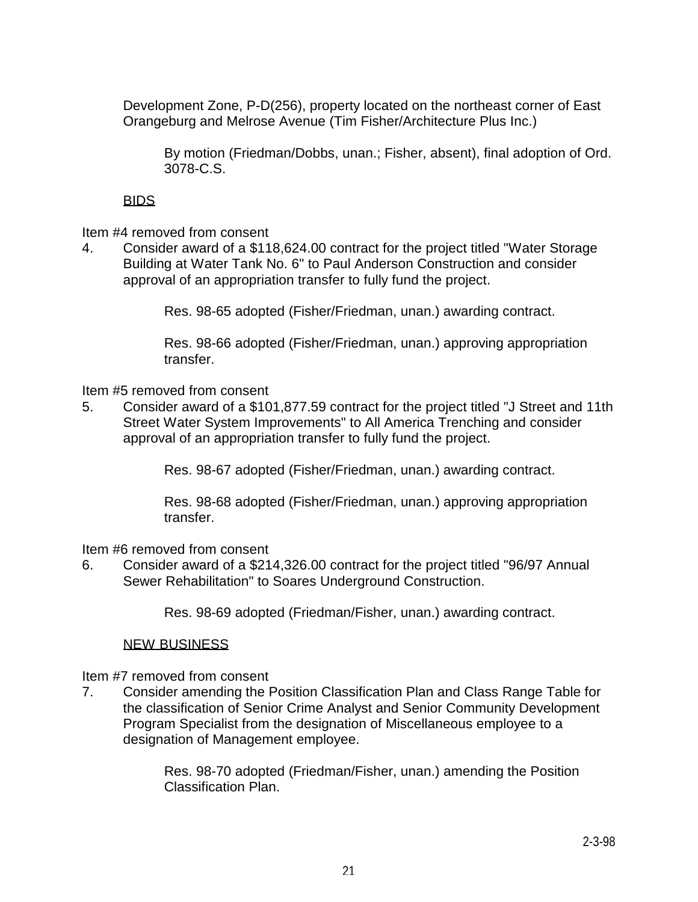Development Zone, P-D(256), property located on the northeast corner of East Orangeburg and Melrose Avenue (Tim Fisher/Architecture Plus Inc.)

 By motion (Friedman/Dobbs, unan.; Fisher, absent), final adoption of Ord. 3078-C.S.

## BIDS

Item #4 removed from consent

4. Consider award of a \$118,624.00 contract for the project titled "Water Storage Building at Water Tank No. 6" to Paul Anderson Construction and consider approval of an appropriation transfer to fully fund the project.

Res. 98-65 adopted (Fisher/Friedman, unan.) awarding contract.

 Res. 98-66 adopted (Fisher/Friedman, unan.) approving appropriation transfer.

Item #5 removed from consent

5. Consider award of a \$101,877.59 contract for the project titled "J Street and 11th Street Water System Improvements" to All America Trenching and consider approval of an appropriation transfer to fully fund the project.

Res. 98-67 adopted (Fisher/Friedman, unan.) awarding contract.

 Res. 98-68 adopted (Fisher/Friedman, unan.) approving appropriation transfer.

Item #6 removed from consent

6. Consider award of a \$214,326.00 contract for the project titled "96/97 Annual Sewer Rehabilitation" to Soares Underground Construction.

Res. 98-69 adopted (Friedman/Fisher, unan.) awarding contract.

NEW BUSINESS

Item #7 removed from consent

7. Consider amending the Position Classification Plan and Class Range Table for the classification of Senior Crime Analyst and Senior Community Development Program Specialist from the designation of Miscellaneous employee to a designation of Management employee.

> Res. 98-70 adopted (Friedman/Fisher, unan.) amending the Position Classification Plan.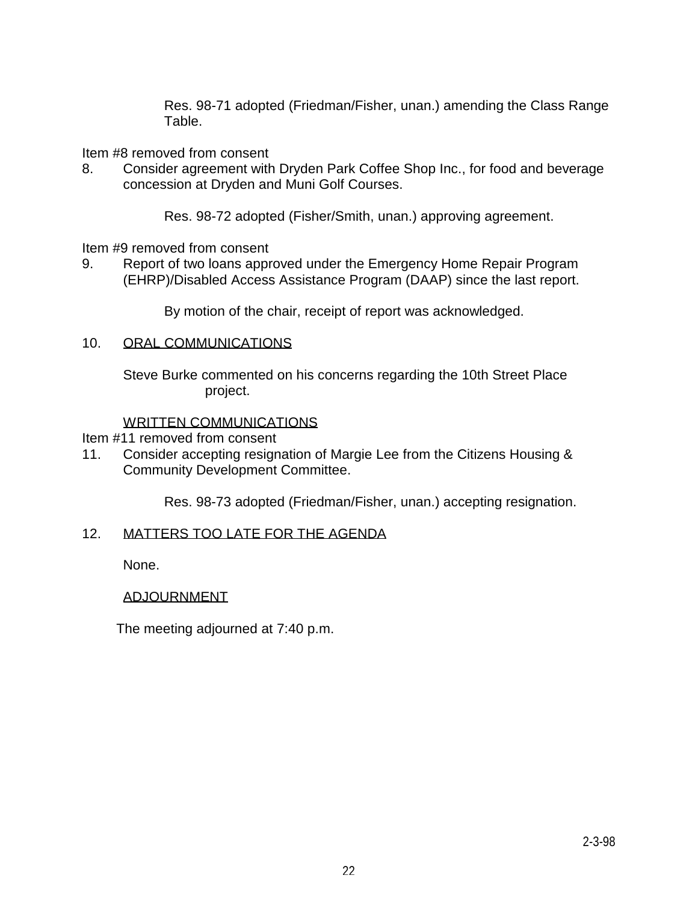Res. 98-71 adopted (Friedman/Fisher, unan.) amending the Class Range Table.

Item #8 removed from consent

8. Consider agreement with Dryden Park Coffee Shop Inc., for food and beverage concession at Dryden and Muni Golf Courses.

Res. 98-72 adopted (Fisher/Smith, unan.) approving agreement.

Item #9 removed from consent

9. Report of two loans approved under the Emergency Home Repair Program (EHRP)/Disabled Access Assistance Program (DAAP) since the last report.

By motion of the chair, receipt of report was acknowledged.

### 10. ORAL COMMUNICATIONS

 Steve Burke commented on his concerns regarding the 10th Street Place project.

### WRITTEN COMMUNICATIONS

- Item #11 removed from consent
- 11. Consider accepting resignation of Margie Lee from the Citizens Housing & Community Development Committee.

Res. 98-73 adopted (Friedman/Fisher, unan.) accepting resignation.

### 12. MATTERS TOO LATE FOR THE AGENDA

None.

### ADJOURNMENT

The meeting adjourned at 7:40 p.m.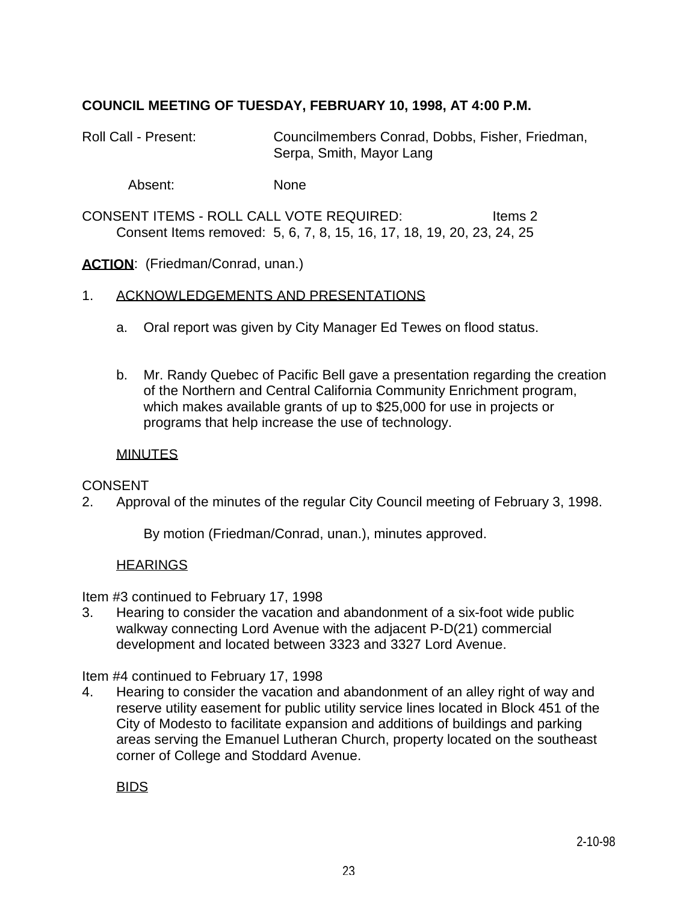## **COUNCIL MEETING OF TUESDAY, FEBRUARY 10, 1998, AT 4:00 P.M.**

Roll Call - Present: Councilmembers Conrad, Dobbs, Fisher, Friedman, Serpa, Smith, Mayor Lang

Absent: None

CONSENT ITEMS - ROLL CALL VOTE REQUIRED: Items 2 Consent Items removed: 5, 6, 7, 8, 15, 16, 17, 18, 19, 20, 23, 24, 25

**ACTION:** (Friedman/Conrad, unan.)

### 1. ACKNOWLEDGEMENTS AND PRESENTATIONS

- a. Oral report was given by City Manager Ed Tewes on flood status.
- b. Mr. Randy Quebec of Pacific Bell gave a presentation regarding the creation of the Northern and Central California Community Enrichment program, which makes available grants of up to \$25,000 for use in projects or programs that help increase the use of technology.

### **MINUTES**

### **CONSENT**

2. Approval of the minutes of the regular City Council meeting of February 3, 1998.

By motion (Friedman/Conrad, unan.), minutes approved.

### **HEARINGS**

Item #3 continued to February 17, 1998

3. Hearing to consider the vacation and abandonment of a six-foot wide public walkway connecting Lord Avenue with the adjacent P-D(21) commercial development and located between 3323 and 3327 Lord Avenue.

Item #4 continued to February 17, 1998

4. Hearing to consider the vacation and abandonment of an alley right of way and reserve utility easement for public utility service lines located in Block 451 of the City of Modesto to facilitate expansion and additions of buildings and parking areas serving the Emanuel Lutheran Church, property located on the southeast corner of College and Stoddard Avenue.

#### BIDS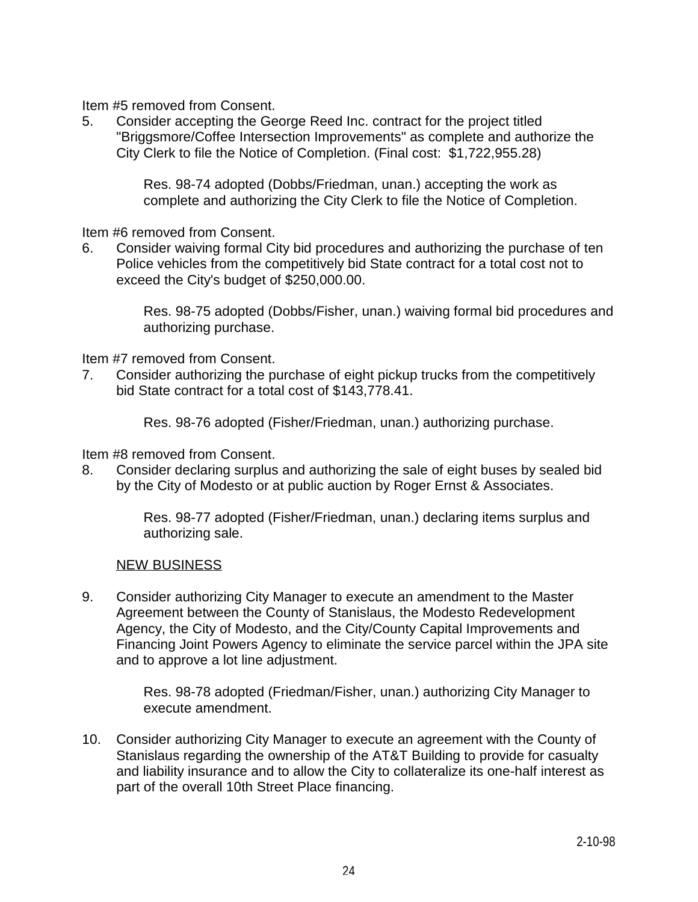Item #5 removed from Consent.

5. Consider accepting the George Reed Inc. contract for the project titled "Briggsmore/Coffee Intersection Improvements" as complete and authorize the City Clerk to file the Notice of Completion. (Final cost: \$1,722,955.28)

> Res. 98-74 adopted (Dobbs/Friedman, unan.) accepting the work as complete and authorizing the City Clerk to file the Notice of Completion.

Item #6 removed from Consent.

6. Consider waiving formal City bid procedures and authorizing the purchase of ten Police vehicles from the competitively bid State contract for a total cost not to exceed the City's budget of \$250,000.00.

> Res. 98-75 adopted (Dobbs/Fisher, unan.) waiving formal bid procedures and authorizing purchase.

Item #7 removed from Consent.

7. Consider authorizing the purchase of eight pickup trucks from the competitively bid State contract for a total cost of \$143,778.41.

Res. 98-76 adopted (Fisher/Friedman, unan.) authorizing purchase.

Item #8 removed from Consent.

8. Consider declaring surplus and authorizing the sale of eight buses by sealed bid by the City of Modesto or at public auction by Roger Ernst & Associates.

> Res. 98-77 adopted (Fisher/Friedman, unan.) declaring items surplus and authorizing sale.

#### NEW BUSINESS

9. Consider authorizing City Manager to execute an amendment to the Master Agreement between the County of Stanislaus, the Modesto Redevelopment Agency, the City of Modesto, and the City/County Capital Improvements and Financing Joint Powers Agency to eliminate the service parcel within the JPA site and to approve a lot line adjustment.

> Res. 98-78 adopted (Friedman/Fisher, unan.) authorizing City Manager to execute amendment.

10. Consider authorizing City Manager to execute an agreement with the County of Stanislaus regarding the ownership of the AT&T Building to provide for casualty and liability insurance and to allow the City to collateralize its one-half interest as part of the overall 10th Street Place financing.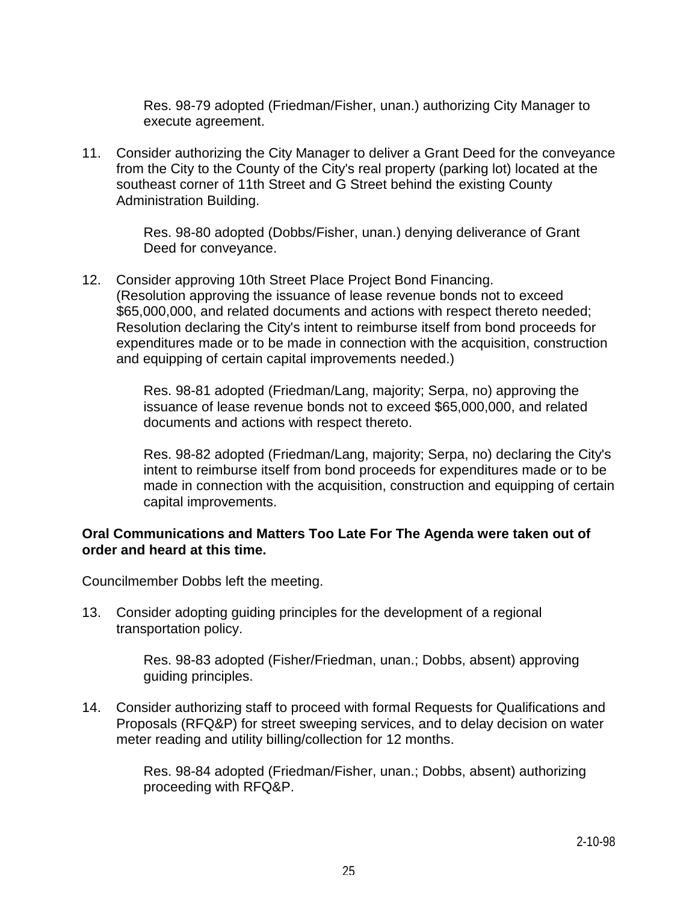Res. 98-79 adopted (Friedman/Fisher, unan.) authorizing City Manager to execute agreement.

11. Consider authorizing the City Manager to deliver a Grant Deed for the conveyance from the City to the County of the City's real property (parking lot) located at the southeast corner of 11th Street and G Street behind the existing County Administration Building.

> Res. 98-80 adopted (Dobbs/Fisher, unan.) denying deliverance of Grant Deed for conveyance.

12. Consider approving 10th Street Place Project Bond Financing. (Resolution approving the issuance of lease revenue bonds not to exceed \$65,000,000, and related documents and actions with respect thereto needed; Resolution declaring the City's intent to reimburse itself from bond proceeds for expenditures made or to be made in connection with the acquisition, construction and equipping of certain capital improvements needed.)

> Res. 98-81 adopted (Friedman/Lang, majority; Serpa, no) approving the issuance of lease revenue bonds not to exceed \$65,000,000, and related documents and actions with respect thereto.

 Res. 98-82 adopted (Friedman/Lang, majority; Serpa, no) declaring the City's intent to reimburse itself from bond proceeds for expenditures made or to be made in connection with the acquisition, construction and equipping of certain capital improvements.

### **Oral Communications and Matters Too Late For The Agenda were taken out of order and heard at this time.**

Councilmember Dobbs left the meeting.

13. Consider adopting guiding principles for the development of a regional transportation policy.

> Res. 98-83 adopted (Fisher/Friedman, unan.; Dobbs, absent) approving guiding principles.

14. Consider authorizing staff to proceed with formal Requests for Qualifications and Proposals (RFQ&P) for street sweeping services, and to delay decision on water meter reading and utility billing/collection for 12 months.

> Res. 98-84 adopted (Friedman/Fisher, unan.; Dobbs, absent) authorizing proceeding with RFQ&P.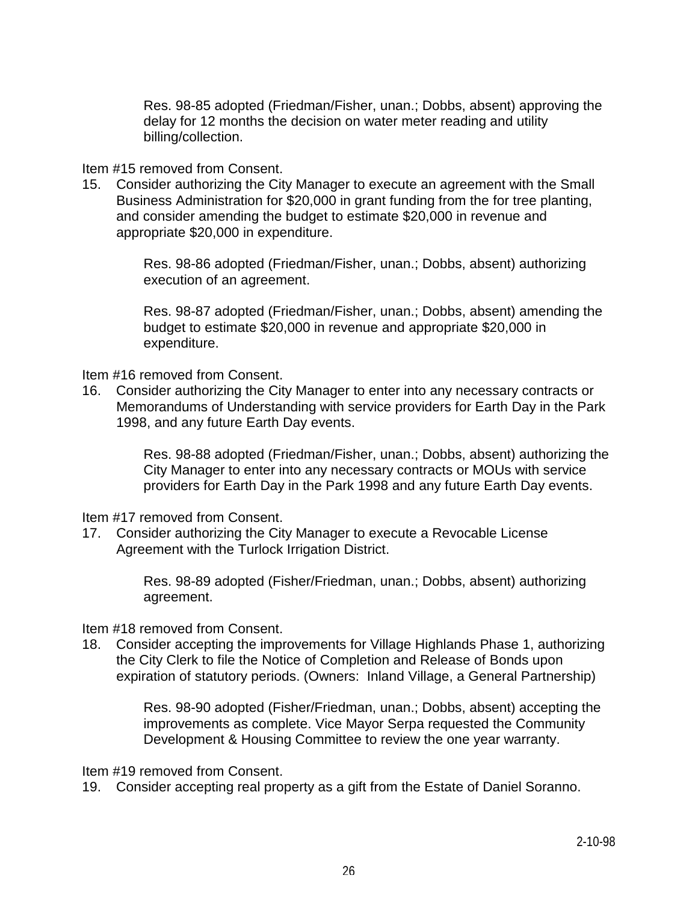Res. 98-85 adopted (Friedman/Fisher, unan.; Dobbs, absent) approving the delay for 12 months the decision on water meter reading and utility billing/collection.

### Item #15 removed from Consent.

15. Consider authorizing the City Manager to execute an agreement with the Small Business Administration for \$20,000 in grant funding from the for tree planting, and consider amending the budget to estimate \$20,000 in revenue and appropriate \$20,000 in expenditure.

> Res. 98-86 adopted (Friedman/Fisher, unan.; Dobbs, absent) authorizing execution of an agreement.

 Res. 98-87 adopted (Friedman/Fisher, unan.; Dobbs, absent) amending the budget to estimate \$20,000 in revenue and appropriate \$20,000 in expenditure.

Item #16 removed from Consent.

16. Consider authorizing the City Manager to enter into any necessary contracts or Memorandums of Understanding with service providers for Earth Day in the Park 1998, and any future Earth Day events.

> Res. 98-88 adopted (Friedman/Fisher, unan.; Dobbs, absent) authorizing the City Manager to enter into any necessary contracts or MOUs with service providers for Earth Day in the Park 1998 and any future Earth Day events.

Item #17 removed from Consent.

17. Consider authorizing the City Manager to execute a Revocable License Agreement with the Turlock Irrigation District.

> Res. 98-89 adopted (Fisher/Friedman, unan.; Dobbs, absent) authorizing agreement.

Item #18 removed from Consent.

18. Consider accepting the improvements for Village Highlands Phase 1, authorizing the City Clerk to file the Notice of Completion and Release of Bonds upon expiration of statutory periods. (Owners: Inland Village, a General Partnership)

> Res. 98-90 adopted (Fisher/Friedman, unan.; Dobbs, absent) accepting the improvements as complete. Vice Mayor Serpa requested the Community Development & Housing Committee to review the one year warranty.

Item #19 removed from Consent.

19. Consider accepting real property as a gift from the Estate of Daniel Soranno.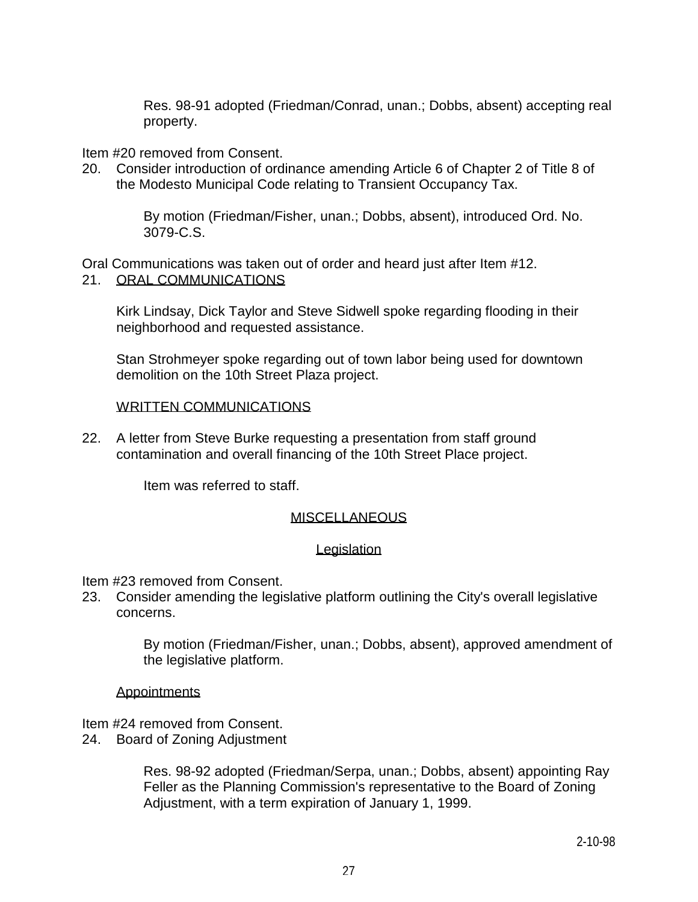Res. 98-91 adopted (Friedman/Conrad, unan.; Dobbs, absent) accepting real property.

### Item #20 removed from Consent.

20. Consider introduction of ordinance amending Article 6 of Chapter 2 of Title 8 of the Modesto Municipal Code relating to Transient Occupancy Tax.

> By motion (Friedman/Fisher, unan.; Dobbs, absent), introduced Ord. No. 3079-C.S.

Oral Communications was taken out of order and heard just after Item #12. 21. ORAL COMMUNICATIONS

 Kirk Lindsay, Dick Taylor and Steve Sidwell spoke regarding flooding in their neighborhood and requested assistance.

 Stan Strohmeyer spoke regarding out of town labor being used for downtown demolition on the 10th Street Plaza project.

#### WRITTEN COMMUNICATIONS

22. A letter from Steve Burke requesting a presentation from staff ground contamination and overall financing of the 10th Street Place project.

Item was referred to staff.

### MISCELLANEOUS

#### **Legislation**

Item #23 removed from Consent.

23. Consider amending the legislative platform outlining the City's overall legislative concerns.

> By motion (Friedman/Fisher, unan.; Dobbs, absent), approved amendment of the legislative platform.

#### **Appointments**

Item #24 removed from Consent.

24. Board of Zoning Adjustment

 Res. 98-92 adopted (Friedman/Serpa, unan.; Dobbs, absent) appointing Ray Feller as the Planning Commission's representative to the Board of Zoning Adjustment, with a term expiration of January 1, 1999.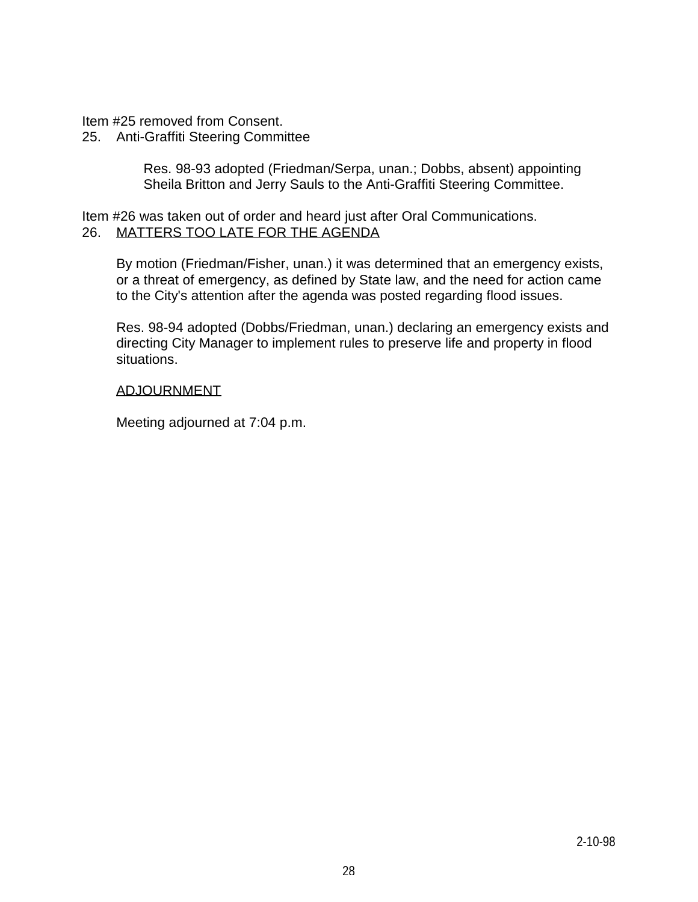Item #25 removed from Consent.

### 25. Anti-Graffiti Steering Committee

 Res. 98-93 adopted (Friedman/Serpa, unan.; Dobbs, absent) appointing Sheila Britton and Jerry Sauls to the Anti-Graffiti Steering Committee.

Item #26 was taken out of order and heard just after Oral Communications. 26. MATTERS TOO LATE FOR THE AGENDA

 By motion (Friedman/Fisher, unan.) it was determined that an emergency exists, or a threat of emergency, as defined by State law, and the need for action came to the City's attention after the agenda was posted regarding flood issues.

 Res. 98-94 adopted (Dobbs/Friedman, unan.) declaring an emergency exists and directing City Manager to implement rules to preserve life and property in flood situations.

#### ADJOURNMENT

Meeting adjourned at 7:04 p.m.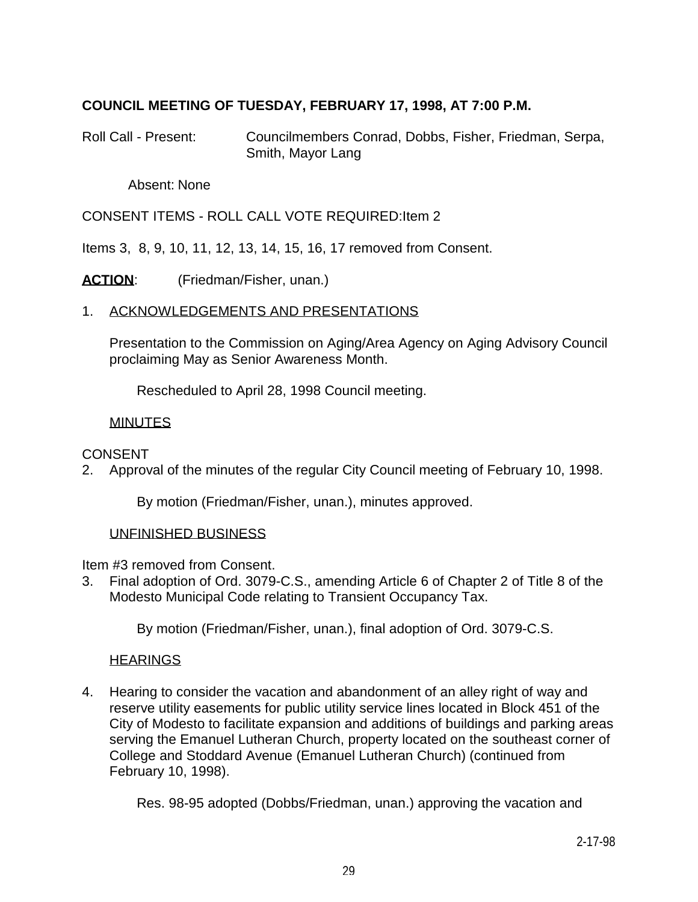## **COUNCIL MEETING OF TUESDAY, FEBRUARY 17, 1998, AT 7:00 P.M.**

Roll Call - Present: Councilmembers Conrad, Dobbs, Fisher, Friedman, Serpa, Smith, Mayor Lang

Absent: None

CONSENT ITEMS - ROLL CALL VOTE REQUIRED:Item 2

Items 3, 8, 9, 10, 11, 12, 13, 14, 15, 16, 17 removed from Consent.

ACTION: (Friedman/Fisher, unan.)

### 1. ACKNOWLEDGEMENTS AND PRESENTATIONS

 Presentation to the Commission on Aging/Area Agency on Aging Advisory Council proclaiming May as Senior Awareness Month.

Rescheduled to April 28, 1998 Council meeting.

### MINUTES

#### **CONSENT**

2. Approval of the minutes of the regular City Council meeting of February 10, 1998.

By motion (Friedman/Fisher, unan.), minutes approved.

#### UNFINISHED BUSINESS

Item #3 removed from Consent.

3. Final adoption of Ord. 3079-C.S., amending Article 6 of Chapter 2 of Title 8 of the Modesto Municipal Code relating to Transient Occupancy Tax.

By motion (Friedman/Fisher, unan.), final adoption of Ord. 3079-C.S.

#### **HEARINGS**

4. Hearing to consider the vacation and abandonment of an alley right of way and reserve utility easements for public utility service lines located in Block 451 of the City of Modesto to facilitate expansion and additions of buildings and parking areas serving the Emanuel Lutheran Church, property located on the southeast corner of College and Stoddard Avenue (Emanuel Lutheran Church) (continued from February 10, 1998).

Res. 98-95 adopted (Dobbs/Friedman, unan.) approving the vacation and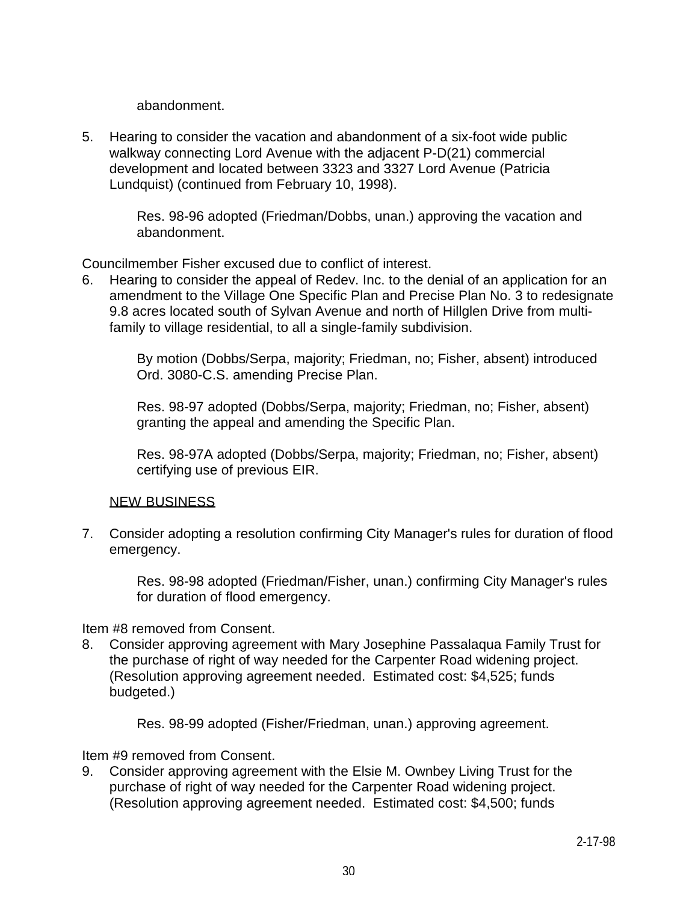abandonment.

5. Hearing to consider the vacation and abandonment of a six-foot wide public walkway connecting Lord Avenue with the adjacent P-D(21) commercial development and located between 3323 and 3327 Lord Avenue (Patricia Lundquist) (continued from February 10, 1998).

> Res. 98-96 adopted (Friedman/Dobbs, unan.) approving the vacation and abandonment.

Councilmember Fisher excused due to conflict of interest.

6. Hearing to consider the appeal of Redev. Inc. to the denial of an application for an amendment to the Village One Specific Plan and Precise Plan No. 3 to redesignate 9.8 acres located south of Sylvan Avenue and north of Hillglen Drive from multifamily to village residential, to all a single-family subdivision.

> By motion (Dobbs/Serpa, majority; Friedman, no; Fisher, absent) introduced Ord. 3080-C.S. amending Precise Plan.

 Res. 98-97 adopted (Dobbs/Serpa, majority; Friedman, no; Fisher, absent) granting the appeal and amending the Specific Plan.

 Res. 98-97A adopted (Dobbs/Serpa, majority; Friedman, no; Fisher, absent) certifying use of previous EIR.

### NEW BUSINESS

7. Consider adopting a resolution confirming City Manager's rules for duration of flood emergency.

> Res. 98-98 adopted (Friedman/Fisher, unan.) confirming City Manager's rules for duration of flood emergency.

Item #8 removed from Consent.

8. Consider approving agreement with Mary Josephine Passalaqua Family Trust for the purchase of right of way needed for the Carpenter Road widening project. (Resolution approving agreement needed. Estimated cost: \$4,525; funds budgeted.)

Res. 98-99 adopted (Fisher/Friedman, unan.) approving agreement.

Item #9 removed from Consent.

9. Consider approving agreement with the Elsie M. Ownbey Living Trust for the purchase of right of way needed for the Carpenter Road widening project. (Resolution approving agreement needed. Estimated cost: \$4,500; funds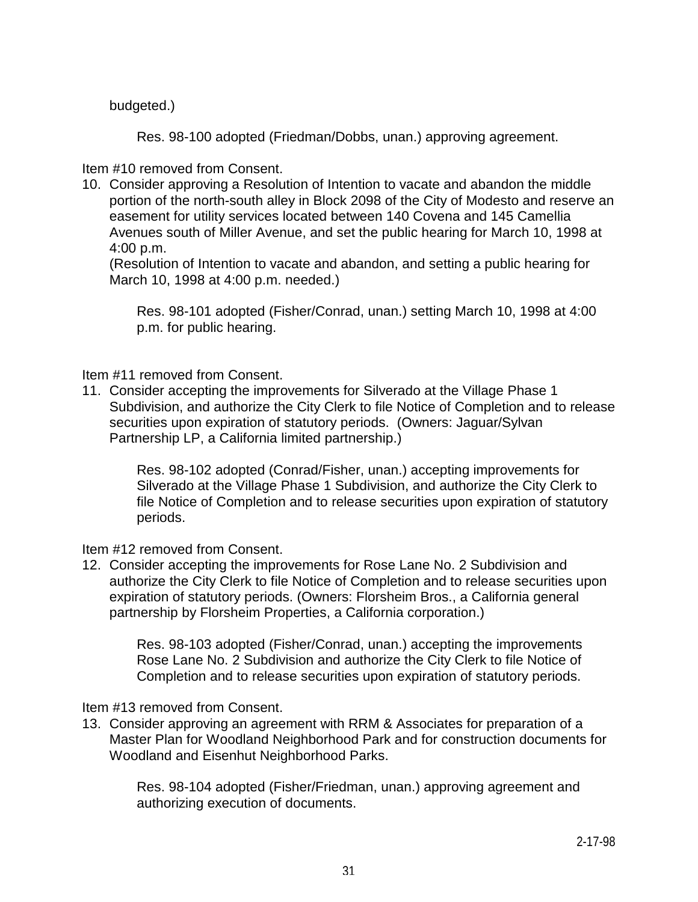budgeted.)

Res. 98-100 adopted (Friedman/Dobbs, unan.) approving agreement.

Item #10 removed from Consent.

10. Consider approving a Resolution of Intention to vacate and abandon the middle portion of the north-south alley in Block 2098 of the City of Modesto and reserve an easement for utility services located between 140 Covena and 145 Camellia Avenues south of Miller Avenue, and set the public hearing for March 10, 1998 at 4:00 p.m.

 (Resolution of Intention to vacate and abandon, and setting a public hearing for March 10, 1998 at 4:00 p.m. needed.)

 Res. 98-101 adopted (Fisher/Conrad, unan.) setting March 10, 1998 at 4:00 p.m. for public hearing.

Item #11 removed from Consent.

11. Consider accepting the improvements for Silverado at the Village Phase 1 Subdivision, and authorize the City Clerk to file Notice of Completion and to release securities upon expiration of statutory periods. (Owners: Jaguar/Sylvan Partnership LP, a California limited partnership.)

 Res. 98-102 adopted (Conrad/Fisher, unan.) accepting improvements for Silverado at the Village Phase 1 Subdivision, and authorize the City Clerk to file Notice of Completion and to release securities upon expiration of statutory periods.

Item #12 removed from Consent.

12. Consider accepting the improvements for Rose Lane No. 2 Subdivision and authorize the City Clerk to file Notice of Completion and to release securities upon expiration of statutory periods. (Owners: Florsheim Bros., a California general partnership by Florsheim Properties, a California corporation.)

 Res. 98-103 adopted (Fisher/Conrad, unan.) accepting the improvements Rose Lane No. 2 Subdivision and authorize the City Clerk to file Notice of Completion and to release securities upon expiration of statutory periods.

Item #13 removed from Consent.

13. Consider approving an agreement with RRM & Associates for preparation of a Master Plan for Woodland Neighborhood Park and for construction documents for Woodland and Eisenhut Neighborhood Parks.

 Res. 98-104 adopted (Fisher/Friedman, unan.) approving agreement and authorizing execution of documents.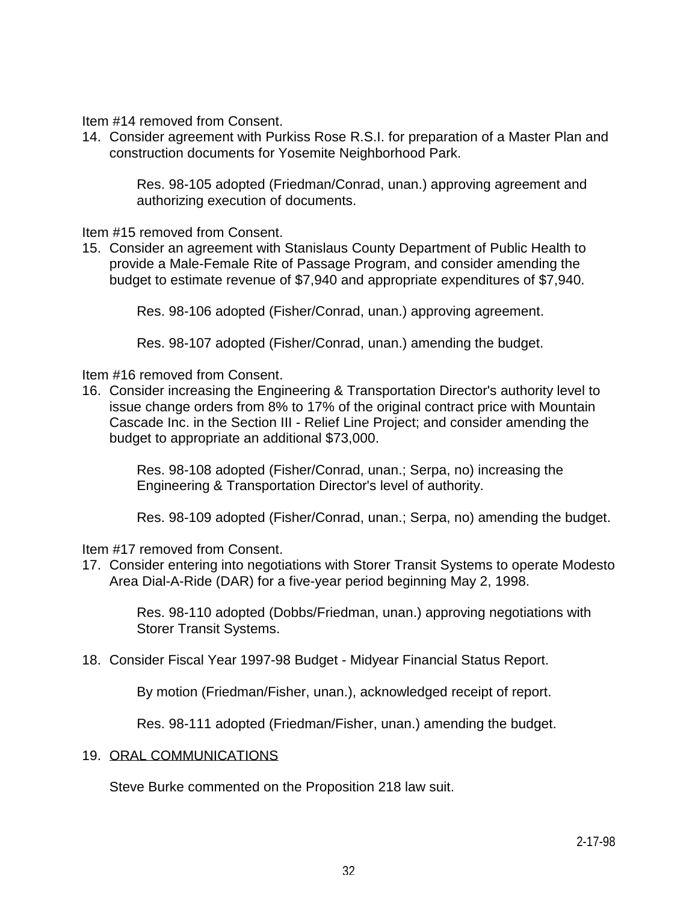Item #14 removed from Consent.

14. Consider agreement with Purkiss Rose R.S.I. for preparation of a Master Plan and construction documents for Yosemite Neighborhood Park.

 Res. 98-105 adopted (Friedman/Conrad, unan.) approving agreement and authorizing execution of documents.

Item #15 removed from Consent.

15. Consider an agreement with Stanislaus County Department of Public Health to provide a Male-Female Rite of Passage Program, and consider amending the budget to estimate revenue of \$7,940 and appropriate expenditures of \$7,940.

Res. 98-106 adopted (Fisher/Conrad, unan.) approving agreement.

Res. 98-107 adopted (Fisher/Conrad, unan.) amending the budget.

Item #16 removed from Consent.

16. Consider increasing the Engineering & Transportation Director's authority level to issue change orders from 8% to 17% of the original contract price with Mountain Cascade Inc. in the Section III - Relief Line Project; and consider amending the budget to appropriate an additional \$73,000.

> Res. 98-108 adopted (Fisher/Conrad, unan.; Serpa, no) increasing the Engineering & Transportation Director's level of authority.

Res. 98-109 adopted (Fisher/Conrad, unan.; Serpa, no) amending the budget.

Item #17 removed from Consent.

17. Consider entering into negotiations with Storer Transit Systems to operate Modesto Area Dial-A-Ride (DAR) for a five-year period beginning May 2, 1998.

> Res. 98-110 adopted (Dobbs/Friedman, unan.) approving negotiations with Storer Transit Systems.

18. Consider Fiscal Year 1997-98 Budget - Midyear Financial Status Report.

By motion (Friedman/Fisher, unan.), acknowledged receipt of report.

Res. 98-111 adopted (Friedman/Fisher, unan.) amending the budget.

#### 19. ORAL COMMUNICATIONS

Steve Burke commented on the Proposition 218 law suit.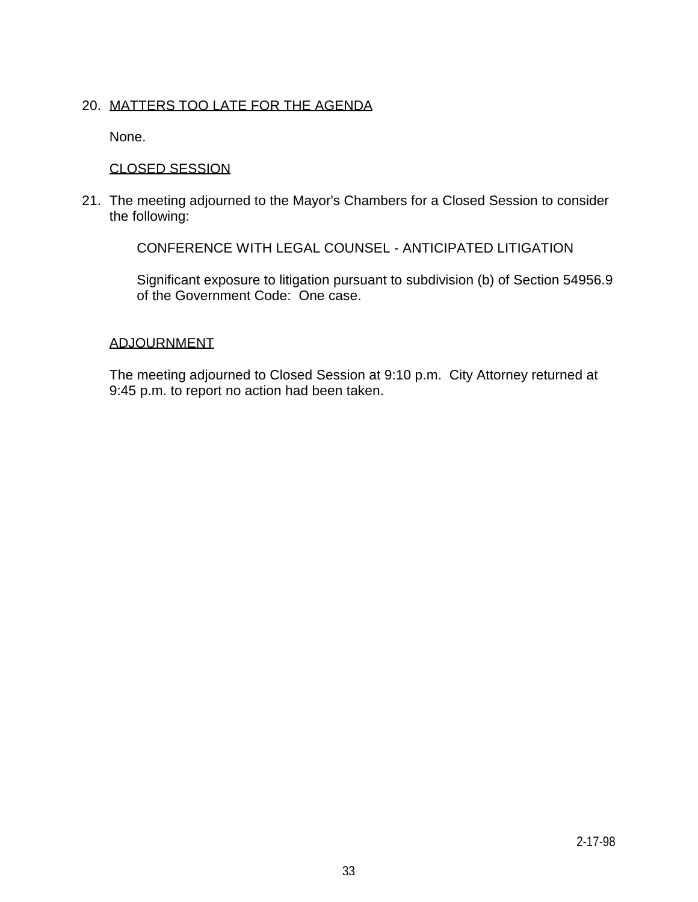## 20. MATTERS TOO LATE FOR THE AGENDA

None.

## CLOSED SESSION

21. The meeting adjourned to the Mayor's Chambers for a Closed Session to consider the following:

CONFERENCE WITH LEGAL COUNSEL - ANTICIPATED LITIGATION

 Significant exposure to litigation pursuant to subdivision (b) of Section 54956.9 of the Government Code: One case.

### ADJOURNMENT

 The meeting adjourned to Closed Session at 9:10 p.m. City Attorney returned at 9:45 p.m. to report no action had been taken.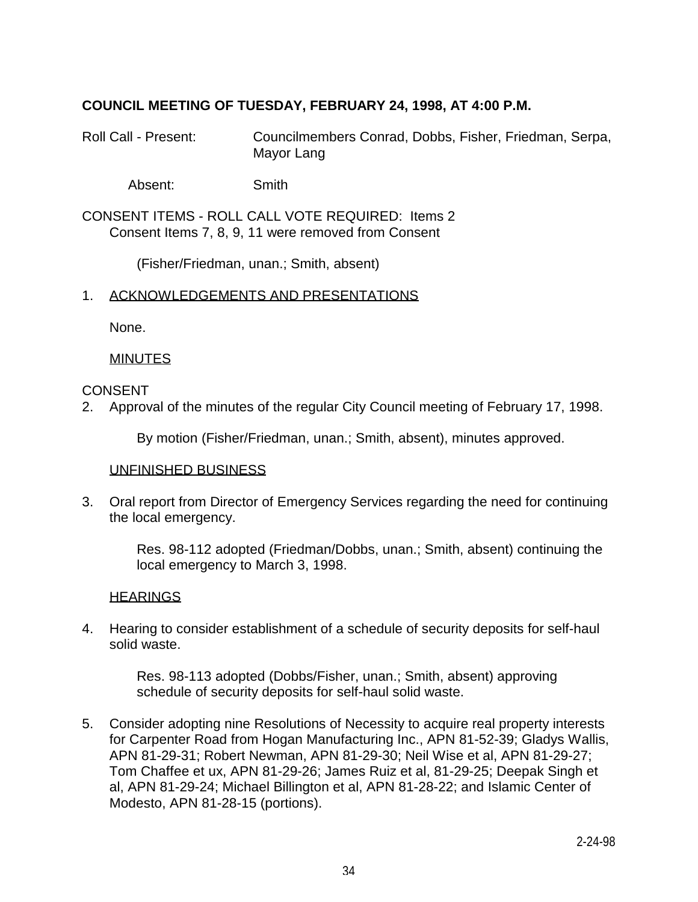## **COUNCIL MEETING OF TUESDAY, FEBRUARY 24, 1998, AT 4:00 P.M.**

Roll Call - Present: Councilmembers Conrad, Dobbs, Fisher, Friedman, Serpa, Mayor Lang

Absent: Smith

CONSENT ITEMS - ROLL CALL VOTE REQUIRED: Items 2 Consent Items 7, 8, 9, 11 were removed from Consent

(Fisher/Friedman, unan.; Smith, absent)

#### 1. ACKNOWLEDGEMENTS AND PRESENTATIONS

None.

#### MINUTES

#### CONSENT

2. Approval of the minutes of the regular City Council meeting of February 17, 1998.

By motion (Fisher/Friedman, unan.; Smith, absent), minutes approved.

#### UNFINISHED BUSINESS

3. Oral report from Director of Emergency Services regarding the need for continuing the local emergency.

> Res. 98-112 adopted (Friedman/Dobbs, unan.; Smith, absent) continuing the local emergency to March 3, 1998.

#### **HEARINGS**

4. Hearing to consider establishment of a schedule of security deposits for self-haul solid waste.

> Res. 98-113 adopted (Dobbs/Fisher, unan.; Smith, absent) approving schedule of security deposits for self-haul solid waste.

5. Consider adopting nine Resolutions of Necessity to acquire real property interests for Carpenter Road from Hogan Manufacturing Inc., APN 81-52-39; Gladys Wallis, APN 81-29-31; Robert Newman, APN 81-29-30; Neil Wise et al, APN 81-29-27; Tom Chaffee et ux, APN 81-29-26; James Ruiz et al, 81-29-25; Deepak Singh et al, APN 81-29-24; Michael Billington et al, APN 81-28-22; and Islamic Center of Modesto, APN 81-28-15 (portions).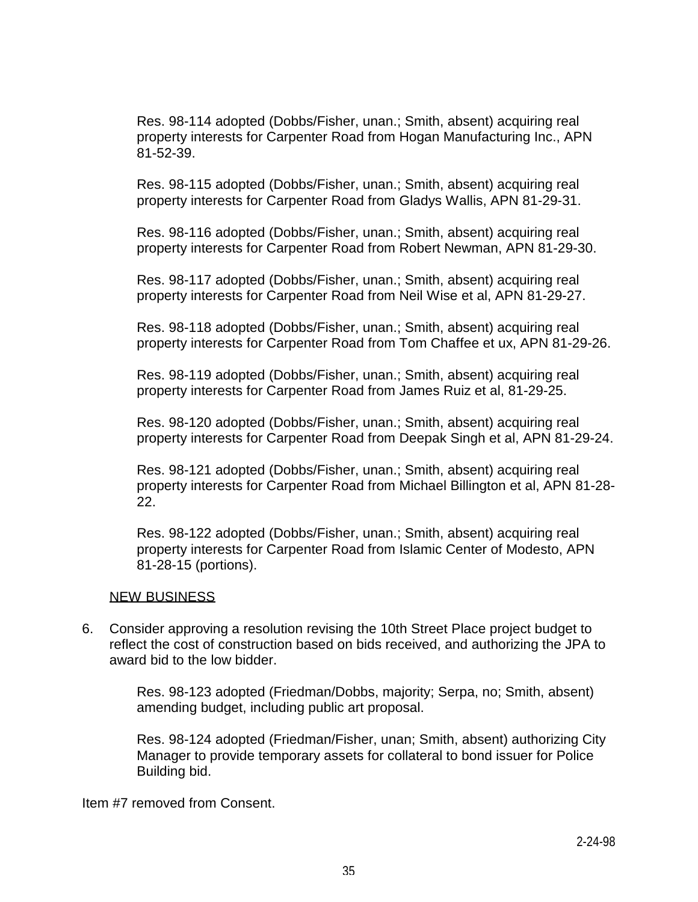Res. 98-114 adopted (Dobbs/Fisher, unan.; Smith, absent) acquiring real property interests for Carpenter Road from Hogan Manufacturing Inc., APN 81-52-39.

 Res. 98-115 adopted (Dobbs/Fisher, unan.; Smith, absent) acquiring real property interests for Carpenter Road from Gladys Wallis, APN 81-29-31.

 Res. 98-116 adopted (Dobbs/Fisher, unan.; Smith, absent) acquiring real property interests for Carpenter Road from Robert Newman, APN 81-29-30.

 Res. 98-117 adopted (Dobbs/Fisher, unan.; Smith, absent) acquiring real property interests for Carpenter Road from Neil Wise et al, APN 81-29-27.

 Res. 98-118 adopted (Dobbs/Fisher, unan.; Smith, absent) acquiring real property interests for Carpenter Road from Tom Chaffee et ux, APN 81-29-26.

 Res. 98-119 adopted (Dobbs/Fisher, unan.; Smith, absent) acquiring real property interests for Carpenter Road from James Ruiz et al, 81-29-25.

 Res. 98-120 adopted (Dobbs/Fisher, unan.; Smith, absent) acquiring real property interests for Carpenter Road from Deepak Singh et al, APN 81-29-24.

 Res. 98-121 adopted (Dobbs/Fisher, unan.; Smith, absent) acquiring real property interests for Carpenter Road from Michael Billington et al, APN 81-28- 22.

 Res. 98-122 adopted (Dobbs/Fisher, unan.; Smith, absent) acquiring real property interests for Carpenter Road from Islamic Center of Modesto, APN 81-28-15 (portions).

### NEW BUSINESS

6. Consider approving a resolution revising the 10th Street Place project budget to reflect the cost of construction based on bids received, and authorizing the JPA to award bid to the low bidder.

> Res. 98-123 adopted (Friedman/Dobbs, majority; Serpa, no; Smith, absent) amending budget, including public art proposal.

 Res. 98-124 adopted (Friedman/Fisher, unan; Smith, absent) authorizing City Manager to provide temporary assets for collateral to bond issuer for Police Building bid.

Item #7 removed from Consent.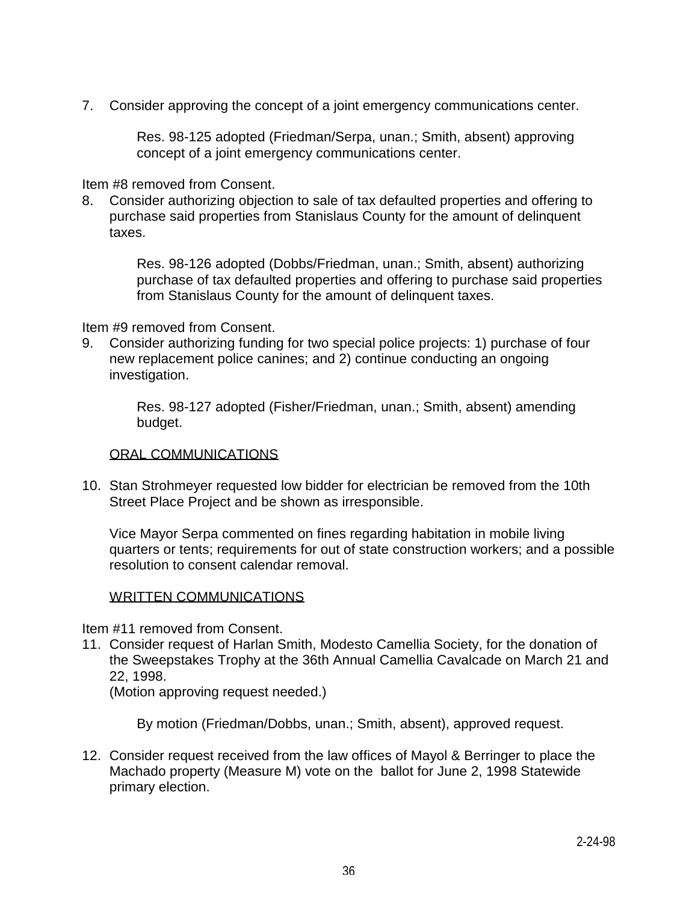7. Consider approving the concept of a joint emergency communications center.

 Res. 98-125 adopted (Friedman/Serpa, unan.; Smith, absent) approving concept of a joint emergency communications center.

Item #8 removed from Consent.

8. Consider authorizing objection to sale of tax defaulted properties and offering to purchase said properties from Stanislaus County for the amount of delinquent taxes.

> Res. 98-126 adopted (Dobbs/Friedman, unan.; Smith, absent) authorizing purchase of tax defaulted properties and offering to purchase said properties from Stanislaus County for the amount of delinquent taxes.

Item #9 removed from Consent.

9. Consider authorizing funding for two special police projects: 1) purchase of four new replacement police canines; and 2) continue conducting an ongoing investigation.

> Res. 98-127 adopted (Fisher/Friedman, unan.; Smith, absent) amending budget.

#### ORAL COMMUNICATIONS

10. Stan Strohmeyer requested low bidder for electrician be removed from the 10th Street Place Project and be shown as irresponsible.

 Vice Mayor Serpa commented on fines regarding habitation in mobile living quarters or tents; requirements for out of state construction workers; and a possible resolution to consent calendar removal.

### WRITTEN COMMUNICATIONS

Item #11 removed from Consent.

11. Consider request of Harlan Smith, Modesto Camellia Society, for the donation of the Sweepstakes Trophy at the 36th Annual Camellia Cavalcade on March 21 and 22, 1998.

(Motion approving request needed.)

By motion (Friedman/Dobbs, unan.; Smith, absent), approved request.

12. Consider request received from the law offices of Mayol & Berringer to place the Machado property (Measure M) vote on the ballot for June 2, 1998 Statewide primary election.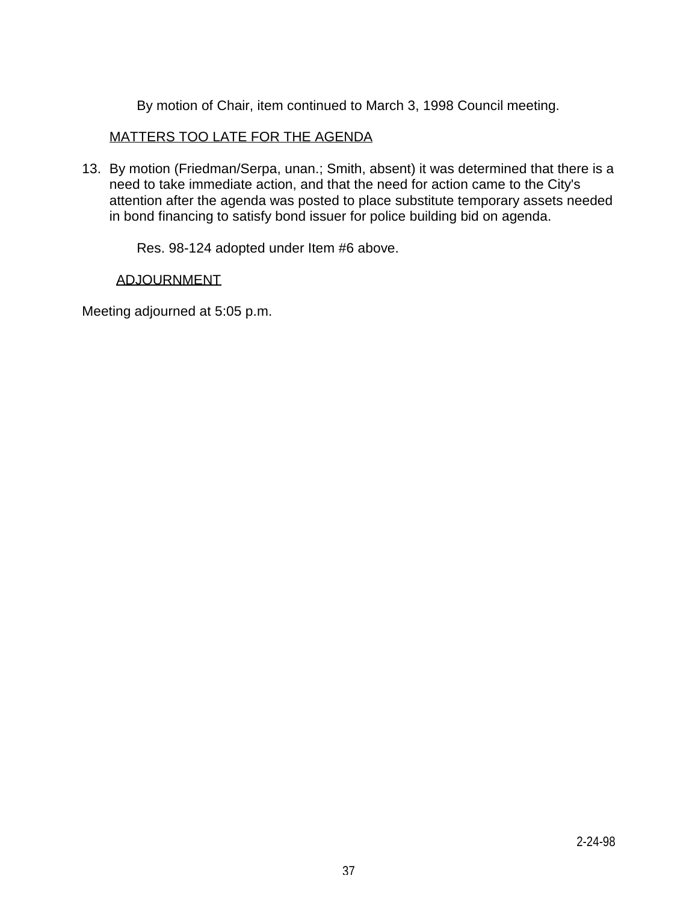By motion of Chair, item continued to March 3, 1998 Council meeting.

# MATTERS TOO LATE FOR THE AGENDA

13. By motion (Friedman/Serpa, unan.; Smith, absent) it was determined that there is a need to take immediate action, and that the need for action came to the City's attention after the agenda was posted to place substitute temporary assets needed in bond financing to satisfy bond issuer for police building bid on agenda.

Res. 98-124 adopted under Item #6 above.

# ADJOURNMENT

Meeting adjourned at 5:05 p.m.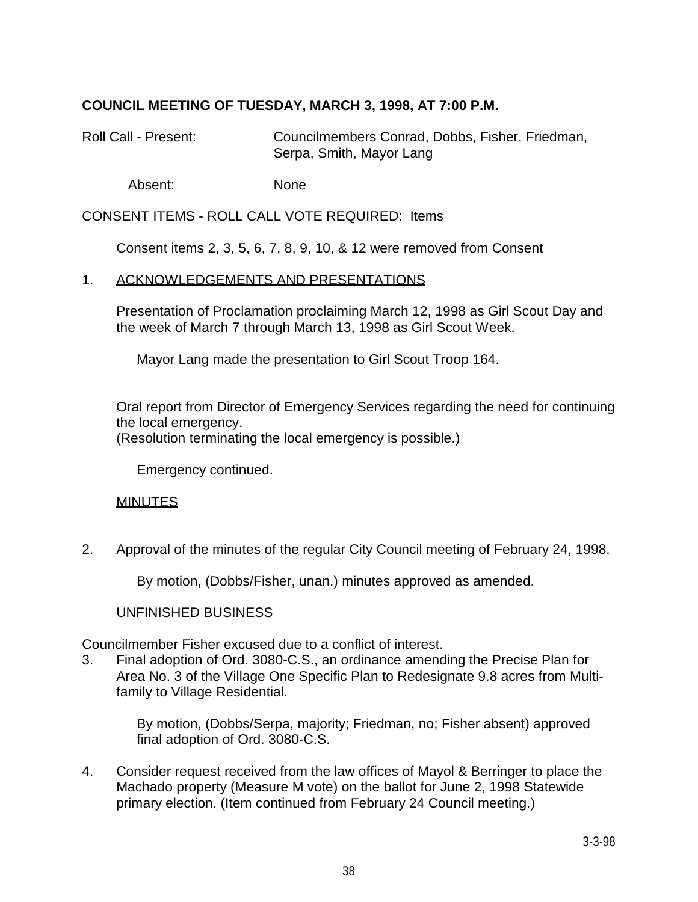# **COUNCIL MEETING OF TUESDAY, MARCH 3, 1998, AT 7:00 P.M.**

Roll Call - Present: Councilmembers Conrad, Dobbs, Fisher, Friedman, Serpa, Smith, Mayor Lang

Absent: None

CONSENT ITEMS - ROLL CALL VOTE REQUIRED: Items

Consent items 2, 3, 5, 6, 7, 8, 9, 10, & 12 were removed from Consent

## 1. ACKNOWLEDGEMENTS AND PRESENTATIONS

 Presentation of Proclamation proclaiming March 12, 1998 as Girl Scout Day and the week of March 7 through March 13, 1998 as Girl Scout Week.

Mayor Lang made the presentation to Girl Scout Troop 164.

 Oral report from Director of Emergency Services regarding the need for continuing the local emergency.

(Resolution terminating the local emergency is possible.)

Emergency continued.

### MINUTES

2. Approval of the minutes of the regular City Council meeting of February 24, 1998.

By motion, (Dobbs/Fisher, unan.) minutes approved as amended.

### UNFINISHED BUSINESS

Councilmember Fisher excused due to a conflict of interest.

3. Final adoption of Ord. 3080-C.S., an ordinance amending the Precise Plan for Area No. 3 of the Village One Specific Plan to Redesignate 9.8 acres from Multifamily to Village Residential.

> By motion, (Dobbs/Serpa, majority; Friedman, no; Fisher absent) approved final adoption of Ord. 3080-C.S.

4. Consider request received from the law offices of Mayol & Berringer to place the Machado property (Measure M vote) on the ballot for June 2, 1998 Statewide primary election. (Item continued from February 24 Council meeting.)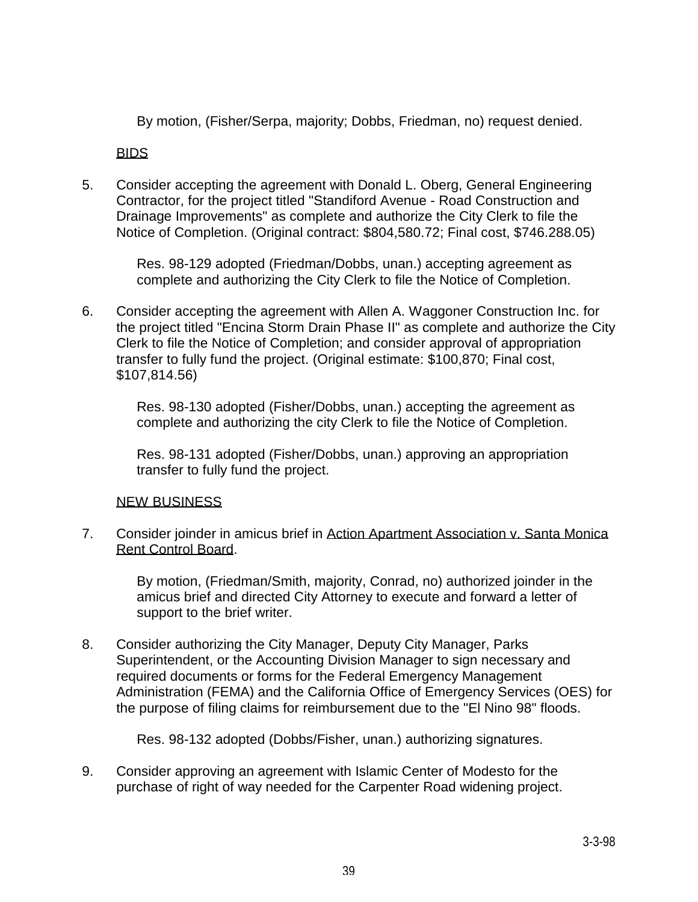By motion, (Fisher/Serpa, majority; Dobbs, Friedman, no) request denied.

BIDS

5. Consider accepting the agreement with Donald L. Oberg, General Engineering Contractor, for the project titled "Standiford Avenue - Road Construction and Drainage Improvements" as complete and authorize the City Clerk to file the Notice of Completion. (Original contract: \$804,580.72; Final cost, \$746.288.05)

> Res. 98-129 adopted (Friedman/Dobbs, unan.) accepting agreement as complete and authorizing the City Clerk to file the Notice of Completion.

6. Consider accepting the agreement with Allen A. Waggoner Construction Inc. for the project titled "Encina Storm Drain Phase II" as complete and authorize the City Clerk to file the Notice of Completion; and consider approval of appropriation transfer to fully fund the project. (Original estimate: \$100,870; Final cost, \$107,814.56)

> Res. 98-130 adopted (Fisher/Dobbs, unan.) accepting the agreement as complete and authorizing the city Clerk to file the Notice of Completion.

 Res. 98-131 adopted (Fisher/Dobbs, unan.) approving an appropriation transfer to fully fund the project.

# NEW BUSINESS

7. Consider joinder in amicus brief in Action Apartment Association v. Santa Monica Rent Control Board.

> By motion, (Friedman/Smith, majority, Conrad, no) authorized joinder in the amicus brief and directed City Attorney to execute and forward a letter of support to the brief writer.

8. Consider authorizing the City Manager, Deputy City Manager, Parks Superintendent, or the Accounting Division Manager to sign necessary and required documents or forms for the Federal Emergency Management Administration (FEMA) and the California Office of Emergency Services (OES) for the purpose of filing claims for reimbursement due to the "El Nino 98" floods.

Res. 98-132 adopted (Dobbs/Fisher, unan.) authorizing signatures.

9. Consider approving an agreement with Islamic Center of Modesto for the purchase of right of way needed for the Carpenter Road widening project.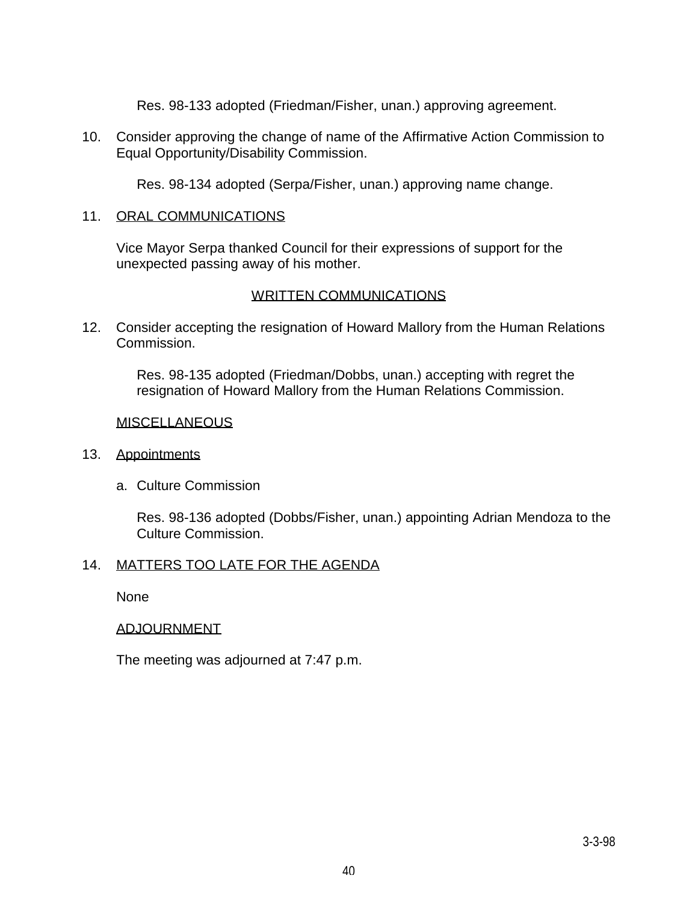Res. 98-133 adopted (Friedman/Fisher, unan.) approving agreement.

10. Consider approving the change of name of the Affirmative Action Commission to Equal Opportunity/Disability Commission.

Res. 98-134 adopted (Serpa/Fisher, unan.) approving name change.

## 11. ORAL COMMUNICATIONS

 Vice Mayor Serpa thanked Council for their expressions of support for the unexpected passing away of his mother.

# WRITTEN COMMUNICATIONS

12. Consider accepting the resignation of Howard Mallory from the Human Relations Commission.

> Res. 98-135 adopted (Friedman/Dobbs, unan.) accepting with regret the resignation of Howard Mallory from the Human Relations Commission.

## **MISCELLANEOUS**

## 13. Appointments

a. Culture Commission

 Res. 98-136 adopted (Dobbs/Fisher, unan.) appointing Adrian Mendoza to the Culture Commission.

## 14. MATTERS TOO LATE FOR THE AGENDA

None

# ADJOURNMENT

The meeting was adjourned at 7:47 p.m.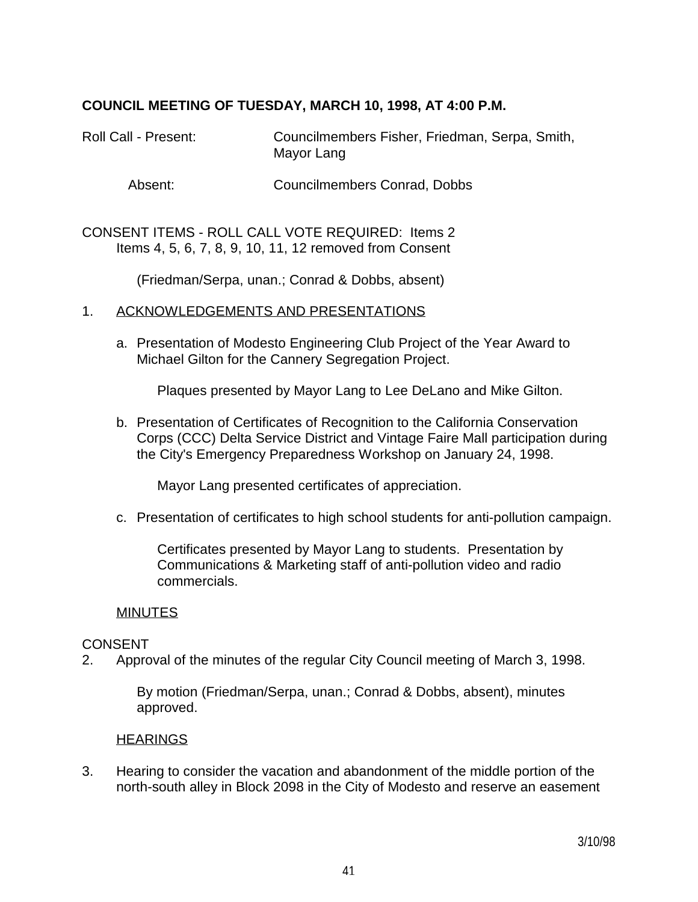# **COUNCIL MEETING OF TUESDAY, MARCH 10, 1998, AT 4:00 P.M.**

Roll Call - Present: Councilmembers Fisher, Friedman, Serpa, Smith, Mayor Lang

Absent: Councilmembers Conrad, Dobbs

CONSENT ITEMS - ROLL CALL VOTE REQUIRED: Items 2 Items 4, 5, 6, 7, 8, 9, 10, 11, 12 removed from Consent

(Friedman/Serpa, unan.; Conrad & Dobbs, absent)

### 1. ACKNOWLEDGEMENTS AND PRESENTATIONS

 a. Presentation of Modesto Engineering Club Project of the Year Award to Michael Gilton for the Cannery Segregation Project.

Plaques presented by Mayor Lang to Lee DeLano and Mike Gilton.

 b. Presentation of Certificates of Recognition to the California Conservation Corps (CCC) Delta Service District and Vintage Faire Mall participation during the City's Emergency Preparedness Workshop on January 24, 1998.

Mayor Lang presented certificates of appreciation.

c. Presentation of certificates to high school students for anti-pollution campaign.

 Certificates presented by Mayor Lang to students. Presentation by Communications & Marketing staff of anti-pollution video and radio commercials.

### **MINUTES**

### **CONSENT**

2. Approval of the minutes of the regular City Council meeting of March 3, 1998.

 By motion (Friedman/Serpa, unan.; Conrad & Dobbs, absent), minutes approved.

### **HEARINGS**

3. Hearing to consider the vacation and abandonment of the middle portion of the north-south alley in Block 2098 in the City of Modesto and reserve an easement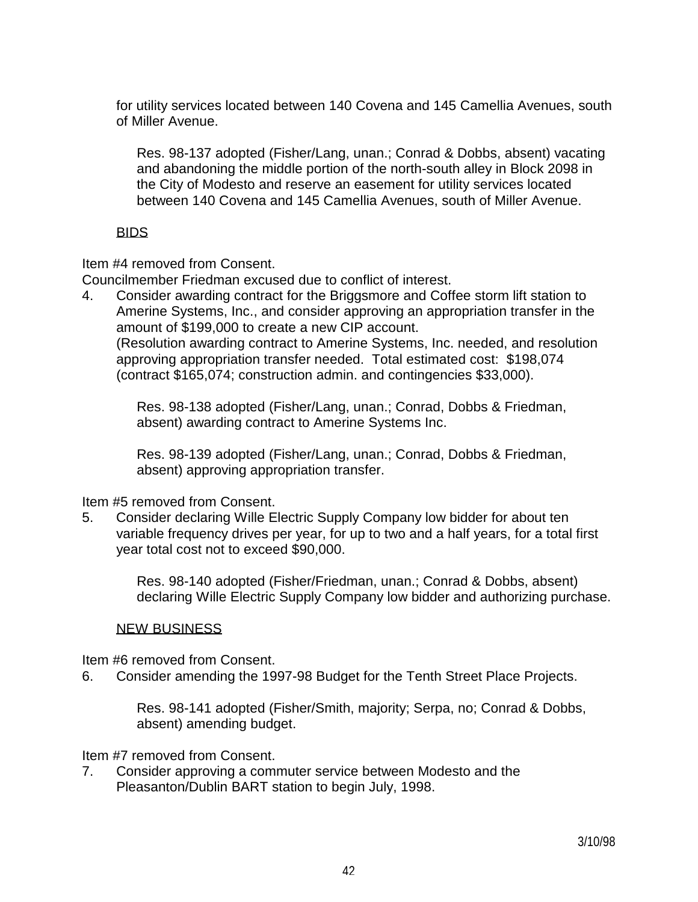for utility services located between 140 Covena and 145 Camellia Avenues, south of Miller Avenue.

 Res. 98-137 adopted (Fisher/Lang, unan.; Conrad & Dobbs, absent) vacating and abandoning the middle portion of the north-south alley in Block 2098 in the City of Modesto and reserve an easement for utility services located between 140 Covena and 145 Camellia Avenues, south of Miller Avenue.

# BIDS

Item #4 removed from Consent.

Councilmember Friedman excused due to conflict of interest.

4. Consider awarding contract for the Briggsmore and Coffee storm lift station to Amerine Systems, Inc., and consider approving an appropriation transfer in the amount of \$199,000 to create a new CIP account.

 (Resolution awarding contract to Amerine Systems, Inc. needed, and resolution approving appropriation transfer needed. Total estimated cost: \$198,074 (contract \$165,074; construction admin. and contingencies \$33,000).

 Res. 98-138 adopted (Fisher/Lang, unan.; Conrad, Dobbs & Friedman, absent) awarding contract to Amerine Systems Inc.

 Res. 98-139 adopted (Fisher/Lang, unan.; Conrad, Dobbs & Friedman, absent) approving appropriation transfer.

Item #5 removed from Consent.

5. Consider declaring Wille Electric Supply Company low bidder for about ten variable frequency drives per year, for up to two and a half years, for a total first year total cost not to exceed \$90,000.

> Res. 98-140 adopted (Fisher/Friedman, unan.; Conrad & Dobbs, absent) declaring Wille Electric Supply Company low bidder and authorizing purchase.

## NEW BUSINESS

Item #6 removed from Consent.

6. Consider amending the 1997-98 Budget for the Tenth Street Place Projects.

 Res. 98-141 adopted (Fisher/Smith, majority; Serpa, no; Conrad & Dobbs, absent) amending budget.

Item #7 removed from Consent.

7. Consider approving a commuter service between Modesto and the Pleasanton/Dublin BART station to begin July, 1998.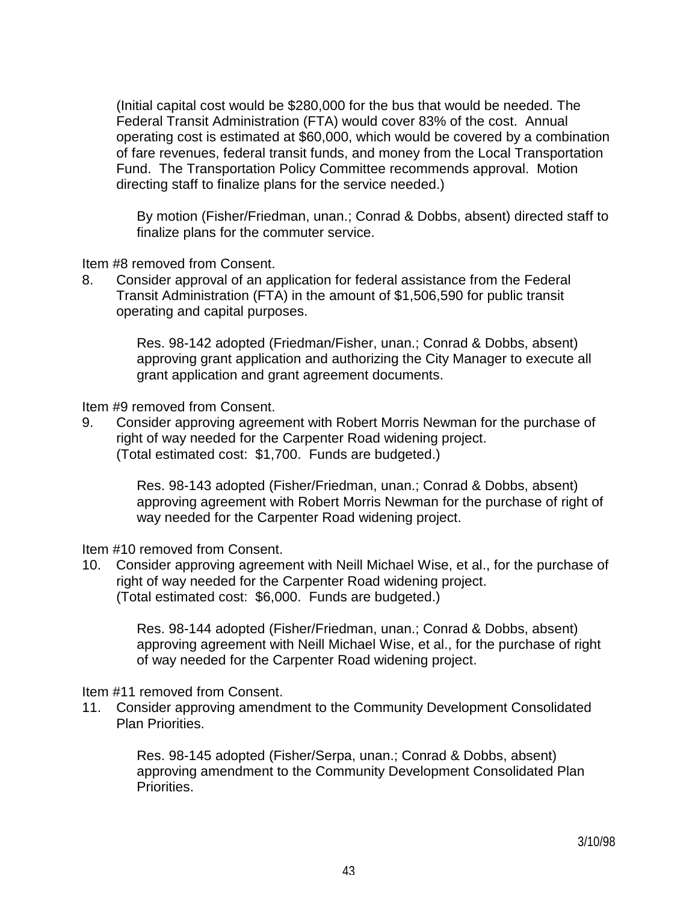(Initial capital cost would be \$280,000 for the bus that would be needed. The Federal Transit Administration (FTA) would cover 83% of the cost. Annual operating cost is estimated at \$60,000, which would be covered by a combination of fare revenues, federal transit funds, and money from the Local Transportation Fund. The Transportation Policy Committee recommends approval. Motion directing staff to finalize plans for the service needed.)

 By motion (Fisher/Friedman, unan.; Conrad & Dobbs, absent) directed staff to finalize plans for the commuter service.

Item #8 removed from Consent.

8. Consider approval of an application for federal assistance from the Federal Transit Administration (FTA) in the amount of \$1,506,590 for public transit operating and capital purposes.

> Res. 98-142 adopted (Friedman/Fisher, unan.; Conrad & Dobbs, absent) approving grant application and authorizing the City Manager to execute all grant application and grant agreement documents.

Item #9 removed from Consent.

9. Consider approving agreement with Robert Morris Newman for the purchase of right of way needed for the Carpenter Road widening project. (Total estimated cost: \$1,700. Funds are budgeted.)

> Res. 98-143 adopted (Fisher/Friedman, unan.; Conrad & Dobbs, absent) approving agreement with Robert Morris Newman for the purchase of right of way needed for the Carpenter Road widening project.

Item #10 removed from Consent.

10. Consider approving agreement with Neill Michael Wise, et al., for the purchase of right of way needed for the Carpenter Road widening project. (Total estimated cost: \$6,000. Funds are budgeted.)

 Res. 98-144 adopted (Fisher/Friedman, unan.; Conrad & Dobbs, absent) approving agreement with Neill Michael Wise, et al., for the purchase of right of way needed for the Carpenter Road widening project.

Item #11 removed from Consent.

11. Consider approving amendment to the Community Development Consolidated Plan Priorities.

> Res. 98-145 adopted (Fisher/Serpa, unan.; Conrad & Dobbs, absent) approving amendment to the Community Development Consolidated Plan Priorities.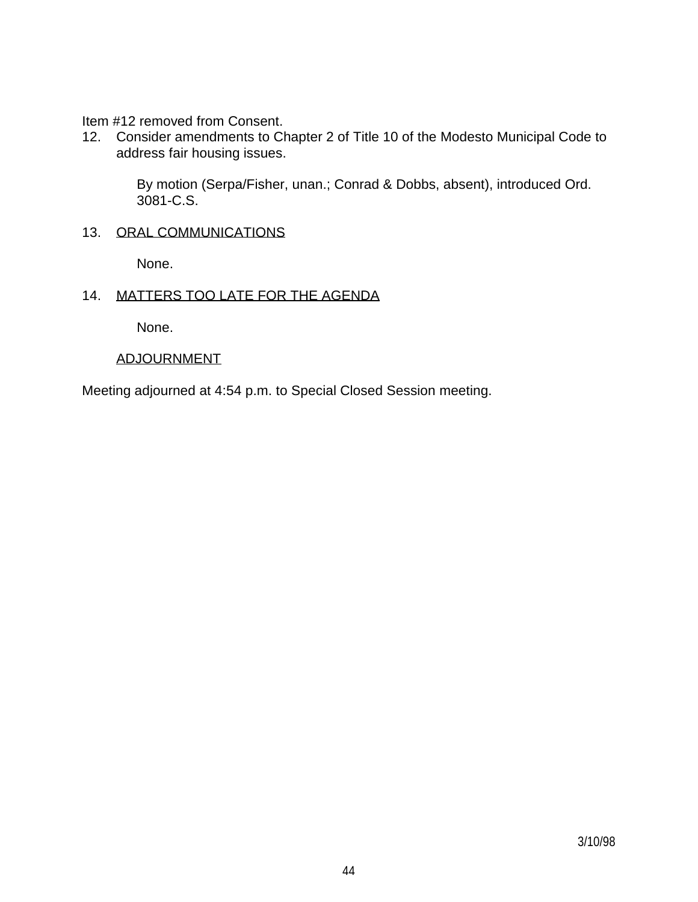Item #12 removed from Consent.

12. Consider amendments to Chapter 2 of Title 10 of the Modesto Municipal Code to address fair housing issues.

> By motion (Serpa/Fisher, unan.; Conrad & Dobbs, absent), introduced Ord. 3081-C.S.

# 13. ORAL COMMUNICATIONS

None.

## 14. MATTERS TOO LATE FOR THE AGENDA

None.

## ADJOURNMENT

Meeting adjourned at 4:54 p.m. to Special Closed Session meeting.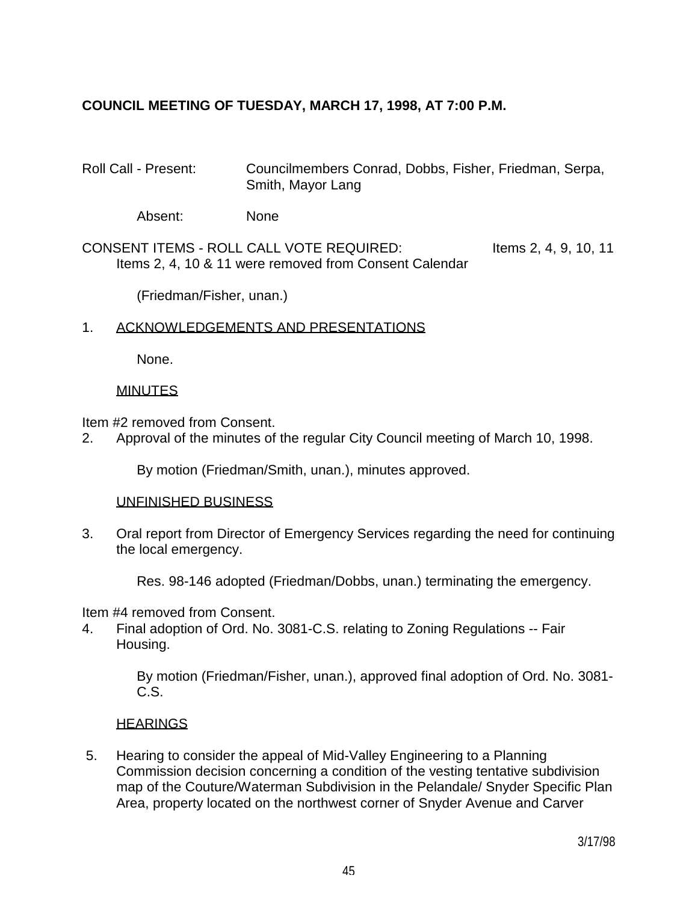# **COUNCIL MEETING OF TUESDAY, MARCH 17, 1998, AT 7:00 P.M.**

Roll Call - Present: Councilmembers Conrad, Dobbs, Fisher, Friedman, Serpa, Smith, Mayor Lang

Absent: None

CONSENT ITEMS - ROLL CALL VOTE REQUIRED: Items 2, 4, 9, 10, 11 Items 2, 4, 10 & 11 were removed from Consent Calendar

(Friedman/Fisher, unan.)

## 1. ACKNOWLEDGEMENTS AND PRESENTATIONS

None.

## **MINUTES**

Item #2 removed from Consent.

2. Approval of the minutes of the regular City Council meeting of March 10, 1998.

By motion (Friedman/Smith, unan.), minutes approved.

### UNFINISHED BUSINESS

3. Oral report from Director of Emergency Services regarding the need for continuing the local emergency.

Res. 98-146 adopted (Friedman/Dobbs, unan.) terminating the emergency.

Item #4 removed from Consent.

4. Final adoption of Ord. No. 3081-C.S. relating to Zoning Regulations -- Fair Housing.

> By motion (Friedman/Fisher, unan.), approved final adoption of Ord. No. 3081- C.S.

## **HEARINGS**

 5. Hearing to consider the appeal of Mid-Valley Engineering to a Planning Commission decision concerning a condition of the vesting tentative subdivision map of the Couture/Waterman Subdivision in the Pelandale/ Snyder Specific Plan Area, property located on the northwest corner of Snyder Avenue and Carver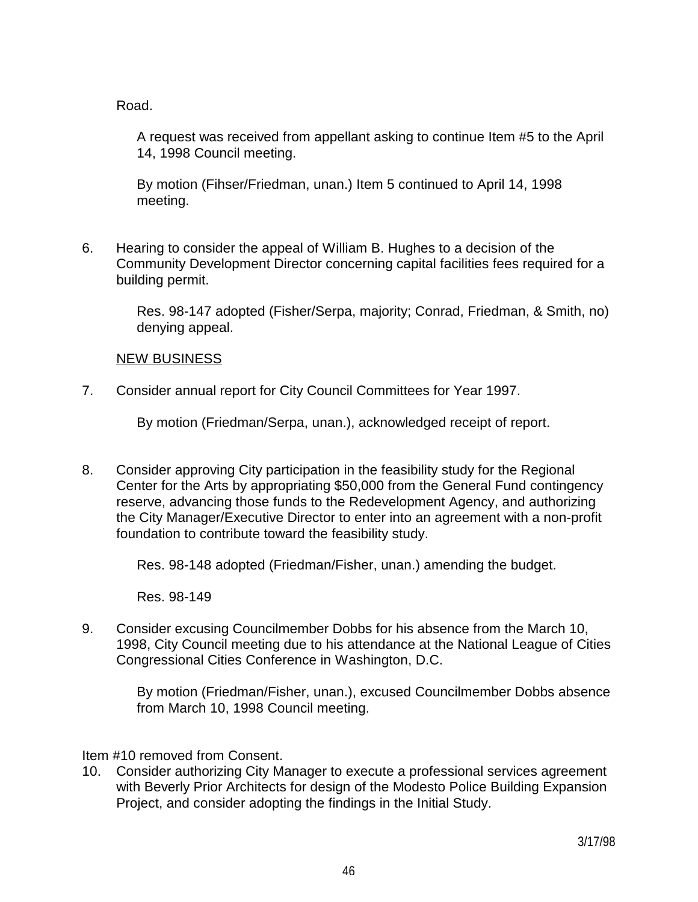Road.

 A request was received from appellant asking to continue Item #5 to the April 14, 1998 Council meeting.

 By motion (Fihser/Friedman, unan.) Item 5 continued to April 14, 1998 meeting.

6. Hearing to consider the appeal of William B. Hughes to a decision of the Community Development Director concerning capital facilities fees required for a building permit.

> Res. 98-147 adopted (Fisher/Serpa, majority; Conrad, Friedman, & Smith, no) denying appeal.

## NEW BUSINESS

7. Consider annual report for City Council Committees for Year 1997.

By motion (Friedman/Serpa, unan.), acknowledged receipt of report.

8. Consider approving City participation in the feasibility study for the Regional Center for the Arts by appropriating \$50,000 from the General Fund contingency reserve, advancing those funds to the Redevelopment Agency, and authorizing the City Manager/Executive Director to enter into an agreement with a non-profit foundation to contribute toward the feasibility study.

Res. 98-148 adopted (Friedman/Fisher, unan.) amending the budget.

Res. 98-149

9. Consider excusing Councilmember Dobbs for his absence from the March 10, 1998, City Council meeting due to his attendance at the National League of Cities Congressional Cities Conference in Washington, D.C.

 By motion (Friedman/Fisher, unan.), excused Councilmember Dobbs absence from March 10, 1998 Council meeting.

Item #10 removed from Consent.

10. Consider authorizing City Manager to execute a professional services agreement with Beverly Prior Architects for design of the Modesto Police Building Expansion Project, and consider adopting the findings in the Initial Study.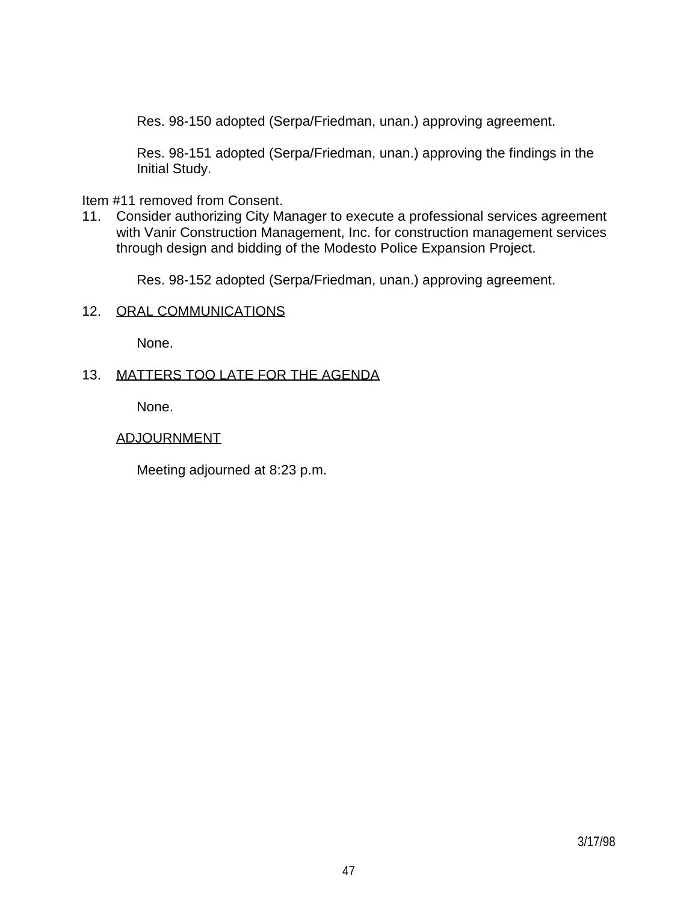Res. 98-150 adopted (Serpa/Friedman, unan.) approving agreement.

 Res. 98-151 adopted (Serpa/Friedman, unan.) approving the findings in the Initial Study.

Item #11 removed from Consent.

11. Consider authorizing City Manager to execute a professional services agreement with Vanir Construction Management, Inc. for construction management services through design and bidding of the Modesto Police Expansion Project.

Res. 98-152 adopted (Serpa/Friedman, unan.) approving agreement.

## 12. ORAL COMMUNICATIONS

None.

## 13. MATTERS TOO LATE FOR THE AGENDA

None.

## ADJOURNMENT

Meeting adjourned at 8:23 p.m.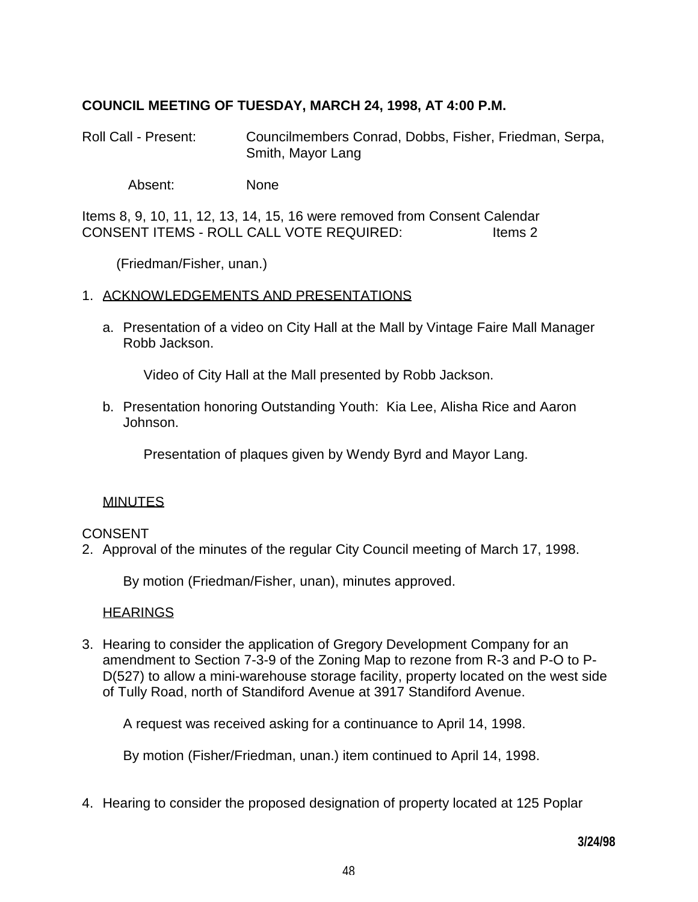# **COUNCIL MEETING OF TUESDAY, MARCH 24, 1998, AT 4:00 P.M.**

Roll Call - Present: Councilmembers Conrad, Dobbs, Fisher, Friedman, Serpa, Smith, Mayor Lang

Absent: None

Items 8, 9, 10, 11, 12, 13, 14, 15, 16 were removed from Consent Calendar CONSENT ITEMS - ROLL CALL VOTE REQUIRED: ltems 2

(Friedman/Fisher, unan.)

## 1. ACKNOWLEDGEMENTS AND PRESENTATIONS

 a. Presentation of a video on City Hall at the Mall by Vintage Faire Mall Manager Robb Jackson.

Video of City Hall at the Mall presented by Robb Jackson.

 b. Presentation honoring Outstanding Youth: Kia Lee, Alisha Rice and Aaron Johnson.

Presentation of plaques given by Wendy Byrd and Mayor Lang.

### **MINUTES**

## CONSENT

2. Approval of the minutes of the regular City Council meeting of March 17, 1998.

By motion (Friedman/Fisher, unan), minutes approved.

### **HEARINGS**

3. Hearing to consider the application of Gregory Development Company for an amendment to Section 7-3-9 of the Zoning Map to rezone from R-3 and P-O to P-D(527) to allow a mini-warehouse storage facility, property located on the west side of Tully Road, north of Standiford Avenue at 3917 Standiford Avenue.

A request was received asking for a continuance to April 14, 1998.

By motion (Fisher/Friedman, unan.) item continued to April 14, 1998.

4. Hearing to consider the proposed designation of property located at 125 Poplar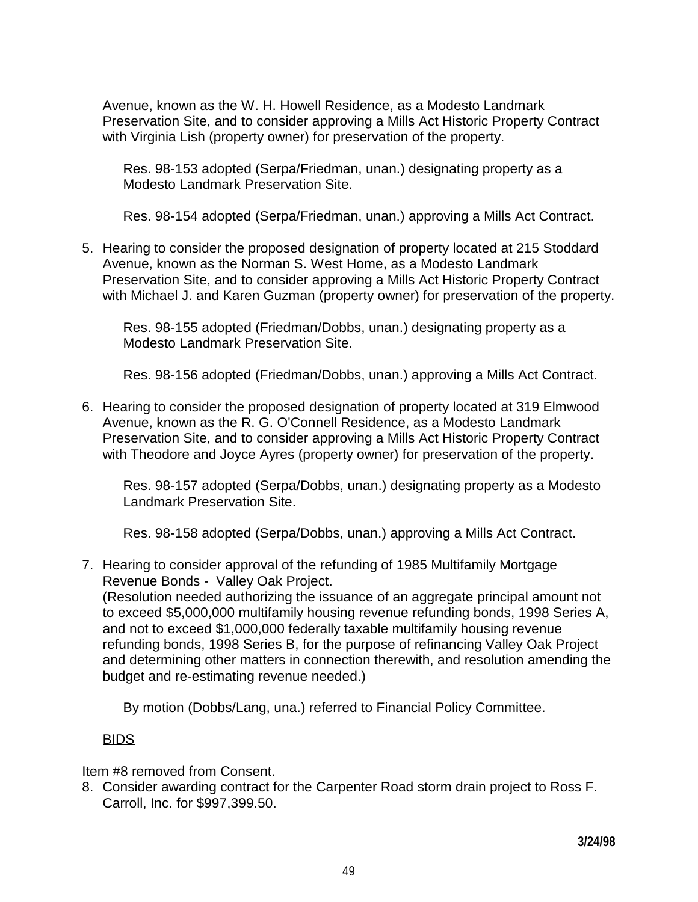Avenue, known as the W. H. Howell Residence, as a Modesto Landmark Preservation Site, and to consider approving a Mills Act Historic Property Contract with Virginia Lish (property owner) for preservation of the property.

 Res. 98-153 adopted (Serpa/Friedman, unan.) designating property as a Modesto Landmark Preservation Site.

Res. 98-154 adopted (Serpa/Friedman, unan.) approving a Mills Act Contract.

5. Hearing to consider the proposed designation of property located at 215 Stoddard Avenue, known as the Norman S. West Home, as a Modesto Landmark Preservation Site, and to consider approving a Mills Act Historic Property Contract with Michael J. and Karen Guzman (property owner) for preservation of the property.

 Res. 98-155 adopted (Friedman/Dobbs, unan.) designating property as a Modesto Landmark Preservation Site.

Res. 98-156 adopted (Friedman/Dobbs, unan.) approving a Mills Act Contract.

6. Hearing to consider the proposed designation of property located at 319 Elmwood Avenue, known as the R. G. O'Connell Residence, as a Modesto Landmark Preservation Site, and to consider approving a Mills Act Historic Property Contract with Theodore and Joyce Ayres (property owner) for preservation of the property.

 Res. 98-157 adopted (Serpa/Dobbs, unan.) designating property as a Modesto Landmark Preservation Site.

Res. 98-158 adopted (Serpa/Dobbs, unan.) approving a Mills Act Contract.

7. Hearing to consider approval of the refunding of 1985 Multifamily Mortgage Revenue Bonds - Valley Oak Project.

 (Resolution needed authorizing the issuance of an aggregate principal amount not to exceed \$5,000,000 multifamily housing revenue refunding bonds, 1998 Series A, and not to exceed \$1,000,000 federally taxable multifamily housing revenue refunding bonds, 1998 Series B, for the purpose of refinancing Valley Oak Project and determining other matters in connection therewith, and resolution amending the budget and re-estimating revenue needed.)

By motion (Dobbs/Lang, una.) referred to Financial Policy Committee.

# BIDS

Item #8 removed from Consent.

8. Consider awarding contract for the Carpenter Road storm drain project to Ross F. Carroll, Inc. for \$997,399.50.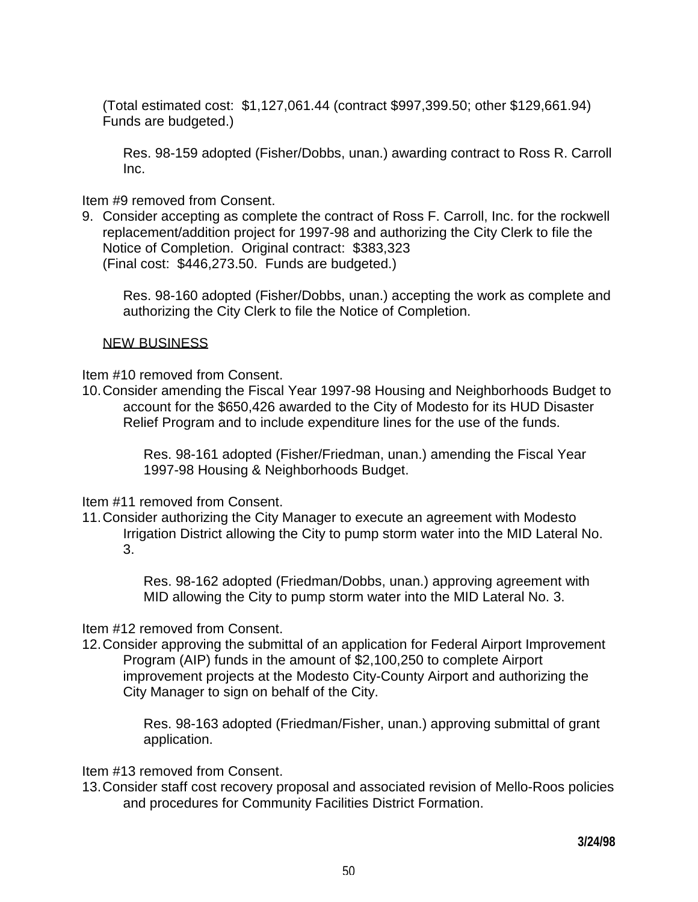(Total estimated cost: \$1,127,061.44 (contract \$997,399.50; other \$129,661.94) Funds are budgeted.)

 Res. 98-159 adopted (Fisher/Dobbs, unan.) awarding contract to Ross R. Carroll Inc.

Item #9 removed from Consent.

9. Consider accepting as complete the contract of Ross F. Carroll, Inc. for the rockwell replacement/addition project for 1997-98 and authorizing the City Clerk to file the Notice of Completion. Original contract: \$383,323 (Final cost: \$446,273.50. Funds are budgeted.)

 Res. 98-160 adopted (Fisher/Dobbs, unan.) accepting the work as complete and authorizing the City Clerk to file the Notice of Completion.

# NEW BUSINESS

Item #10 removed from Consent.

10. Consider amending the Fiscal Year 1997-98 Housing and Neighborhoods Budget to account for the \$650,426 awarded to the City of Modesto for its HUD Disaster Relief Program and to include expenditure lines for the use of the funds.

> Res. 98-161 adopted (Fisher/Friedman, unan.) amending the Fiscal Year 1997-98 Housing & Neighborhoods Budget.

Item #11 removed from Consent.

11. Consider authorizing the City Manager to execute an agreement with Modesto Irrigation District allowing the City to pump storm water into the MID Lateral No. 3.

> Res. 98-162 adopted (Friedman/Dobbs, unan.) approving agreement with MID allowing the City to pump storm water into the MID Lateral No. 3.

# Item #12 removed from Consent.

12. Consider approving the submittal of an application for Federal Airport Improvement Program (AIP) funds in the amount of \$2,100,250 to complete Airport improvement projects at the Modesto City-County Airport and authorizing the City Manager to sign on behalf of the City.

> Res. 98-163 adopted (Friedman/Fisher, unan.) approving submittal of grant application.

Item #13 removed from Consent.

13. Consider staff cost recovery proposal and associated revision of Mello-Roos policies and procedures for Community Facilities District Formation.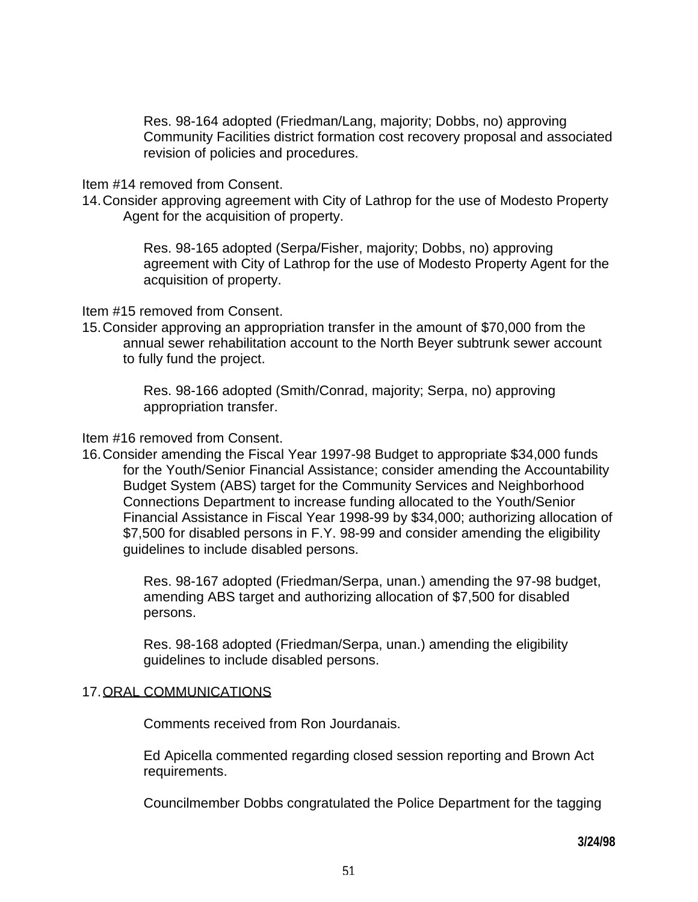Res. 98-164 adopted (Friedman/Lang, majority; Dobbs, no) approving Community Facilities district formation cost recovery proposal and associated revision of policies and procedures.

### Item #14 removed from Consent.

14. Consider approving agreement with City of Lathrop for the use of Modesto Property Agent for the acquisition of property.

> Res. 98-165 adopted (Serpa/Fisher, majority; Dobbs, no) approving agreement with City of Lathrop for the use of Modesto Property Agent for the acquisition of property.

Item #15 removed from Consent.

15. Consider approving an appropriation transfer in the amount of \$70,000 from the annual sewer rehabilitation account to the North Beyer subtrunk sewer account to fully fund the project.

> Res. 98-166 adopted (Smith/Conrad, majority; Serpa, no) approving appropriation transfer.

## Item #16 removed from Consent.

16. Consider amending the Fiscal Year 1997-98 Budget to appropriate \$34,000 funds for the Youth/Senior Financial Assistance; consider amending the Accountability Budget System (ABS) target for the Community Services and Neighborhood Connections Department to increase funding allocated to the Youth/Senior Financial Assistance in Fiscal Year 1998-99 by \$34,000; authorizing allocation of \$7,500 for disabled persons in F.Y. 98-99 and consider amending the eligibility guidelines to include disabled persons.

> Res. 98-167 adopted (Friedman/Serpa, unan.) amending the 97-98 budget, amending ABS target and authorizing allocation of \$7,500 for disabled persons.

 Res. 98-168 adopted (Friedman/Serpa, unan.) amending the eligibility guidelines to include disabled persons.

## 17. ORAL COMMUNICATIONS

Comments received from Ron Jourdanais.

 Ed Apicella commented regarding closed session reporting and Brown Act requirements.

Councilmember Dobbs congratulated the Police Department for the tagging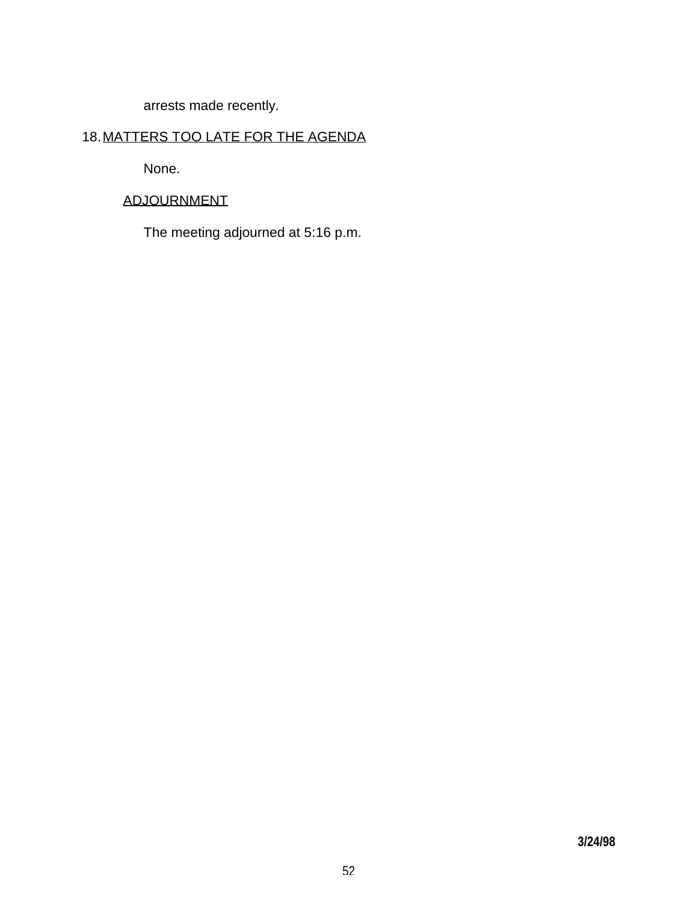arrests made recently.

# 18. MATTERS TOO LATE FOR THE AGENDA

None.

# ADJOURNMENT

The meeting adjourned at 5:16 p.m.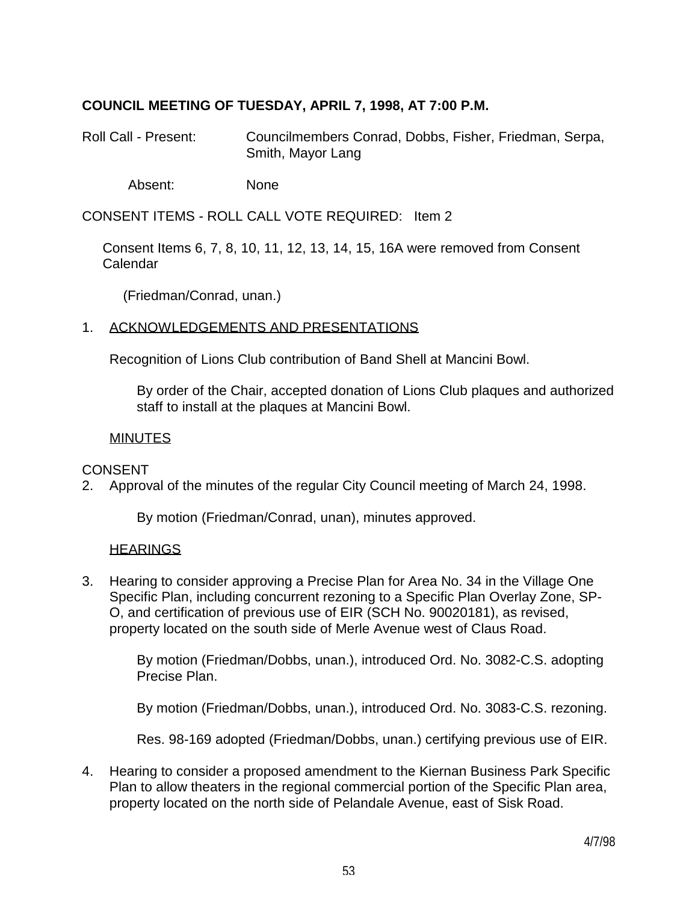# **COUNCIL MEETING OF TUESDAY, APRIL 7, 1998, AT 7:00 P.M.**

Roll Call - Present: Councilmembers Conrad, Dobbs, Fisher, Friedman, Serpa, Smith, Mayor Lang

Absent: None

CONSENT ITEMS - ROLL CALL VOTE REQUIRED: Item 2

 Consent Items 6, 7, 8, 10, 11, 12, 13, 14, 15, 16A were removed from Consent Calendar

(Friedman/Conrad, unan.)

### 1. ACKNOWLEDGEMENTS AND PRESENTATIONS

Recognition of Lions Club contribution of Band Shell at Mancini Bowl.

 By order of the Chair, accepted donation of Lions Club plaques and authorized staff to install at the plaques at Mancini Bowl.

### MINUTES

### CONSENT

2. Approval of the minutes of the regular City Council meeting of March 24, 1998.

By motion (Friedman/Conrad, unan), minutes approved.

### **HEARINGS**

3. Hearing to consider approving a Precise Plan for Area No. 34 in the Village One Specific Plan, including concurrent rezoning to a Specific Plan Overlay Zone, SP-O, and certification of previous use of EIR (SCH No. 90020181), as revised, property located on the south side of Merle Avenue west of Claus Road.

> By motion (Friedman/Dobbs, unan.), introduced Ord. No. 3082-C.S. adopting Precise Plan.

> By motion (Friedman/Dobbs, unan.), introduced Ord. No. 3083-C.S. rezoning.

Res. 98-169 adopted (Friedman/Dobbs, unan.) certifying previous use of EIR.

4. Hearing to consider a proposed amendment to the Kiernan Business Park Specific Plan to allow theaters in the regional commercial portion of the Specific Plan area, property located on the north side of Pelandale Avenue, east of Sisk Road.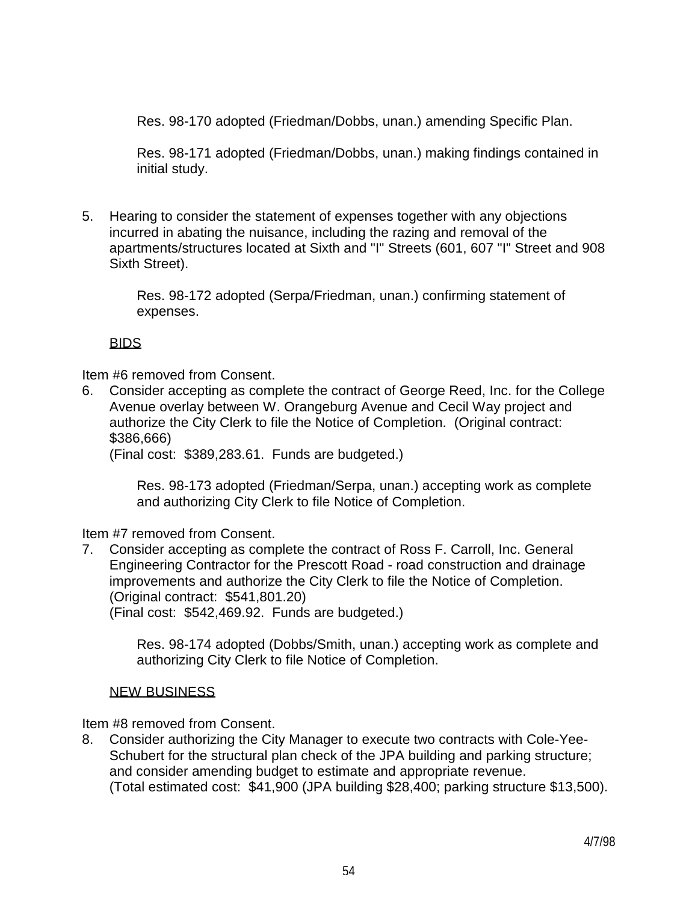Res. 98-170 adopted (Friedman/Dobbs, unan.) amending Specific Plan.

 Res. 98-171 adopted (Friedman/Dobbs, unan.) making findings contained in initial study.

5. Hearing to consider the statement of expenses together with any objections incurred in abating the nuisance, including the razing and removal of the apartments/structures located at Sixth and "I" Streets (601, 607 "I" Street and 908 Sixth Street).

> Res. 98-172 adopted (Serpa/Friedman, unan.) confirming statement of expenses.

# BIDS

Item #6 removed from Consent.

6. Consider accepting as complete the contract of George Reed, Inc. for the College Avenue overlay between W. Orangeburg Avenue and Cecil Way project and authorize the City Clerk to file the Notice of Completion. (Original contract: \$386,666)

(Final cost: \$389,283.61. Funds are budgeted.)

 Res. 98-173 adopted (Friedman/Serpa, unan.) accepting work as complete and authorizing City Clerk to file Notice of Completion.

Item #7 removed from Consent.

7. Consider accepting as complete the contract of Ross F. Carroll, Inc. General Engineering Contractor for the Prescott Road - road construction and drainage improvements and authorize the City Clerk to file the Notice of Completion. (Original contract: \$541,801.20) (Final cost: \$542,469.92. Funds are budgeted.)

> Res. 98-174 adopted (Dobbs/Smith, unan.) accepting work as complete and authorizing City Clerk to file Notice of Completion.

# NEW BUSINESS

Item #8 removed from Consent.

8. Consider authorizing the City Manager to execute two contracts with Cole-Yee-Schubert for the structural plan check of the JPA building and parking structure; and consider amending budget to estimate and appropriate revenue. (Total estimated cost: \$41,900 (JPA building \$28,400; parking structure \$13,500).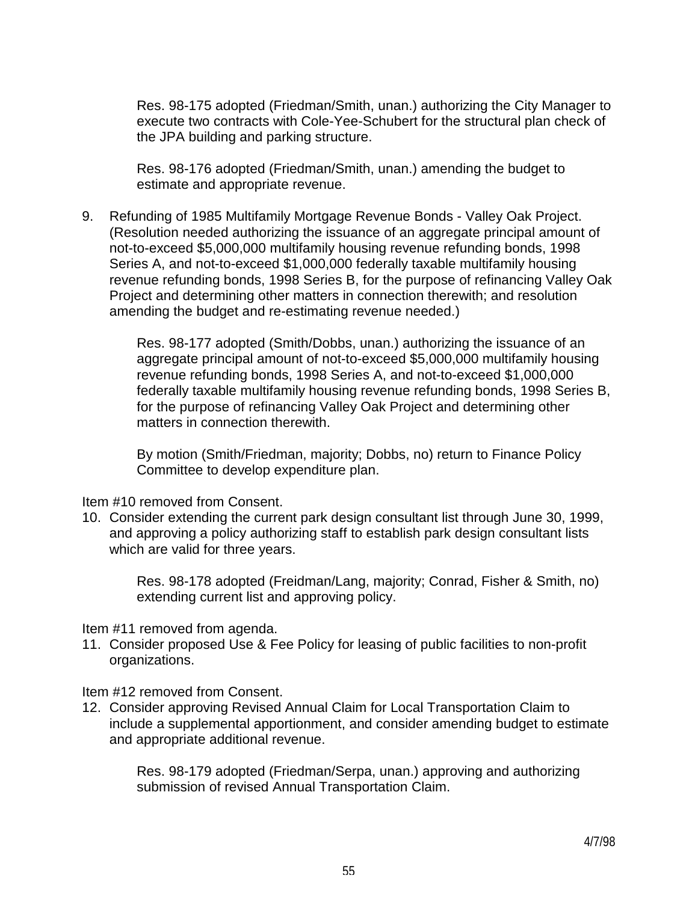Res. 98-175 adopted (Friedman/Smith, unan.) authorizing the City Manager to execute two contracts with Cole-Yee-Schubert for the structural plan check of the JPA building and parking structure.

 Res. 98-176 adopted (Friedman/Smith, unan.) amending the budget to estimate and appropriate revenue.

9. Refunding of 1985 Multifamily Mortgage Revenue Bonds - Valley Oak Project. (Resolution needed authorizing the issuance of an aggregate principal amount of not-to-exceed \$5,000,000 multifamily housing revenue refunding bonds, 1998 Series A, and not-to-exceed \$1,000,000 federally taxable multifamily housing revenue refunding bonds, 1998 Series B, for the purpose of refinancing Valley Oak Project and determining other matters in connection therewith; and resolution amending the budget and re-estimating revenue needed.)

> Res. 98-177 adopted (Smith/Dobbs, unan.) authorizing the issuance of an aggregate principal amount of not-to-exceed \$5,000,000 multifamily housing revenue refunding bonds, 1998 Series A, and not-to-exceed \$1,000,000 federally taxable multifamily housing revenue refunding bonds, 1998 Series B, for the purpose of refinancing Valley Oak Project and determining other matters in connection therewith.

 By motion (Smith/Friedman, majority; Dobbs, no) return to Finance Policy Committee to develop expenditure plan.

Item #10 removed from Consent.

10. Consider extending the current park design consultant list through June 30, 1999, and approving a policy authorizing staff to establish park design consultant lists which are valid for three years.

 Res. 98-178 adopted (Freidman/Lang, majority; Conrad, Fisher & Smith, no) extending current list and approving policy.

Item #11 removed from agenda.

11. Consider proposed Use & Fee Policy for leasing of public facilities to non-profit organizations.

Item #12 removed from Consent.

12. Consider approving Revised Annual Claim for Local Transportation Claim to include a supplemental apportionment, and consider amending budget to estimate and appropriate additional revenue.

> Res. 98-179 adopted (Friedman/Serpa, unan.) approving and authorizing submission of revised Annual Transportation Claim.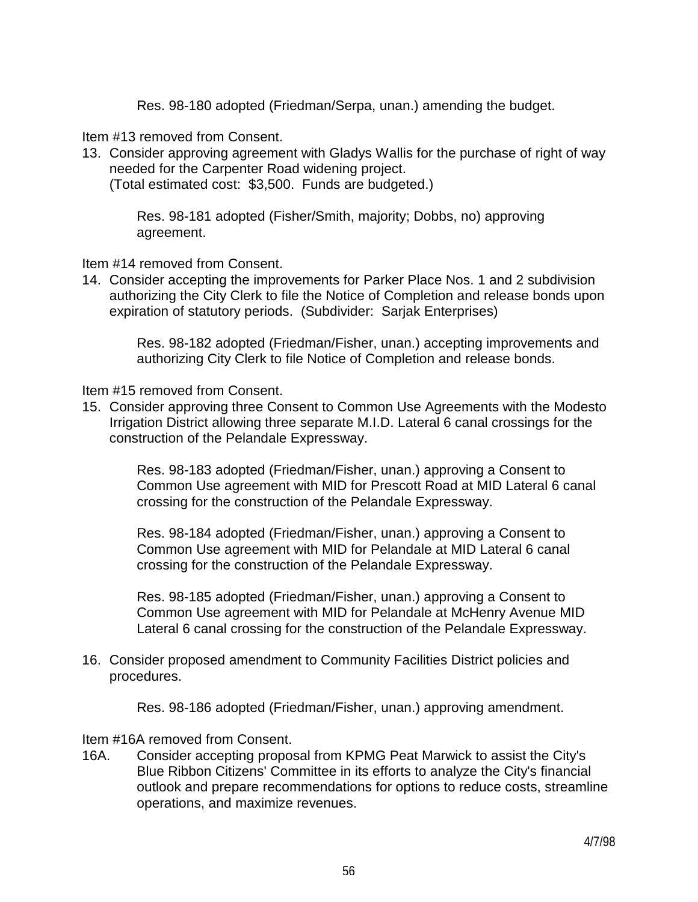Res. 98-180 adopted (Friedman/Serpa, unan.) amending the budget.

Item #13 removed from Consent.

13. Consider approving agreement with Gladys Wallis for the purchase of right of way needed for the Carpenter Road widening project.

(Total estimated cost: \$3,500. Funds are budgeted.)

 Res. 98-181 adopted (Fisher/Smith, majority; Dobbs, no) approving agreement.

Item #14 removed from Consent.

14. Consider accepting the improvements for Parker Place Nos. 1 and 2 subdivision authorizing the City Clerk to file the Notice of Completion and release bonds upon expiration of statutory periods. (Subdivider: Sarjak Enterprises)

 Res. 98-182 adopted (Friedman/Fisher, unan.) accepting improvements and authorizing City Clerk to file Notice of Completion and release bonds.

Item #15 removed from Consent.

15. Consider approving three Consent to Common Use Agreements with the Modesto Irrigation District allowing three separate M.I.D. Lateral 6 canal crossings for the construction of the Pelandale Expressway.

> Res. 98-183 adopted (Friedman/Fisher, unan.) approving a Consent to Common Use agreement with MID for Prescott Road at MID Lateral 6 canal crossing for the construction of the Pelandale Expressway.

 Res. 98-184 adopted (Friedman/Fisher, unan.) approving a Consent to Common Use agreement with MID for Pelandale at MID Lateral 6 canal crossing for the construction of the Pelandale Expressway.

 Res. 98-185 adopted (Friedman/Fisher, unan.) approving a Consent to Common Use agreement with MID for Pelandale at McHenry Avenue MID Lateral 6 canal crossing for the construction of the Pelandale Expressway.

16. Consider proposed amendment to Community Facilities District policies and procedures.

Res. 98-186 adopted (Friedman/Fisher, unan.) approving amendment.

#### Item #16A removed from Consent.

16A. Consider accepting proposal from KPMG Peat Marwick to assist the City's Blue Ribbon Citizens' Committee in its efforts to analyze the City's financial outlook and prepare recommendations for options to reduce costs, streamline operations, and maximize revenues.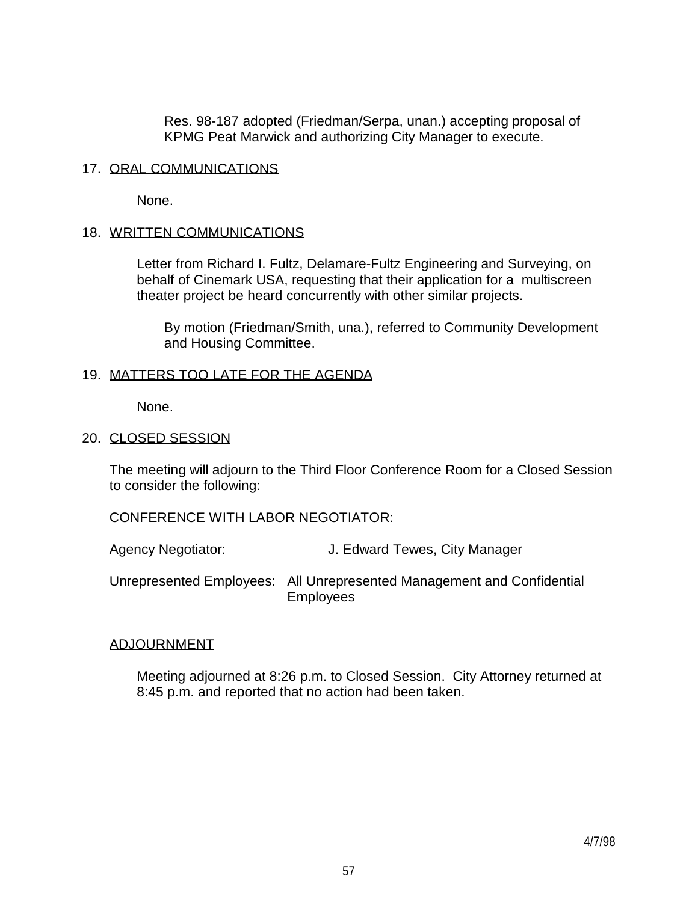Res. 98-187 adopted (Friedman/Serpa, unan.) accepting proposal of KPMG Peat Marwick and authorizing City Manager to execute.

## 17. ORAL COMMUNICATIONS

None.

## 18. WRITTEN COMMUNICATIONS

 Letter from Richard I. Fultz, Delamare-Fultz Engineering and Surveying, on behalf of Cinemark USA, requesting that their application for a multiscreen theater project be heard concurrently with other similar projects.

 By motion (Friedman/Smith, una.), referred to Community Development and Housing Committee.

## 19. MATTERS TOO LATE FOR THE AGENDA

None.

### 20. CLOSED SESSION

 The meeting will adjourn to the Third Floor Conference Room for a Closed Session to consider the following:

CONFERENCE WITH LABOR NEGOTIATOR:

Agency Negotiator: J. Edward Tewes, City Manager

 Unrepresented Employees: All Unrepresented Management and Confidential Employees

## ADJOURNMENT

 Meeting adjourned at 8:26 p.m. to Closed Session. City Attorney returned at 8:45 p.m. and reported that no action had been taken.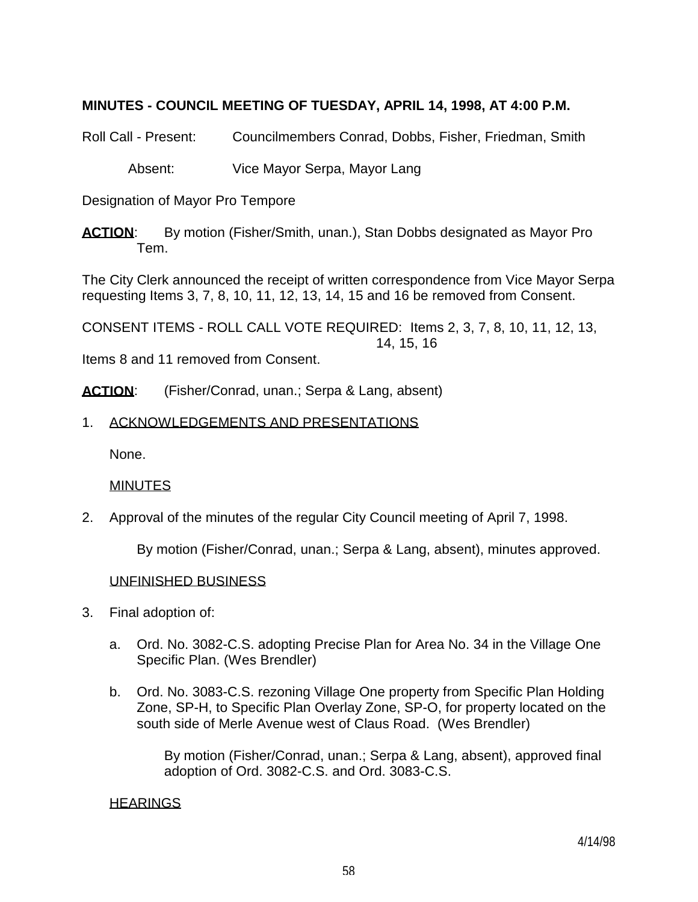# **MINUTES - COUNCIL MEETING OF TUESDAY, APRIL 14, 1998, AT 4:00 P.M.**

Roll Call - Present: Councilmembers Conrad, Dobbs, Fisher, Friedman, Smith

Absent: Vice Mayor Serpa, Mayor Lang

Designation of Mayor Pro Tempore

**ACTION**: By motion (Fisher/Smith, unan.), Stan Dobbs designated as Mayor Pro Tem.

The City Clerk announced the receipt of written correspondence from Vice Mayor Serpa requesting Items 3, 7, 8, 10, 11, 12, 13, 14, 15 and 16 be removed from Consent.

CONSENT ITEMS - ROLL CALL VOTE REQUIRED: Items 2, 3, 7, 8, 10, 11, 12, 13, 14, 15, 16

Items 8 and 11 removed from Consent.

ACTION: (Fisher/Conrad, unan.; Serpa & Lang, absent)

## 1. ACKNOWLEDGEMENTS AND PRESENTATIONS

None.

### MINUTES

2. Approval of the minutes of the regular City Council meeting of April 7, 1998.

By motion (Fisher/Conrad, unan.; Serpa & Lang, absent), minutes approved.

### UNFINISHED BUSINESS

- 3. Final adoption of:
	- a. Ord. No. 3082-C.S. adopting Precise Plan for Area No. 34 in the Village One Specific Plan. (Wes Brendler)
	- b. Ord. No. 3083-C.S. rezoning Village One property from Specific Plan Holding Zone, SP-H, to Specific Plan Overlay Zone, SP-O, for property located on the south side of Merle Avenue west of Claus Road. (Wes Brendler)

 By motion (Fisher/Conrad, unan.; Serpa & Lang, absent), approved final adoption of Ord. 3082-C.S. and Ord. 3083-C.S.

### **HEARINGS**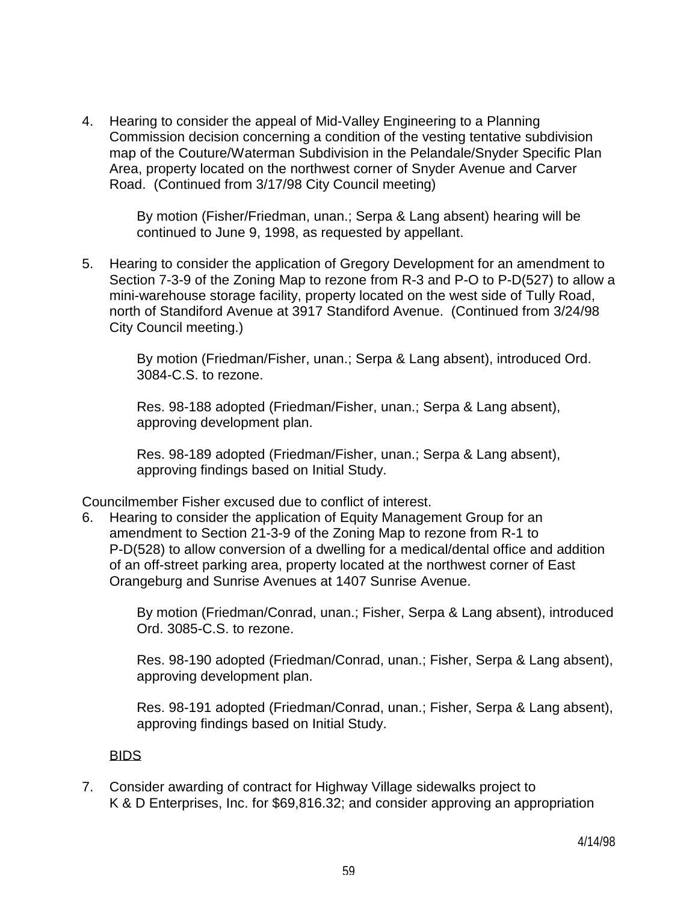4. Hearing to consider the appeal of Mid-Valley Engineering to a Planning Commission decision concerning a condition of the vesting tentative subdivision map of the Couture/Waterman Subdivision in the Pelandale/Snyder Specific Plan Area, property located on the northwest corner of Snyder Avenue and Carver Road. (Continued from 3/17/98 City Council meeting)

> By motion (Fisher/Friedman, unan.; Serpa & Lang absent) hearing will be continued to June 9, 1998, as requested by appellant.

5. Hearing to consider the application of Gregory Development for an amendment to Section 7-3-9 of the Zoning Map to rezone from R-3 and P-O to P-D(527) to allow a mini-warehouse storage facility, property located on the west side of Tully Road, north of Standiford Avenue at 3917 Standiford Avenue. (Continued from 3/24/98 City Council meeting.)

> By motion (Friedman/Fisher, unan.; Serpa & Lang absent), introduced Ord. 3084-C.S. to rezone.

 Res. 98-188 adopted (Friedman/Fisher, unan.; Serpa & Lang absent), approving development plan.

 Res. 98-189 adopted (Friedman/Fisher, unan.; Serpa & Lang absent), approving findings based on Initial Study.

Councilmember Fisher excused due to conflict of interest.

6. Hearing to consider the application of Equity Management Group for an amendment to Section 21-3-9 of the Zoning Map to rezone from R-1 to P-D(528) to allow conversion of a dwelling for a medical/dental office and addition of an off-street parking area, property located at the northwest corner of East Orangeburg and Sunrise Avenues at 1407 Sunrise Avenue.

 By motion (Friedman/Conrad, unan.; Fisher, Serpa & Lang absent), introduced Ord. 3085-C.S. to rezone.

 Res. 98-190 adopted (Friedman/Conrad, unan.; Fisher, Serpa & Lang absent), approving development plan.

 Res. 98-191 adopted (Friedman/Conrad, unan.; Fisher, Serpa & Lang absent), approving findings based on Initial Study.

## BIDS

7. Consider awarding of contract for Highway Village sidewalks project to K & D Enterprises, Inc. for \$69,816.32; and consider approving an appropriation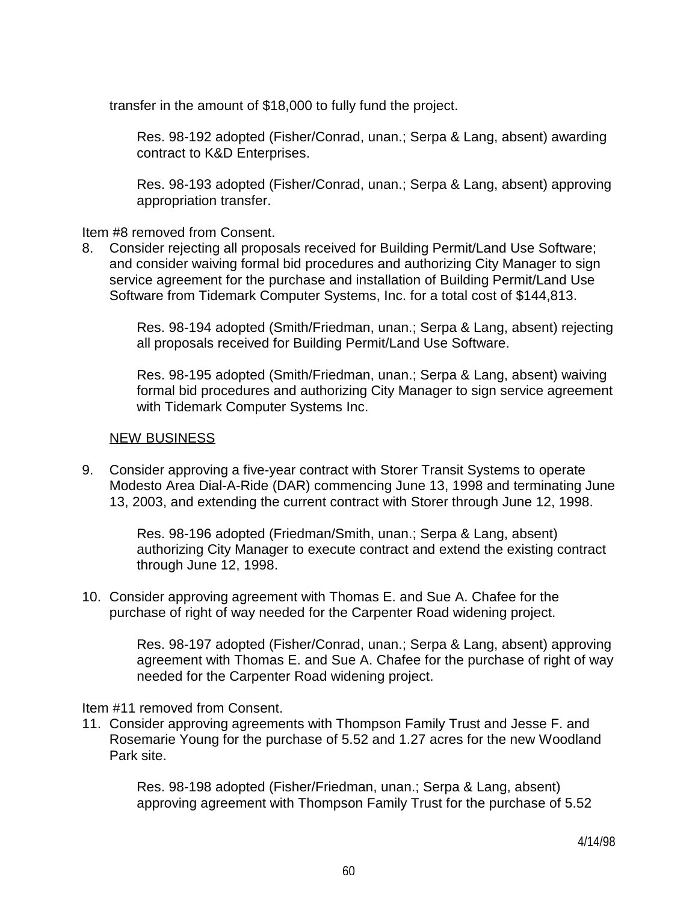transfer in the amount of \$18,000 to fully fund the project.

 Res. 98-192 adopted (Fisher/Conrad, unan.; Serpa & Lang, absent) awarding contract to K&D Enterprises.

 Res. 98-193 adopted (Fisher/Conrad, unan.; Serpa & Lang, absent) approving appropriation transfer.

Item #8 removed from Consent.

8. Consider rejecting all proposals received for Building Permit/Land Use Software; and consider waiving formal bid procedures and authorizing City Manager to sign service agreement for the purchase and installation of Building Permit/Land Use Software from Tidemark Computer Systems, Inc. for a total cost of \$144,813.

> Res. 98-194 adopted (Smith/Friedman, unan.; Serpa & Lang, absent) rejecting all proposals received for Building Permit/Land Use Software.

> Res. 98-195 adopted (Smith/Friedman, unan.; Serpa & Lang, absent) waiving formal bid procedures and authorizing City Manager to sign service agreement with Tidemark Computer Systems Inc.

## NEW BUSINESS

9. Consider approving a five-year contract with Storer Transit Systems to operate Modesto Area Dial-A-Ride (DAR) commencing June 13, 1998 and terminating June 13, 2003, and extending the current contract with Storer through June 12, 1998.

 Res. 98-196 adopted (Friedman/Smith, unan.; Serpa & Lang, absent) authorizing City Manager to execute contract and extend the existing contract through June 12, 1998.

10. Consider approving agreement with Thomas E. and Sue A. Chafee for the purchase of right of way needed for the Carpenter Road widening project.

> Res. 98-197 adopted (Fisher/Conrad, unan.; Serpa & Lang, absent) approving agreement with Thomas E. and Sue A. Chafee for the purchase of right of way needed for the Carpenter Road widening project.

Item #11 removed from Consent.

11. Consider approving agreements with Thompson Family Trust and Jesse F. and Rosemarie Young for the purchase of 5.52 and 1.27 acres for the new Woodland Park site.

> Res. 98-198 adopted (Fisher/Friedman, unan.; Serpa & Lang, absent) approving agreement with Thompson Family Trust for the purchase of 5.52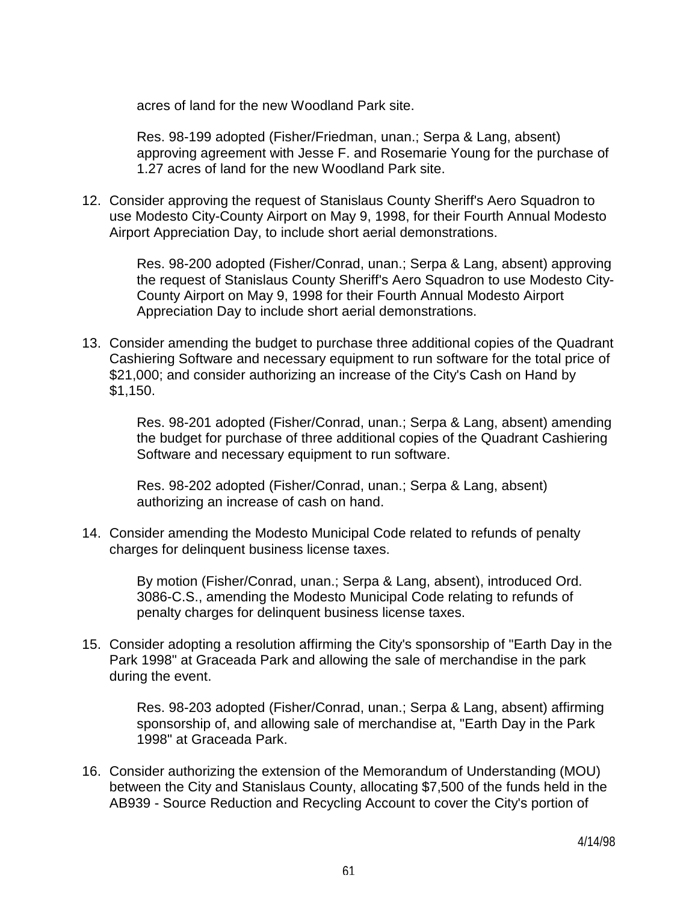acres of land for the new Woodland Park site.

 Res. 98-199 adopted (Fisher/Friedman, unan.; Serpa & Lang, absent) approving agreement with Jesse F. and Rosemarie Young for the purchase of 1.27 acres of land for the new Woodland Park site.

12. Consider approving the request of Stanislaus County Sheriff's Aero Squadron to use Modesto City-County Airport on May 9, 1998, for their Fourth Annual Modesto Airport Appreciation Day, to include short aerial demonstrations.

> Res. 98-200 adopted (Fisher/Conrad, unan.; Serpa & Lang, absent) approving the request of Stanislaus County Sheriff's Aero Squadron to use Modesto City-County Airport on May 9, 1998 for their Fourth Annual Modesto Airport Appreciation Day to include short aerial demonstrations.

13. Consider amending the budget to purchase three additional copies of the Quadrant Cashiering Software and necessary equipment to run software for the total price of \$21,000; and consider authorizing an increase of the City's Cash on Hand by \$1,150.

 Res. 98-201 adopted (Fisher/Conrad, unan.; Serpa & Lang, absent) amending the budget for purchase of three additional copies of the Quadrant Cashiering Software and necessary equipment to run software.

 Res. 98-202 adopted (Fisher/Conrad, unan.; Serpa & Lang, absent) authorizing an increase of cash on hand.

14. Consider amending the Modesto Municipal Code related to refunds of penalty charges for delinquent business license taxes.

> By motion (Fisher/Conrad, unan.; Serpa & Lang, absent), introduced Ord. 3086-C.S., amending the Modesto Municipal Code relating to refunds of penalty charges for delinquent business license taxes.

15. Consider adopting a resolution affirming the City's sponsorship of "Earth Day in the Park 1998" at Graceada Park and allowing the sale of merchandise in the park during the event.

> Res. 98-203 adopted (Fisher/Conrad, unan.; Serpa & Lang, absent) affirming sponsorship of, and allowing sale of merchandise at, "Earth Day in the Park 1998" at Graceada Park.

16. Consider authorizing the extension of the Memorandum of Understanding (MOU) between the City and Stanislaus County, allocating \$7,500 of the funds held in the AB939 - Source Reduction and Recycling Account to cover the City's portion of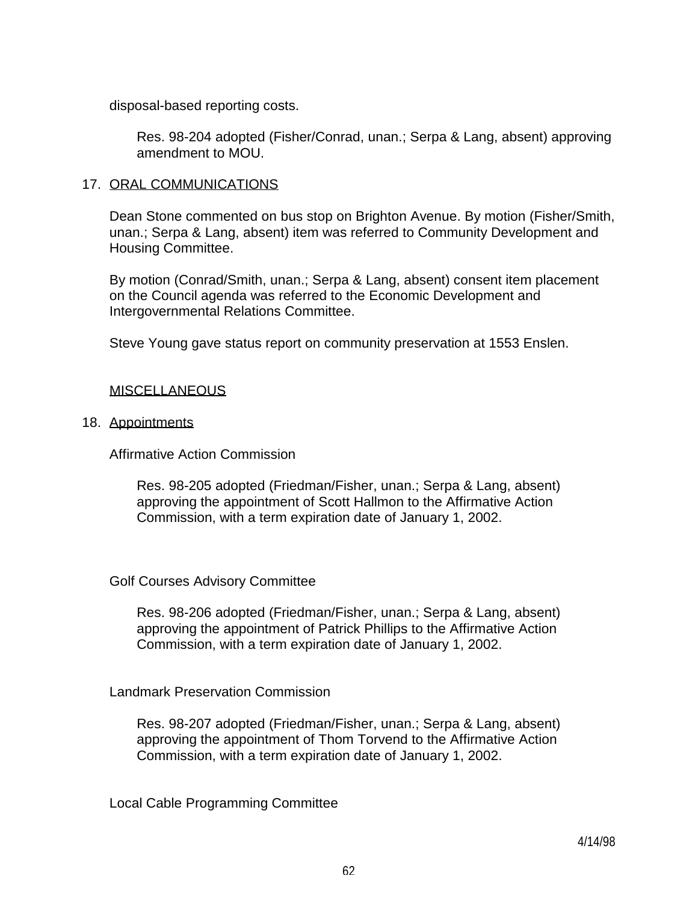disposal-based reporting costs.

 Res. 98-204 adopted (Fisher/Conrad, unan.; Serpa & Lang, absent) approving amendment to MOU.

## 17. ORAL COMMUNICATIONS

 Dean Stone commented on bus stop on Brighton Avenue. By motion (Fisher/Smith, unan.; Serpa & Lang, absent) item was referred to Community Development and Housing Committee.

 By motion (Conrad/Smith, unan.; Serpa & Lang, absent) consent item placement on the Council agenda was referred to the Economic Development and Intergovernmental Relations Committee.

Steve Young gave status report on community preservation at 1553 Enslen.

## **MISCELLANEOUS**

## 18. Appointments

Affirmative Action Commission

 Res. 98-205 adopted (Friedman/Fisher, unan.; Serpa & Lang, absent) approving the appointment of Scott Hallmon to the Affirmative Action Commission, with a term expiration date of January 1, 2002.

## Golf Courses Advisory Committee

 Res. 98-206 adopted (Friedman/Fisher, unan.; Serpa & Lang, absent) approving the appointment of Patrick Phillips to the Affirmative Action Commission, with a term expiration date of January 1, 2002.

## Landmark Preservation Commission

 Res. 98-207 adopted (Friedman/Fisher, unan.; Serpa & Lang, absent) approving the appointment of Thom Torvend to the Affirmative Action Commission, with a term expiration date of January 1, 2002.

Local Cable Programming Committee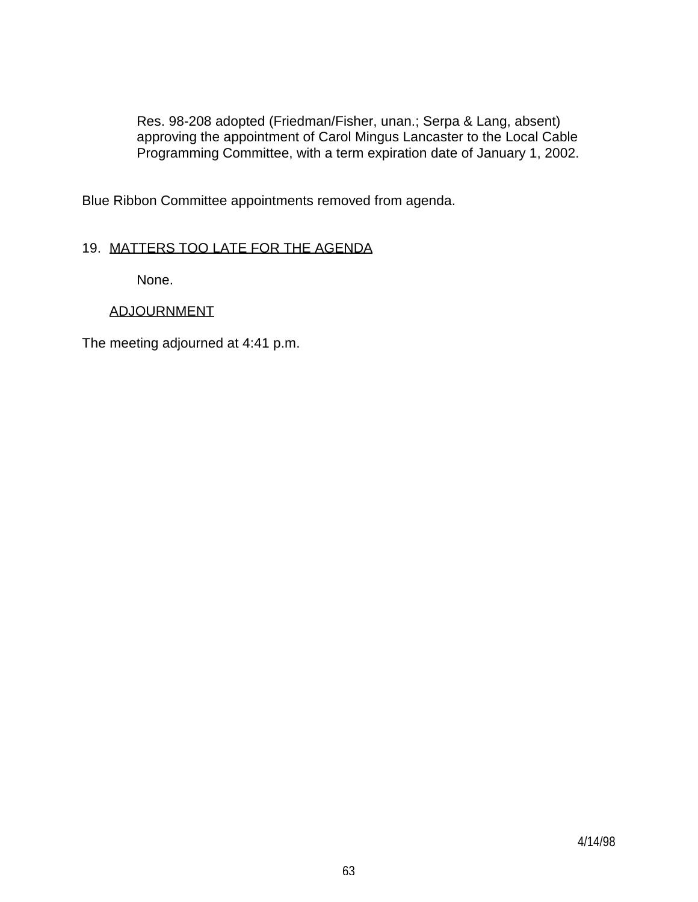Res. 98-208 adopted (Friedman/Fisher, unan.; Serpa & Lang, absent) approving the appointment of Carol Mingus Lancaster to the Local Cable Programming Committee, with a term expiration date of January 1, 2002.

Blue Ribbon Committee appointments removed from agenda.

# 19. MATTERS TOO LATE FOR THE AGENDA

None.

# ADJOURNMENT

The meeting adjourned at 4:41 p.m.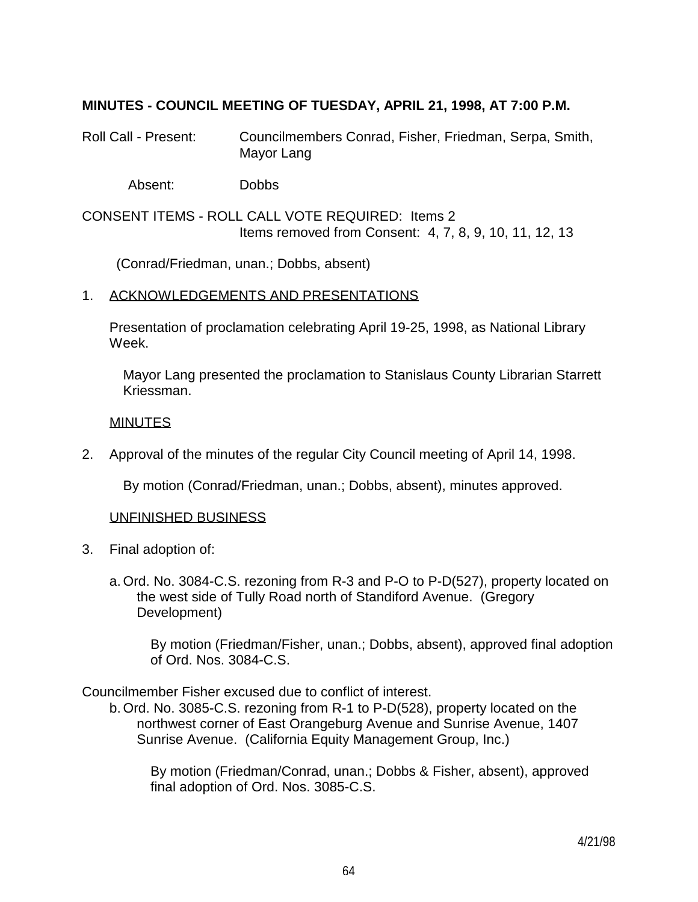## **MINUTES - COUNCIL MEETING OF TUESDAY, APRIL 21, 1998, AT 7:00 P.M.**

Roll Call - Present: Councilmembers Conrad, Fisher, Friedman, Serpa, Smith, Mayor Lang

Absent: Dobbs

CONSENT ITEMS - ROLL CALL VOTE REQUIRED: Items 2 Items removed from Consent: 4, 7, 8, 9, 10, 11, 12, 13

(Conrad/Friedman, unan.; Dobbs, absent)

### 1. ACKNOWLEDGEMENTS AND PRESENTATIONS

 Presentation of proclamation celebrating April 19-25, 1998, as National Library Week.

 Mayor Lang presented the proclamation to Stanislaus County Librarian Starrett Kriessman.

## **MINUTES**

2. Approval of the minutes of the regular City Council meeting of April 14, 1998.

By motion (Conrad/Friedman, unan.; Dobbs, absent), minutes approved.

### UNFINISHED BUSINESS

- 3. Final adoption of:
	- a. Ord. No. 3084-C.S. rezoning from R-3 and P-O to P-D(527), property located on the west side of Tully Road north of Standiford Avenue. (Gregory Development)

 By motion (Friedman/Fisher, unan.; Dobbs, absent), approved final adoption of Ord. Nos. 3084-C.S.

Councilmember Fisher excused due to conflict of interest.

 b. Ord. No. 3085-C.S. rezoning from R-1 to P-D(528), property located on the northwest corner of East Orangeburg Avenue and Sunrise Avenue, 1407 Sunrise Avenue. (California Equity Management Group, Inc.)

 By motion (Friedman/Conrad, unan.; Dobbs & Fisher, absent), approved final adoption of Ord. Nos. 3085-C.S.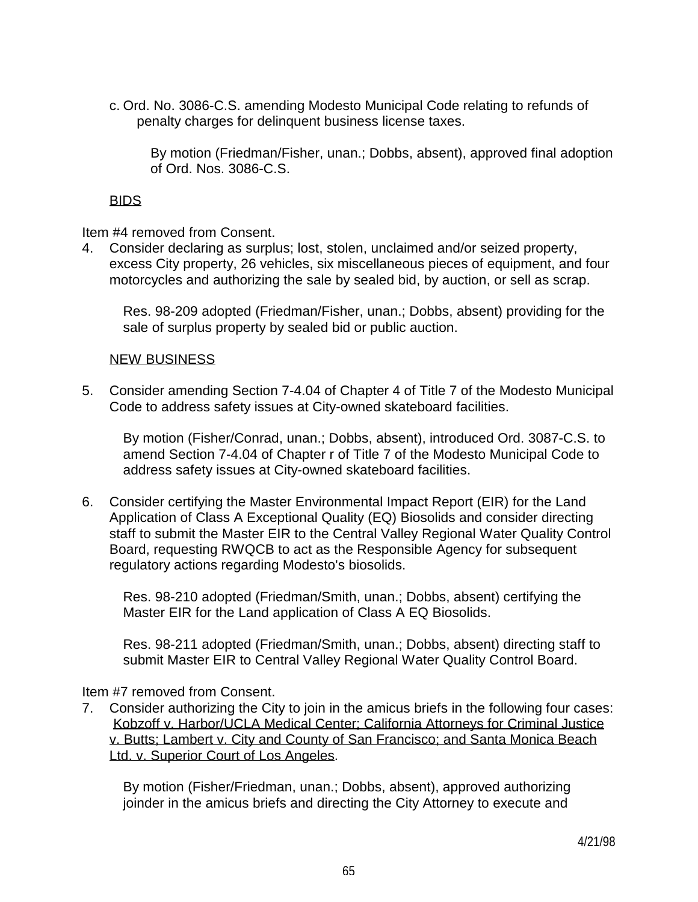c. Ord. No. 3086-C.S. amending Modesto Municipal Code relating to refunds of penalty charges for delinquent business license taxes.

 By motion (Friedman/Fisher, unan.; Dobbs, absent), approved final adoption of Ord. Nos. 3086-C.S.

# BIDS

Item #4 removed from Consent.

4. Consider declaring as surplus; lost, stolen, unclaimed and/or seized property, excess City property, 26 vehicles, six miscellaneous pieces of equipment, and four motorcycles and authorizing the sale by sealed bid, by auction, or sell as scrap.

 Res. 98-209 adopted (Friedman/Fisher, unan.; Dobbs, absent) providing for the sale of surplus property by sealed bid or public auction.

## NEW BUSINESS

5. Consider amending Section 7-4.04 of Chapter 4 of Title 7 of the Modesto Municipal Code to address safety issues at City-owned skateboard facilities.

 By motion (Fisher/Conrad, unan.; Dobbs, absent), introduced Ord. 3087-C.S. to amend Section 7-4.04 of Chapter r of Title 7 of the Modesto Municipal Code to address safety issues at City-owned skateboard facilities.

6. Consider certifying the Master Environmental Impact Report (EIR) for the Land Application of Class A Exceptional Quality (EQ) Biosolids and consider directing staff to submit the Master EIR to the Central Valley Regional Water Quality Control Board, requesting RWQCB to act as the Responsible Agency for subsequent regulatory actions regarding Modesto's biosolids.

 Res. 98-210 adopted (Friedman/Smith, unan.; Dobbs, absent) certifying the Master EIR for the Land application of Class A EQ Biosolids.

 Res. 98-211 adopted (Friedman/Smith, unan.; Dobbs, absent) directing staff to submit Master EIR to Central Valley Regional Water Quality Control Board.

Item #7 removed from Consent.

7. Consider authorizing the City to join in the amicus briefs in the following four cases: Kobzoff v. Harbor/UCLA Medical Center; California Attorneys for Criminal Justice v. Butts; Lambert v. City and County of San Francisco; and Santa Monica Beach Ltd. v. Superior Court of Los Angeles.

 By motion (Fisher/Friedman, unan.; Dobbs, absent), approved authorizing joinder in the amicus briefs and directing the City Attorney to execute and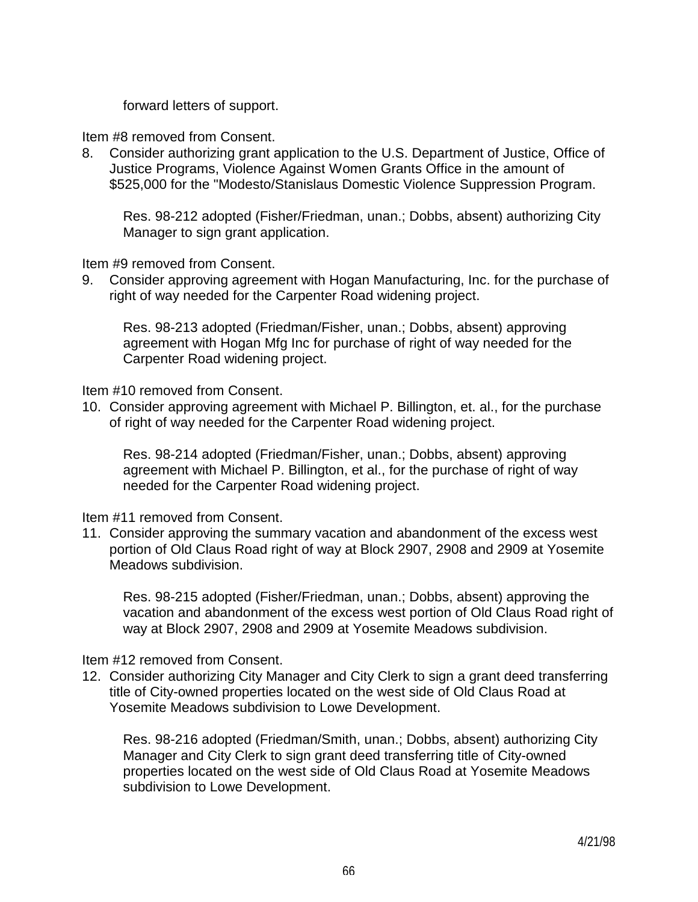forward letters of support.

Item #8 removed from Consent.

8. Consider authorizing grant application to the U.S. Department of Justice, Office of Justice Programs, Violence Against Women Grants Office in the amount of \$525,000 for the "Modesto/Stanislaus Domestic Violence Suppression Program.

 Res. 98-212 adopted (Fisher/Friedman, unan.; Dobbs, absent) authorizing City Manager to sign grant application.

Item #9 removed from Consent.

9. Consider approving agreement with Hogan Manufacturing, Inc. for the purchase of right of way needed for the Carpenter Road widening project.

 Res. 98-213 adopted (Friedman/Fisher, unan.; Dobbs, absent) approving agreement with Hogan Mfg Inc for purchase of right of way needed for the Carpenter Road widening project.

Item #10 removed from Consent.

10. Consider approving agreement with Michael P. Billington, et. al., for the purchase of right of way needed for the Carpenter Road widening project.

 Res. 98-214 adopted (Friedman/Fisher, unan.; Dobbs, absent) approving agreement with Michael P. Billington, et al., for the purchase of right of way needed for the Carpenter Road widening project.

Item #11 removed from Consent.

11. Consider approving the summary vacation and abandonment of the excess west portion of Old Claus Road right of way at Block 2907, 2908 and 2909 at Yosemite Meadows subdivision.

 Res. 98-215 adopted (Fisher/Friedman, unan.; Dobbs, absent) approving the vacation and abandonment of the excess west portion of Old Claus Road right of way at Block 2907, 2908 and 2909 at Yosemite Meadows subdivision.

## Item #12 removed from Consent.

12. Consider authorizing City Manager and City Clerk to sign a grant deed transferring title of City-owned properties located on the west side of Old Claus Road at Yosemite Meadows subdivision to Lowe Development.

 Res. 98-216 adopted (Friedman/Smith, unan.; Dobbs, absent) authorizing City Manager and City Clerk to sign grant deed transferring title of City-owned properties located on the west side of Old Claus Road at Yosemite Meadows subdivision to Lowe Development.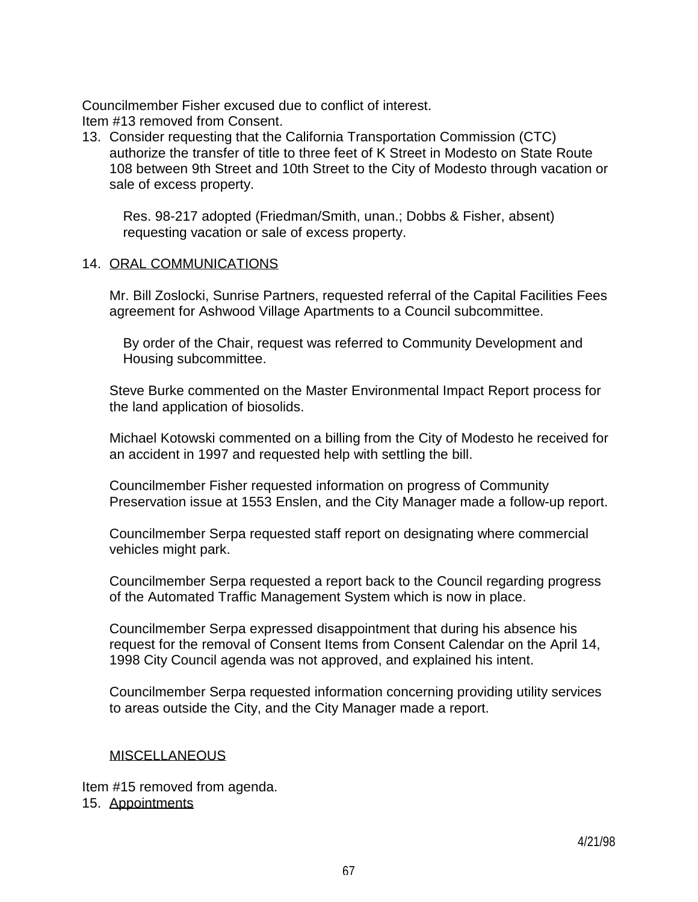Councilmember Fisher excused due to conflict of interest. Item #13 removed from Consent.

13. Consider requesting that the California Transportation Commission (CTC) authorize the transfer of title to three feet of K Street in Modesto on State Route 108 between 9th Street and 10th Street to the City of Modesto through vacation or sale of excess property.

 Res. 98-217 adopted (Friedman/Smith, unan.; Dobbs & Fisher, absent) requesting vacation or sale of excess property.

#### 14. ORAL COMMUNICATIONS

 Mr. Bill Zoslocki, Sunrise Partners, requested referral of the Capital Facilities Fees agreement for Ashwood Village Apartments to a Council subcommittee.

 By order of the Chair, request was referred to Community Development and Housing subcommittee.

 Steve Burke commented on the Master Environmental Impact Report process for the land application of biosolids.

 Michael Kotowski commented on a billing from the City of Modesto he received for an accident in 1997 and requested help with settling the bill.

 Councilmember Fisher requested information on progress of Community Preservation issue at 1553 Enslen, and the City Manager made a follow-up report.

 Councilmember Serpa requested staff report on designating where commercial vehicles might park.

 Councilmember Serpa requested a report back to the Council regarding progress of the Automated Traffic Management System which is now in place.

 Councilmember Serpa expressed disappointment that during his absence his request for the removal of Consent Items from Consent Calendar on the April 14, 1998 City Council agenda was not approved, and explained his intent.

 Councilmember Serpa requested information concerning providing utility services to areas outside the City, and the City Manager made a report.

### **MISCELLANEOUS**

Item #15 removed from agenda. 15. Appointments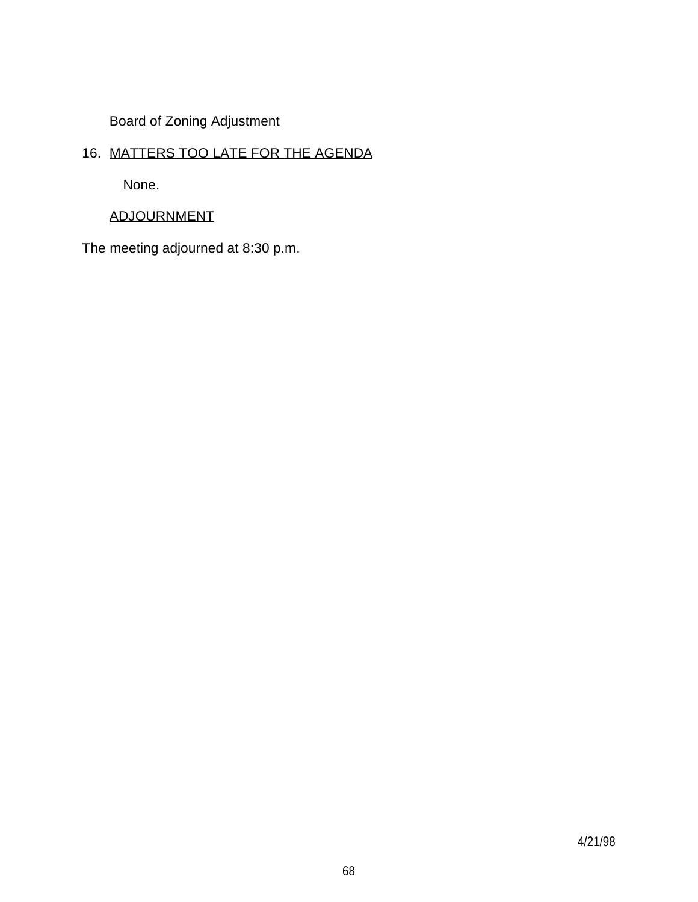Board of Zoning Adjustment

# 16. MATTERS TOO LATE FOR THE AGENDA

None.

# ADJOURNMENT

The meeting adjourned at 8:30 p.m.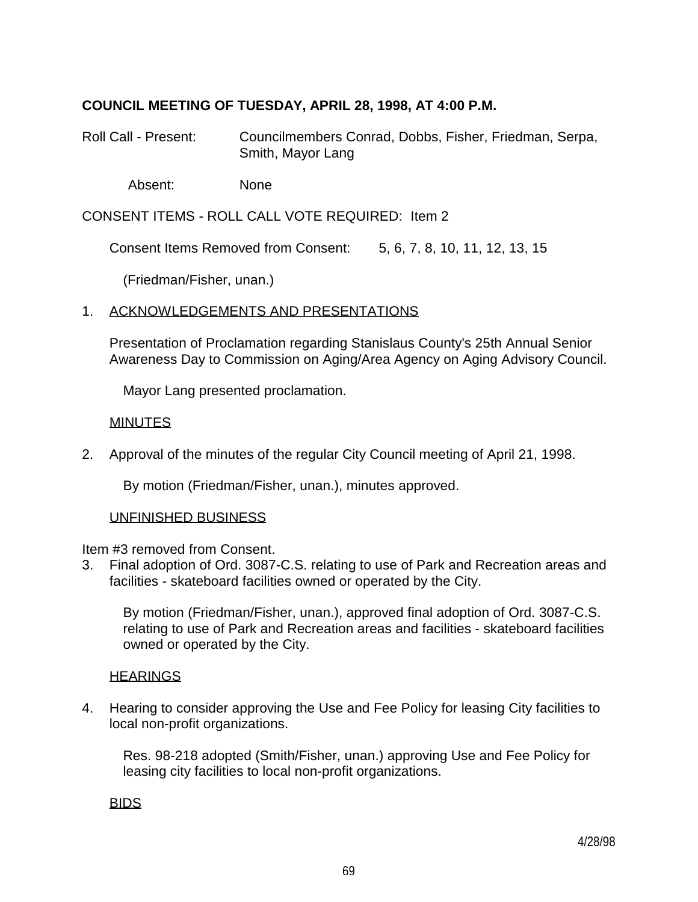# **COUNCIL MEETING OF TUESDAY, APRIL 28, 1998, AT 4:00 P.M.**

Roll Call - Present: Councilmembers Conrad, Dobbs, Fisher, Friedman, Serpa, Smith, Mayor Lang

Absent: None

CONSENT ITEMS - ROLL CALL VOTE REQUIRED: Item 2

Consent Items Removed from Consent: 5, 6, 7, 8, 10, 11, 12, 13, 15

(Friedman/Fisher, unan.)

## 1. ACKNOWLEDGEMENTS AND PRESENTATIONS

 Presentation of Proclamation regarding Stanislaus County's 25th Annual Senior Awareness Day to Commission on Aging/Area Agency on Aging Advisory Council.

Mayor Lang presented proclamation.

## **MINUTES**

2. Approval of the minutes of the regular City Council meeting of April 21, 1998.

By motion (Friedman/Fisher, unan.), minutes approved.

### UNFINISHED BUSINESS

Item #3 removed from Consent.

3. Final adoption of Ord. 3087-C.S. relating to use of Park and Recreation areas and facilities - skateboard facilities owned or operated by the City.

 By motion (Friedman/Fisher, unan.), approved final adoption of Ord. 3087-C.S. relating to use of Park and Recreation areas and facilities - skateboard facilities owned or operated by the City.

### **HEARINGS**

4. Hearing to consider approving the Use and Fee Policy for leasing City facilities to local non-profit organizations.

 Res. 98-218 adopted (Smith/Fisher, unan.) approving Use and Fee Policy for leasing city facilities to local non-profit organizations.

BIDS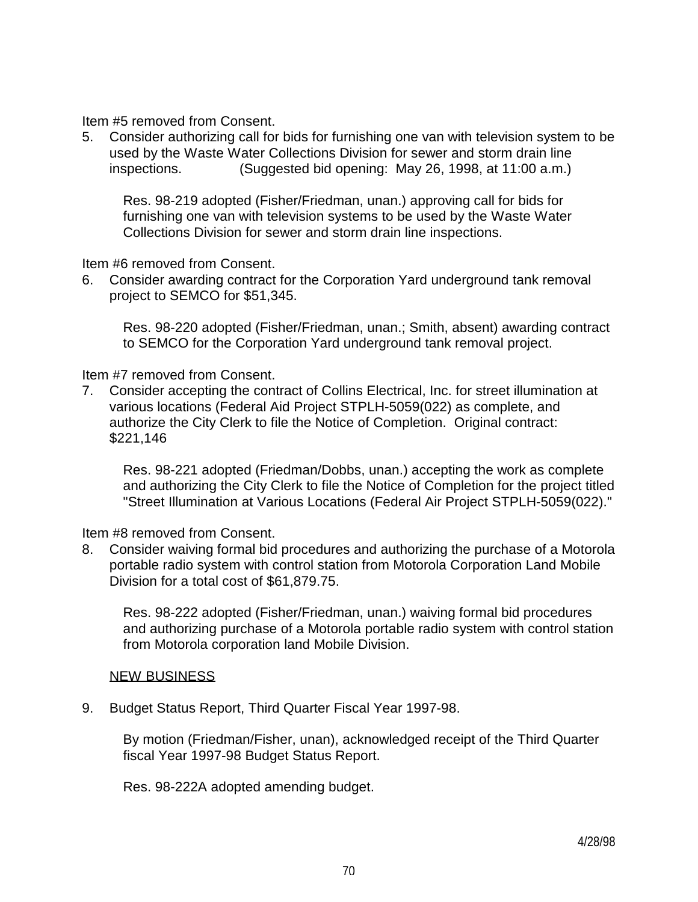Item #5 removed from Consent.

5. Consider authorizing call for bids for furnishing one van with television system to be used by the Waste Water Collections Division for sewer and storm drain line inspections. (Suggested bid opening: May 26, 1998, at 11:00 a.m.)

 Res. 98-219 adopted (Fisher/Friedman, unan.) approving call for bids for furnishing one van with television systems to be used by the Waste Water Collections Division for sewer and storm drain line inspections.

Item #6 removed from Consent.

6. Consider awarding contract for the Corporation Yard underground tank removal project to SEMCO for \$51,345.

 Res. 98-220 adopted (Fisher/Friedman, unan.; Smith, absent) awarding contract to SEMCO for the Corporation Yard underground tank removal project.

## Item #7 removed from Consent.

7. Consider accepting the contract of Collins Electrical, Inc. for street illumination at various locations (Federal Aid Project STPLH-5059(022) as complete, and authorize the City Clerk to file the Notice of Completion. Original contract: \$221,146

 Res. 98-221 adopted (Friedman/Dobbs, unan.) accepting the work as complete and authorizing the City Clerk to file the Notice of Completion for the project titled "Street Illumination at Various Locations (Federal Air Project STPLH-5059(022)."

Item #8 removed from Consent.

8. Consider waiving formal bid procedures and authorizing the purchase of a Motorola portable radio system with control station from Motorola Corporation Land Mobile Division for a total cost of \$61,879.75.

 Res. 98-222 adopted (Fisher/Friedman, unan.) waiving formal bid procedures and authorizing purchase of a Motorola portable radio system with control station from Motorola corporation land Mobile Division.

### **NEW BUSINESS**

9. Budget Status Report, Third Quarter Fiscal Year 1997-98.

 By motion (Friedman/Fisher, unan), acknowledged receipt of the Third Quarter fiscal Year 1997-98 Budget Status Report.

Res. 98-222A adopted amending budget.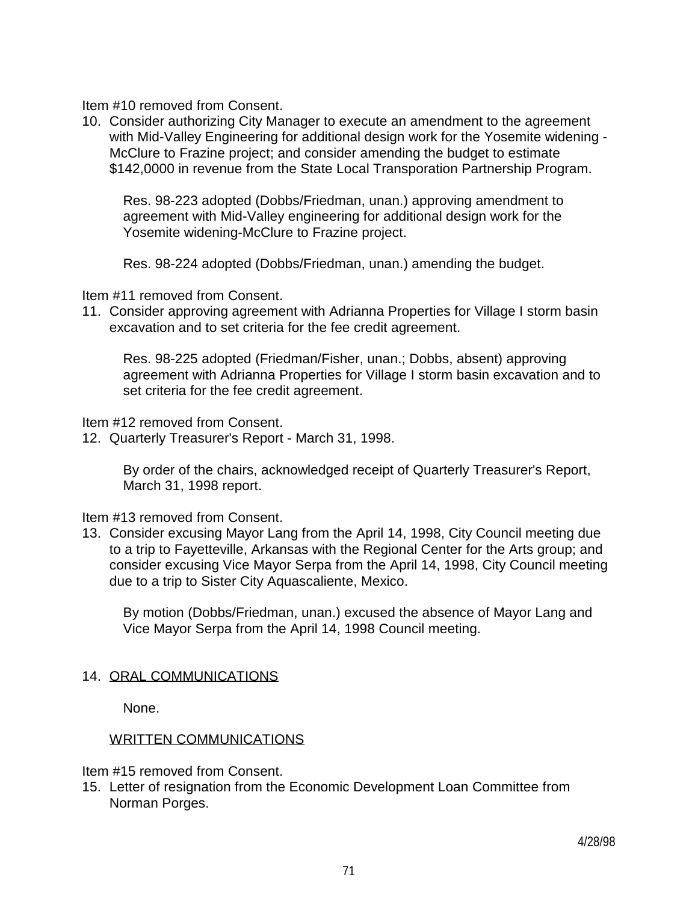Item #10 removed from Consent.

10. Consider authorizing City Manager to execute an amendment to the agreement with Mid-Valley Engineering for additional design work for the Yosemite widening - McClure to Frazine project; and consider amending the budget to estimate \$142,0000 in revenue from the State Local Transporation Partnership Program.

 Res. 98-223 adopted (Dobbs/Friedman, unan.) approving amendment to agreement with Mid-Valley engineering for additional design work for the Yosemite widening-McClure to Frazine project.

Res. 98-224 adopted (Dobbs/Friedman, unan.) amending the budget.

Item #11 removed from Consent.

11. Consider approving agreement with Adrianna Properties for Village I storm basin excavation and to set criteria for the fee credit agreement.

 Res. 98-225 adopted (Friedman/Fisher, unan.; Dobbs, absent) approving agreement with Adrianna Properties for Village I storm basin excavation and to set criteria for the fee credit agreement.

Item #12 removed from Consent.

12. Quarterly Treasurer's Report - March 31, 1998.

 By order of the chairs, acknowledged receipt of Quarterly Treasurer's Report, March 31, 1998 report.

Item #13 removed from Consent.

13. Consider excusing Mayor Lang from the April 14, 1998, City Council meeting due to a trip to Fayetteville, Arkansas with the Regional Center for the Arts group; and consider excusing Vice Mayor Serpa from the April 14, 1998, City Council meeting due to a trip to Sister City Aquascaliente, Mexico.

 By motion (Dobbs/Friedman, unan.) excused the absence of Mayor Lang and Vice Mayor Serpa from the April 14, 1998 Council meeting.

## 14. ORAL COMMUNICATIONS

None.

## WRITTEN COMMUNICATIONS

Item #15 removed from Consent.

15. Letter of resignation from the Economic Development Loan Committee from Norman Porges.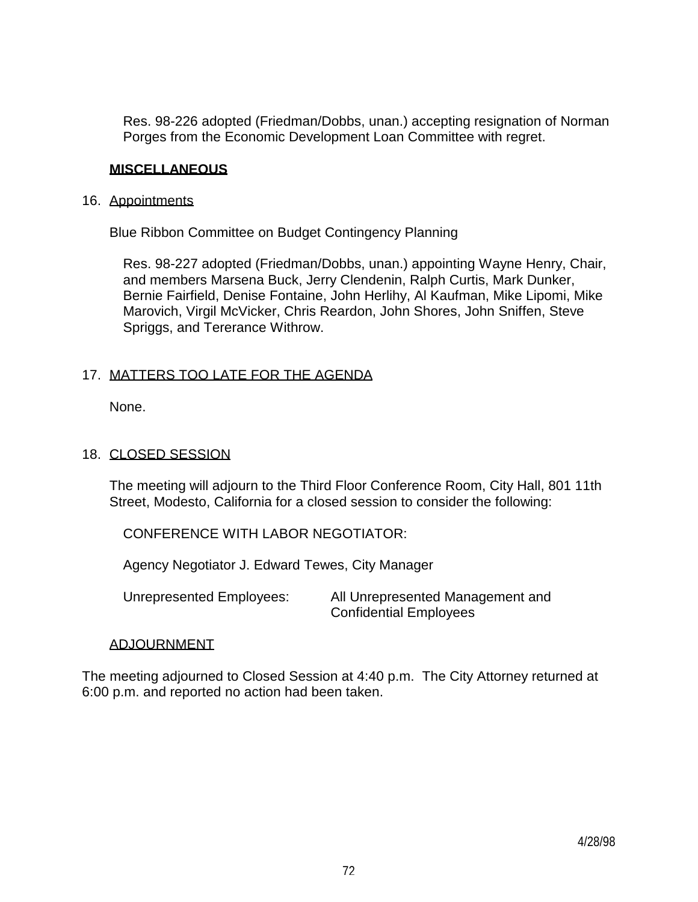Res. 98-226 adopted (Friedman/Dobbs, unan.) accepting resignation of Norman Porges from the Economic Development Loan Committee with regret.

## **MISCELLANEOUS**

### 16. Appointments

Blue Ribbon Committee on Budget Contingency Planning

 Res. 98-227 adopted (Friedman/Dobbs, unan.) appointing Wayne Henry, Chair, and members Marsena Buck, Jerry Clendenin, Ralph Curtis, Mark Dunker, Bernie Fairfield, Denise Fontaine, John Herlihy, Al Kaufman, Mike Lipomi, Mike Marovich, Virgil McVicker, Chris Reardon, John Shores, John Sniffen, Steve Spriggs, and Tererance Withrow.

## 17. MATTERS TOO LATE FOR THE AGENDA

None.

## 18. CLOSED SESSION

 The meeting will adjourn to the Third Floor Conference Room, City Hall, 801 11th Street, Modesto, California for a closed session to consider the following:

CONFERENCE WITH LABOR NEGOTIATOR:

Agency Negotiator J. Edward Tewes, City Manager

 Unrepresented Employees: All Unrepresented Management and Confidential Employees

### ADJOURNMENT

The meeting adjourned to Closed Session at 4:40 p.m. The City Attorney returned at 6:00 p.m. and reported no action had been taken.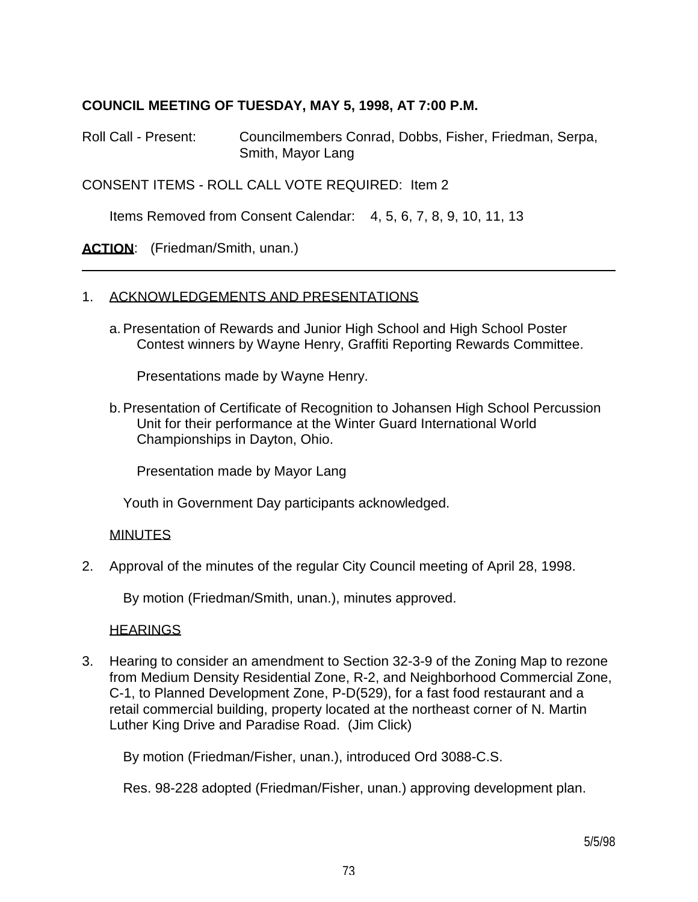## **COUNCIL MEETING OF TUESDAY, MAY 5, 1998, AT 7:00 P.M.**

Roll Call - Present: Councilmembers Conrad, Dobbs, Fisher, Friedman, Serpa, Smith, Mayor Lang

CONSENT ITEMS - ROLL CALL VOTE REQUIRED: Item 2

Items Removed from Consent Calendar: 4, 5, 6, 7, 8, 9, 10, 11, 13

ACTION: (Friedman/Smith, unan.)

### 1. ACKNOWLEDGEMENTS AND PRESENTATIONS

 a. Presentation of Rewards and Junior High School and High School Poster Contest winners by Wayne Henry, Graffiti Reporting Rewards Committee.

Presentations made by Wayne Henry.

 b. Presentation of Certificate of Recognition to Johansen High School Percussion Unit for their performance at the Winter Guard International World Championships in Dayton, Ohio.

Presentation made by Mayor Lang

Youth in Government Day participants acknowledged.

### MINUTES

2. Approval of the minutes of the regular City Council meeting of April 28, 1998.

By motion (Friedman/Smith, unan.), minutes approved.

### **HEARINGS**

3. Hearing to consider an amendment to Section 32-3-9 of the Zoning Map to rezone from Medium Density Residential Zone, R-2, and Neighborhood Commercial Zone, C-1, to Planned Development Zone, P-D(529), for a fast food restaurant and a retail commercial building, property located at the northeast corner of N. Martin Luther King Drive and Paradise Road. (Jim Click)

By motion (Friedman/Fisher, unan.), introduced Ord 3088-C.S.

Res. 98-228 adopted (Friedman/Fisher, unan.) approving development plan.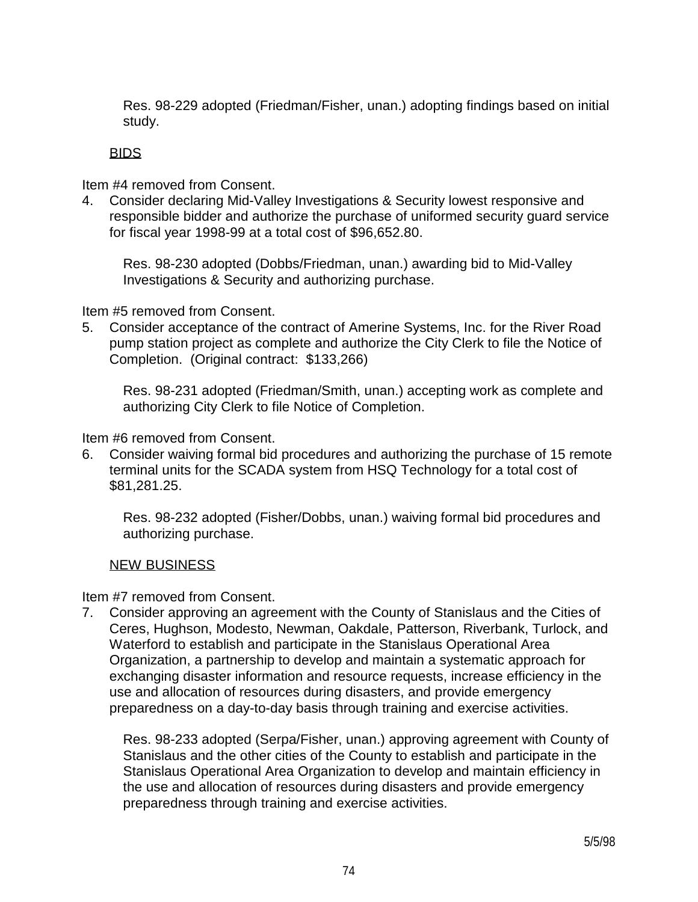Res. 98-229 adopted (Friedman/Fisher, unan.) adopting findings based on initial study.

## BIDS

Item #4 removed from Consent.

4. Consider declaring Mid-Valley Investigations & Security lowest responsive and responsible bidder and authorize the purchase of uniformed security guard service for fiscal year 1998-99 at a total cost of \$96,652.80.

 Res. 98-230 adopted (Dobbs/Friedman, unan.) awarding bid to Mid-Valley Investigations & Security and authorizing purchase.

Item #5 removed from Consent.

5. Consider acceptance of the contract of Amerine Systems, Inc. for the River Road pump station project as complete and authorize the City Clerk to file the Notice of Completion. (Original contract: \$133,266)

 Res. 98-231 adopted (Friedman/Smith, unan.) accepting work as complete and authorizing City Clerk to file Notice of Completion.

Item #6 removed from Consent.

6. Consider waiving formal bid procedures and authorizing the purchase of 15 remote terminal units for the SCADA system from HSQ Technology for a total cost of \$81,281.25.

 Res. 98-232 adopted (Fisher/Dobbs, unan.) waiving formal bid procedures and authorizing purchase.

## NEW BUSINESS

Item #7 removed from Consent.

7. Consider approving an agreement with the County of Stanislaus and the Cities of Ceres, Hughson, Modesto, Newman, Oakdale, Patterson, Riverbank, Turlock, and Waterford to establish and participate in the Stanislaus Operational Area Organization, a partnership to develop and maintain a systematic approach for exchanging disaster information and resource requests, increase efficiency in the use and allocation of resources during disasters, and provide emergency preparedness on a day-to-day basis through training and exercise activities.

 Res. 98-233 adopted (Serpa/Fisher, unan.) approving agreement with County of Stanislaus and the other cities of the County to establish and participate in the Stanislaus Operational Area Organization to develop and maintain efficiency in the use and allocation of resources during disasters and provide emergency preparedness through training and exercise activities.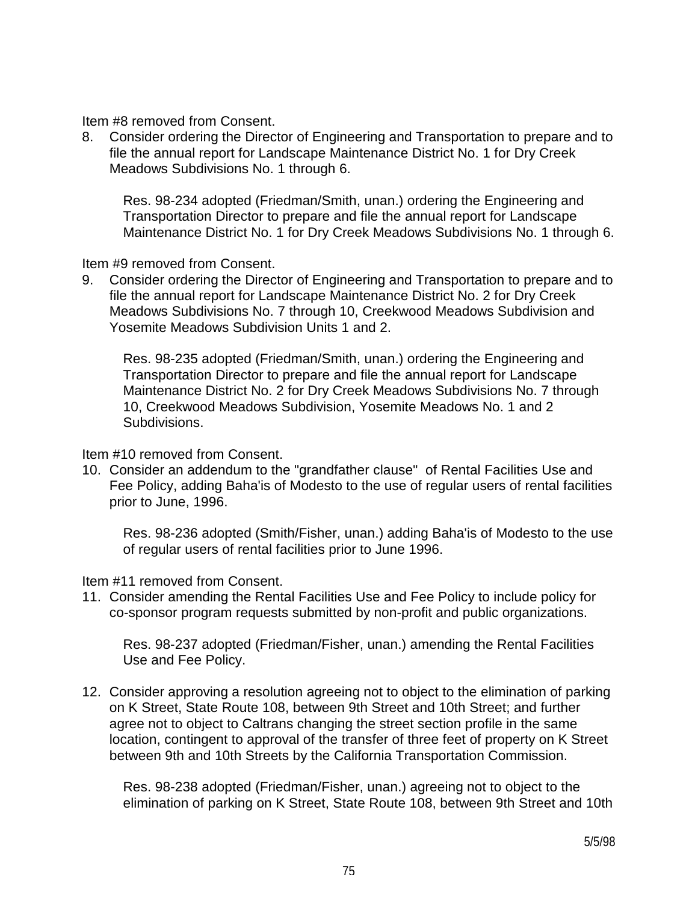Item #8 removed from Consent.

8. Consider ordering the Director of Engineering and Transportation to prepare and to file the annual report for Landscape Maintenance District No. 1 for Dry Creek Meadows Subdivisions No. 1 through 6.

 Res. 98-234 adopted (Friedman/Smith, unan.) ordering the Engineering and Transportation Director to prepare and file the annual report for Landscape Maintenance District No. 1 for Dry Creek Meadows Subdivisions No. 1 through 6.

Item #9 removed from Consent.

9. Consider ordering the Director of Engineering and Transportation to prepare and to file the annual report for Landscape Maintenance District No. 2 for Dry Creek Meadows Subdivisions No. 7 through 10, Creekwood Meadows Subdivision and Yosemite Meadows Subdivision Units 1 and 2.

 Res. 98-235 adopted (Friedman/Smith, unan.) ordering the Engineering and Transportation Director to prepare and file the annual report for Landscape Maintenance District No. 2 for Dry Creek Meadows Subdivisions No. 7 through 10, Creekwood Meadows Subdivision, Yosemite Meadows No. 1 and 2 Subdivisions.

Item #10 removed from Consent.

10. Consider an addendum to the "grandfather clause" of Rental Facilities Use and Fee Policy, adding Baha'is of Modesto to the use of regular users of rental facilities prior to June, 1996.

 Res. 98-236 adopted (Smith/Fisher, unan.) adding Baha'is of Modesto to the use of regular users of rental facilities prior to June 1996.

Item #11 removed from Consent.

11. Consider amending the Rental Facilities Use and Fee Policy to include policy for co-sponsor program requests submitted by non-profit and public organizations.

 Res. 98-237 adopted (Friedman/Fisher, unan.) amending the Rental Facilities Use and Fee Policy.

12. Consider approving a resolution agreeing not to object to the elimination of parking on K Street, State Route 108, between 9th Street and 10th Street; and further agree not to object to Caltrans changing the street section profile in the same location, contingent to approval of the transfer of three feet of property on K Street between 9th and 10th Streets by the California Transportation Commission.

 Res. 98-238 adopted (Friedman/Fisher, unan.) agreeing not to object to the elimination of parking on K Street, State Route 108, between 9th Street and 10th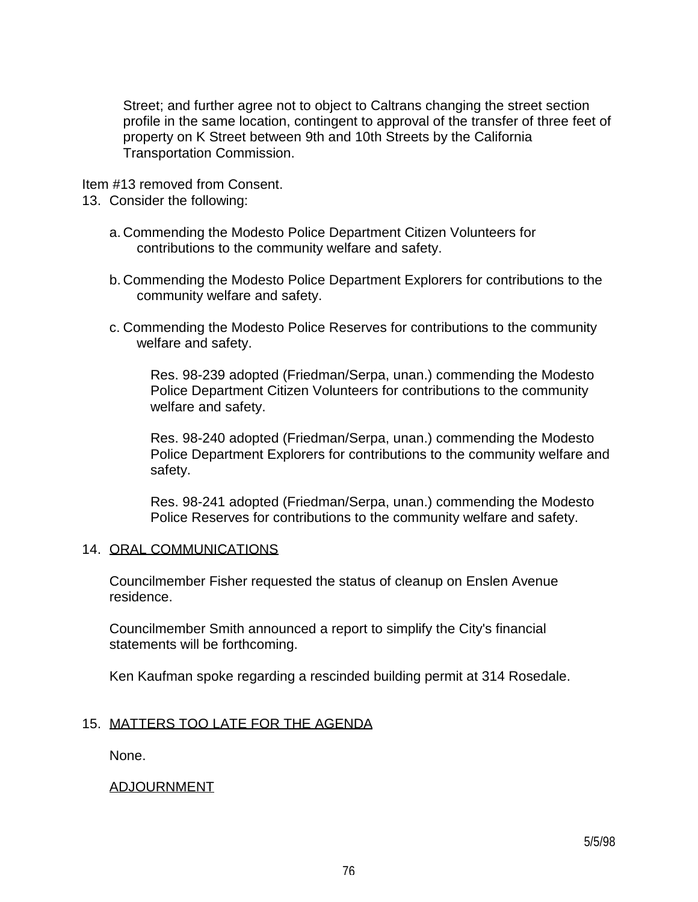Street; and further agree not to object to Caltrans changing the street section profile in the same location, contingent to approval of the transfer of three feet of property on K Street between 9th and 10th Streets by the California Transportation Commission.

Item #13 removed from Consent.

13. Consider the following:

- a. Commending the Modesto Police Department Citizen Volunteers for contributions to the community welfare and safety.
- b. Commending the Modesto Police Department Explorers for contributions to the community welfare and safety.
- c. Commending the Modesto Police Reserves for contributions to the community welfare and safety.

 Res. 98-239 adopted (Friedman/Serpa, unan.) commending the Modesto Police Department Citizen Volunteers for contributions to the community welfare and safety.

 Res. 98-240 adopted (Friedman/Serpa, unan.) commending the Modesto Police Department Explorers for contributions to the community welfare and safety.

 Res. 98-241 adopted (Friedman/Serpa, unan.) commending the Modesto Police Reserves for contributions to the community welfare and safety.

## 14. ORAL COMMUNICATIONS

 Councilmember Fisher requested the status of cleanup on Enslen Avenue residence.

 Councilmember Smith announced a report to simplify the City's financial statements will be forthcoming.

Ken Kaufman spoke regarding a rescinded building permit at 314 Rosedale.

## 15. MATTERS TOO LATE FOR THE AGENDA

None.

## ADJOURNMENT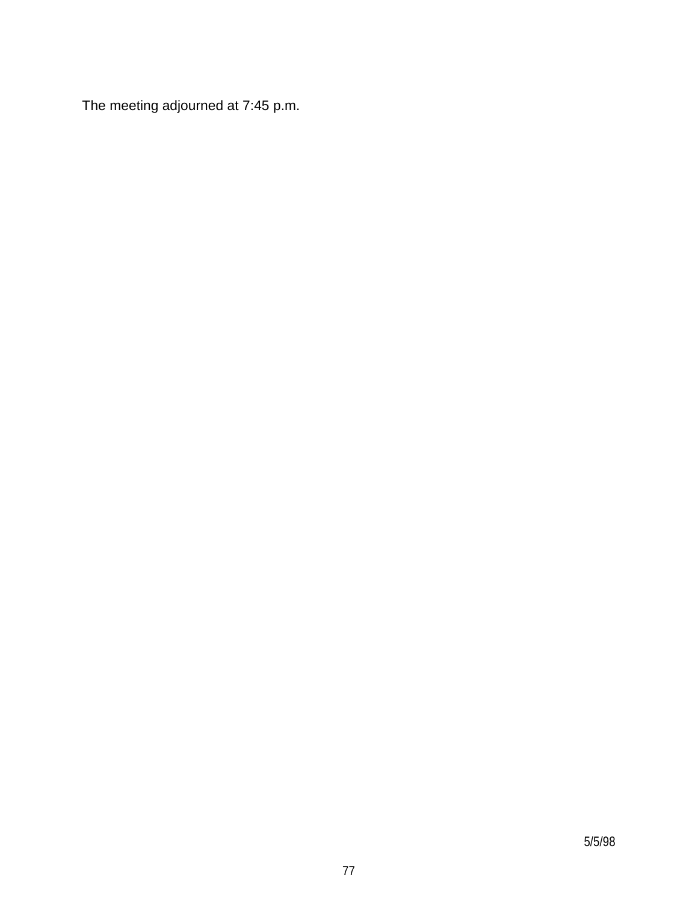The meeting adjourned at 7:45 p.m.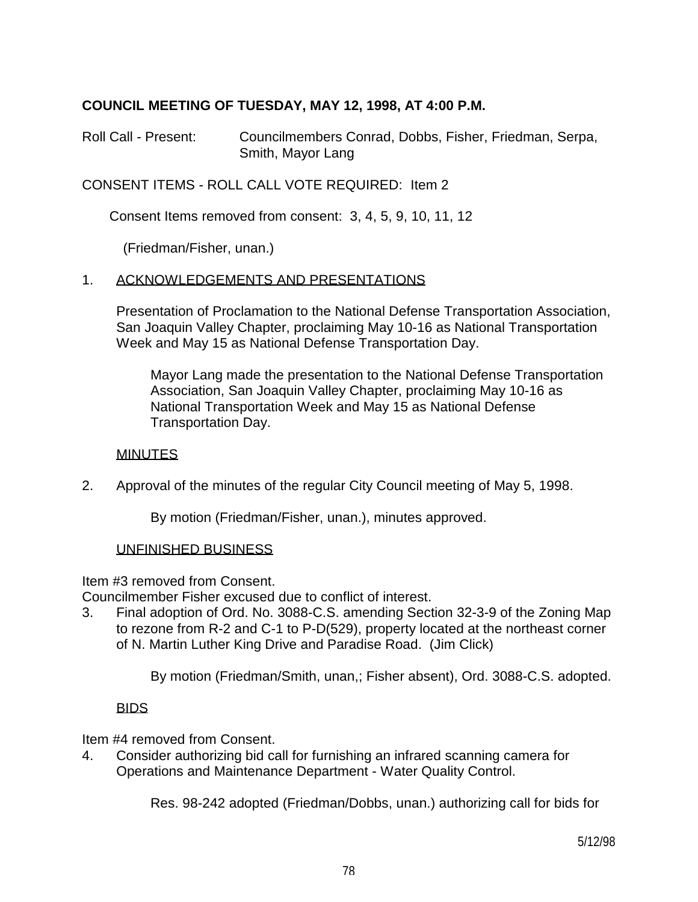## **COUNCIL MEETING OF TUESDAY, MAY 12, 1998, AT 4:00 P.M.**

Roll Call - Present: Councilmembers Conrad, Dobbs, Fisher, Friedman, Serpa, Smith, Mayor Lang

CONSENT ITEMS - ROLL CALL VOTE REQUIRED: Item 2

Consent Items removed from consent: 3, 4, 5, 9, 10, 11, 12

(Friedman/Fisher, unan.)

### 1. ACKNOWLEDGEMENTS AND PRESENTATIONS

 Presentation of Proclamation to the National Defense Transportation Association, San Joaquin Valley Chapter, proclaiming May 10-16 as National Transportation Week and May 15 as National Defense Transportation Day.

 Mayor Lang made the presentation to the National Defense Transportation Association, San Joaquin Valley Chapter, proclaiming May 10-16 as National Transportation Week and May 15 as National Defense Transportation Day.

### **MINUTES**

2. Approval of the minutes of the regular City Council meeting of May 5, 1998.

By motion (Friedman/Fisher, unan.), minutes approved.

### UNFINISHED BUSINESS

Item #3 removed from Consent.

Councilmember Fisher excused due to conflict of interest.

3. Final adoption of Ord. No. 3088-C.S. amending Section 32-3-9 of the Zoning Map to rezone from R-2 and C-1 to P-D(529), property located at the northeast corner of N. Martin Luther King Drive and Paradise Road. (Jim Click)

By motion (Friedman/Smith, unan,; Fisher absent), Ord. 3088-C.S. adopted.

### BIDS

Item #4 removed from Consent.

4. Consider authorizing bid call for furnishing an infrared scanning camera for Operations and Maintenance Department - Water Quality Control.

Res. 98-242 adopted (Friedman/Dobbs, unan.) authorizing call for bids for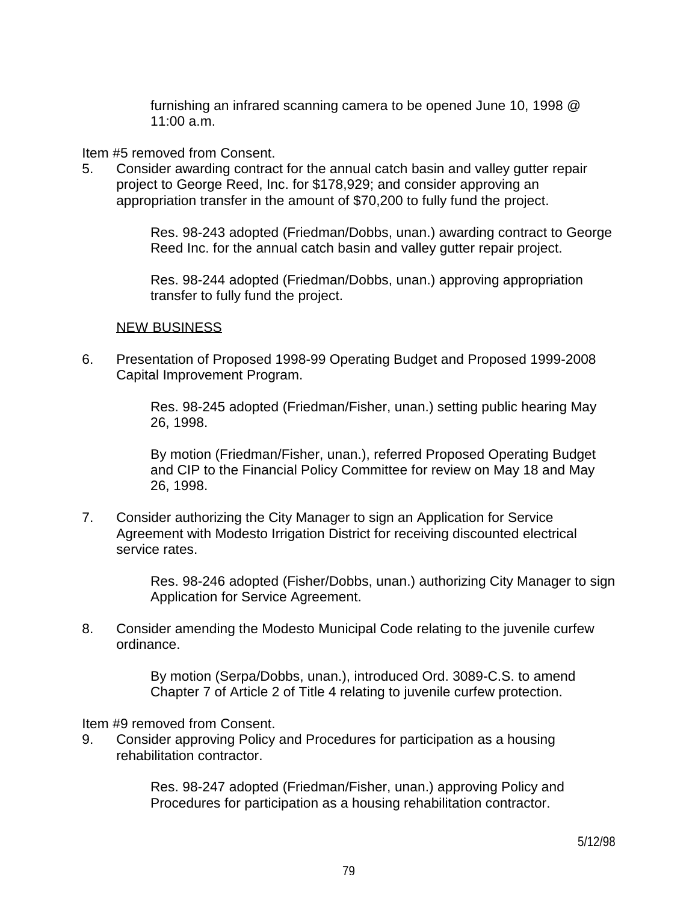furnishing an infrared scanning camera to be opened June 10, 1998 @ 11:00 a.m.

Item #5 removed from Consent.

5. Consider awarding contract for the annual catch basin and valley gutter repair project to George Reed, Inc. for \$178,929; and consider approving an appropriation transfer in the amount of \$70,200 to fully fund the project.

> Res. 98-243 adopted (Friedman/Dobbs, unan.) awarding contract to George Reed Inc. for the annual catch basin and valley gutter repair project.

 Res. 98-244 adopted (Friedman/Dobbs, unan.) approving appropriation transfer to fully fund the project.

### NEW BUSINESS

6. Presentation of Proposed 1998-99 Operating Budget and Proposed 1999-2008 Capital Improvement Program.

> Res. 98-245 adopted (Friedman/Fisher, unan.) setting public hearing May 26, 1998.

> By motion (Friedman/Fisher, unan.), referred Proposed Operating Budget and CIP to the Financial Policy Committee for review on May 18 and May 26, 1998.

7. Consider authorizing the City Manager to sign an Application for Service Agreement with Modesto Irrigation District for receiving discounted electrical service rates.

> Res. 98-246 adopted (Fisher/Dobbs, unan.) authorizing City Manager to sign Application for Service Agreement.

8. Consider amending the Modesto Municipal Code relating to the juvenile curfew ordinance.

> By motion (Serpa/Dobbs, unan.), introduced Ord. 3089-C.S. to amend Chapter 7 of Article 2 of Title 4 relating to juvenile curfew protection.

Item #9 removed from Consent.

9. Consider approving Policy and Procedures for participation as a housing rehabilitation contractor.

> Res. 98-247 adopted (Friedman/Fisher, unan.) approving Policy and Procedures for participation as a housing rehabilitation contractor.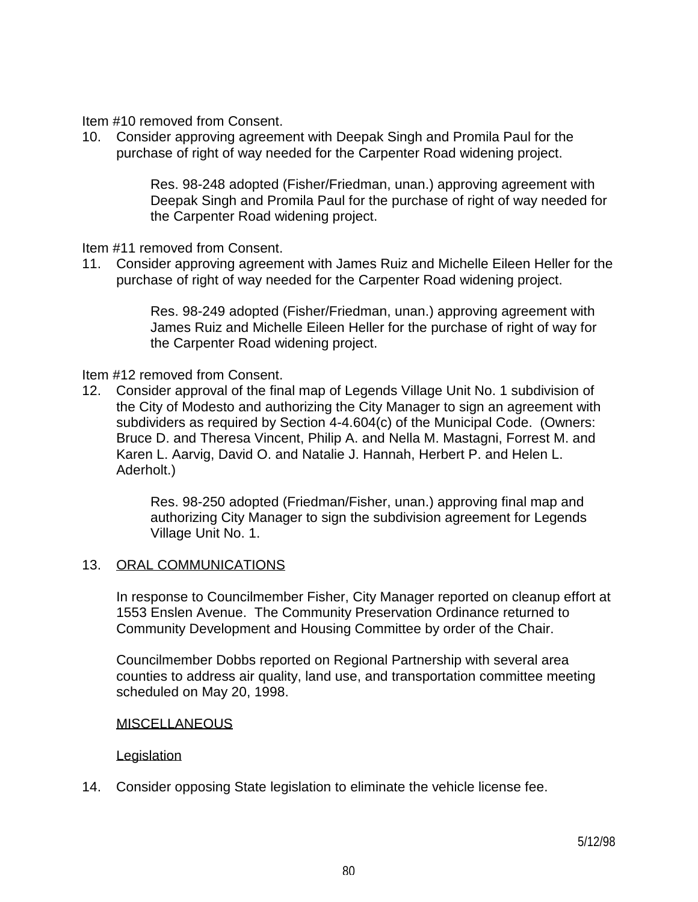Item #10 removed from Consent.

10. Consider approving agreement with Deepak Singh and Promila Paul for the purchase of right of way needed for the Carpenter Road widening project.

> Res. 98-248 adopted (Fisher/Friedman, unan.) approving agreement with Deepak Singh and Promila Paul for the purchase of right of way needed for the Carpenter Road widening project.

Item #11 removed from Consent.

11. Consider approving agreement with James Ruiz and Michelle Eileen Heller for the purchase of right of way needed for the Carpenter Road widening project.

> Res. 98-249 adopted (Fisher/Friedman, unan.) approving agreement with James Ruiz and Michelle Eileen Heller for the purchase of right of way for the Carpenter Road widening project.

Item #12 removed from Consent.

12. Consider approval of the final map of Legends Village Unit No. 1 subdivision of the City of Modesto and authorizing the City Manager to sign an agreement with subdividers as required by Section 4-4.604(c) of the Municipal Code. (Owners: Bruce D. and Theresa Vincent, Philip A. and Nella M. Mastagni, Forrest M. and Karen L. Aarvig, David O. and Natalie J. Hannah, Herbert P. and Helen L. Aderholt.)

> Res. 98-250 adopted (Friedman/Fisher, unan.) approving final map and authorizing City Manager to sign the subdivision agreement for Legends Village Unit No. 1.

## 13. ORAL COMMUNICATIONS

 In response to Councilmember Fisher, City Manager reported on cleanup effort at 1553 Enslen Avenue. The Community Preservation Ordinance returned to Community Development and Housing Committee by order of the Chair.

 Councilmember Dobbs reported on Regional Partnership with several area counties to address air quality, land use, and transportation committee meeting scheduled on May 20, 1998.

### **MISCELLANEOUS**

### **Legislation**

14. Consider opposing State legislation to eliminate the vehicle license fee.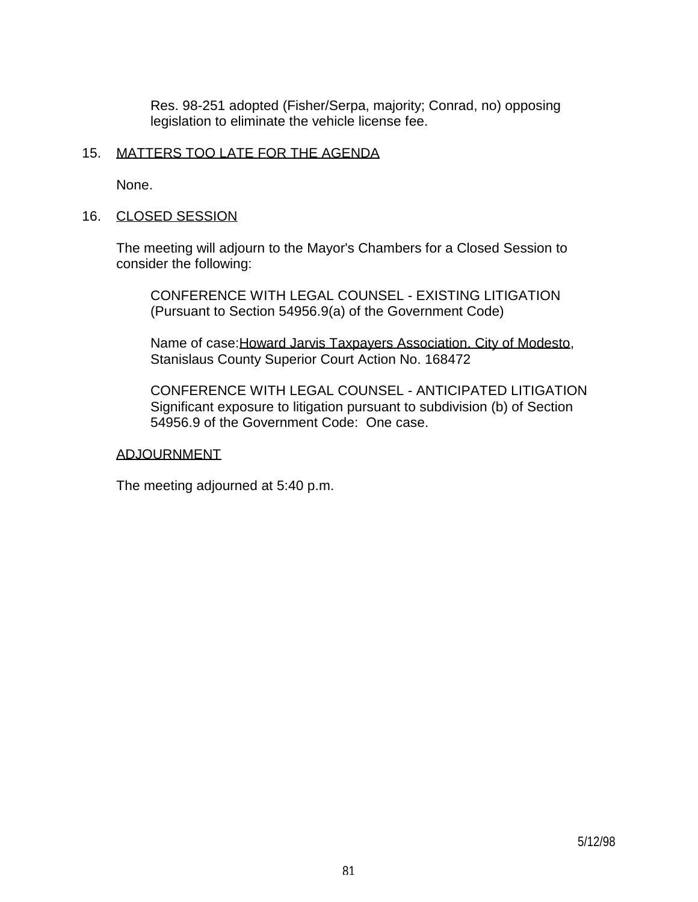Res. 98-251 adopted (Fisher/Serpa, majority; Conrad, no) opposing legislation to eliminate the vehicle license fee.

### 15. MATTERS TOO LATE FOR THE AGENDA

None.

### 16. CLOSED SESSION

 The meeting will adjourn to the Mayor's Chambers for a Closed Session to consider the following:

 CONFERENCE WITH LEGAL COUNSEL - EXISTING LITIGATION (Pursuant to Section 54956.9(a) of the Government Code)

 Name of case:Howard Jarvis Taxpayers Association. City of Modesto, Stanislaus County Superior Court Action No. 168472

 CONFERENCE WITH LEGAL COUNSEL - ANTICIPATED LITIGATION Significant exposure to litigation pursuant to subdivision (b) of Section 54956.9 of the Government Code: One case.

### ADJOURNMENT

The meeting adjourned at 5:40 p.m.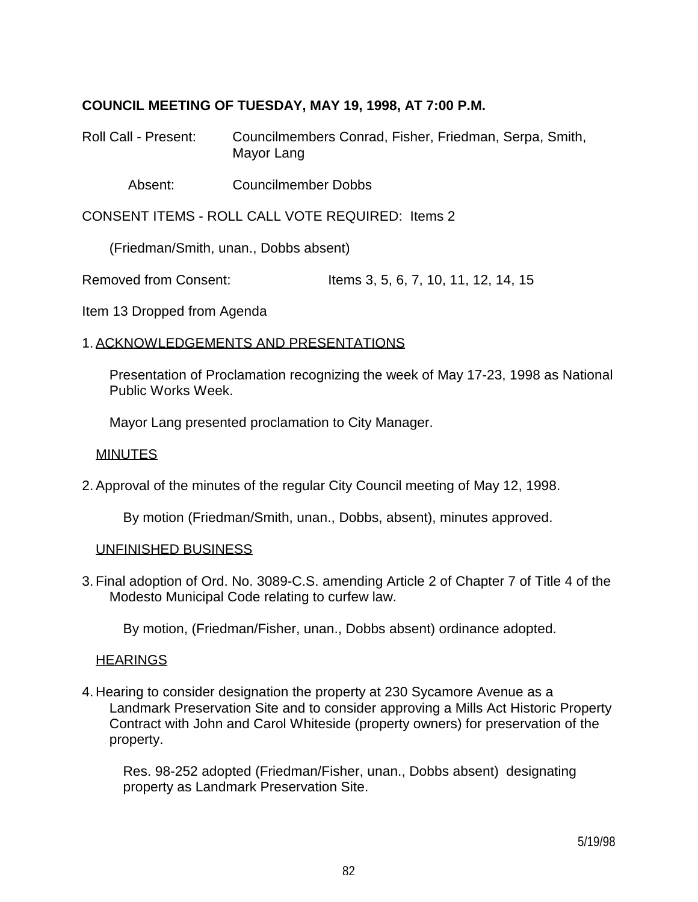## **COUNCIL MEETING OF TUESDAY, MAY 19, 1998, AT 7:00 P.M.**

Roll Call - Present: Councilmembers Conrad, Fisher, Friedman, Serpa, Smith, Mayor Lang

Absent: Councilmember Dobbs

CONSENT ITEMS - ROLL CALL VOTE REQUIRED: Items 2

(Friedman/Smith, unan., Dobbs absent)

Removed from Consent: Items 3, 5, 6, 7, 10, 11, 12, 14, 15

Item 13 Dropped from Agenda

### 1. ACKNOWLEDGEMENTS AND PRESENTATIONS

 Presentation of Proclamation recognizing the week of May 17-23, 1998 as National Public Works Week.

Mayor Lang presented proclamation to City Manager.

#### MINUTES

2. Approval of the minutes of the regular City Council meeting of May 12, 1998.

By motion (Friedman/Smith, unan., Dobbs, absent), minutes approved.

#### UNFINISHED BUSINESS

3. Final adoption of Ord. No. 3089-C.S. amending Article 2 of Chapter 7 of Title 4 of the Modesto Municipal Code relating to curfew law.

By motion, (Friedman/Fisher, unan., Dobbs absent) ordinance adopted.

#### **HEARINGS**

4. Hearing to consider designation the property at 230 Sycamore Avenue as a Landmark Preservation Site and to consider approving a Mills Act Historic Property Contract with John and Carol Whiteside (property owners) for preservation of the property.

 Res. 98-252 adopted (Friedman/Fisher, unan., Dobbs absent) designating property as Landmark Preservation Site.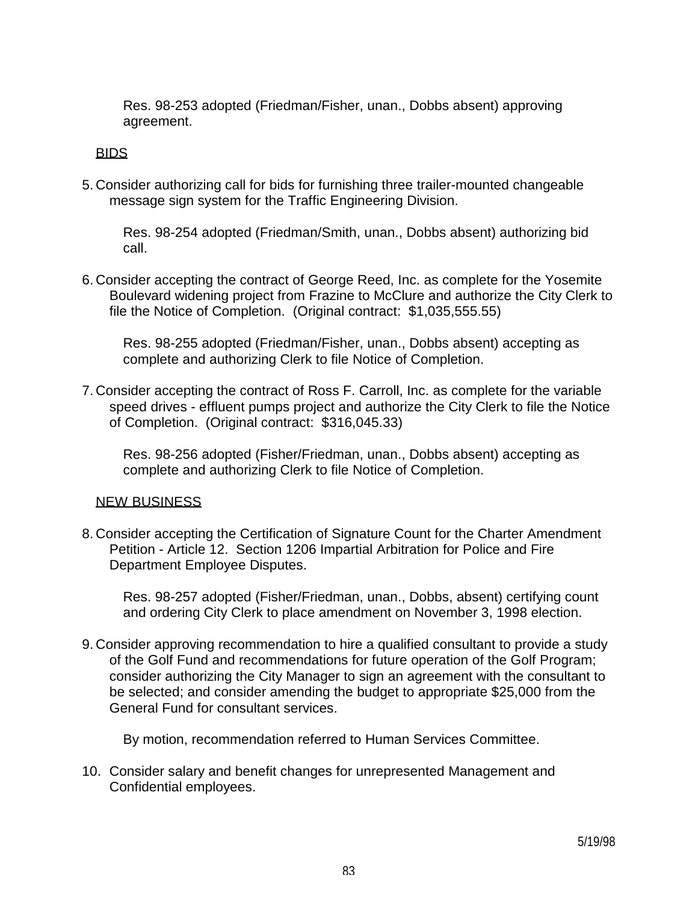Res. 98-253 adopted (Friedman/Fisher, unan., Dobbs absent) approving agreement.

### BIDS

5. Consider authorizing call for bids for furnishing three trailer-mounted changeable message sign system for the Traffic Engineering Division.

 Res. 98-254 adopted (Friedman/Smith, unan., Dobbs absent) authorizing bid call.

6. Consider accepting the contract of George Reed, Inc. as complete for the Yosemite Boulevard widening project from Frazine to McClure and authorize the City Clerk to file the Notice of Completion. (Original contract: \$1,035,555.55)

 Res. 98-255 adopted (Friedman/Fisher, unan., Dobbs absent) accepting as complete and authorizing Clerk to file Notice of Completion.

7. Consider accepting the contract of Ross F. Carroll, Inc. as complete for the variable speed drives - effluent pumps project and authorize the City Clerk to file the Notice of Completion. (Original contract: \$316,045.33)

 Res. 98-256 adopted (Fisher/Friedman, unan., Dobbs absent) accepting as complete and authorizing Clerk to file Notice of Completion.

### NEW BUSINESS

8. Consider accepting the Certification of Signature Count for the Charter Amendment Petition - Article 12. Section 1206 Impartial Arbitration for Police and Fire Department Employee Disputes.

 Res. 98-257 adopted (Fisher/Friedman, unan., Dobbs, absent) certifying count and ordering City Clerk to place amendment on November 3, 1998 election.

9. Consider approving recommendation to hire a qualified consultant to provide a study of the Golf Fund and recommendations for future operation of the Golf Program; consider authorizing the City Manager to sign an agreement with the consultant to be selected; and consider amending the budget to appropriate \$25,000 from the General Fund for consultant services.

By motion, recommendation referred to Human Services Committee.

10. Consider salary and benefit changes for unrepresented Management and Confidential employees.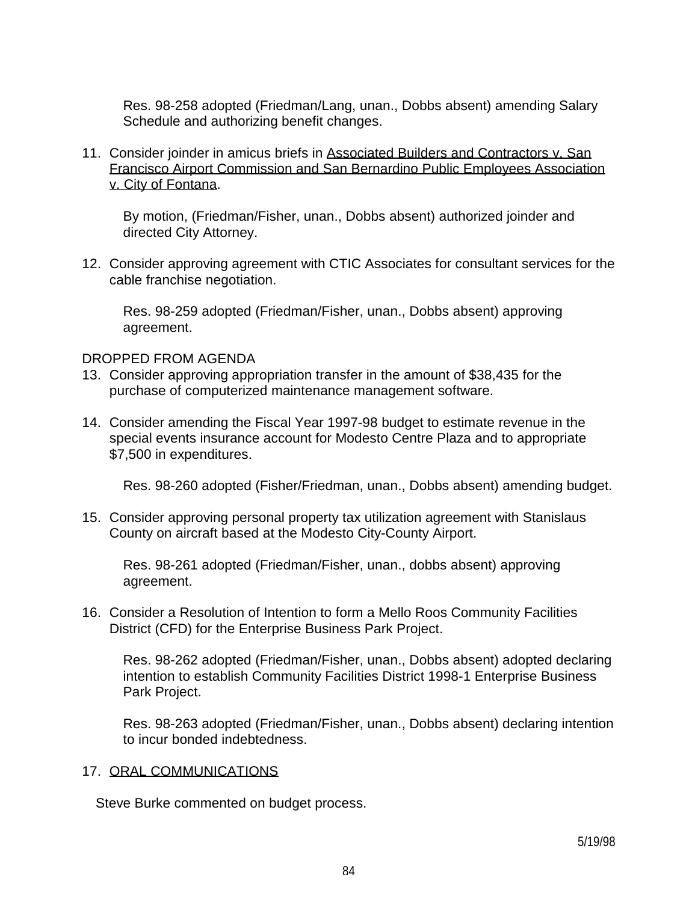Res. 98-258 adopted (Friedman/Lang, unan., Dobbs absent) amending Salary Schedule and authorizing benefit changes.

11. Consider joinder in amicus briefs in Associated Builders and Contractors v. San Francisco Airport Commission and San Bernardino Public Employees Association v. City of Fontana.

 By motion, (Friedman/Fisher, unan., Dobbs absent) authorized joinder and directed City Attorney.

12. Consider approving agreement with CTIC Associates for consultant services for the cable franchise negotiation.

 Res. 98-259 adopted (Friedman/Fisher, unan., Dobbs absent) approving agreement.

### DROPPED FROM AGENDA

- 13. Consider approving appropriation transfer in the amount of \$38,435 for the purchase of computerized maintenance management software.
- 14. Consider amending the Fiscal Year 1997-98 budget to estimate revenue in the special events insurance account for Modesto Centre Plaza and to appropriate \$7,500 in expenditures.

Res. 98-260 adopted (Fisher/Friedman, unan., Dobbs absent) amending budget.

15. Consider approving personal property tax utilization agreement with Stanislaus County on aircraft based at the Modesto City-County Airport.

 Res. 98-261 adopted (Friedman/Fisher, unan., dobbs absent) approving agreement.

16. Consider a Resolution of Intention to form a Mello Roos Community Facilities District (CFD) for the Enterprise Business Park Project.

 Res. 98-262 adopted (Friedman/Fisher, unan., Dobbs absent) adopted declaring intention to establish Community Facilities District 1998-1 Enterprise Business Park Project.

 Res. 98-263 adopted (Friedman/Fisher, unan., Dobbs absent) declaring intention to incur bonded indebtedness.

### 17. ORAL COMMUNICATIONS

Steve Burke commented on budget process.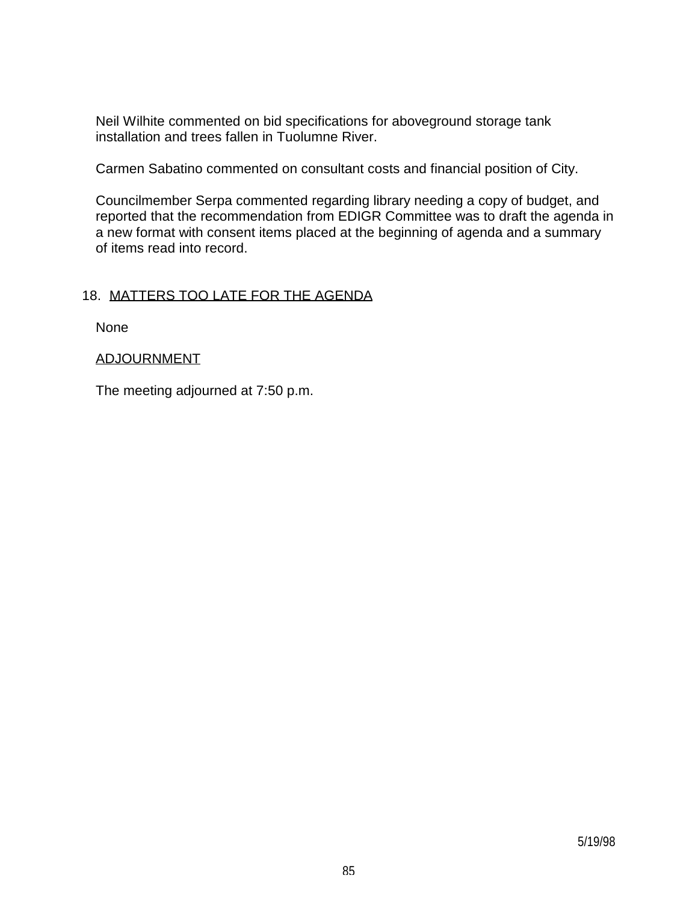Neil Wilhite commented on bid specifications for aboveground storage tank installation and trees fallen in Tuolumne River.

Carmen Sabatino commented on consultant costs and financial position of City.

 Councilmember Serpa commented regarding library needing a copy of budget, and reported that the recommendation from EDIGR Committee was to draft the agenda in a new format with consent items placed at the beginning of agenda and a summary of items read into record.

## 18. MATTERS TOO LATE FOR THE AGENDA

None

### ADJOURNMENT

The meeting adjourned at 7:50 p.m.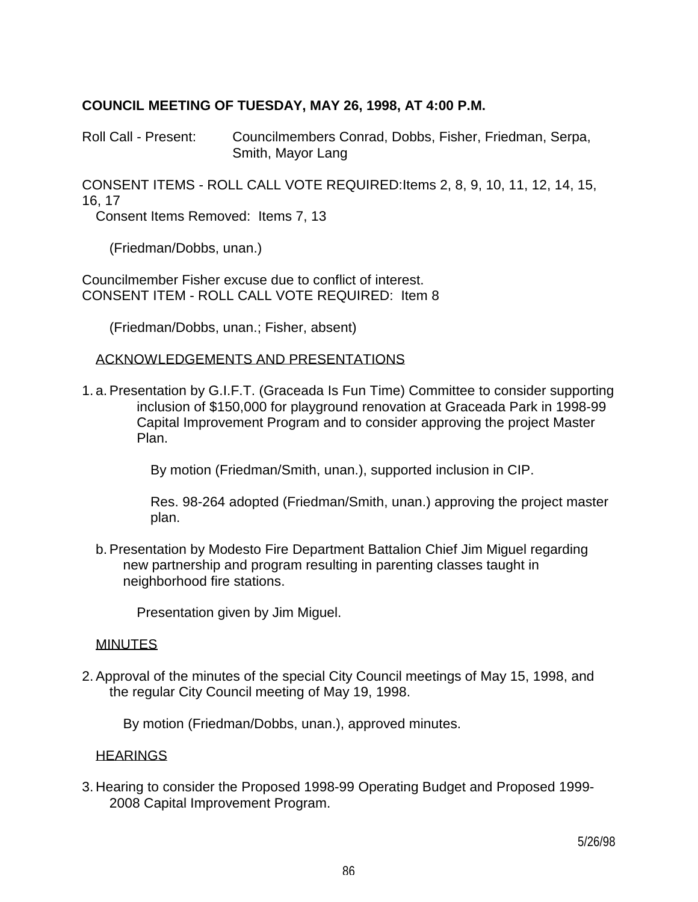### **COUNCIL MEETING OF TUESDAY, MAY 26, 1998, AT 4:00 P.M.**

Roll Call - Present: Councilmembers Conrad, Dobbs, Fisher, Friedman, Serpa, Smith, Mayor Lang

CONSENT ITEMS - ROLL CALL VOTE REQUIRED:Items 2, 8, 9, 10, 11, 12, 14, 15, 16, 17

Consent Items Removed: Items 7, 13

(Friedman/Dobbs, unan.)

Councilmember Fisher excuse due to conflict of interest. CONSENT ITEM - ROLL CALL VOTE REQUIRED: Item 8

(Friedman/Dobbs, unan.; Fisher, absent)

### ACKNOWLEDGEMENTS AND PRESENTATIONS

1. a. Presentation by G.I.F.T. (Graceada Is Fun Time) Committee to consider supporting inclusion of \$150,000 for playground renovation at Graceada Park in 1998-99 Capital Improvement Program and to consider approving the project Master Plan.

By motion (Friedman/Smith, unan.), supported inclusion in CIP.

 Res. 98-264 adopted (Friedman/Smith, unan.) approving the project master plan.

 b. Presentation by Modesto Fire Department Battalion Chief Jim Miguel regarding new partnership and program resulting in parenting classes taught in neighborhood fire stations.

Presentation given by Jim Miguel.

### **MINUTES**

2. Approval of the minutes of the special City Council meetings of May 15, 1998, and the regular City Council meeting of May 19, 1998.

By motion (Friedman/Dobbs, unan.), approved minutes.

### **HEARINGS**

3. Hearing to consider the Proposed 1998-99 Operating Budget and Proposed 1999- 2008 Capital Improvement Program.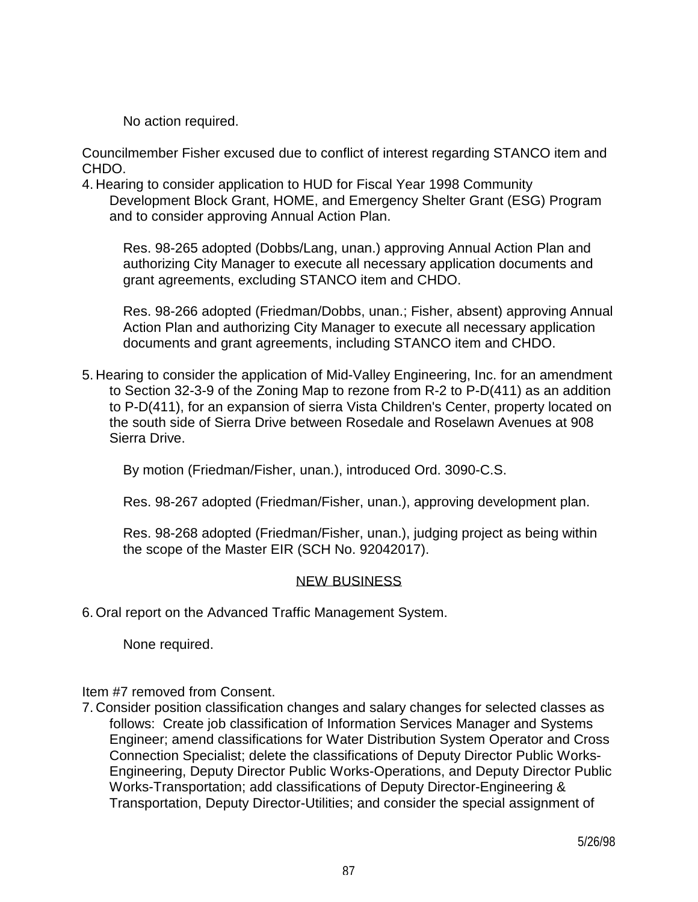No action required.

Councilmember Fisher excused due to conflict of interest regarding STANCO item and CHDO.

4. Hearing to consider application to HUD for Fiscal Year 1998 Community Development Block Grant, HOME, and Emergency Shelter Grant (ESG) Program and to consider approving Annual Action Plan.

 Res. 98-265 adopted (Dobbs/Lang, unan.) approving Annual Action Plan and authorizing City Manager to execute all necessary application documents and grant agreements, excluding STANCO item and CHDO.

 Res. 98-266 adopted (Friedman/Dobbs, unan.; Fisher, absent) approving Annual Action Plan and authorizing City Manager to execute all necessary application documents and grant agreements, including STANCO item and CHDO.

5. Hearing to consider the application of Mid-Valley Engineering, Inc. for an amendment to Section 32-3-9 of the Zoning Map to rezone from R-2 to P-D(411) as an addition to P-D(411), for an expansion of sierra Vista Children's Center, property located on the south side of Sierra Drive between Rosedale and Roselawn Avenues at 908 Sierra Drive.

By motion (Friedman/Fisher, unan.), introduced Ord. 3090-C.S.

Res. 98-267 adopted (Friedman/Fisher, unan.), approving development plan.

 Res. 98-268 adopted (Friedman/Fisher, unan.), judging project as being within the scope of the Master EIR (SCH No. 92042017).

## NEW BUSINESS

6. Oral report on the Advanced Traffic Management System.

None required.

## Item #7 removed from Consent.

7. Consider position classification changes and salary changes for selected classes as follows: Create job classification of Information Services Manager and Systems Engineer; amend classifications for Water Distribution System Operator and Cross Connection Specialist; delete the classifications of Deputy Director Public Works-Engineering, Deputy Director Public Works-Operations, and Deputy Director Public Works-Transportation; add classifications of Deputy Director-Engineering & Transportation, Deputy Director-Utilities; and consider the special assignment of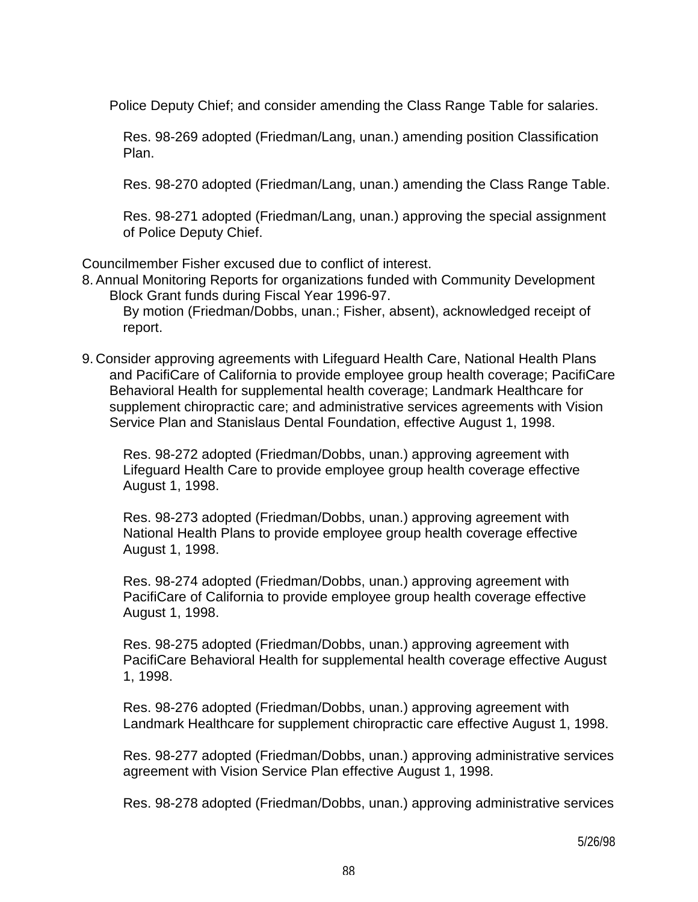Police Deputy Chief; and consider amending the Class Range Table for salaries.

 Res. 98-269 adopted (Friedman/Lang, unan.) amending position Classification Plan.

Res. 98-270 adopted (Friedman/Lang, unan.) amending the Class Range Table.

 Res. 98-271 adopted (Friedman/Lang, unan.) approving the special assignment of Police Deputy Chief.

Councilmember Fisher excused due to conflict of interest.

8. Annual Monitoring Reports for organizations funded with Community Development Block Grant funds during Fiscal Year 1996-97.

 By motion (Friedman/Dobbs, unan.; Fisher, absent), acknowledged receipt of report.

9. Consider approving agreements with Lifeguard Health Care, National Health Plans and PacifiCare of California to provide employee group health coverage; PacifiCare Behavioral Health for supplemental health coverage; Landmark Healthcare for supplement chiropractic care; and administrative services agreements with Vision Service Plan and Stanislaus Dental Foundation, effective August 1, 1998.

 Res. 98-272 adopted (Friedman/Dobbs, unan.) approving agreement with Lifeguard Health Care to provide employee group health coverage effective August 1, 1998.

 Res. 98-273 adopted (Friedman/Dobbs, unan.) approving agreement with National Health Plans to provide employee group health coverage effective August 1, 1998.

 Res. 98-274 adopted (Friedman/Dobbs, unan.) approving agreement with PacifiCare of California to provide employee group health coverage effective August 1, 1998.

 Res. 98-275 adopted (Friedman/Dobbs, unan.) approving agreement with PacifiCare Behavioral Health for supplemental health coverage effective August 1, 1998.

 Res. 98-276 adopted (Friedman/Dobbs, unan.) approving agreement with Landmark Healthcare for supplement chiropractic care effective August 1, 1998.

 Res. 98-277 adopted (Friedman/Dobbs, unan.) approving administrative services agreement with Vision Service Plan effective August 1, 1998.

Res. 98-278 adopted (Friedman/Dobbs, unan.) approving administrative services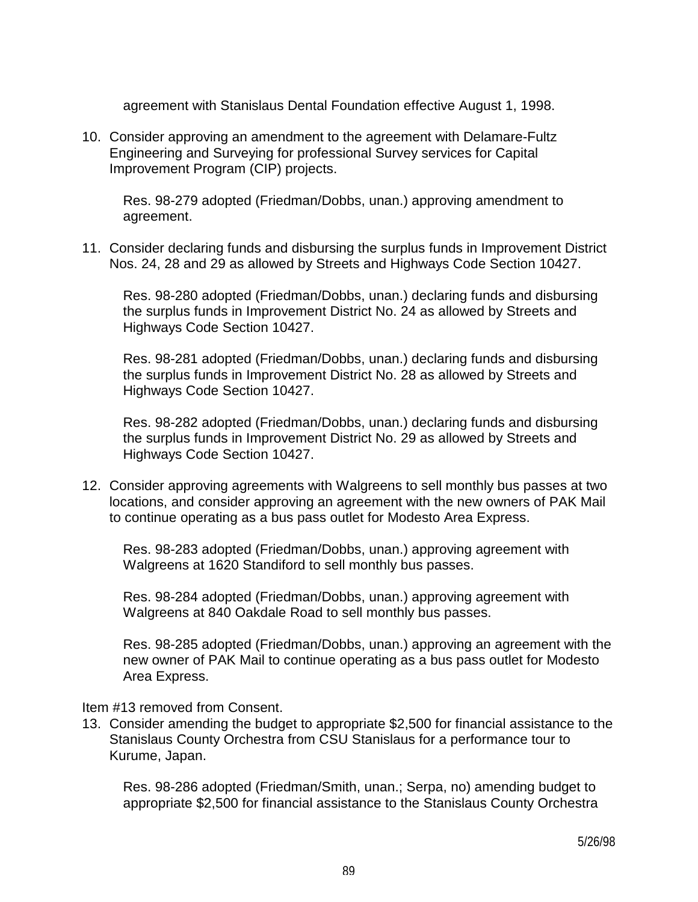agreement with Stanislaus Dental Foundation effective August 1, 1998.

10. Consider approving an amendment to the agreement with Delamare-Fultz Engineering and Surveying for professional Survey services for Capital Improvement Program (CIP) projects.

 Res. 98-279 adopted (Friedman/Dobbs, unan.) approving amendment to agreement.

11. Consider declaring funds and disbursing the surplus funds in Improvement District Nos. 24, 28 and 29 as allowed by Streets and Highways Code Section 10427.

 Res. 98-280 adopted (Friedman/Dobbs, unan.) declaring funds and disbursing the surplus funds in Improvement District No. 24 as allowed by Streets and Highways Code Section 10427.

 Res. 98-281 adopted (Friedman/Dobbs, unan.) declaring funds and disbursing the surplus funds in Improvement District No. 28 as allowed by Streets and Highways Code Section 10427.

 Res. 98-282 adopted (Friedman/Dobbs, unan.) declaring funds and disbursing the surplus funds in Improvement District No. 29 as allowed by Streets and Highways Code Section 10427.

12. Consider approving agreements with Walgreens to sell monthly bus passes at two locations, and consider approving an agreement with the new owners of PAK Mail to continue operating as a bus pass outlet for Modesto Area Express.

 Res. 98-283 adopted (Friedman/Dobbs, unan.) approving agreement with Walgreens at 1620 Standiford to sell monthly bus passes.

 Res. 98-284 adopted (Friedman/Dobbs, unan.) approving agreement with Walgreens at 840 Oakdale Road to sell monthly bus passes.

 Res. 98-285 adopted (Friedman/Dobbs, unan.) approving an agreement with the new owner of PAK Mail to continue operating as a bus pass outlet for Modesto Area Express.

Item #13 removed from Consent.

13. Consider amending the budget to appropriate \$2,500 for financial assistance to the Stanislaus County Orchestra from CSU Stanislaus for a performance tour to Kurume, Japan.

 Res. 98-286 adopted (Friedman/Smith, unan.; Serpa, no) amending budget to appropriate \$2,500 for financial assistance to the Stanislaus County Orchestra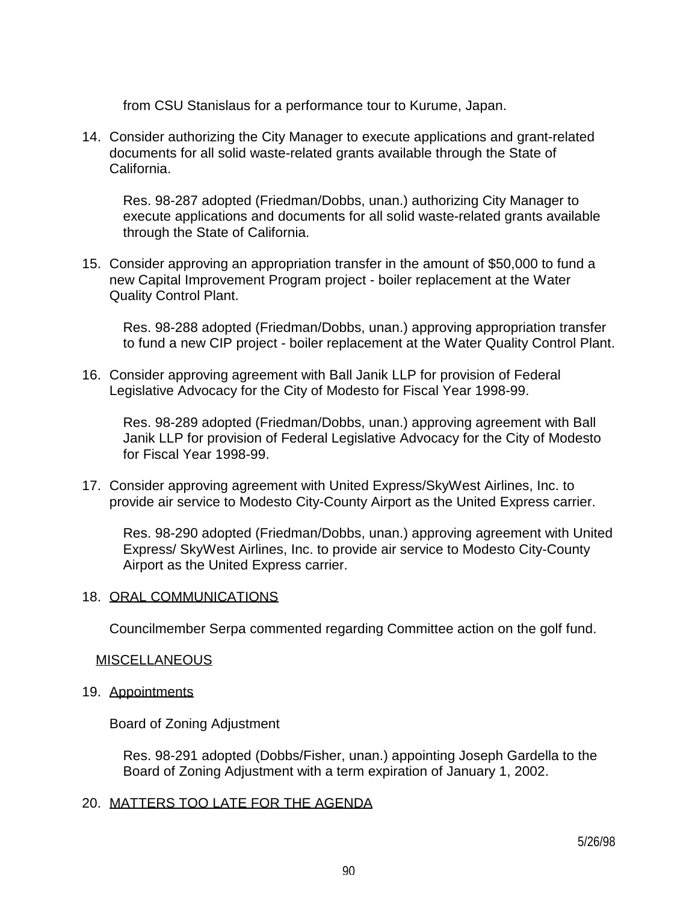from CSU Stanislaus for a performance tour to Kurume, Japan.

14. Consider authorizing the City Manager to execute applications and grant-related documents for all solid waste-related grants available through the State of California.

 Res. 98-287 adopted (Friedman/Dobbs, unan.) authorizing City Manager to execute applications and documents for all solid waste-related grants available through the State of California.

15. Consider approving an appropriation transfer in the amount of \$50,000 to fund a new Capital Improvement Program project - boiler replacement at the Water Quality Control Plant.

 Res. 98-288 adopted (Friedman/Dobbs, unan.) approving appropriation transfer to fund a new CIP project - boiler replacement at the Water Quality Control Plant.

16. Consider approving agreement with Ball Janik LLP for provision of Federal Legislative Advocacy for the City of Modesto for Fiscal Year 1998-99.

 Res. 98-289 adopted (Friedman/Dobbs, unan.) approving agreement with Ball Janik LLP for provision of Federal Legislative Advocacy for the City of Modesto for Fiscal Year 1998-99.

17. Consider approving agreement with United Express/SkyWest Airlines, Inc. to provide air service to Modesto City-County Airport as the United Express carrier.

 Res. 98-290 adopted (Friedman/Dobbs, unan.) approving agreement with United Express/ SkyWest Airlines, Inc. to provide air service to Modesto City-County Airport as the United Express carrier.

## 18. ORAL COMMUNICATIONS

Councilmember Serpa commented regarding Committee action on the golf fund.

## MISCELLANEOUS

19. Appointments

Board of Zoning Adjustment

 Res. 98-291 adopted (Dobbs/Fisher, unan.) appointing Joseph Gardella to the Board of Zoning Adjustment with a term expiration of January 1, 2002.

## 20. MATTERS TOO LATE FOR THE AGENDA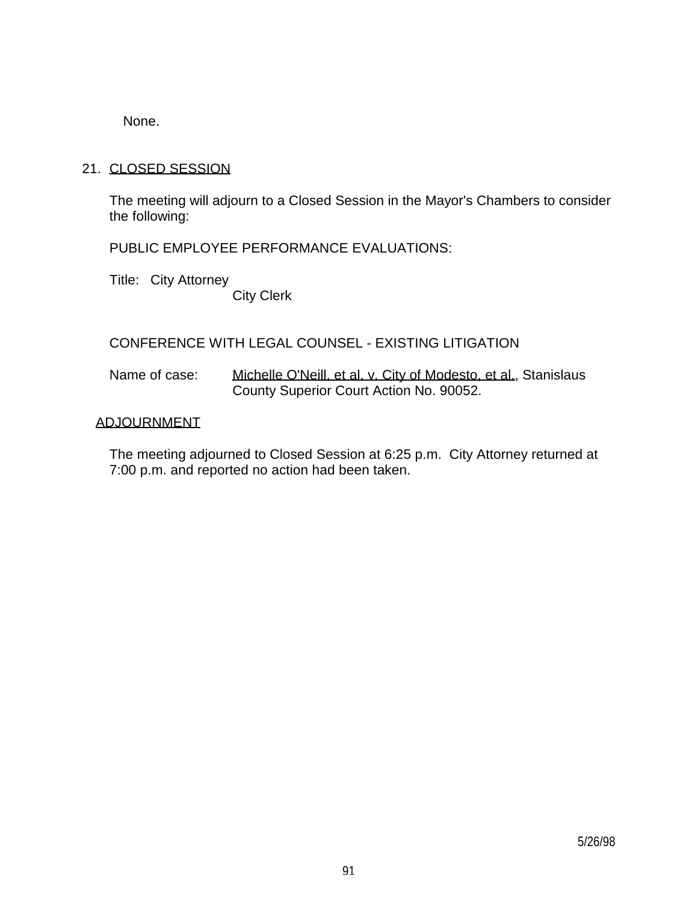None.

## 21. CLOSED SESSION

 The meeting will adjourn to a Closed Session in the Mayor's Chambers to consider the following:

PUBLIC EMPLOYEE PERFORMANCE EVALUATIONS:

Title: City Attorney

City Clerk

## CONFERENCE WITH LEGAL COUNSEL - EXISTING LITIGATION

Name of case: Michelle O'Neill, et al. v. City of Modesto, et al., Stanislaus County Superior Court Action No. 90052.

## ADJOURNMENT

 The meeting adjourned to Closed Session at 6:25 p.m. City Attorney returned at 7:00 p.m. and reported no action had been taken.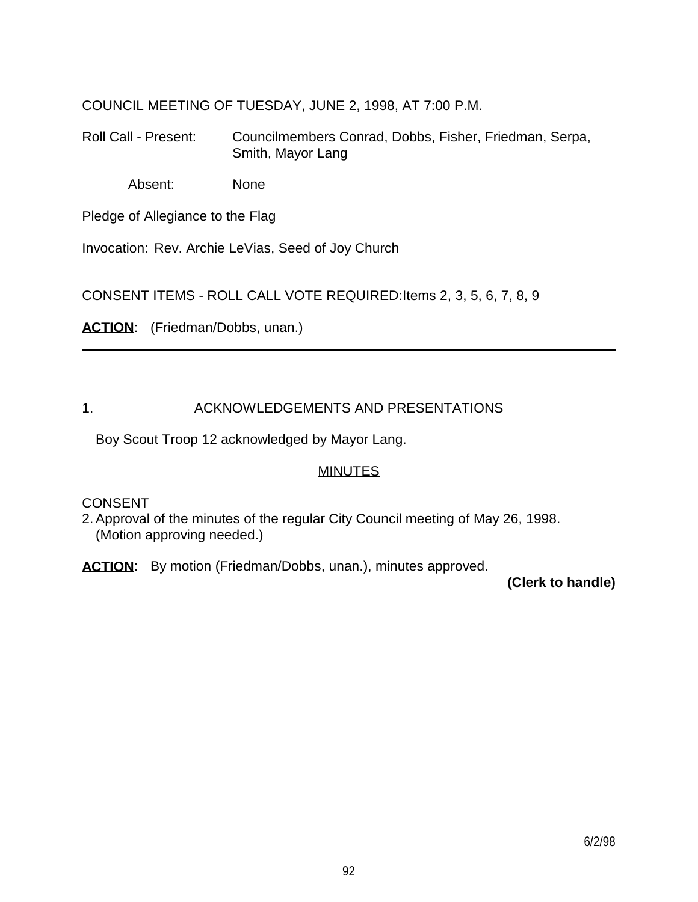COUNCIL MEETING OF TUESDAY, JUNE 2, 1998, AT 7:00 P.M.

Roll Call - Present: Councilmembers Conrad, Dobbs, Fisher, Friedman, Serpa, Smith, Mayor Lang

Absent: None

Pledge of Allegiance to the Flag

Invocation: Rev. Archie LeVias, Seed of Joy Church

CONSENT ITEMS - ROLL CALL VOTE REQUIRED:Items 2, 3, 5, 6, 7, 8, 9

ACTION: (Friedman/Dobbs, unan.)

## 1. ACKNOWLEDGEMENTS AND PRESENTATIONS

Boy Scout Troop 12 acknowledged by Mayor Lang.

# MINUTES

**CONSENT** 

2. Approval of the minutes of the regular City Council meeting of May 26, 1998. (Motion approving needed.)

ACTION: By motion (Friedman/Dobbs, unan.), minutes approved.

 **(Clerk to handle)**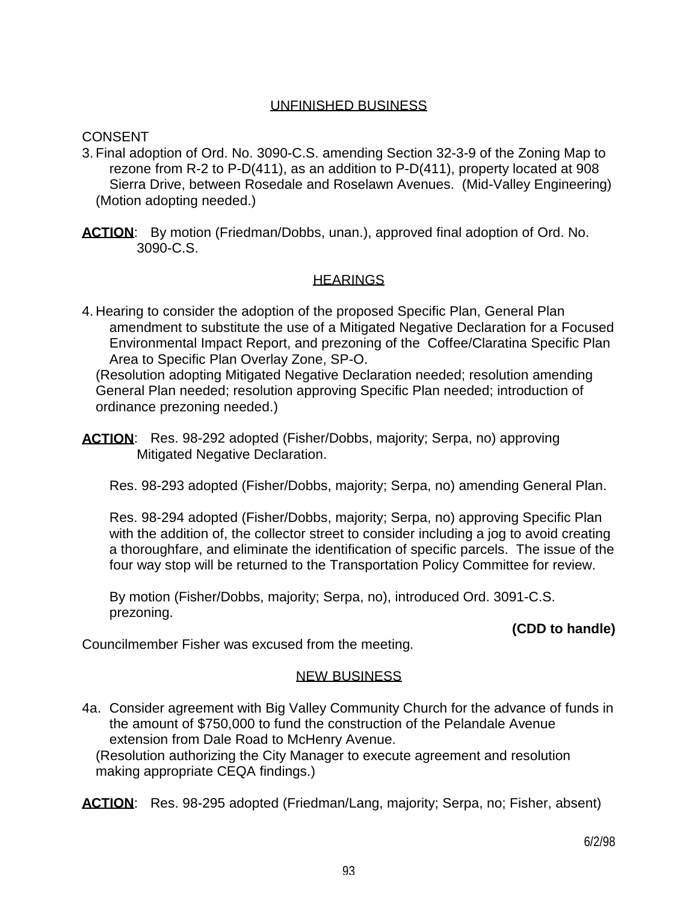## UNFINISHED BUSINESS

CONSENT

- 3. Final adoption of Ord. No. 3090-C.S. amending Section 32-3-9 of the Zoning Map to rezone from R-2 to P-D(411), as an addition to P-D(411), property located at 908 Sierra Drive, between Rosedale and Roselawn Avenues. (Mid-Valley Engineering) (Motion adopting needed.)
- **ACTION**: By motion (Friedman/Dobbs, unan.), approved final adoption of Ord. No. 3090-C.S.

## **HEARINGS**

4. Hearing to consider the adoption of the proposed Specific Plan, General Plan amendment to substitute the use of a Mitigated Negative Declaration for a Focused Environmental Impact Report, and prezoning of the Coffee/Claratina Specific Plan Area to Specific Plan Overlay Zone, SP-O.

 (Resolution adopting Mitigated Negative Declaration needed; resolution amending General Plan needed; resolution approving Specific Plan needed; introduction of ordinance prezoning needed.)

**ACTION**: Res. 98-292 adopted (Fisher/Dobbs, majority; Serpa, no) approving Mitigated Negative Declaration.

Res. 98-293 adopted (Fisher/Dobbs, majority; Serpa, no) amending General Plan.

 Res. 98-294 adopted (Fisher/Dobbs, majority; Serpa, no) approving Specific Plan with the addition of, the collector street to consider including a jog to avoid creating a thoroughfare, and eliminate the identification of specific parcels. The issue of the four way stop will be returned to the Transportation Policy Committee for review.

 By motion (Fisher/Dobbs, majority; Serpa, no), introduced Ord. 3091-C.S. prezoning.

 **(CDD to handle)**

Councilmember Fisher was excused from the meeting.

# NEW BUSINESS

4a. Consider agreement with Big Valley Community Church for the advance of funds in the amount of \$750,000 to fund the construction of the Pelandale Avenue extension from Dale Road to McHenry Avenue.

 (Resolution authorizing the City Manager to execute agreement and resolution making appropriate CEQA findings.)

**ACTION**: Res. 98-295 adopted (Friedman/Lang, majority; Serpa, no; Fisher, absent)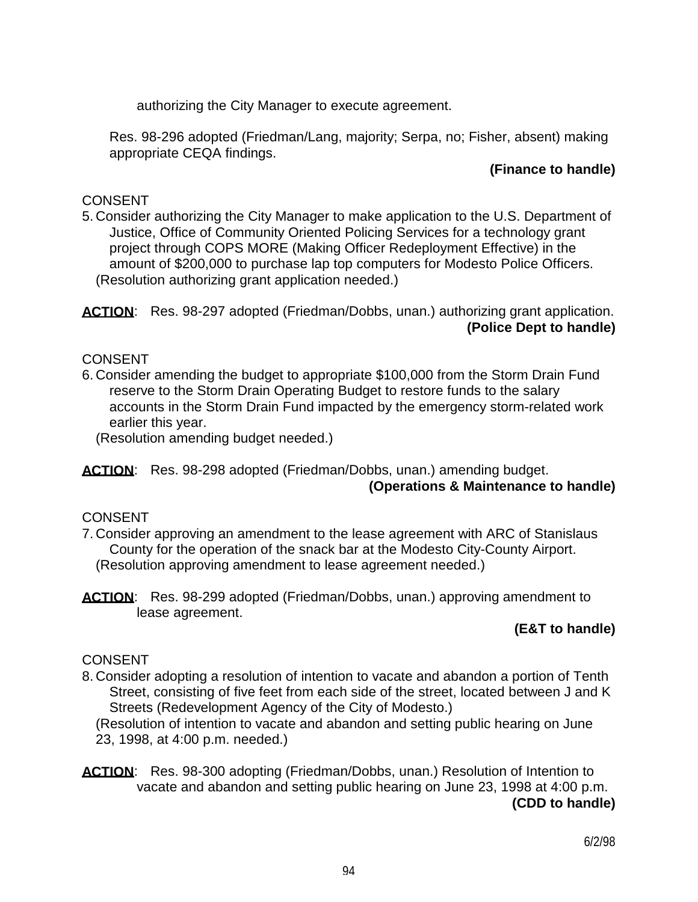authorizing the City Manager to execute agreement.

 Res. 98-296 adopted (Friedman/Lang, majority; Serpa, no; Fisher, absent) making appropriate CEQA findings.

## **(Finance to handle)**

## **CONSENT**

5. Consider authorizing the City Manager to make application to the U.S. Department of Justice, Office of Community Oriented Policing Services for a technology grant project through COPS MORE (Making Officer Redeployment Effective) in the amount of \$200,000 to purchase lap top computers for Modesto Police Officers. (Resolution authorizing grant application needed.)

ACTION: Res. 98-297 adopted (Friedman/Dobbs, unan.) authorizing grant application.  **(Police Dept to handle)**

# **CONSENT**

6. Consider amending the budget to appropriate \$100,000 from the Storm Drain Fund reserve to the Storm Drain Operating Budget to restore funds to the salary accounts in the Storm Drain Fund impacted by the emergency storm-related work earlier this year.

(Resolution amending budget needed.)

ACTION: Res. 98-298 adopted (Friedman/Dobbs, unan.) amending budget.

### **(Operations & Maintenance to handle)**

## CONSENT

- 7. Consider approving an amendment to the lease agreement with ARC of Stanislaus County for the operation of the snack bar at the Modesto City-County Airport. (Resolution approving amendment to lease agreement needed.)
- **ACTION**: Res. 98-299 adopted (Friedman/Dobbs, unan.) approving amendment to lease agreement.

# **(E&T to handle)**

# **CONSENT**

8. Consider adopting a resolution of intention to vacate and abandon a portion of Tenth Street, consisting of five feet from each side of the street, located between J and K Streets (Redevelopment Agency of the City of Modesto.)

 (Resolution of intention to vacate and abandon and setting public hearing on June 23, 1998, at 4:00 p.m. needed.)

**ACTION**: Res. 98-300 adopting (Friedman/Dobbs, unan.) Resolution of Intention to vacate and abandon and setting public hearing on June 23, 1998 at 4:00 p.m.  **(CDD to handle)**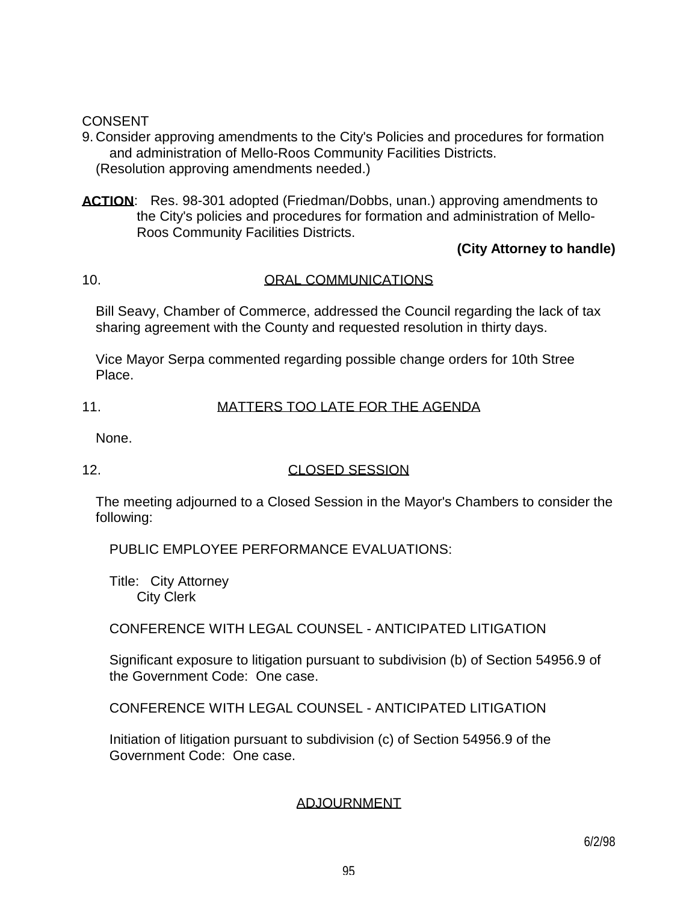### **CONSENT**

9. Consider approving amendments to the City's Policies and procedures for formation and administration of Mello-Roos Community Facilities Districts. (Resolution approving amendments needed.)

**ACTION**: Res. 98-301 adopted (Friedman/Dobbs, unan.) approving amendments to the City's policies and procedures for formation and administration of Mello-Roos Community Facilities Districts.

## **(City Attorney to handle)**

## 10. ORAL COMMUNICATIONS

 Bill Seavy, Chamber of Commerce, addressed the Council regarding the lack of tax sharing agreement with the County and requested resolution in thirty days.

 Vice Mayor Serpa commented regarding possible change orders for 10th Stree Place.

### 11. MATTERS TOO LATE FOR THE AGENDA

None.

### 12. CLOSED SESSION

 The meeting adjourned to a Closed Session in the Mayor's Chambers to consider the following:

PUBLIC EMPLOYEE PERFORMANCE EVALUATIONS:

 Title: City Attorney City Clerk

CONFERENCE WITH LEGAL COUNSEL - ANTICIPATED LITIGATION

 Significant exposure to litigation pursuant to subdivision (b) of Section 54956.9 of the Government Code: One case.

CONFERENCE WITH LEGAL COUNSEL - ANTICIPATED LITIGATION

 Initiation of litigation pursuant to subdivision (c) of Section 54956.9 of the Government Code: One case.

## ADJOURNMENT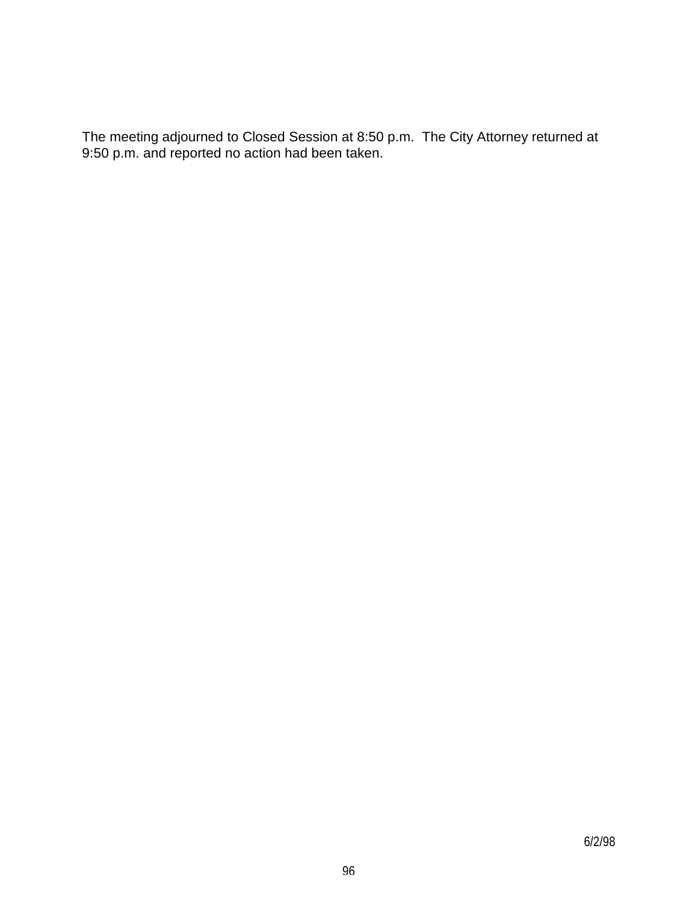The meeting adjourned to Closed Session at 8:50 p.m. The City Attorney returned at 9:50 p.m. and reported no action had been taken.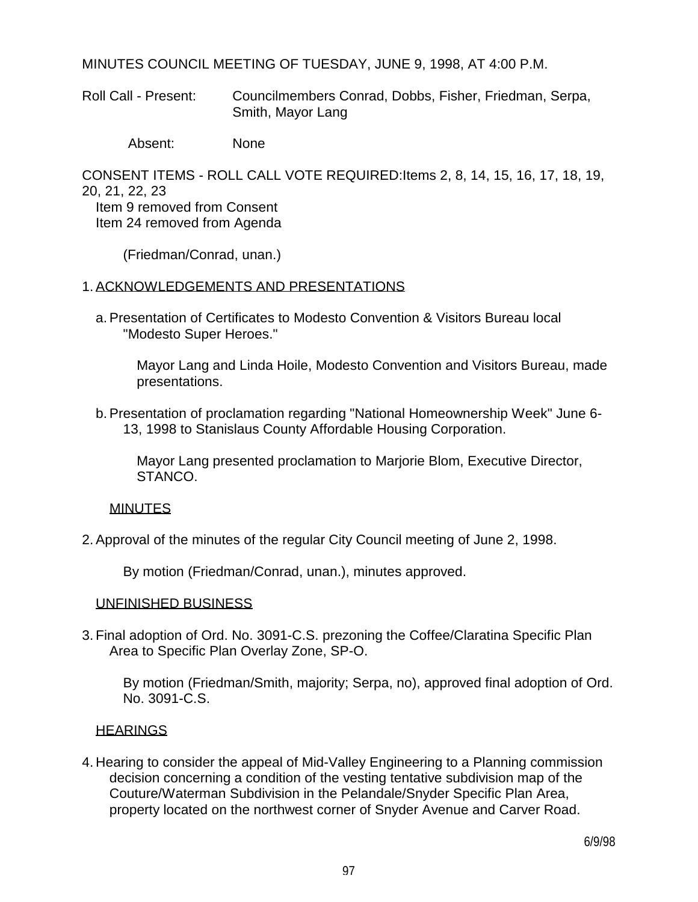MINUTES COUNCIL MEETING OF TUESDAY, JUNE 9, 1998, AT 4:00 P.M.

Roll Call - Present: Councilmembers Conrad, Dobbs, Fisher, Friedman, Serpa, Smith, Mayor Lang

Absent: None

CONSENT ITEMS - ROLL CALL VOTE REQUIRED:Items 2, 8, 14, 15, 16, 17, 18, 19, 20, 21, 22, 23 Item 9 removed from Consent

Item 24 removed from Agenda

(Friedman/Conrad, unan.)

#### 1. ACKNOWLEDGEMENTS AND PRESENTATIONS

 a. Presentation of Certificates to Modesto Convention & Visitors Bureau local "Modesto Super Heroes."

 Mayor Lang and Linda Hoile, Modesto Convention and Visitors Bureau, made presentations.

 b. Presentation of proclamation regarding "National Homeownership Week" June 6- 13, 1998 to Stanislaus County Affordable Housing Corporation.

 Mayor Lang presented proclamation to Marjorie Blom, Executive Director, STANCO.

### MINUTES

2. Approval of the minutes of the regular City Council meeting of June 2, 1998.

By motion (Friedman/Conrad, unan.), minutes approved.

#### UNFINISHED BUSINESS

3. Final adoption of Ord. No. 3091-C.S. prezoning the Coffee/Claratina Specific Plan Area to Specific Plan Overlay Zone, SP-O.

 By motion (Friedman/Smith, majority; Serpa, no), approved final adoption of Ord. No. 3091-C.S.

### **HEARINGS**

4. Hearing to consider the appeal of Mid-Valley Engineering to a Planning commission decision concerning a condition of the vesting tentative subdivision map of the Couture/Waterman Subdivision in the Pelandale/Snyder Specific Plan Area, property located on the northwest corner of Snyder Avenue and Carver Road.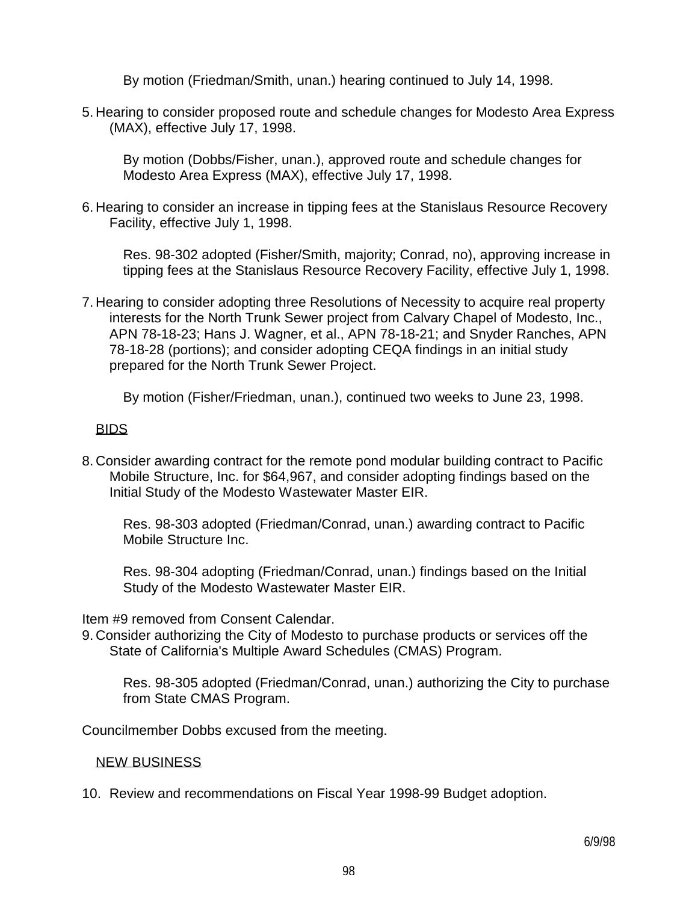By motion (Friedman/Smith, unan.) hearing continued to July 14, 1998.

5. Hearing to consider proposed route and schedule changes for Modesto Area Express (MAX), effective July 17, 1998.

 By motion (Dobbs/Fisher, unan.), approved route and schedule changes for Modesto Area Express (MAX), effective July 17, 1998.

6. Hearing to consider an increase in tipping fees at the Stanislaus Resource Recovery Facility, effective July 1, 1998.

 Res. 98-302 adopted (Fisher/Smith, majority; Conrad, no), approving increase in tipping fees at the Stanislaus Resource Recovery Facility, effective July 1, 1998.

7. Hearing to consider adopting three Resolutions of Necessity to acquire real property interests for the North Trunk Sewer project from Calvary Chapel of Modesto, Inc., APN 78-18-23; Hans J. Wagner, et al., APN 78-18-21; and Snyder Ranches, APN 78-18-28 (portions); and consider adopting CEQA findings in an initial study prepared for the North Trunk Sewer Project.

By motion (Fisher/Friedman, unan.), continued two weeks to June 23, 1998.

## BIDS

8. Consider awarding contract for the remote pond modular building contract to Pacific Mobile Structure, Inc. for \$64,967, and consider adopting findings based on the Initial Study of the Modesto Wastewater Master EIR.

 Res. 98-303 adopted (Friedman/Conrad, unan.) awarding contract to Pacific Mobile Structure Inc.

 Res. 98-304 adopting (Friedman/Conrad, unan.) findings based on the Initial Study of the Modesto Wastewater Master EIR.

Item #9 removed from Consent Calendar.

9. Consider authorizing the City of Modesto to purchase products or services off the State of California's Multiple Award Schedules (CMAS) Program.

 Res. 98-305 adopted (Friedman/Conrad, unan.) authorizing the City to purchase from State CMAS Program.

Councilmember Dobbs excused from the meeting.

## NEW BUSINESS

10. Review and recommendations on Fiscal Year 1998-99 Budget adoption.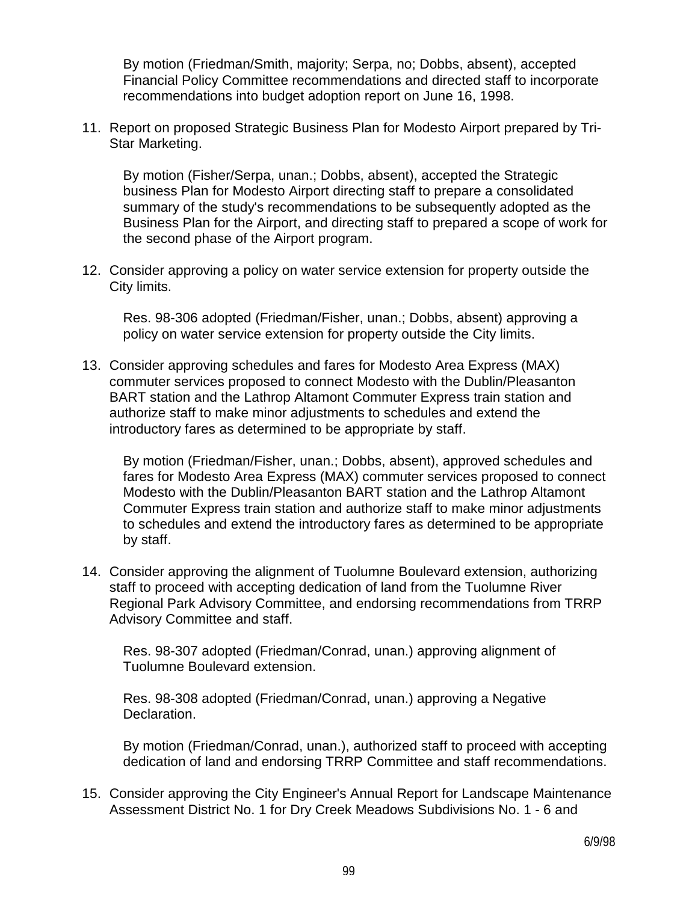By motion (Friedman/Smith, majority; Serpa, no; Dobbs, absent), accepted Financial Policy Committee recommendations and directed staff to incorporate recommendations into budget adoption report on June 16, 1998.

11. Report on proposed Strategic Business Plan for Modesto Airport prepared by Tri-Star Marketing.

 By motion (Fisher/Serpa, unan.; Dobbs, absent), accepted the Strategic business Plan for Modesto Airport directing staff to prepare a consolidated summary of the study's recommendations to be subsequently adopted as the Business Plan for the Airport, and directing staff to prepared a scope of work for the second phase of the Airport program.

12. Consider approving a policy on water service extension for property outside the City limits.

 Res. 98-306 adopted (Friedman/Fisher, unan.; Dobbs, absent) approving a policy on water service extension for property outside the City limits.

13. Consider approving schedules and fares for Modesto Area Express (MAX) commuter services proposed to connect Modesto with the Dublin/Pleasanton BART station and the Lathrop Altamont Commuter Express train station and authorize staff to make minor adjustments to schedules and extend the introductory fares as determined to be appropriate by staff.

 By motion (Friedman/Fisher, unan.; Dobbs, absent), approved schedules and fares for Modesto Area Express (MAX) commuter services proposed to connect Modesto with the Dublin/Pleasanton BART station and the Lathrop Altamont Commuter Express train station and authorize staff to make minor adjustments to schedules and extend the introductory fares as determined to be appropriate by staff.

14. Consider approving the alignment of Tuolumne Boulevard extension, authorizing staff to proceed with accepting dedication of land from the Tuolumne River Regional Park Advisory Committee, and endorsing recommendations from TRRP Advisory Committee and staff.

 Res. 98-307 adopted (Friedman/Conrad, unan.) approving alignment of Tuolumne Boulevard extension.

 Res. 98-308 adopted (Friedman/Conrad, unan.) approving a Negative Declaration.

 By motion (Friedman/Conrad, unan.), authorized staff to proceed with accepting dedication of land and endorsing TRRP Committee and staff recommendations.

15. Consider approving the City Engineer's Annual Report for Landscape Maintenance Assessment District No. 1 for Dry Creek Meadows Subdivisions No. 1 - 6 and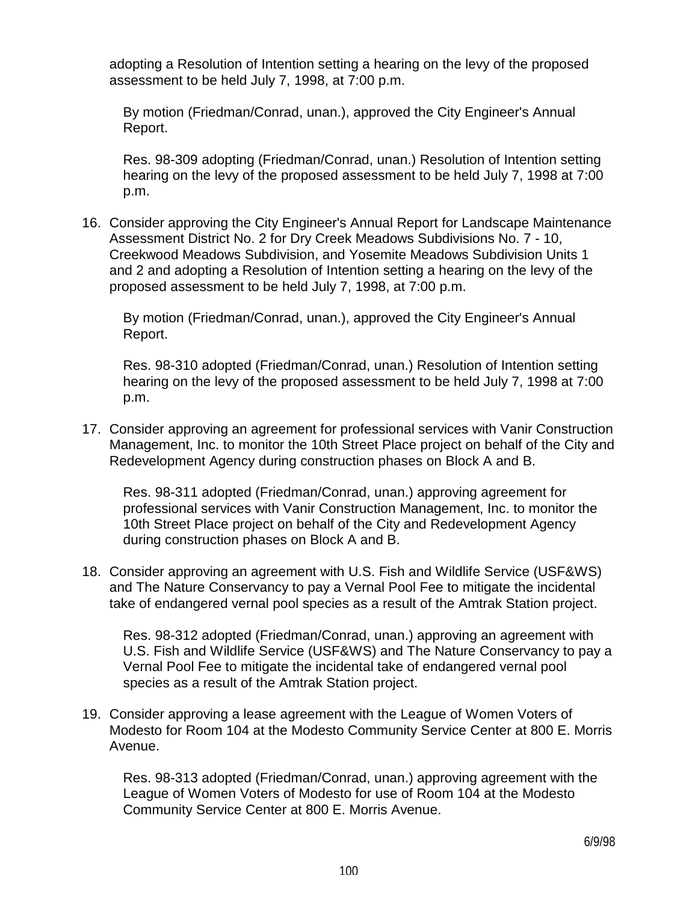adopting a Resolution of Intention setting a hearing on the levy of the proposed assessment to be held July 7, 1998, at 7:00 p.m.

 By motion (Friedman/Conrad, unan.), approved the City Engineer's Annual Report.

 Res. 98-309 adopting (Friedman/Conrad, unan.) Resolution of Intention setting hearing on the levy of the proposed assessment to be held July 7, 1998 at 7:00 p.m.

16. Consider approving the City Engineer's Annual Report for Landscape Maintenance Assessment District No. 2 for Dry Creek Meadows Subdivisions No. 7 - 10, Creekwood Meadows Subdivision, and Yosemite Meadows Subdivision Units 1 and 2 and adopting a Resolution of Intention setting a hearing on the levy of the proposed assessment to be held July 7, 1998, at 7:00 p.m.

 By motion (Friedman/Conrad, unan.), approved the City Engineer's Annual Report.

 Res. 98-310 adopted (Friedman/Conrad, unan.) Resolution of Intention setting hearing on the levy of the proposed assessment to be held July 7, 1998 at 7:00 p.m.

17. Consider approving an agreement for professional services with Vanir Construction Management, Inc. to monitor the 10th Street Place project on behalf of the City and Redevelopment Agency during construction phases on Block A and B.

 Res. 98-311 adopted (Friedman/Conrad, unan.) approving agreement for professional services with Vanir Construction Management, Inc. to monitor the 10th Street Place project on behalf of the City and Redevelopment Agency during construction phases on Block A and B.

18. Consider approving an agreement with U.S. Fish and Wildlife Service (USF&WS) and The Nature Conservancy to pay a Vernal Pool Fee to mitigate the incidental take of endangered vernal pool species as a result of the Amtrak Station project.

 Res. 98-312 adopted (Friedman/Conrad, unan.) approving an agreement with U.S. Fish and Wildlife Service (USF&WS) and The Nature Conservancy to pay a Vernal Pool Fee to mitigate the incidental take of endangered vernal pool species as a result of the Amtrak Station project.

19. Consider approving a lease agreement with the League of Women Voters of Modesto for Room 104 at the Modesto Community Service Center at 800 E. Morris Avenue.

 Res. 98-313 adopted (Friedman/Conrad, unan.) approving agreement with the League of Women Voters of Modesto for use of Room 104 at the Modesto Community Service Center at 800 E. Morris Avenue.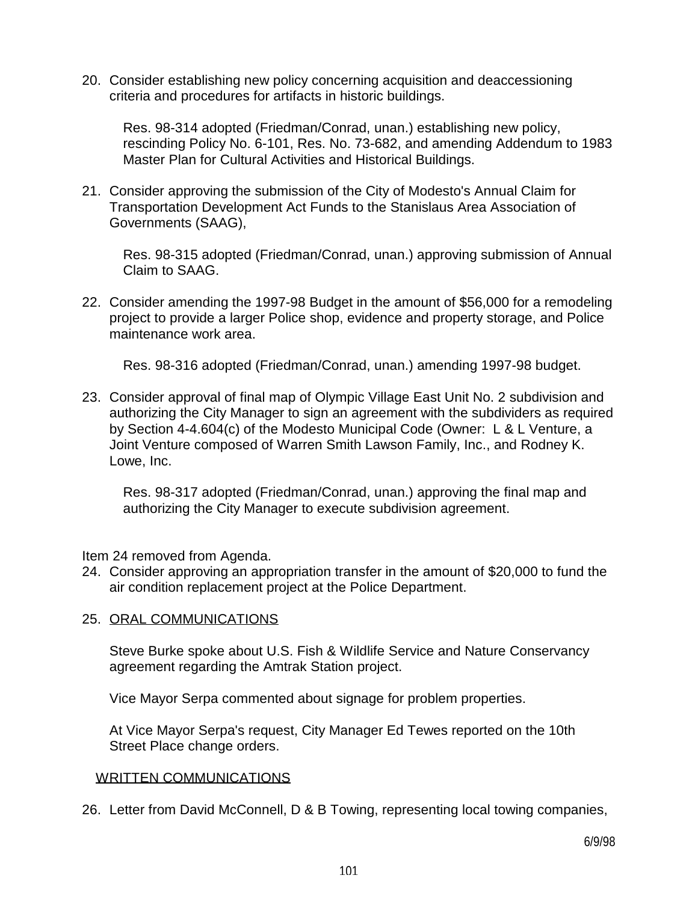20. Consider establishing new policy concerning acquisition and deaccessioning criteria and procedures for artifacts in historic buildings.

 Res. 98-314 adopted (Friedman/Conrad, unan.) establishing new policy, rescinding Policy No. 6-101, Res. No. 73-682, and amending Addendum to 1983 Master Plan for Cultural Activities and Historical Buildings.

21. Consider approving the submission of the City of Modesto's Annual Claim for Transportation Development Act Funds to the Stanislaus Area Association of Governments (SAAG),

 Res. 98-315 adopted (Friedman/Conrad, unan.) approving submission of Annual Claim to SAAG.

22. Consider amending the 1997-98 Budget in the amount of \$56,000 for a remodeling project to provide a larger Police shop, evidence and property storage, and Police maintenance work area.

Res. 98-316 adopted (Friedman/Conrad, unan.) amending 1997-98 budget.

23. Consider approval of final map of Olympic Village East Unit No. 2 subdivision and authorizing the City Manager to sign an agreement with the subdividers as required by Section 4-4.604(c) of the Modesto Municipal Code (Owner: L & L Venture, a Joint Venture composed of Warren Smith Lawson Family, Inc., and Rodney K. Lowe, Inc.

 Res. 98-317 adopted (Friedman/Conrad, unan.) approving the final map and authorizing the City Manager to execute subdivision agreement.

Item 24 removed from Agenda.

24. Consider approving an appropriation transfer in the amount of \$20,000 to fund the air condition replacement project at the Police Department.

## 25. ORAL COMMUNICATIONS

 Steve Burke spoke about U.S. Fish & Wildlife Service and Nature Conservancy agreement regarding the Amtrak Station project.

Vice Mayor Serpa commented about signage for problem properties.

 At Vice Mayor Serpa's request, City Manager Ed Tewes reported on the 10th Street Place change orders.

### WRITTEN COMMUNICATIONS

26. Letter from David McConnell, D & B Towing, representing local towing companies,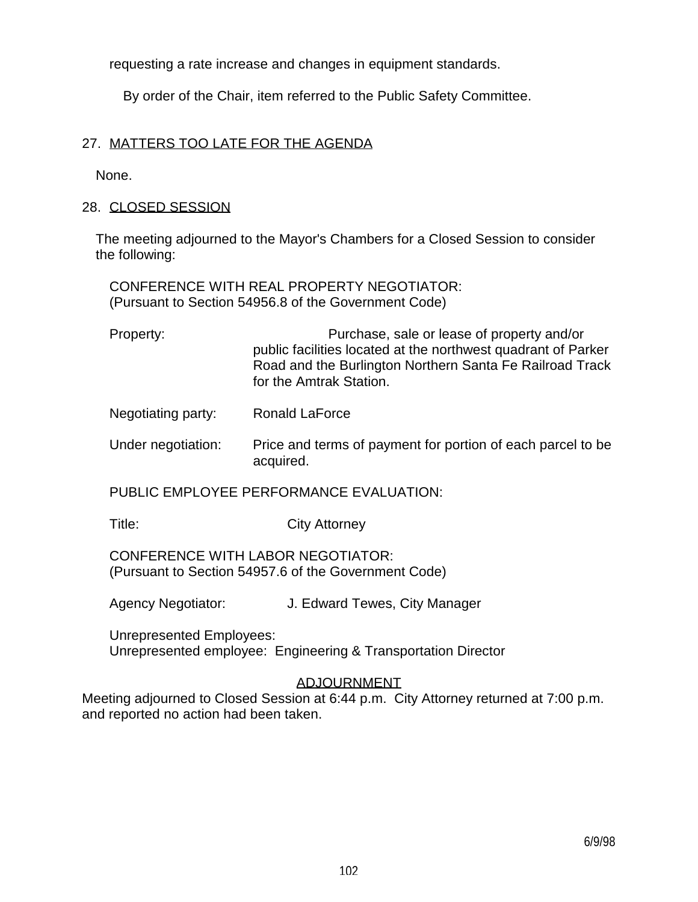requesting a rate increase and changes in equipment standards.

By order of the Chair, item referred to the Public Safety Committee.

## 27. MATTERS TOO LATE FOR THE AGENDA

None.

### 28. CLOSED SESSION

 The meeting adjourned to the Mayor's Chambers for a Closed Session to consider the following:

 CONFERENCE WITH REAL PROPERTY NEGOTIATOR: (Pursuant to Section 54956.8 of the Government Code)

| Property: | Purchase, sale or lease of property and/or                                                                                |
|-----------|---------------------------------------------------------------------------------------------------------------------------|
|           | public facilities located at the northwest quadrant of Parker<br>Road and the Burlington Northern Santa Fe Railroad Track |
|           | for the Amtrak Station.                                                                                                   |

- Negotiating party: Ronald LaForce
- Under negotiation: Price and terms of payment for portion of each parcel to be acquired.

PUBLIC EMPLOYEE PERFORMANCE EVALUATION:

Title: City Attorney

 CONFERENCE WITH LABOR NEGOTIATOR: (Pursuant to Section 54957.6 of the Government Code)

Agency Negotiator: J. Edward Tewes, City Manager

 Unrepresented Employees: Unrepresented employee: Engineering & Transportation Director

# ADJOURNMENT

Meeting adjourned to Closed Session at 6:44 p.m. City Attorney returned at 7:00 p.m. and reported no action had been taken.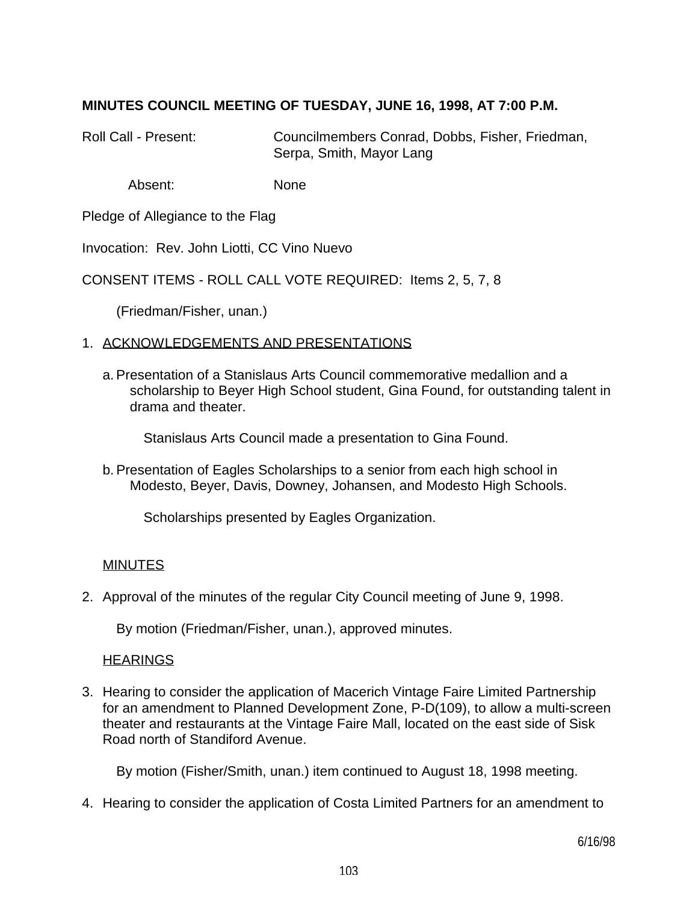## **MINUTES COUNCIL MEETING OF TUESDAY, JUNE 16, 1998, AT 7:00 P.M.**

Roll Call - Present: Councilmembers Conrad, Dobbs, Fisher, Friedman, Serpa, Smith, Mayor Lang

Absent: None

Pledge of Allegiance to the Flag

Invocation: Rev. John Liotti, CC Vino Nuevo

CONSENT ITEMS - ROLL CALL VOTE REQUIRED: Items 2, 5, 7, 8

(Friedman/Fisher, unan.)

### 1. ACKNOWLEDGEMENTS AND PRESENTATIONS

 a. Presentation of a Stanislaus Arts Council commemorative medallion and a scholarship to Beyer High School student, Gina Found, for outstanding talent in drama and theater.

Stanislaus Arts Council made a presentation to Gina Found.

 b. Presentation of Eagles Scholarships to a senior from each high school in Modesto, Beyer, Davis, Downey, Johansen, and Modesto High Schools.

Scholarships presented by Eagles Organization.

### MINUTES

2. Approval of the minutes of the regular City Council meeting of June 9, 1998.

By motion (Friedman/Fisher, unan.), approved minutes.

### **HEARINGS**

3. Hearing to consider the application of Macerich Vintage Faire Limited Partnership for an amendment to Planned Development Zone, P-D(109), to allow a multi-screen theater and restaurants at the Vintage Faire Mall, located on the east side of Sisk Road north of Standiford Avenue.

By motion (Fisher/Smith, unan.) item continued to August 18, 1998 meeting.

4. Hearing to consider the application of Costa Limited Partners for an amendment to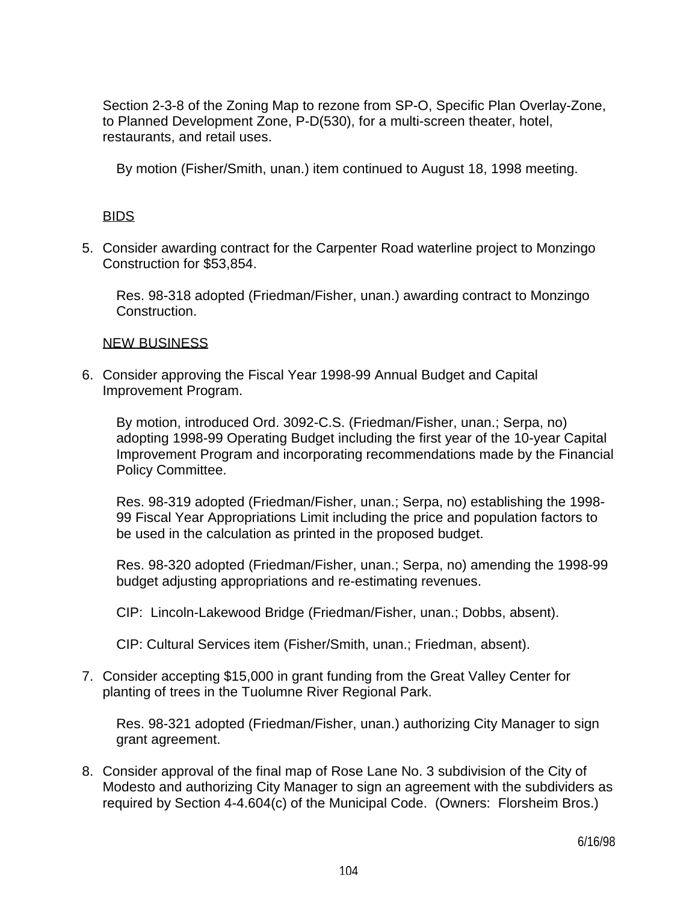Section 2-3-8 of the Zoning Map to rezone from SP-O, Specific Plan Overlay-Zone, to Planned Development Zone, P-D(530), for a multi-screen theater, hotel, restaurants, and retail uses.

By motion (Fisher/Smith, unan.) item continued to August 18, 1998 meeting.

## BIDS

5. Consider awarding contract for the Carpenter Road waterline project to Monzingo Construction for \$53,854.

 Res. 98-318 adopted (Friedman/Fisher, unan.) awarding contract to Monzingo Construction.

## NEW BUSINESS

6. Consider approving the Fiscal Year 1998-99 Annual Budget and Capital Improvement Program.

 By motion, introduced Ord. 3092-C.S. (Friedman/Fisher, unan.; Serpa, no) adopting 1998-99 Operating Budget including the first year of the 10-year Capital Improvement Program and incorporating recommendations made by the Financial Policy Committee.

 Res. 98-319 adopted (Friedman/Fisher, unan.; Serpa, no) establishing the 1998- 99 Fiscal Year Appropriations Limit including the price and population factors to be used in the calculation as printed in the proposed budget.

 Res. 98-320 adopted (Friedman/Fisher, unan.; Serpa, no) amending the 1998-99 budget adjusting appropriations and re-estimating revenues.

CIP: Lincoln-Lakewood Bridge (Friedman/Fisher, unan.; Dobbs, absent).

CIP: Cultural Services item (Fisher/Smith, unan.; Friedman, absent).

7. Consider accepting \$15,000 in grant funding from the Great Valley Center for planting of trees in the Tuolumne River Regional Park.

 Res. 98-321 adopted (Friedman/Fisher, unan.) authorizing City Manager to sign grant agreement.

8. Consider approval of the final map of Rose Lane No. 3 subdivision of the City of Modesto and authorizing City Manager to sign an agreement with the subdividers as required by Section 4-4.604(c) of the Municipal Code. (Owners: Florsheim Bros.)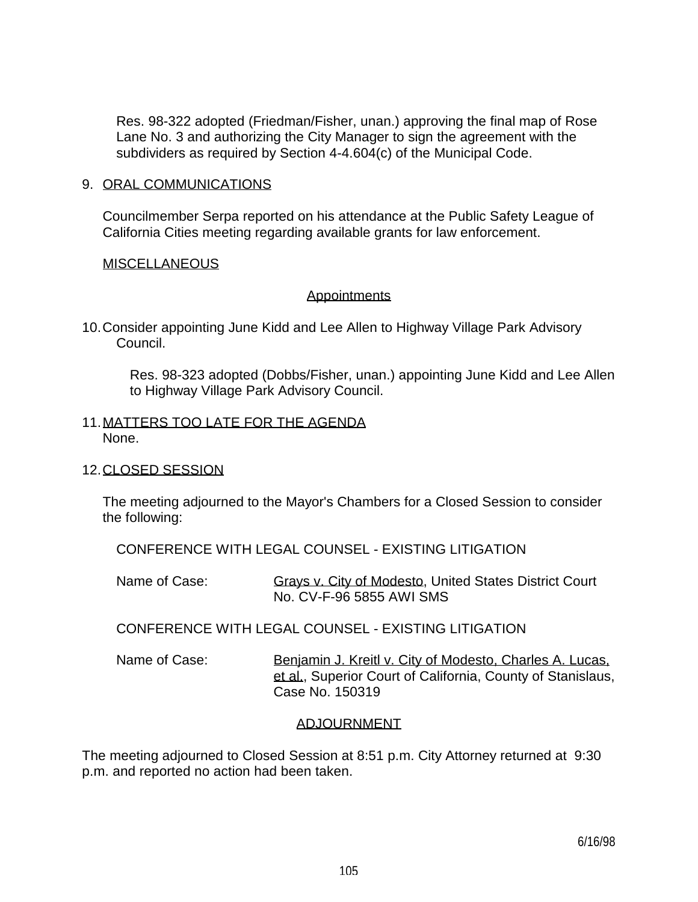Res. 98-322 adopted (Friedman/Fisher, unan.) approving the final map of Rose Lane No. 3 and authorizing the City Manager to sign the agreement with the subdividers as required by Section 4-4.604(c) of the Municipal Code.

#### 9. ORAL COMMUNICATIONS

 Councilmember Serpa reported on his attendance at the Public Safety League of California Cities meeting regarding available grants for law enforcement.

### **MISCELLANEOUS**

### **Appointments**

10. Consider appointing June Kidd and Lee Allen to Highway Village Park Advisory Council.

 Res. 98-323 adopted (Dobbs/Fisher, unan.) appointing June Kidd and Lee Allen to Highway Village Park Advisory Council.

### 11. MATTERS TOO LATE FOR THE AGENDA None.

### 12. CLOSED SESSION

 The meeting adjourned to the Mayor's Chambers for a Closed Session to consider the following:

CONFERENCE WITH LEGAL COUNSEL - EXISTING LITIGATION

Name of Case: Grays v. City of Modesto, United States District Court No. CV-F-96 5855 AWI SMS

CONFERENCE WITH LEGAL COUNSEL - EXISTING LITIGATION

Name of Case: Benjamin J. Kreitl v. City of Modesto, Charles A. Lucas, et al., Superior Court of California, County of Stanislaus, Case No. 150319

## ADJOURNMENT

The meeting adjourned to Closed Session at 8:51 p.m. City Attorney returned at 9:30 p.m. and reported no action had been taken.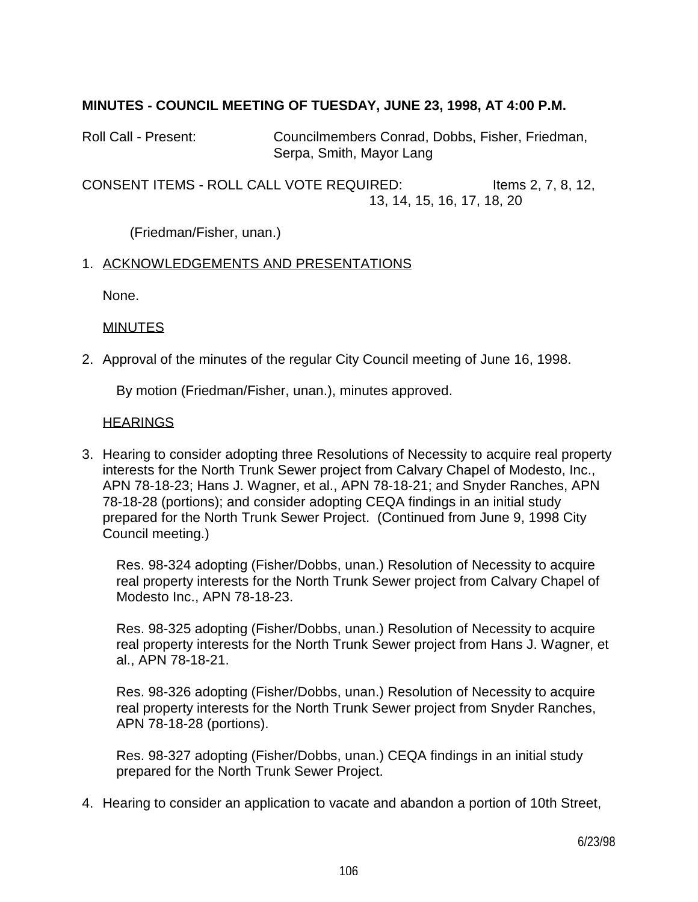## **MINUTES - COUNCIL MEETING OF TUESDAY, JUNE 23, 1998, AT 4:00 P.M.**

Roll Call - Present: Councilmembers Conrad, Dobbs, Fisher, Friedman, Serpa, Smith, Mayor Lang

CONSENT ITEMS - ROLL CALL VOTE REQUIRED: Items 2, 7, 8, 12, 13, 14, 15, 16, 17, 18, 20

(Friedman/Fisher, unan.)

### 1. ACKNOWLEDGEMENTS AND PRESENTATIONS

None.

### **MINUTES**

2. Approval of the minutes of the regular City Council meeting of June 16, 1998.

By motion (Friedman/Fisher, unan.), minutes approved.

### **HEARINGS**

3. Hearing to consider adopting three Resolutions of Necessity to acquire real property interests for the North Trunk Sewer project from Calvary Chapel of Modesto, Inc., APN 78-18-23; Hans J. Wagner, et al., APN 78-18-21; and Snyder Ranches, APN 78-18-28 (portions); and consider adopting CEQA findings in an initial study prepared for the North Trunk Sewer Project. (Continued from June 9, 1998 City Council meeting.)

 Res. 98-324 adopting (Fisher/Dobbs, unan.) Resolution of Necessity to acquire real property interests for the North Trunk Sewer project from Calvary Chapel of Modesto Inc., APN 78-18-23.

 Res. 98-325 adopting (Fisher/Dobbs, unan.) Resolution of Necessity to acquire real property interests for the North Trunk Sewer project from Hans J. Wagner, et al., APN 78-18-21.

 Res. 98-326 adopting (Fisher/Dobbs, unan.) Resolution of Necessity to acquire real property interests for the North Trunk Sewer project from Snyder Ranches, APN 78-18-28 (portions).

 Res. 98-327 adopting (Fisher/Dobbs, unan.) CEQA findings in an initial study prepared for the North Trunk Sewer Project.

4. Hearing to consider an application to vacate and abandon a portion of 10th Street,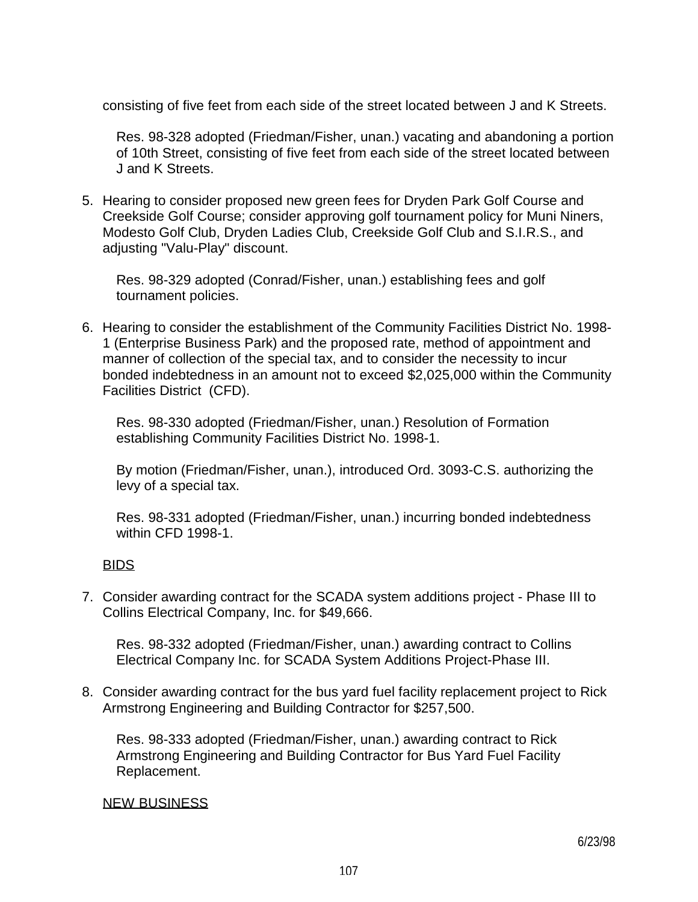consisting of five feet from each side of the street located between J and K Streets.

 Res. 98-328 adopted (Friedman/Fisher, unan.) vacating and abandoning a portion of 10th Street, consisting of five feet from each side of the street located between J and K Streets.

5. Hearing to consider proposed new green fees for Dryden Park Golf Course and Creekside Golf Course; consider approving golf tournament policy for Muni Niners, Modesto Golf Club, Dryden Ladies Club, Creekside Golf Club and S.I.R.S., and adjusting "Valu-Play" discount.

 Res. 98-329 adopted (Conrad/Fisher, unan.) establishing fees and golf tournament policies.

6. Hearing to consider the establishment of the Community Facilities District No. 1998- 1 (Enterprise Business Park) and the proposed rate, method of appointment and manner of collection of the special tax, and to consider the necessity to incur bonded indebtedness in an amount not to exceed \$2,025,000 within the Community Facilities District (CFD).

 Res. 98-330 adopted (Friedman/Fisher, unan.) Resolution of Formation establishing Community Facilities District No. 1998-1.

 By motion (Friedman/Fisher, unan.), introduced Ord. 3093-C.S. authorizing the levy of a special tax.

 Res. 98-331 adopted (Friedman/Fisher, unan.) incurring bonded indebtedness within CFD 1998-1.

## BIDS

7. Consider awarding contract for the SCADA system additions project - Phase III to Collins Electrical Company, Inc. for \$49,666.

 Res. 98-332 adopted (Friedman/Fisher, unan.) awarding contract to Collins Electrical Company Inc. for SCADA System Additions Project-Phase III.

8. Consider awarding contract for the bus yard fuel facility replacement project to Rick Armstrong Engineering and Building Contractor for \$257,500.

 Res. 98-333 adopted (Friedman/Fisher, unan.) awarding contract to Rick Armstrong Engineering and Building Contractor for Bus Yard Fuel Facility Replacement.

### NEW BUSINESS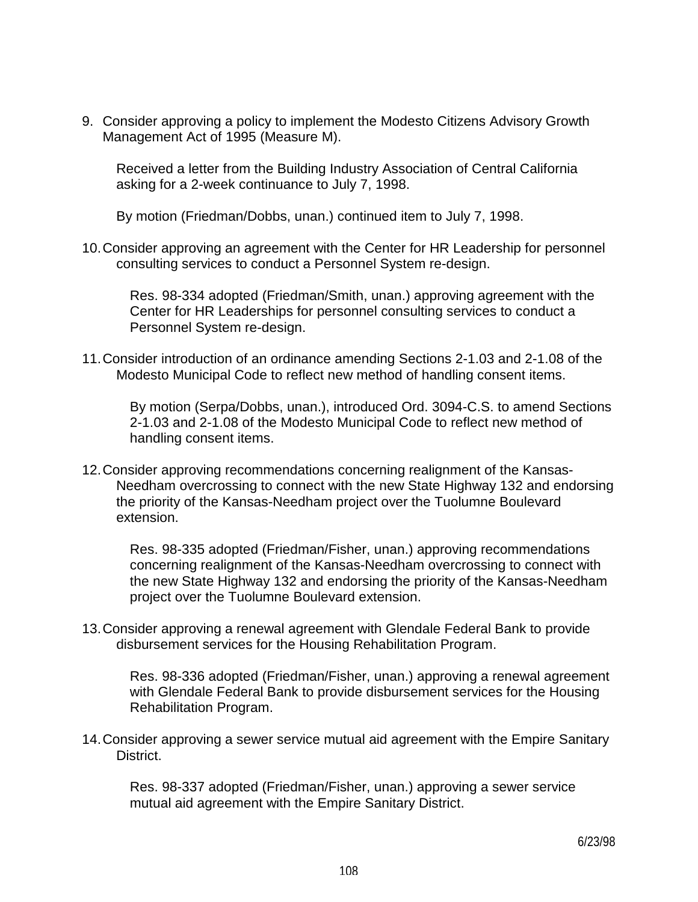9. Consider approving a policy to implement the Modesto Citizens Advisory Growth Management Act of 1995 (Measure M).

 Received a letter from the Building Industry Association of Central California asking for a 2-week continuance to July 7, 1998.

By motion (Friedman/Dobbs, unan.) continued item to July 7, 1998.

10. Consider approving an agreement with the Center for HR Leadership for personnel consulting services to conduct a Personnel System re-design.

 Res. 98-334 adopted (Friedman/Smith, unan.) approving agreement with the Center for HR Leaderships for personnel consulting services to conduct a Personnel System re-design.

11. Consider introduction of an ordinance amending Sections 2-1.03 and 2-1.08 of the Modesto Municipal Code to reflect new method of handling consent items.

 By motion (Serpa/Dobbs, unan.), introduced Ord. 3094-C.S. to amend Sections 2-1.03 and 2-1.08 of the Modesto Municipal Code to reflect new method of handling consent items.

12. Consider approving recommendations concerning realignment of the Kansas-Needham overcrossing to connect with the new State Highway 132 and endorsing the priority of the Kansas-Needham project over the Tuolumne Boulevard extension.

 Res. 98-335 adopted (Friedman/Fisher, unan.) approving recommendations concerning realignment of the Kansas-Needham overcrossing to connect with the new State Highway 132 and endorsing the priority of the Kansas-Needham project over the Tuolumne Boulevard extension.

13. Consider approving a renewal agreement with Glendale Federal Bank to provide disbursement services for the Housing Rehabilitation Program.

 Res. 98-336 adopted (Friedman/Fisher, unan.) approving a renewal agreement with Glendale Federal Bank to provide disbursement services for the Housing Rehabilitation Program.

14. Consider approving a sewer service mutual aid agreement with the Empire Sanitary District.

 Res. 98-337 adopted (Friedman/Fisher, unan.) approving a sewer service mutual aid agreement with the Empire Sanitary District.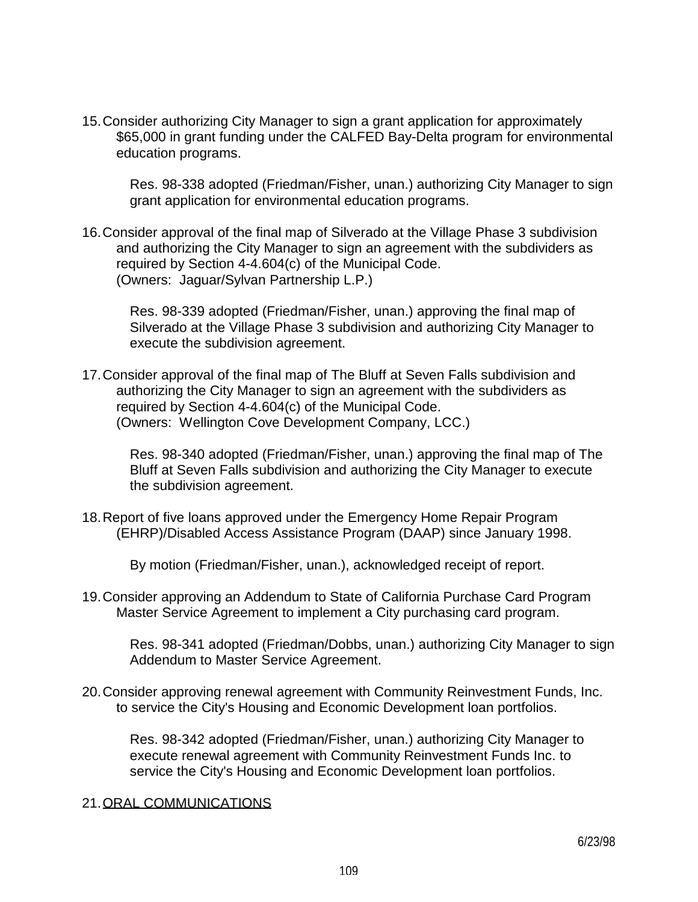15. Consider authorizing City Manager to sign a grant application for approximately \$65,000 in grant funding under the CALFED Bay-Delta program for environmental education programs.

 Res. 98-338 adopted (Friedman/Fisher, unan.) authorizing City Manager to sign grant application for environmental education programs.

16. Consider approval of the final map of Silverado at the Village Phase 3 subdivision and authorizing the City Manager to sign an agreement with the subdividers as required by Section 4-4.604(c) of the Municipal Code. (Owners: Jaguar/Sylvan Partnership L.P.)

 Res. 98-339 adopted (Friedman/Fisher, unan.) approving the final map of Silverado at the Village Phase 3 subdivision and authorizing City Manager to execute the subdivision agreement.

17. Consider approval of the final map of The Bluff at Seven Falls subdivision and authorizing the City Manager to sign an agreement with the subdividers as required by Section 4-4.604(c) of the Municipal Code. (Owners: Wellington Cove Development Company, LCC.)

 Res. 98-340 adopted (Friedman/Fisher, unan.) approving the final map of The Bluff at Seven Falls subdivision and authorizing the City Manager to execute the subdivision agreement.

18. Report of five loans approved under the Emergency Home Repair Program (EHRP)/Disabled Access Assistance Program (DAAP) since January 1998.

By motion (Friedman/Fisher, unan.), acknowledged receipt of report.

19. Consider approving an Addendum to State of California Purchase Card Program Master Service Agreement to implement a City purchasing card program.

 Res. 98-341 adopted (Friedman/Dobbs, unan.) authorizing City Manager to sign Addendum to Master Service Agreement.

20. Consider approving renewal agreement with Community Reinvestment Funds, Inc. to service the City's Housing and Economic Development loan portfolios.

 Res. 98-342 adopted (Friedman/Fisher, unan.) authorizing City Manager to execute renewal agreement with Community Reinvestment Funds Inc. to service the City's Housing and Economic Development loan portfolios.

## 21. ORAL COMMUNICATIONS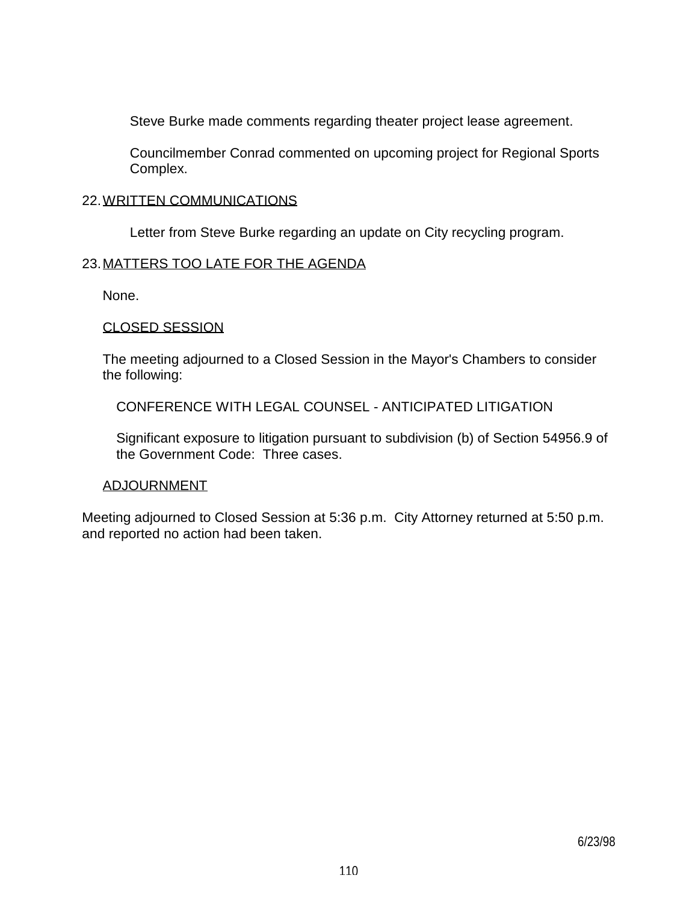Steve Burke made comments regarding theater project lease agreement.

 Councilmember Conrad commented on upcoming project for Regional Sports Complex.

### 22. WRITTEN COMMUNICATIONS

Letter from Steve Burke regarding an update on City recycling program.

## 23. MATTERS TOO LATE FOR THE AGENDA

None.

### CLOSED SESSION

 The meeting adjourned to a Closed Session in the Mayor's Chambers to consider the following:

CONFERENCE WITH LEGAL COUNSEL - ANTICIPATED LITIGATION

 Significant exposure to litigation pursuant to subdivision (b) of Section 54956.9 of the Government Code: Three cases.

## ADJOURNMENT

Meeting adjourned to Closed Session at 5:36 p.m. City Attorney returned at 5:50 p.m. and reported no action had been taken.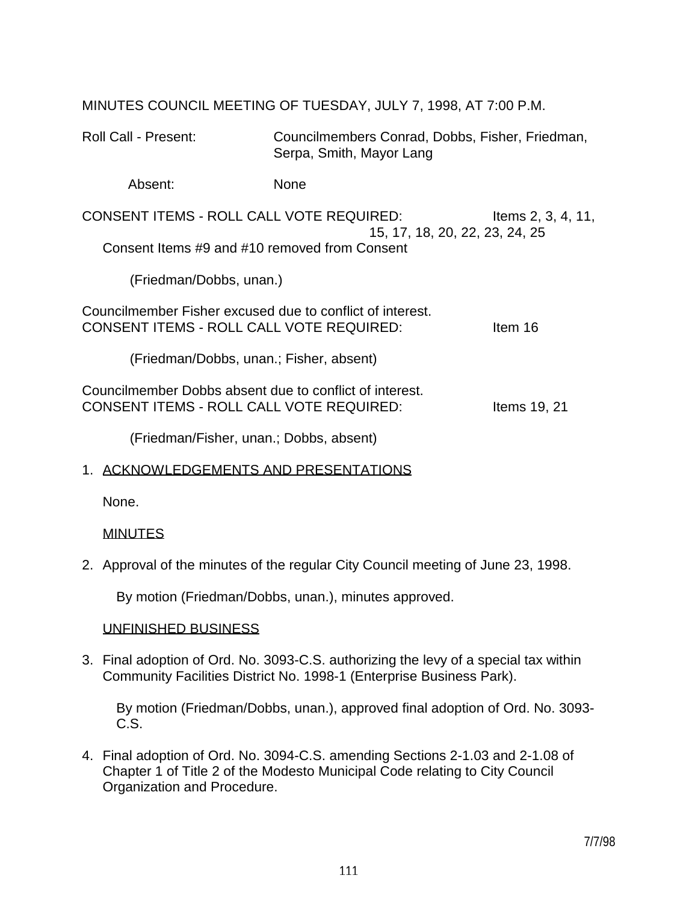| IVIIINU I LO COUNCIL IVILL I IING OF TULODATI, JULT 7, 1990, AT 7.00 F.IVI.                                                |                                                                             |  |
|----------------------------------------------------------------------------------------------------------------------------|-----------------------------------------------------------------------------|--|
| <b>Roll Call - Present:</b>                                                                                                | Councilmembers Conrad, Dobbs, Fisher, Friedman,<br>Serpa, Smith, Mayor Lang |  |
| Absent:                                                                                                                    | <b>None</b>                                                                 |  |
| <b>CONSENT ITEMS - ROLL CALL VOTE REQUIRED:</b><br>Items 2, 3, 4, 11,                                                      |                                                                             |  |
| 15, 17, 18, 20, 22, 23, 24, 25<br>Consent Items #9 and #10 removed from Consent                                            |                                                                             |  |
| (Friedman/Dobbs, unan.)                                                                                                    |                                                                             |  |
| Councilmember Fisher excused due to conflict of interest.<br>CONSENT ITEMS - ROLL CALL VOTE REQUIRED:<br>Item 16           |                                                                             |  |
| (Friedman/Dobbs, unan.; Fisher, absent)                                                                                    |                                                                             |  |
| Councilmember Dobbs absent due to conflict of interest.<br><b>CONSENT ITEMS - ROLL CALL VOTE REQUIRED:</b><br>Items 19, 21 |                                                                             |  |
| (Friedman/Fisher, unan.; Dobbs, absent)                                                                                    |                                                                             |  |

MINUTES COUNCIL MEETING OF TUESDAY, JULY 7, 1998, AT 7:00 P.M.

## 1. ACKNOWLEDGEMENTS AND PRESENTATIONS

None.

# MINUTES

2. Approval of the minutes of the regular City Council meeting of June 23, 1998.

By motion (Friedman/Dobbs, unan.), minutes approved.

# UNFINISHED BUSINESS

3. Final adoption of Ord. No. 3093-C.S. authorizing the levy of a special tax within Community Facilities District No. 1998-1 (Enterprise Business Park).

 By motion (Friedman/Dobbs, unan.), approved final adoption of Ord. No. 3093- C.S.

4. Final adoption of Ord. No. 3094-C.S. amending Sections 2-1.03 and 2-1.08 of Chapter 1 of Title 2 of the Modesto Municipal Code relating to City Council Organization and Procedure.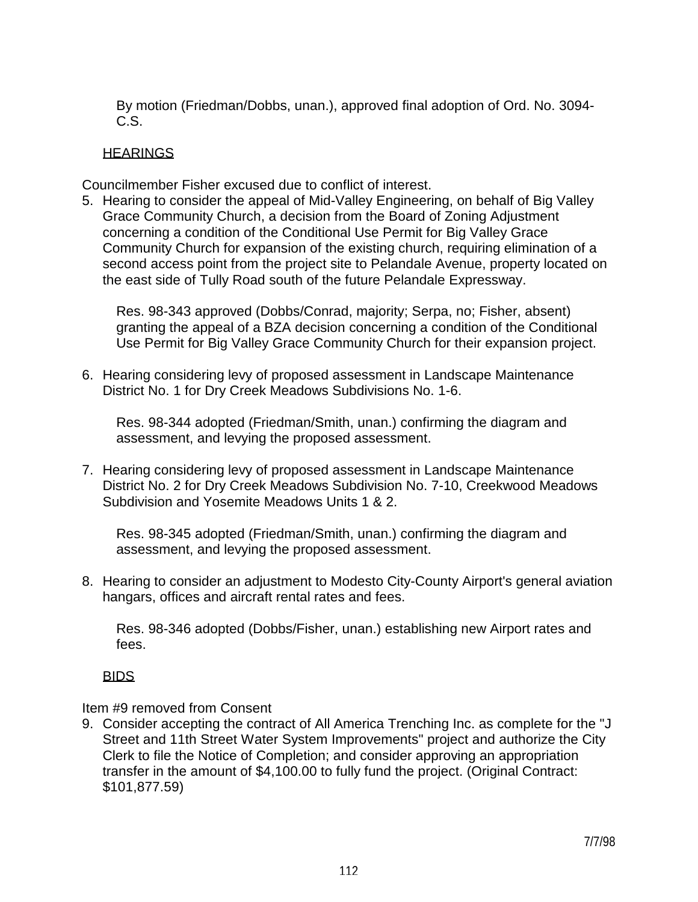By motion (Friedman/Dobbs, unan.), approved final adoption of Ord. No. 3094- C.S.

## **HEARINGS**

Councilmember Fisher excused due to conflict of interest.

5. Hearing to consider the appeal of Mid-Valley Engineering, on behalf of Big Valley Grace Community Church, a decision from the Board of Zoning Adjustment concerning a condition of the Conditional Use Permit for Big Valley Grace Community Church for expansion of the existing church, requiring elimination of a second access point from the project site to Pelandale Avenue, property located on the east side of Tully Road south of the future Pelandale Expressway.

 Res. 98-343 approved (Dobbs/Conrad, majority; Serpa, no; Fisher, absent) granting the appeal of a BZA decision concerning a condition of the Conditional Use Permit for Big Valley Grace Community Church for their expansion project.

6. Hearing considering levy of proposed assessment in Landscape Maintenance District No. 1 for Dry Creek Meadows Subdivisions No. 1-6.

 Res. 98-344 adopted (Friedman/Smith, unan.) confirming the diagram and assessment, and levying the proposed assessment.

7. Hearing considering levy of proposed assessment in Landscape Maintenance District No. 2 for Dry Creek Meadows Subdivision No. 7-10, Creekwood Meadows Subdivision and Yosemite Meadows Units 1 & 2.

 Res. 98-345 adopted (Friedman/Smith, unan.) confirming the diagram and assessment, and levying the proposed assessment.

8. Hearing to consider an adjustment to Modesto City-County Airport's general aviation hangars, offices and aircraft rental rates and fees.

 Res. 98-346 adopted (Dobbs/Fisher, unan.) establishing new Airport rates and fees.

# BIDS

Item #9 removed from Consent

9. Consider accepting the contract of All America Trenching Inc. as complete for the "J Street and 11th Street Water System Improvements" project and authorize the City Clerk to file the Notice of Completion; and consider approving an appropriation transfer in the amount of \$4,100.00 to fully fund the project. (Original Contract: \$101,877.59)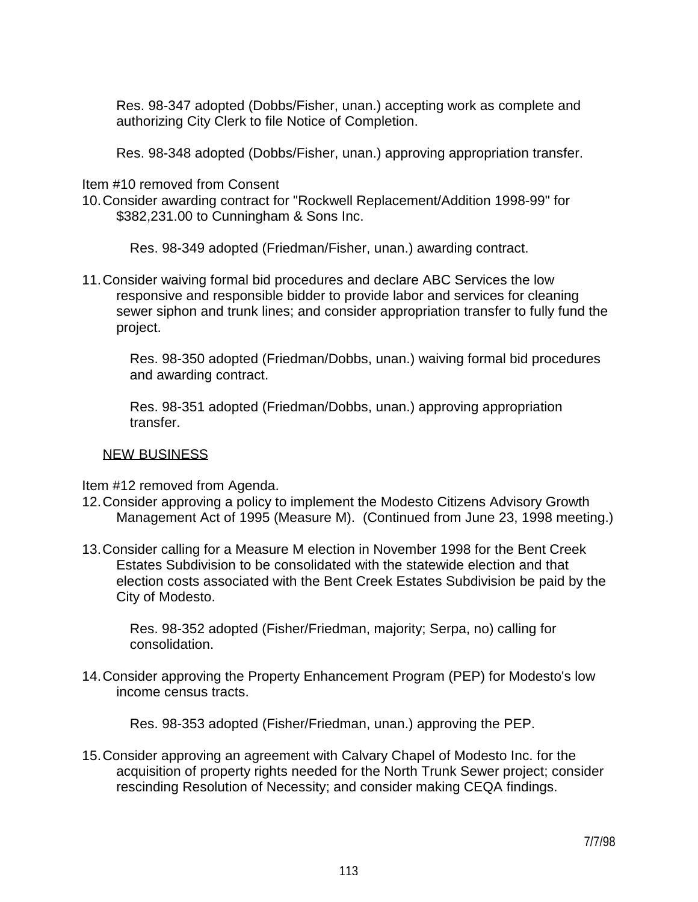Res. 98-347 adopted (Dobbs/Fisher, unan.) accepting work as complete and authorizing City Clerk to file Notice of Completion.

Res. 98-348 adopted (Dobbs/Fisher, unan.) approving appropriation transfer.

Item #10 removed from Consent

10. Consider awarding contract for "Rockwell Replacement/Addition 1998-99" for \$382,231.00 to Cunningham & Sons Inc.

Res. 98-349 adopted (Friedman/Fisher, unan.) awarding contract.

11. Consider waiving formal bid procedures and declare ABC Services the low responsive and responsible bidder to provide labor and services for cleaning sewer siphon and trunk lines; and consider appropriation transfer to fully fund the project.

 Res. 98-350 adopted (Friedman/Dobbs, unan.) waiving formal bid procedures and awarding contract.

 Res. 98-351 adopted (Friedman/Dobbs, unan.) approving appropriation transfer.

## NEW BUSINESS

Item #12 removed from Agenda.

- 12. Consider approving a policy to implement the Modesto Citizens Advisory Growth Management Act of 1995 (Measure M). (Continued from June 23, 1998 meeting.)
- 13. Consider calling for a Measure M election in November 1998 for the Bent Creek Estates Subdivision to be consolidated with the statewide election and that election costs associated with the Bent Creek Estates Subdivision be paid by the City of Modesto.

 Res. 98-352 adopted (Fisher/Friedman, majority; Serpa, no) calling for consolidation.

14. Consider approving the Property Enhancement Program (PEP) for Modesto's low income census tracts.

Res. 98-353 adopted (Fisher/Friedman, unan.) approving the PEP.

15. Consider approving an agreement with Calvary Chapel of Modesto Inc. for the acquisition of property rights needed for the North Trunk Sewer project; consider rescinding Resolution of Necessity; and consider making CEQA findings.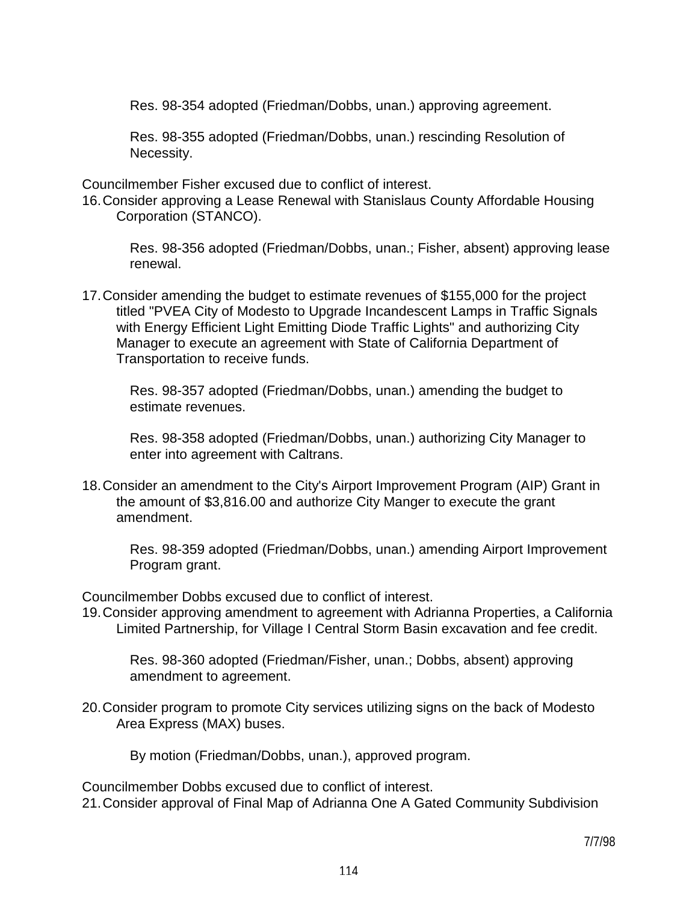Res. 98-354 adopted (Friedman/Dobbs, unan.) approving agreement.

 Res. 98-355 adopted (Friedman/Dobbs, unan.) rescinding Resolution of Necessity.

Councilmember Fisher excused due to conflict of interest.

16. Consider approving a Lease Renewal with Stanislaus County Affordable Housing Corporation (STANCO).

 Res. 98-356 adopted (Friedman/Dobbs, unan.; Fisher, absent) approving lease renewal.

17. Consider amending the budget to estimate revenues of \$155,000 for the project titled "PVEA City of Modesto to Upgrade Incandescent Lamps in Traffic Signals with Energy Efficient Light Emitting Diode Traffic Lights" and authorizing City Manager to execute an agreement with State of California Department of Transportation to receive funds.

 Res. 98-357 adopted (Friedman/Dobbs, unan.) amending the budget to estimate revenues.

 Res. 98-358 adopted (Friedman/Dobbs, unan.) authorizing City Manager to enter into agreement with Caltrans.

18. Consider an amendment to the City's Airport Improvement Program (AIP) Grant in the amount of \$3,816.00 and authorize City Manger to execute the grant amendment.

 Res. 98-359 adopted (Friedman/Dobbs, unan.) amending Airport Improvement Program grant.

Councilmember Dobbs excused due to conflict of interest.

19. Consider approving amendment to agreement with Adrianna Properties, a California Limited Partnership, for Village I Central Storm Basin excavation and fee credit.

 Res. 98-360 adopted (Friedman/Fisher, unan.; Dobbs, absent) approving amendment to agreement.

20. Consider program to promote City services utilizing signs on the back of Modesto Area Express (MAX) buses.

By motion (Friedman/Dobbs, unan.), approved program.

Councilmember Dobbs excused due to conflict of interest. 21. Consider approval of Final Map of Adrianna One A Gated Community Subdivision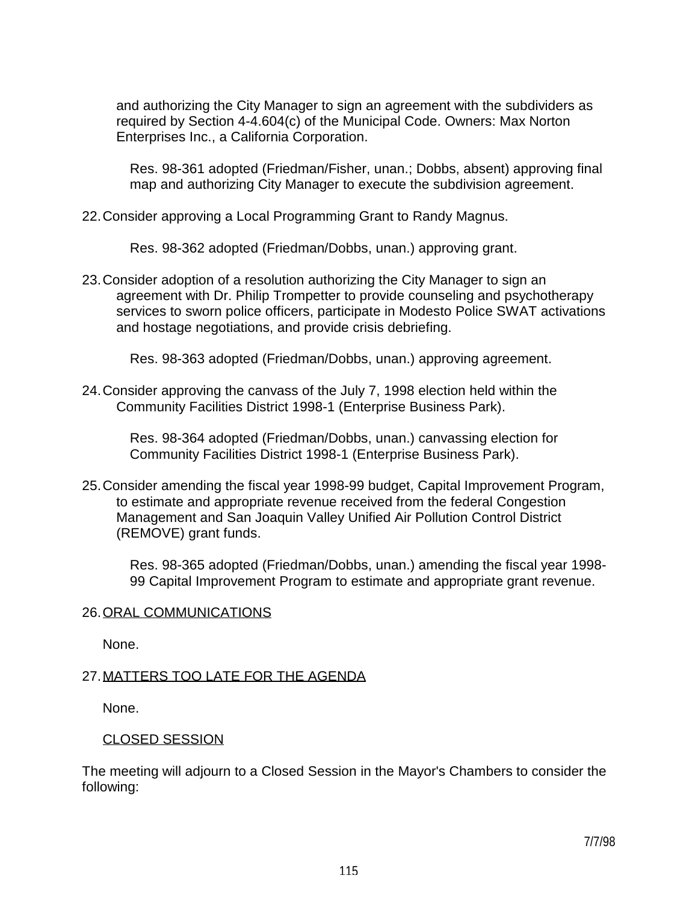and authorizing the City Manager to sign an agreement with the subdividers as required by Section 4-4.604(c) of the Municipal Code. Owners: Max Norton Enterprises Inc., a California Corporation.

 Res. 98-361 adopted (Friedman/Fisher, unan.; Dobbs, absent) approving final map and authorizing City Manager to execute the subdivision agreement.

22. Consider approving a Local Programming Grant to Randy Magnus.

Res. 98-362 adopted (Friedman/Dobbs, unan.) approving grant.

23. Consider adoption of a resolution authorizing the City Manager to sign an agreement with Dr. Philip Trompetter to provide counseling and psychotherapy services to sworn police officers, participate in Modesto Police SWAT activations and hostage negotiations, and provide crisis debriefing.

Res. 98-363 adopted (Friedman/Dobbs, unan.) approving agreement.

24. Consider approving the canvass of the July 7, 1998 election held within the Community Facilities District 1998-1 (Enterprise Business Park).

 Res. 98-364 adopted (Friedman/Dobbs, unan.) canvassing election for Community Facilities District 1998-1 (Enterprise Business Park).

25. Consider amending the fiscal year 1998-99 budget, Capital Improvement Program, to estimate and appropriate revenue received from the federal Congestion Management and San Joaquin Valley Unified Air Pollution Control District (REMOVE) grant funds.

 Res. 98-365 adopted (Friedman/Dobbs, unan.) amending the fiscal year 1998- 99 Capital Improvement Program to estimate and appropriate grant revenue.

#### 26. ORAL COMMUNICATIONS

None.

## 27. MATTERS TOO LATE FOR THE AGENDA

None.

## CLOSED SESSION

The meeting will adjourn to a Closed Session in the Mayor's Chambers to consider the following: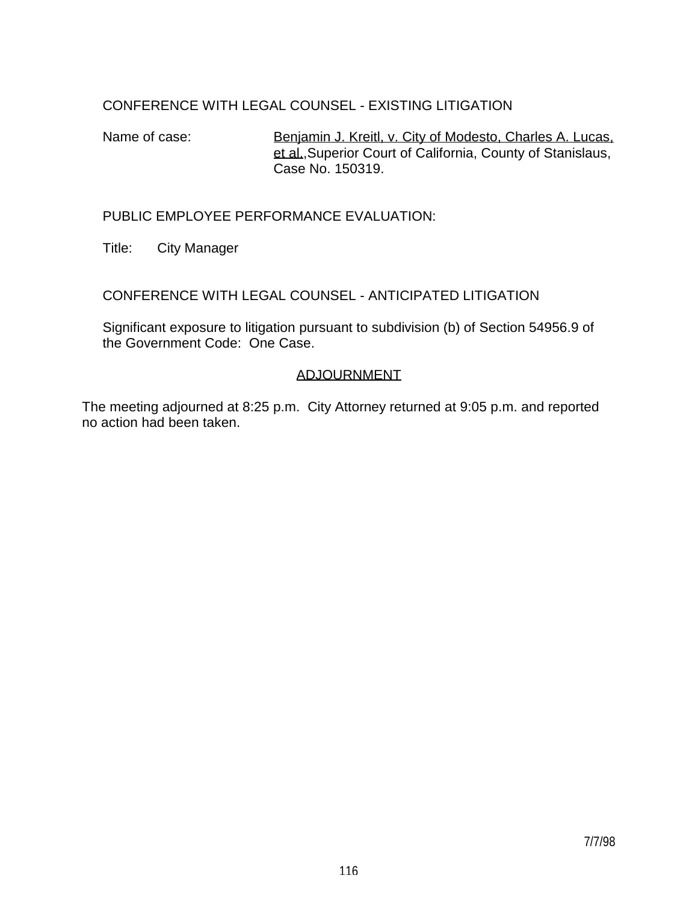# CONFERENCE WITH LEGAL COUNSEL - EXISTING LITIGATION

Name of case: Benjamin J. Kreitl, v. City of Modesto, Charles A. Lucas, et al.,Superior Court of California, County of Stanislaus, Case No. 150319.

## PUBLIC EMPLOYEE PERFORMANCE EVALUATION:

Title: City Manager

CONFERENCE WITH LEGAL COUNSEL - ANTICIPATED LITIGATION

 Significant exposure to litigation pursuant to subdivision (b) of Section 54956.9 of the Government Code: One Case.

## ADJOURNMENT

The meeting adjourned at 8:25 p.m. City Attorney returned at 9:05 p.m. and reported no action had been taken.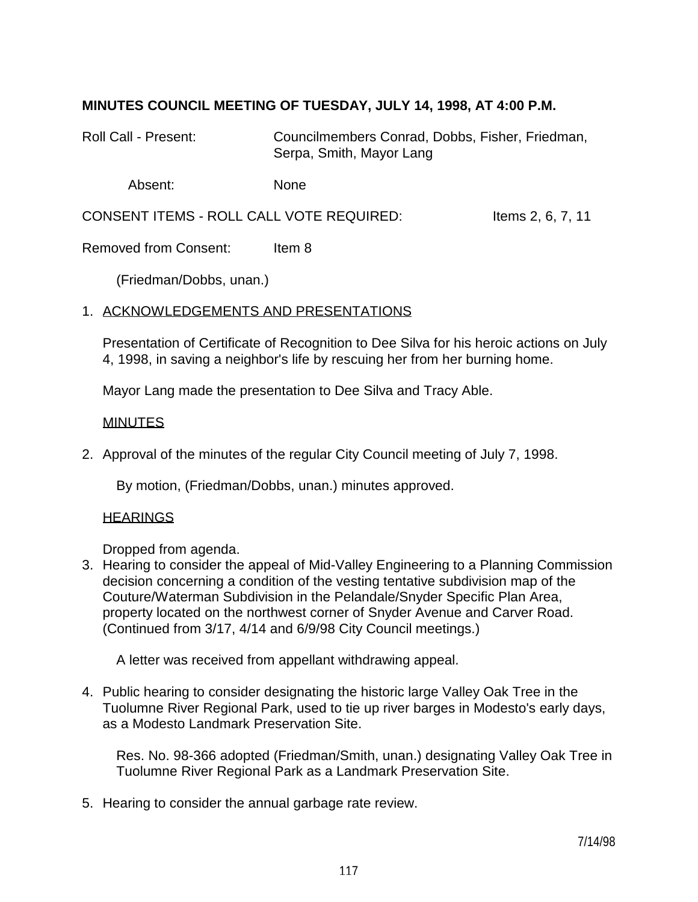# **MINUTES COUNCIL MEETING OF TUESDAY, JULY 14, 1998, AT 4:00 P.M.**

Roll Call - Present: Councilmembers Conrad, Dobbs, Fisher, Friedman, Serpa, Smith, Mayor Lang

Absent: None

CONSENT ITEMS - ROLL CALL VOTE REQUIRED: Items 2, 6, 7, 11

Removed from Consent: Item 8

(Friedman/Dobbs, unan.)

#### 1. ACKNOWLEDGEMENTS AND PRESENTATIONS

 Presentation of Certificate of Recognition to Dee Silva for his heroic actions on July 4, 1998, in saving a neighbor's life by rescuing her from her burning home.

Mayor Lang made the presentation to Dee Silva and Tracy Able.

#### MINUTES

2. Approval of the minutes of the regular City Council meeting of July 7, 1998.

By motion, (Friedman/Dobbs, unan.) minutes approved.

#### HEARINGS

Dropped from agenda.

3. Hearing to consider the appeal of Mid-Valley Engineering to a Planning Commission decision concerning a condition of the vesting tentative subdivision map of the Couture/Waterman Subdivision in the Pelandale/Snyder Specific Plan Area, property located on the northwest corner of Snyder Avenue and Carver Road. (Continued from 3/17, 4/14 and 6/9/98 City Council meetings.)

A letter was received from appellant withdrawing appeal.

4. Public hearing to consider designating the historic large Valley Oak Tree in the Tuolumne River Regional Park, used to tie up river barges in Modesto's early days, as a Modesto Landmark Preservation Site.

 Res. No. 98-366 adopted (Friedman/Smith, unan.) designating Valley Oak Tree in Tuolumne River Regional Park as a Landmark Preservation Site.

5. Hearing to consider the annual garbage rate review.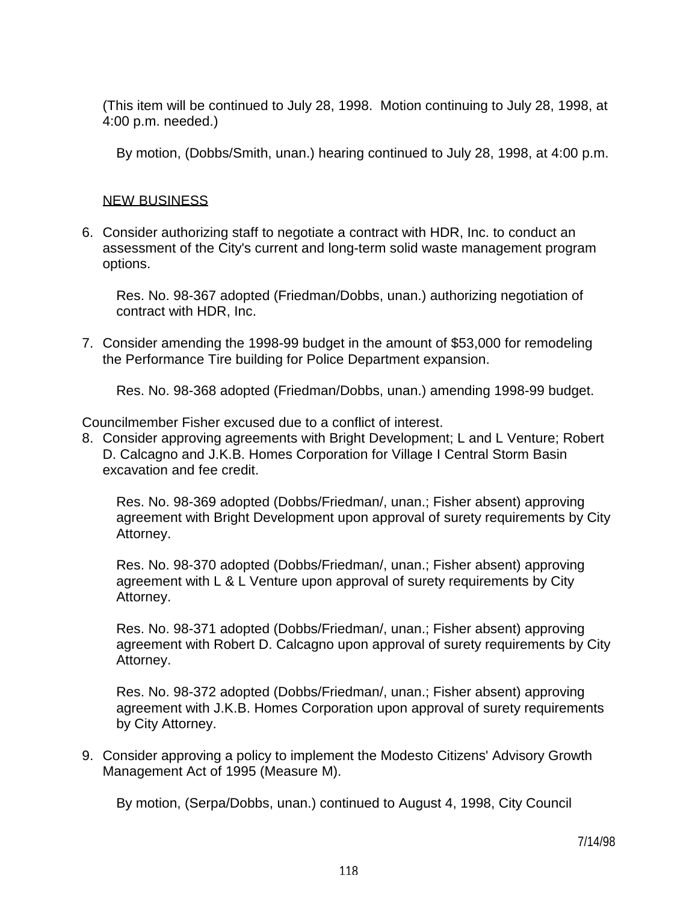(This item will be continued to July 28, 1998. Motion continuing to July 28, 1998, at 4:00 p.m. needed.)

By motion, (Dobbs/Smith, unan.) hearing continued to July 28, 1998, at 4:00 p.m.

## NEW BUSINESS

6. Consider authorizing staff to negotiate a contract with HDR, Inc. to conduct an assessment of the City's current and long-term solid waste management program options.

 Res. No. 98-367 adopted (Friedman/Dobbs, unan.) authorizing negotiation of contract with HDR, Inc.

7. Consider amending the 1998-99 budget in the amount of \$53,000 for remodeling the Performance Tire building for Police Department expansion.

Res. No. 98-368 adopted (Friedman/Dobbs, unan.) amending 1998-99 budget.

Councilmember Fisher excused due to a conflict of interest.

8. Consider approving agreements with Bright Development; L and L Venture; Robert D. Calcagno and J.K.B. Homes Corporation for Village I Central Storm Basin excavation and fee credit.

 Res. No. 98-369 adopted (Dobbs/Friedman/, unan.; Fisher absent) approving agreement with Bright Development upon approval of surety requirements by City Attorney.

 Res. No. 98-370 adopted (Dobbs/Friedman/, unan.; Fisher absent) approving agreement with L & L Venture upon approval of surety requirements by City Attorney.

 Res. No. 98-371 adopted (Dobbs/Friedman/, unan.; Fisher absent) approving agreement with Robert D. Calcagno upon approval of surety requirements by City Attorney.

 Res. No. 98-372 adopted (Dobbs/Friedman/, unan.; Fisher absent) approving agreement with J.K.B. Homes Corporation upon approval of surety requirements by City Attorney.

9. Consider approving a policy to implement the Modesto Citizens' Advisory Growth Management Act of 1995 (Measure M).

By motion, (Serpa/Dobbs, unan.) continued to August 4, 1998, City Council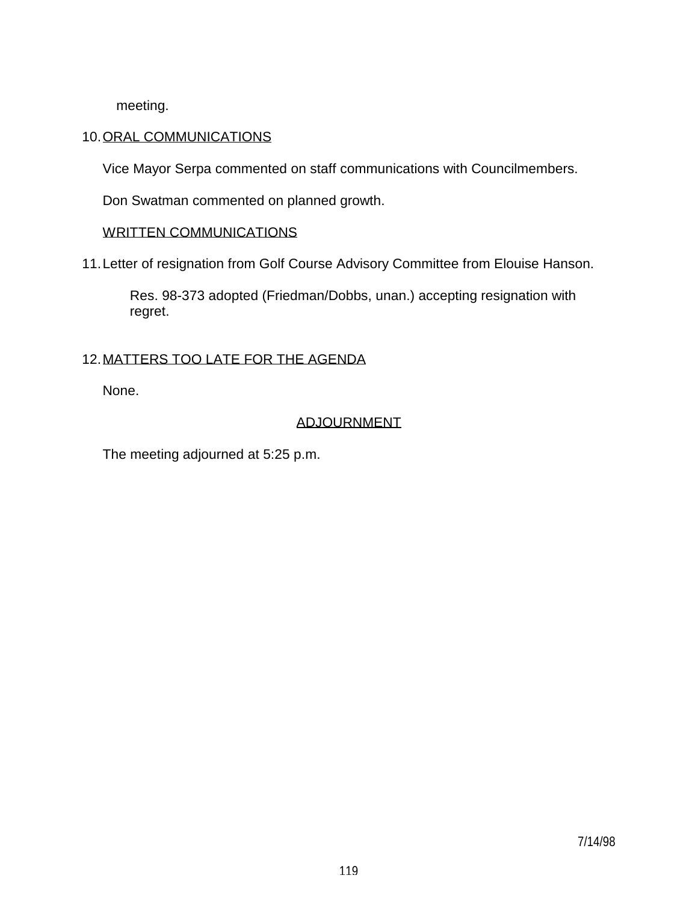meeting.

## 10. ORAL COMMUNICATIONS

Vice Mayor Serpa commented on staff communications with Councilmembers.

Don Swatman commented on planned growth.

## WRITTEN COMMUNICATIONS

11. Letter of resignation from Golf Course Advisory Committee from Elouise Hanson.

 Res. 98-373 adopted (Friedman/Dobbs, unan.) accepting resignation with regret.

## 12. MATTERS TOO LATE FOR THE AGENDA

None.

# ADJOURNMENT

The meeting adjourned at 5:25 p.m.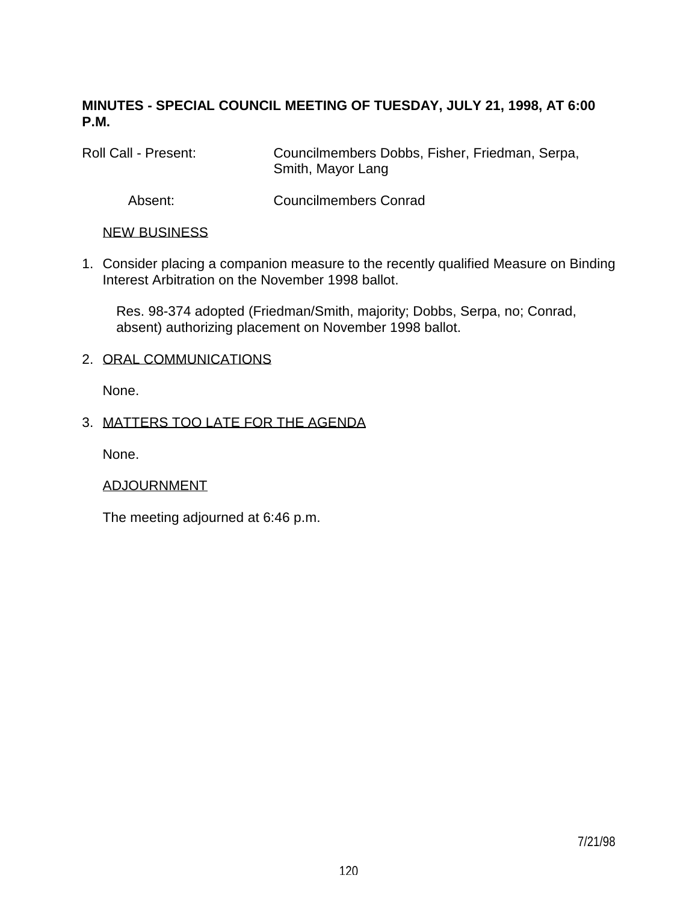# **MINUTES - SPECIAL COUNCIL MEETING OF TUESDAY, JULY 21, 1998, AT 6:00 P.M.**

Roll Call - Present: Councilmembers Dobbs, Fisher, Friedman, Serpa, Smith, Mayor Lang

Absent: Councilmembers Conrad

## NEW BUSINESS

1. Consider placing a companion measure to the recently qualified Measure on Binding Interest Arbitration on the November 1998 ballot.

 Res. 98-374 adopted (Friedman/Smith, majority; Dobbs, Serpa, no; Conrad, absent) authorizing placement on November 1998 ballot.

## 2. ORAL COMMUNICATIONS

None.

# 3. MATTERS TOO LATE FOR THE AGENDA

None.

# ADJOURNMENT

The meeting adjourned at 6:46 p.m.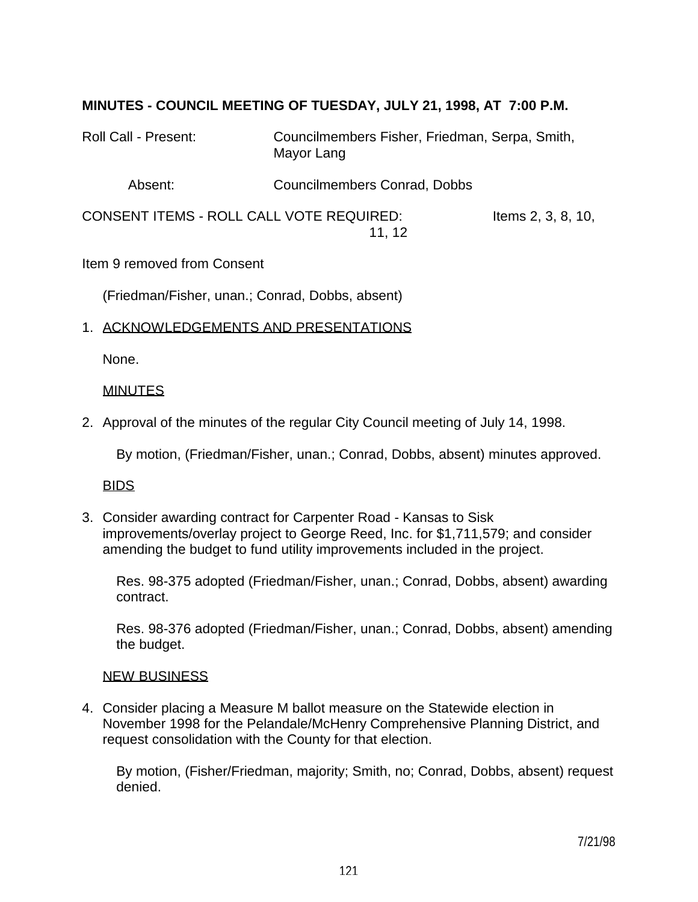## **MINUTES - COUNCIL MEETING OF TUESDAY, JULY 21, 1998, AT 7:00 P.M.**

Roll Call - Present: Councilmembers Fisher, Friedman, Serpa, Smith, Mayor Lang

Absent: Councilmembers Conrad, Dobbs

CONSENT ITEMS - ROLL CALL VOTE REQUIRED: Items 2, 3, 8, 10, 11, 12

Item 9 removed from Consent

(Friedman/Fisher, unan.; Conrad, Dobbs, absent)

#### 1. ACKNOWLEDGEMENTS AND PRESENTATIONS

None.

#### **MINUTES**

2. Approval of the minutes of the regular City Council meeting of July 14, 1998.

By motion, (Friedman/Fisher, unan.; Conrad, Dobbs, absent) minutes approved.

#### BIDS

3. Consider awarding contract for Carpenter Road - Kansas to Sisk improvements/overlay project to George Reed, Inc. for \$1,711,579; and consider amending the budget to fund utility improvements included in the project.

 Res. 98-375 adopted (Friedman/Fisher, unan.; Conrad, Dobbs, absent) awarding contract.

 Res. 98-376 adopted (Friedman/Fisher, unan.; Conrad, Dobbs, absent) amending the budget.

#### NEW BUSINESS

4. Consider placing a Measure M ballot measure on the Statewide election in November 1998 for the Pelandale/McHenry Comprehensive Planning District, and request consolidation with the County for that election.

 By motion, (Fisher/Friedman, majority; Smith, no; Conrad, Dobbs, absent) request denied.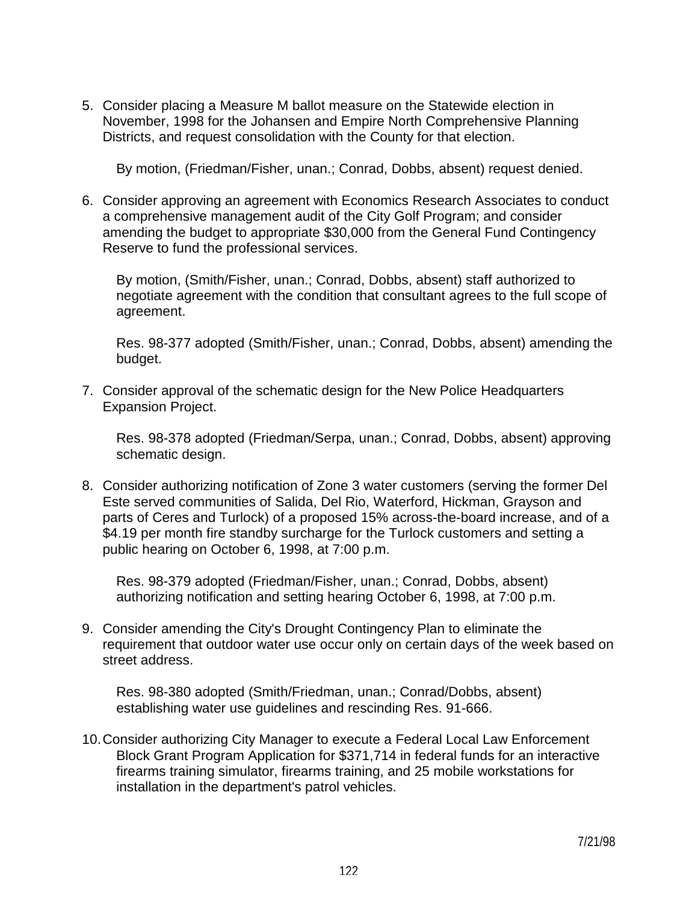5. Consider placing a Measure M ballot measure on the Statewide election in November, 1998 for the Johansen and Empire North Comprehensive Planning Districts, and request consolidation with the County for that election.

By motion, (Friedman/Fisher, unan.; Conrad, Dobbs, absent) request denied.

6. Consider approving an agreement with Economics Research Associates to conduct a comprehensive management audit of the City Golf Program; and consider amending the budget to appropriate \$30,000 from the General Fund Contingency Reserve to fund the professional services.

 By motion, (Smith/Fisher, unan.; Conrad, Dobbs, absent) staff authorized to negotiate agreement with the condition that consultant agrees to the full scope of agreement.

 Res. 98-377 adopted (Smith/Fisher, unan.; Conrad, Dobbs, absent) amending the budget.

7. Consider approval of the schematic design for the New Police Headquarters Expansion Project.

 Res. 98-378 adopted (Friedman/Serpa, unan.; Conrad, Dobbs, absent) approving schematic design.

8. Consider authorizing notification of Zone 3 water customers (serving the former Del Este served communities of Salida, Del Rio, Waterford, Hickman, Grayson and parts of Ceres and Turlock) of a proposed 15% across-the-board increase, and of a \$4.19 per month fire standby surcharge for the Turlock customers and setting a public hearing on October 6, 1998, at 7:00 p.m.

 Res. 98-379 adopted (Friedman/Fisher, unan.; Conrad, Dobbs, absent) authorizing notification and setting hearing October 6, 1998, at 7:00 p.m.

9. Consider amending the City's Drought Contingency Plan to eliminate the requirement that outdoor water use occur only on certain days of the week based on street address.

 Res. 98-380 adopted (Smith/Friedman, unan.; Conrad/Dobbs, absent) establishing water use guidelines and rescinding Res. 91-666.

10. Consider authorizing City Manager to execute a Federal Local Law Enforcement Block Grant Program Application for \$371,714 in federal funds for an interactive firearms training simulator, firearms training, and 25 mobile workstations for installation in the department's patrol vehicles.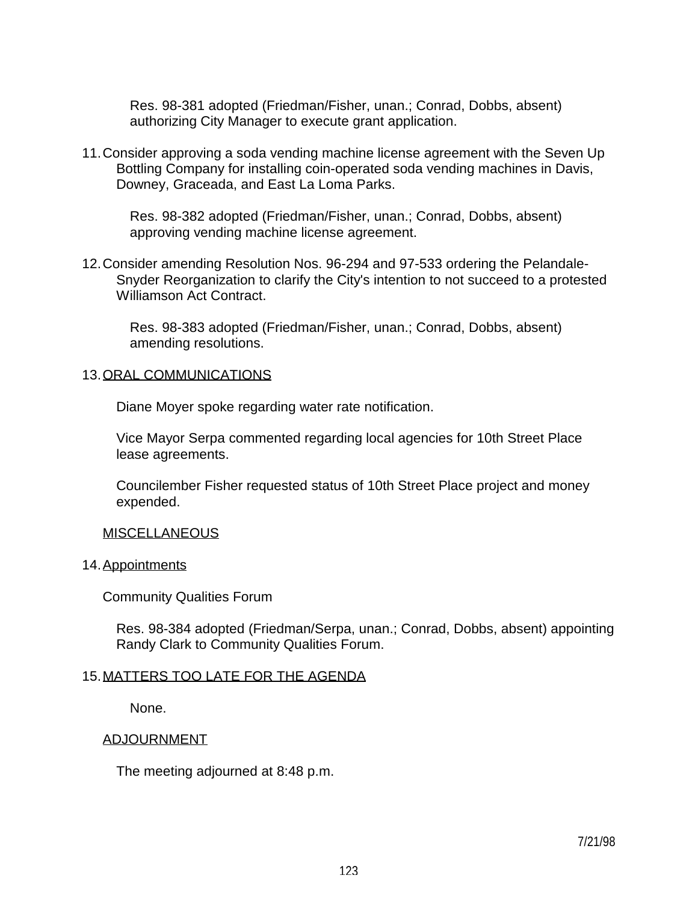Res. 98-381 adopted (Friedman/Fisher, unan.; Conrad, Dobbs, absent) authorizing City Manager to execute grant application.

11. Consider approving a soda vending machine license agreement with the Seven Up Bottling Company for installing coin-operated soda vending machines in Davis, Downey, Graceada, and East La Loma Parks.

 Res. 98-382 adopted (Friedman/Fisher, unan.; Conrad, Dobbs, absent) approving vending machine license agreement.

12. Consider amending Resolution Nos. 96-294 and 97-533 ordering the Pelandale-Snyder Reorganization to clarify the City's intention to not succeed to a protested Williamson Act Contract.

 Res. 98-383 adopted (Friedman/Fisher, unan.; Conrad, Dobbs, absent) amending resolutions.

#### 13. ORAL COMMUNICATIONS

Diane Moyer spoke regarding water rate notification.

 Vice Mayor Serpa commented regarding local agencies for 10th Street Place lease agreements.

 Councilember Fisher requested status of 10th Street Place project and money expended.

#### **MISCELLANEOUS**

#### 14. Appointments

Community Qualities Forum

 Res. 98-384 adopted (Friedman/Serpa, unan.; Conrad, Dobbs, absent) appointing Randy Clark to Community Qualities Forum.

### 15. MATTERS TOO LATE FOR THE AGENDA

None.

#### ADJOURNMENT

The meeting adjourned at 8:48 p.m.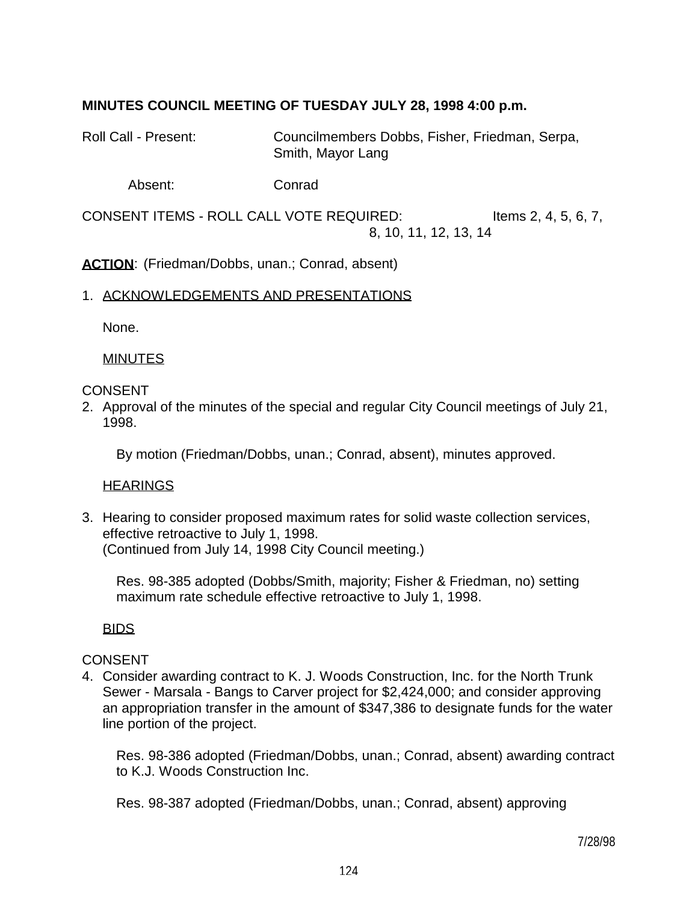# **MINUTES COUNCIL MEETING OF TUESDAY JULY 28, 1998 4:00 p.m.**

Roll Call - Present: Councilmembers Dobbs, Fisher, Friedman, Serpa, Smith, Mayor Lang

Absent: Conrad

CONSENT ITEMS - ROLL CALL VOTE REQUIRED: Items 2, 4, 5, 6, 7, 8, 10, 11, 12, 13, 14

**ACTION:** (Friedman/Dobbs, unan.; Conrad, absent)

#### 1. ACKNOWLEDGEMENTS AND PRESENTATIONS

None.

#### MINUTES

### CONSENT

2. Approval of the minutes of the special and regular City Council meetings of July 21, 1998.

By motion (Friedman/Dobbs, unan.; Conrad, absent), minutes approved.

## **HEARINGS**

3. Hearing to consider proposed maximum rates for solid waste collection services, effective retroactive to July 1, 1998. (Continued from July 14, 1998 City Council meeting.)

 Res. 98-385 adopted (Dobbs/Smith, majority; Fisher & Friedman, no) setting maximum rate schedule effective retroactive to July 1, 1998.

## BIDS

## CONSENT

4. Consider awarding contract to K. J. Woods Construction, Inc. for the North Trunk Sewer - Marsala - Bangs to Carver project for \$2,424,000; and consider approving an appropriation transfer in the amount of \$347,386 to designate funds for the water line portion of the project.

 Res. 98-386 adopted (Friedman/Dobbs, unan.; Conrad, absent) awarding contract to K.J. Woods Construction Inc.

Res. 98-387 adopted (Friedman/Dobbs, unan.; Conrad, absent) approving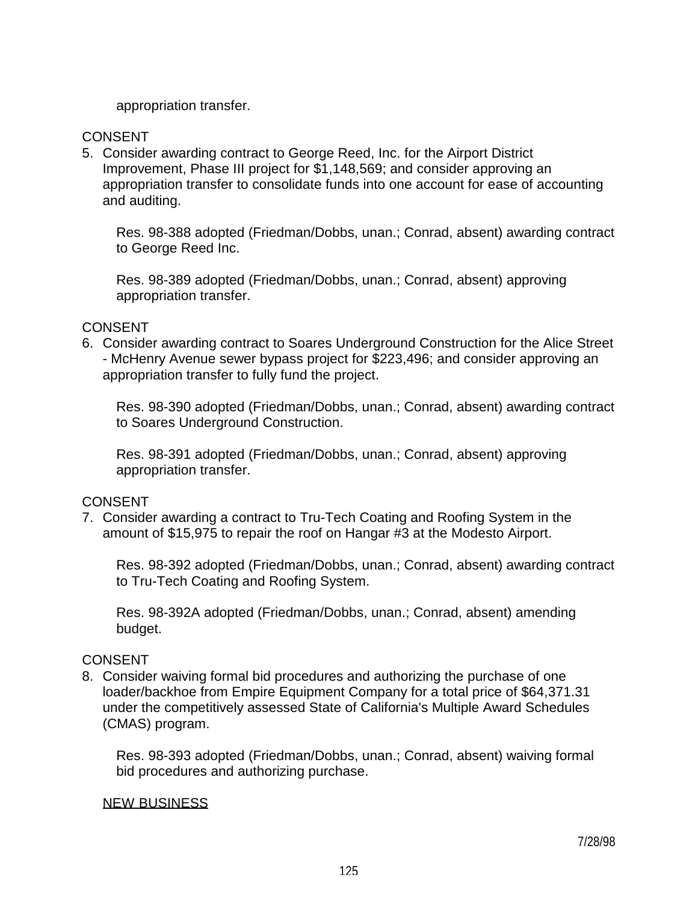appropriation transfer.

### **CONSENT**

5. Consider awarding contract to George Reed, Inc. for the Airport District Improvement, Phase III project for \$1,148,569; and consider approving an appropriation transfer to consolidate funds into one account for ease of accounting and auditing.

 Res. 98-388 adopted (Friedman/Dobbs, unan.; Conrad, absent) awarding contract to George Reed Inc.

 Res. 98-389 adopted (Friedman/Dobbs, unan.; Conrad, absent) approving appropriation transfer.

### **CONSENT**

6. Consider awarding contract to Soares Underground Construction for the Alice Street - McHenry Avenue sewer bypass project for \$223,496; and consider approving an appropriation transfer to fully fund the project.

 Res. 98-390 adopted (Friedman/Dobbs, unan.; Conrad, absent) awarding contract to Soares Underground Construction.

 Res. 98-391 adopted (Friedman/Dobbs, unan.; Conrad, absent) approving appropriation transfer.

## **CONSENT**

7. Consider awarding a contract to Tru-Tech Coating and Roofing System in the amount of \$15,975 to repair the roof on Hangar #3 at the Modesto Airport.

 Res. 98-392 adopted (Friedman/Dobbs, unan.; Conrad, absent) awarding contract to Tru-Tech Coating and Roofing System.

 Res. 98-392A adopted (Friedman/Dobbs, unan.; Conrad, absent) amending budget.

## CONSENT

8. Consider waiving formal bid procedures and authorizing the purchase of one loader/backhoe from Empire Equipment Company for a total price of \$64,371.31 under the competitively assessed State of California's Multiple Award Schedules (CMAS) program.

 Res. 98-393 adopted (Friedman/Dobbs, unan.; Conrad, absent) waiving formal bid procedures and authorizing purchase.

#### NEW BUSINESS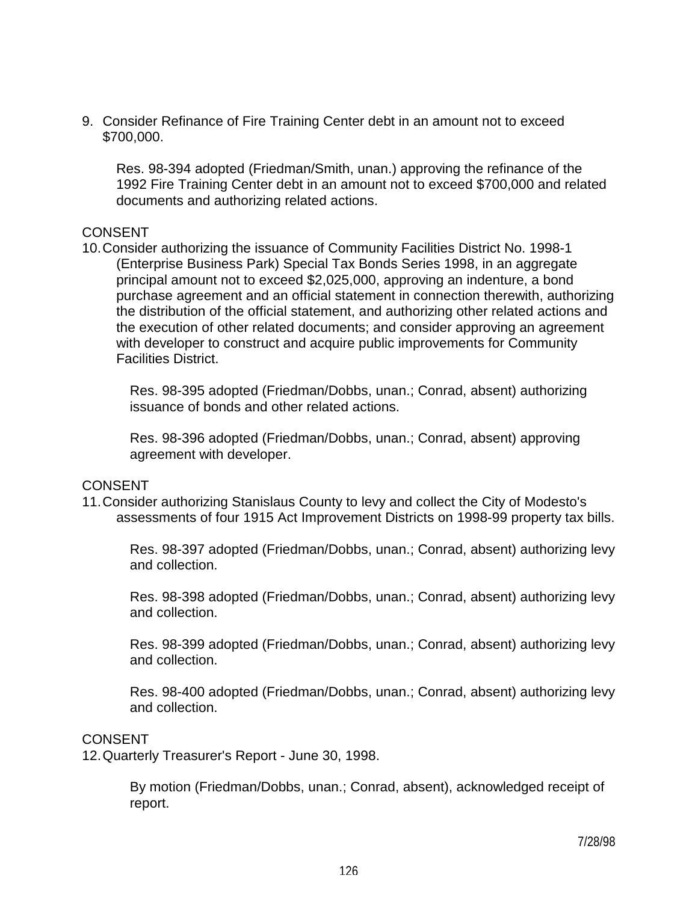9. Consider Refinance of Fire Training Center debt in an amount not to exceed \$700,000.

 Res. 98-394 adopted (Friedman/Smith, unan.) approving the refinance of the 1992 Fire Training Center debt in an amount not to exceed \$700,000 and related documents and authorizing related actions.

#### **CONSENT**

10. Consider authorizing the issuance of Community Facilities District No. 1998-1 (Enterprise Business Park) Special Tax Bonds Series 1998, in an aggregate principal amount not to exceed \$2,025,000, approving an indenture, a bond purchase agreement and an official statement in connection therewith, authorizing the distribution of the official statement, and authorizing other related actions and the execution of other related documents; and consider approving an agreement with developer to construct and acquire public improvements for Community Facilities District.

 Res. 98-395 adopted (Friedman/Dobbs, unan.; Conrad, absent) authorizing issuance of bonds and other related actions.

 Res. 98-396 adopted (Friedman/Dobbs, unan.; Conrad, absent) approving agreement with developer.

#### **CONSENT**

11. Consider authorizing Stanislaus County to levy and collect the City of Modesto's assessments of four 1915 Act Improvement Districts on 1998-99 property tax bills.

 Res. 98-397 adopted (Friedman/Dobbs, unan.; Conrad, absent) authorizing levy and collection.

 Res. 98-398 adopted (Friedman/Dobbs, unan.; Conrad, absent) authorizing levy and collection.

 Res. 98-399 adopted (Friedman/Dobbs, unan.; Conrad, absent) authorizing levy and collection.

 Res. 98-400 adopted (Friedman/Dobbs, unan.; Conrad, absent) authorizing levy and collection.

#### CONSENT

12. Quarterly Treasurer's Report - June 30, 1998.

 By motion (Friedman/Dobbs, unan.; Conrad, absent), acknowledged receipt of report.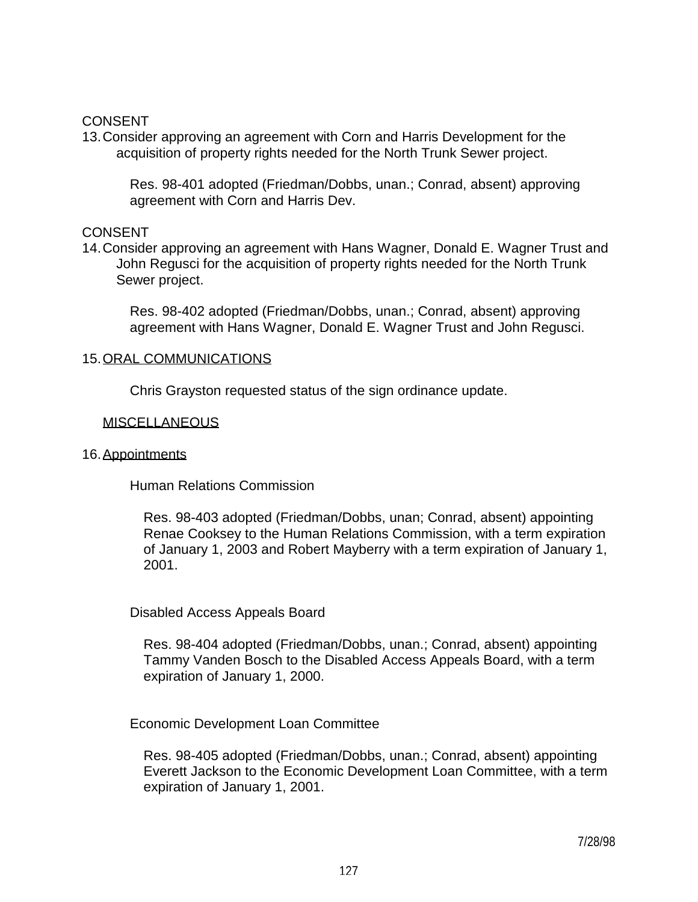### **CONSENT**

13. Consider approving an agreement with Corn and Harris Development for the acquisition of property rights needed for the North Trunk Sewer project.

 Res. 98-401 adopted (Friedman/Dobbs, unan.; Conrad, absent) approving agreement with Corn and Harris Dev.

#### **CONSENT**

14. Consider approving an agreement with Hans Wagner, Donald E. Wagner Trust and John Regusci for the acquisition of property rights needed for the North Trunk Sewer project.

 Res. 98-402 adopted (Friedman/Dobbs, unan.; Conrad, absent) approving agreement with Hans Wagner, Donald E. Wagner Trust and John Regusci.

#### 15. ORAL COMMUNICATIONS

Chris Grayston requested status of the sign ordinance update.

#### MISCELLANEOUS

#### 16. Appointments

Human Relations Commission

 Res. 98-403 adopted (Friedman/Dobbs, unan; Conrad, absent) appointing Renae Cooksey to the Human Relations Commission, with a term expiration of January 1, 2003 and Robert Mayberry with a term expiration of January 1, 2001.

Disabled Access Appeals Board

 Res. 98-404 adopted (Friedman/Dobbs, unan.; Conrad, absent) appointing Tammy Vanden Bosch to the Disabled Access Appeals Board, with a term expiration of January 1, 2000.

Economic Development Loan Committee

 Res. 98-405 adopted (Friedman/Dobbs, unan.; Conrad, absent) appointing Everett Jackson to the Economic Development Loan Committee, with a term expiration of January 1, 2001.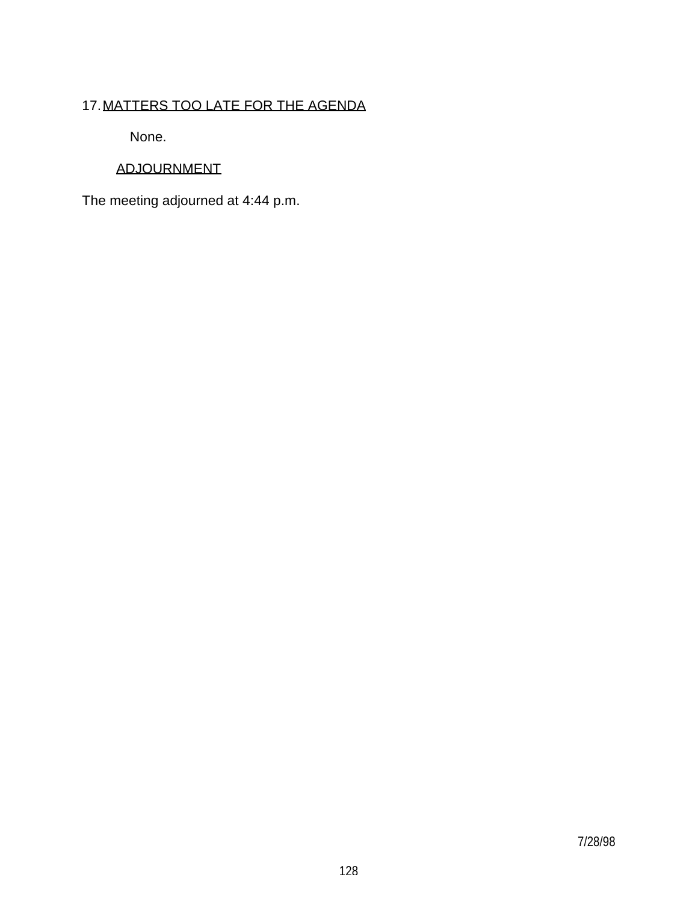# 17. MATTERS TOO LATE FOR THE AGENDA

None.

# ADJOURNMENT

The meeting adjourned at 4:44 p.m.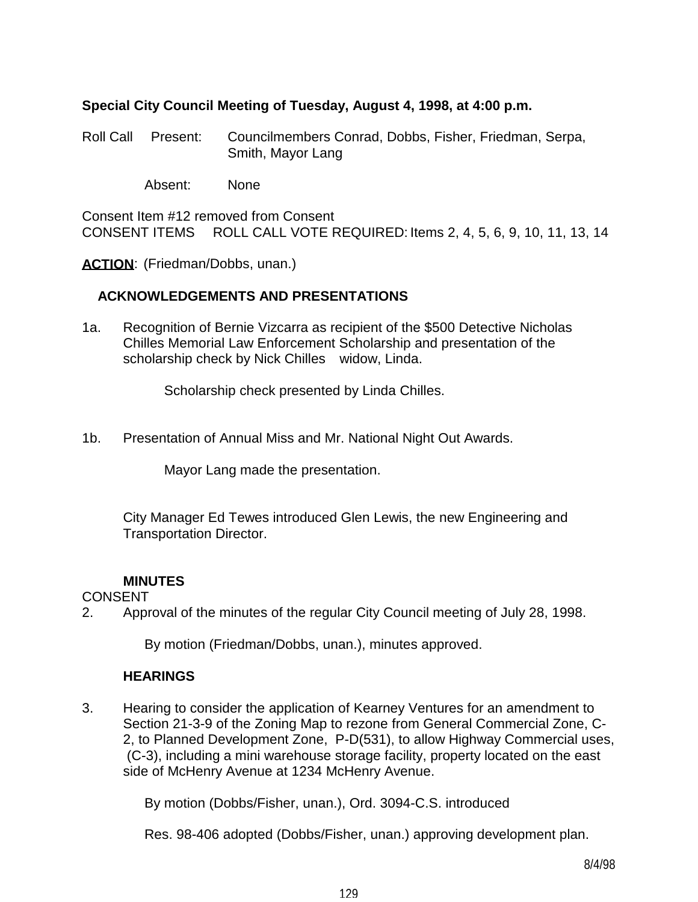## **Special City Council Meeting of Tuesday, August 4, 1998, at 4:00 p.m.**

Roll Call Present: Councilmembers Conrad, Dobbs, Fisher, Friedman, Serpa, Smith, Mayor Lang

Absent: None

Consent Item #12 removed from Consent CONSENT ITEMS ROLL CALL VOTE REQUIRED: Items 2, 4, 5, 6, 9, 10, 11, 13, 14

**ACTION:** (Friedman/Dobbs, unan.)

## **ACKNOWLEDGEMENTS AND PRESENTATIONS**

1a. Recognition of Bernie Vizcarra as recipient of the \$500 Detective Nicholas Chilles Memorial Law Enforcement Scholarship and presentation of the scholarship check by Nick Chilles widow, Linda.

Scholarship check presented by Linda Chilles.

1b. Presentation of Annual Miss and Mr. National Night Out Awards.

Mayor Lang made the presentation.

 City Manager Ed Tewes introduced Glen Lewis, the new Engineering and Transportation Director.

## **MINUTES**

## CONSENT

2. Approval of the minutes of the regular City Council meeting of July 28, 1998.

By motion (Friedman/Dobbs, unan.), minutes approved.

## **HEARINGS**

3. Hearing to consider the application of Kearney Ventures for an amendment to Section 21-3-9 of the Zoning Map to rezone from General Commercial Zone, C-2, to Planned Development Zone, P-D(531), to allow Highway Commercial uses, (C-3), including a mini warehouse storage facility, property located on the east side of McHenry Avenue at 1234 McHenry Avenue.

By motion (Dobbs/Fisher, unan.), Ord. 3094-C.S. introduced

Res. 98-406 adopted (Dobbs/Fisher, unan.) approving development plan.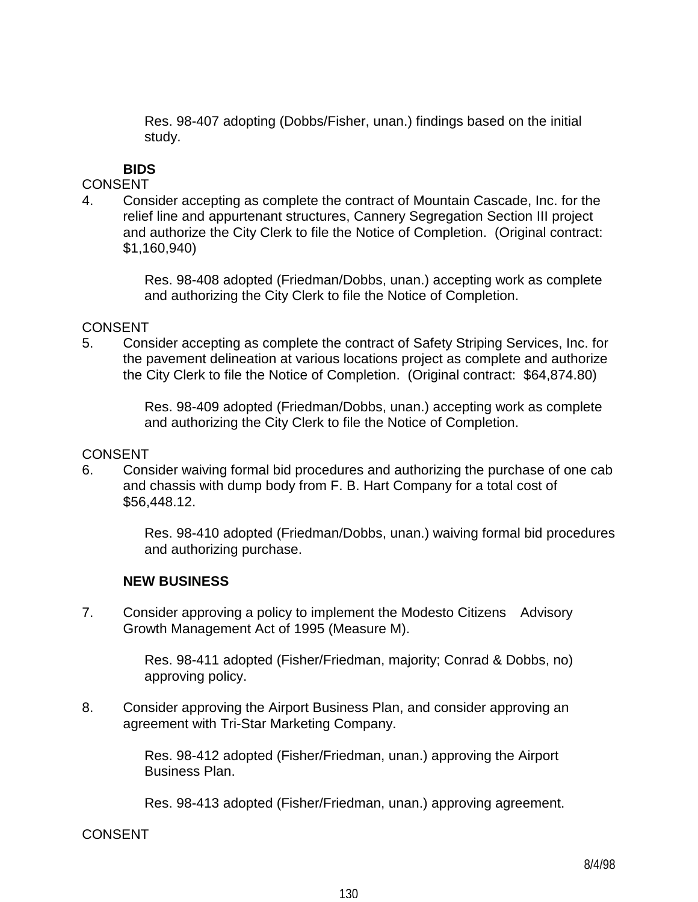Res. 98-407 adopting (Dobbs/Fisher, unan.) findings based on the initial study.

# **BIDS**

## **CONSENT**

4. Consider accepting as complete the contract of Mountain Cascade, Inc. for the relief line and appurtenant structures, Cannery Segregation Section III project and authorize the City Clerk to file the Notice of Completion. (Original contract: \$1,160,940)

> Res. 98-408 adopted (Friedman/Dobbs, unan.) accepting work as complete and authorizing the City Clerk to file the Notice of Completion.

## CONSENT

5. Consider accepting as complete the contract of Safety Striping Services, Inc. for the pavement delineation at various locations project as complete and authorize the City Clerk to file the Notice of Completion. (Original contract: \$64,874.80)

> Res. 98-409 adopted (Friedman/Dobbs, unan.) accepting work as complete and authorizing the City Clerk to file the Notice of Completion.

## CONSENT

6. Consider waiving formal bid procedures and authorizing the purchase of one cab and chassis with dump body from F. B. Hart Company for a total cost of \$56,448.12.

> Res. 98-410 adopted (Friedman/Dobbs, unan.) waiving formal bid procedures and authorizing purchase.

# **NEW BUSINESS**

7. Consider approving a policy to implement the Modesto Citizens Advisory Growth Management Act of 1995 (Measure M).

> Res. 98-411 adopted (Fisher/Friedman, majority; Conrad & Dobbs, no) approving policy.

8. Consider approving the Airport Business Plan, and consider approving an agreement with Tri-Star Marketing Company.

> Res. 98-412 adopted (Fisher/Friedman, unan.) approving the Airport Business Plan.

Res. 98-413 adopted (Fisher/Friedman, unan.) approving agreement.

CONSENT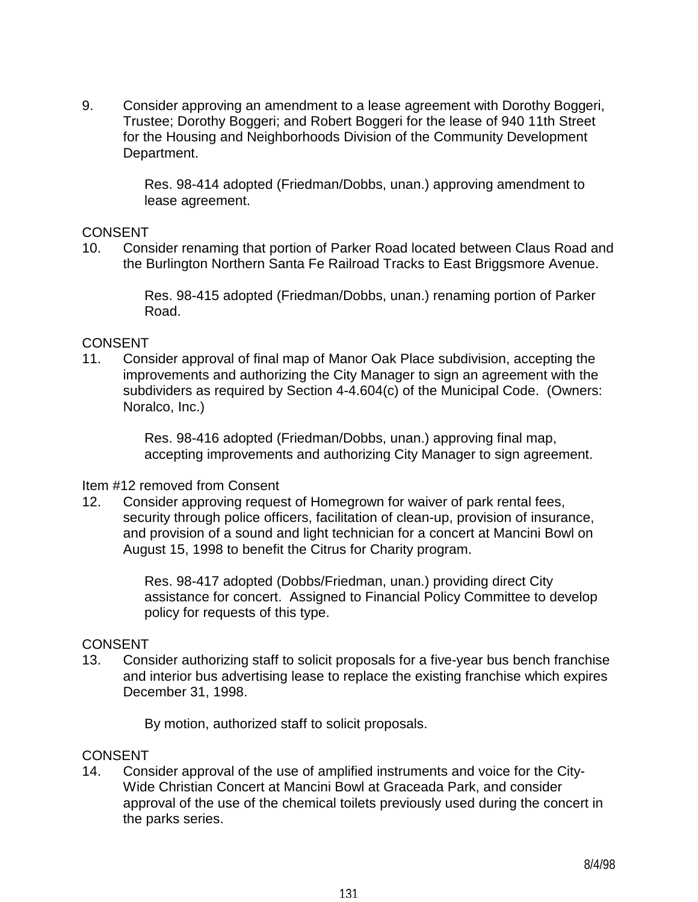9. Consider approving an amendment to a lease agreement with Dorothy Boggeri, Trustee; Dorothy Boggeri; and Robert Boggeri for the lease of 940 11th Street for the Housing and Neighborhoods Division of the Community Development Department.

> Res. 98-414 adopted (Friedman/Dobbs, unan.) approving amendment to lease agreement.

### **CONSENT**

10. Consider renaming that portion of Parker Road located between Claus Road and the Burlington Northern Santa Fe Railroad Tracks to East Briggsmore Avenue.

> Res. 98-415 adopted (Friedman/Dobbs, unan.) renaming portion of Parker Road.

## CONSENT

11. Consider approval of final map of Manor Oak Place subdivision, accepting the improvements and authorizing the City Manager to sign an agreement with the subdividers as required by Section 4-4.604(c) of the Municipal Code. (Owners: Noralco, Inc.)

> Res. 98-416 adopted (Friedman/Dobbs, unan.) approving final map, accepting improvements and authorizing City Manager to sign agreement.

#### Item #12 removed from Consent

12. Consider approving request of Homegrown for waiver of park rental fees, security through police officers, facilitation of clean-up, provision of insurance, and provision of a sound and light technician for a concert at Mancini Bowl on August 15, 1998 to benefit the Citrus for Charity program.

> Res. 98-417 adopted (Dobbs/Friedman, unan.) providing direct City assistance for concert. Assigned to Financial Policy Committee to develop policy for requests of this type.

#### **CONSENT**

13. Consider authorizing staff to solicit proposals for a five-year bus bench franchise and interior bus advertising lease to replace the existing franchise which expires December 31, 1998.

By motion, authorized staff to solicit proposals.

#### **CONSENT**

14. Consider approval of the use of amplified instruments and voice for the City-Wide Christian Concert at Mancini Bowl at Graceada Park, and consider approval of the use of the chemical toilets previously used during the concert in the parks series.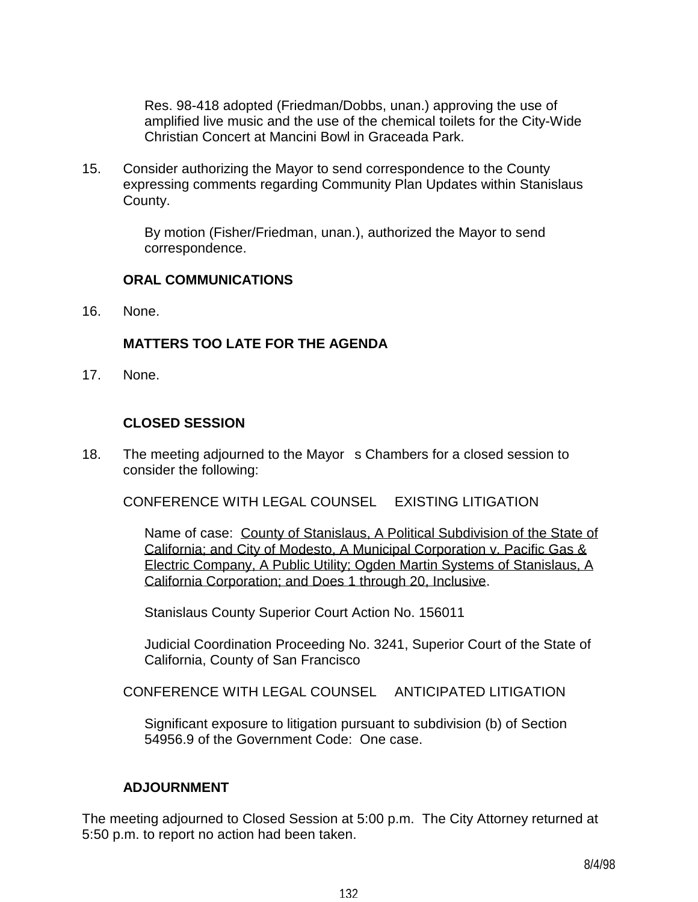Res. 98-418 adopted (Friedman/Dobbs, unan.) approving the use of amplified live music and the use of the chemical toilets for the City-Wide Christian Concert at Mancini Bowl in Graceada Park.

15. Consider authorizing the Mayor to send correspondence to the County expressing comments regarding Community Plan Updates within Stanislaus County.

> By motion (Fisher/Friedman, unan.), authorized the Mayor to send correspondence.

## **ORAL COMMUNICATIONS**

16. None.

## **MATTERS TOO LATE FOR THE AGENDA**

17. None.

## **CLOSED SESSION**

18. The meeting adjourned to the Mayor s Chambers for a closed session to consider the following:

CONFERENCE WITH LEGAL COUNSEL EXISTING LITIGATION

 Name of case: County of Stanislaus, A Political Subdivision of the State of California; and City of Modesto, A Municipal Corporation v. Pacific Gas & Electric Company, A Public Utility; Ogden Martin Systems of Stanislaus, A California Corporation; and Does 1 through 20, Inclusive.

Stanislaus County Superior Court Action No. 156011

 Judicial Coordination Proceeding No. 3241, Superior Court of the State of California, County of San Francisco

CONFERENCE WITH LEGAL COUNSEL ANTICIPATED LITIGATION

 Significant exposure to litigation pursuant to subdivision (b) of Section 54956.9 of the Government Code: One case.

## **ADJOURNMENT**

The meeting adjourned to Closed Session at 5:00 p.m. The City Attorney returned at 5:50 p.m. to report no action had been taken.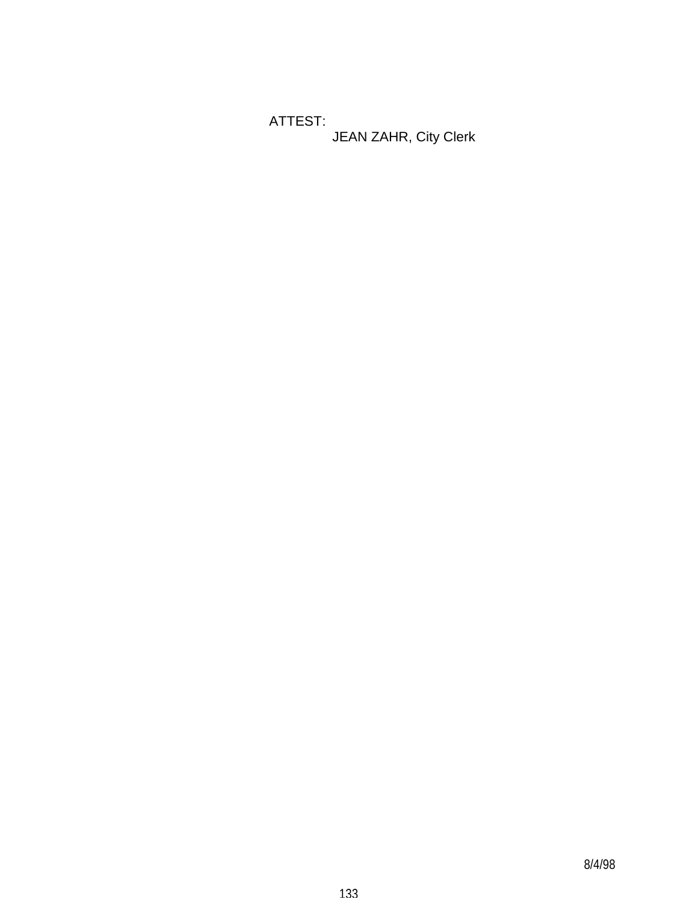ATTEST: JEAN ZAHR, City Clerk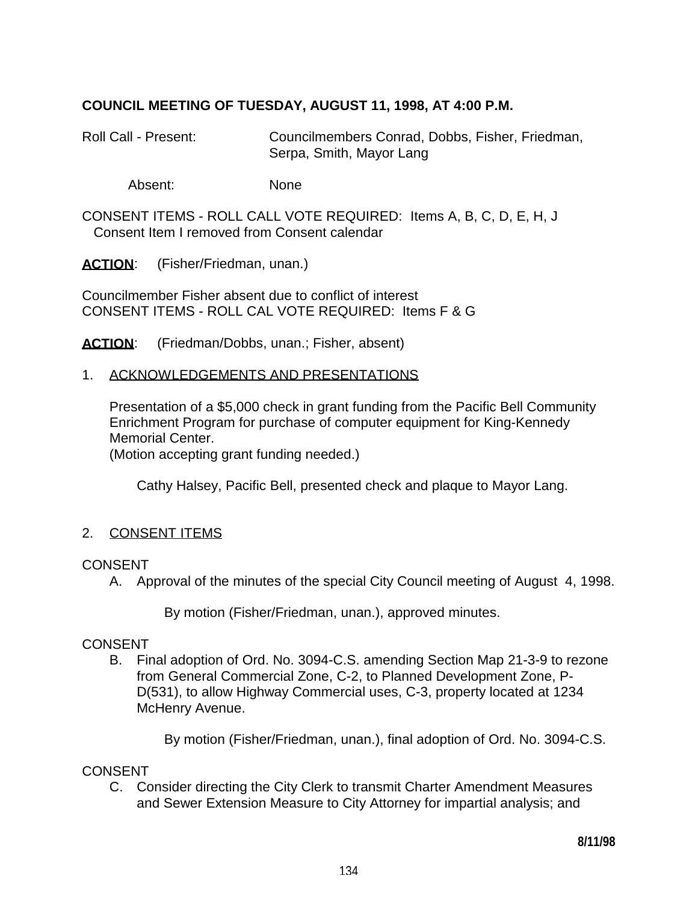## **COUNCIL MEETING OF TUESDAY, AUGUST 11, 1998, AT 4:00 P.M.**

Roll Call - Present: Councilmembers Conrad, Dobbs, Fisher, Friedman, Serpa, Smith, Mayor Lang

Absent: None

CONSENT ITEMS - ROLL CALL VOTE REQUIRED: Items A, B, C, D, E, H, J Consent Item I removed from Consent calendar

ACTION: (Fisher/Friedman, unan.)

Councilmember Fisher absent due to conflict of interest CONSENT ITEMS - ROLL CAL VOTE REQUIRED: Items F & G

**ACTION**: (Friedman/Dobbs, unan.; Fisher, absent)

#### 1. ACKNOWLEDGEMENTS AND PRESENTATIONS

 Presentation of a \$5,000 check in grant funding from the Pacific Bell Community Enrichment Program for purchase of computer equipment for King-Kennedy Memorial Center.

(Motion accepting grant funding needed.)

Cathy Halsey, Pacific Bell, presented check and plaque to Mayor Lang.

## 2. CONSENT ITEMS

#### CONSENT

A. Approval of the minutes of the special City Council meeting of August 4, 1998.

By motion (Fisher/Friedman, unan.), approved minutes.

#### CONSENT

 B. Final adoption of Ord. No. 3094-C.S. amending Section Map 21-3-9 to rezone from General Commercial Zone, C-2, to Planned Development Zone, P-D(531), to allow Highway Commercial uses, C-3, property located at 1234 McHenry Avenue.

By motion (Fisher/Friedman, unan.), final adoption of Ord. No. 3094-C.S.

#### CONSENT

 C. Consider directing the City Clerk to transmit Charter Amendment Measures and Sewer Extension Measure to City Attorney for impartial analysis; and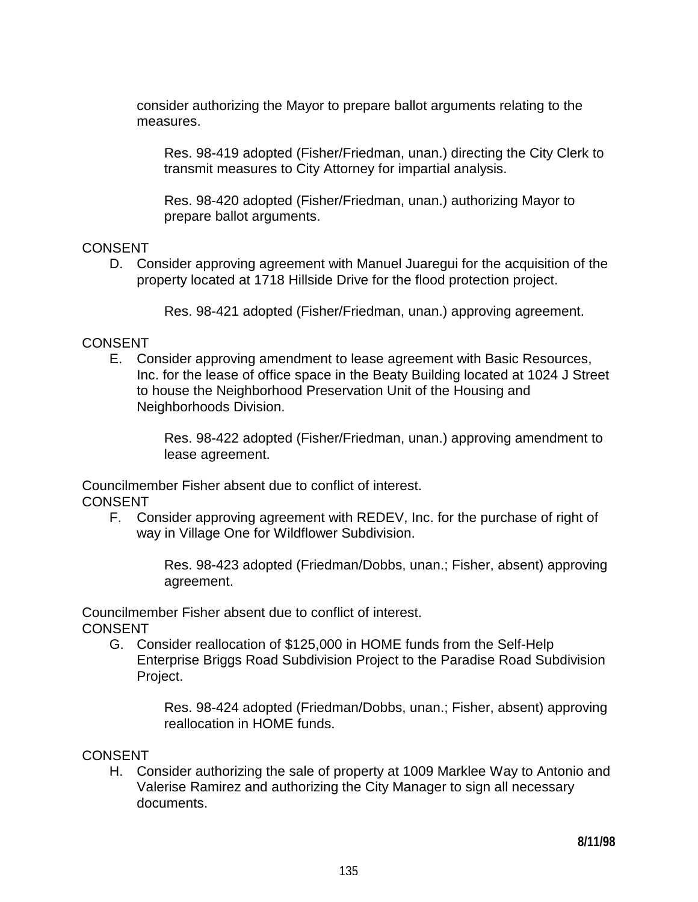consider authorizing the Mayor to prepare ballot arguments relating to the measures.

 Res. 98-419 adopted (Fisher/Friedman, unan.) directing the City Clerk to transmit measures to City Attorney for impartial analysis.

 Res. 98-420 adopted (Fisher/Friedman, unan.) authorizing Mayor to prepare ballot arguments.

## **CONSENT**

 D. Consider approving agreement with Manuel Juaregui for the acquisition of the property located at 1718 Hillside Drive for the flood protection project.

Res. 98-421 adopted (Fisher/Friedman, unan.) approving agreement.

# CONSENT

 E. Consider approving amendment to lease agreement with Basic Resources, Inc. for the lease of office space in the Beaty Building located at 1024 J Street to house the Neighborhood Preservation Unit of the Housing and Neighborhoods Division.

> Res. 98-422 adopted (Fisher/Friedman, unan.) approving amendment to lease agreement.

Councilmember Fisher absent due to conflict of interest. CONSENT

 F. Consider approving agreement with REDEV, Inc. for the purchase of right of way in Village One for Wildflower Subdivision.

> Res. 98-423 adopted (Friedman/Dobbs, unan.; Fisher, absent) approving agreement.

Councilmember Fisher absent due to conflict of interest. **CONSENT** 

 G. Consider reallocation of \$125,000 in HOME funds from the Self-Help Enterprise Briggs Road Subdivision Project to the Paradise Road Subdivision Project.

> Res. 98-424 adopted (Friedman/Dobbs, unan.; Fisher, absent) approving reallocation in HOME funds.

## **CONSENT**

 H. Consider authorizing the sale of property at 1009 Marklee Way to Antonio and Valerise Ramirez and authorizing the City Manager to sign all necessary documents.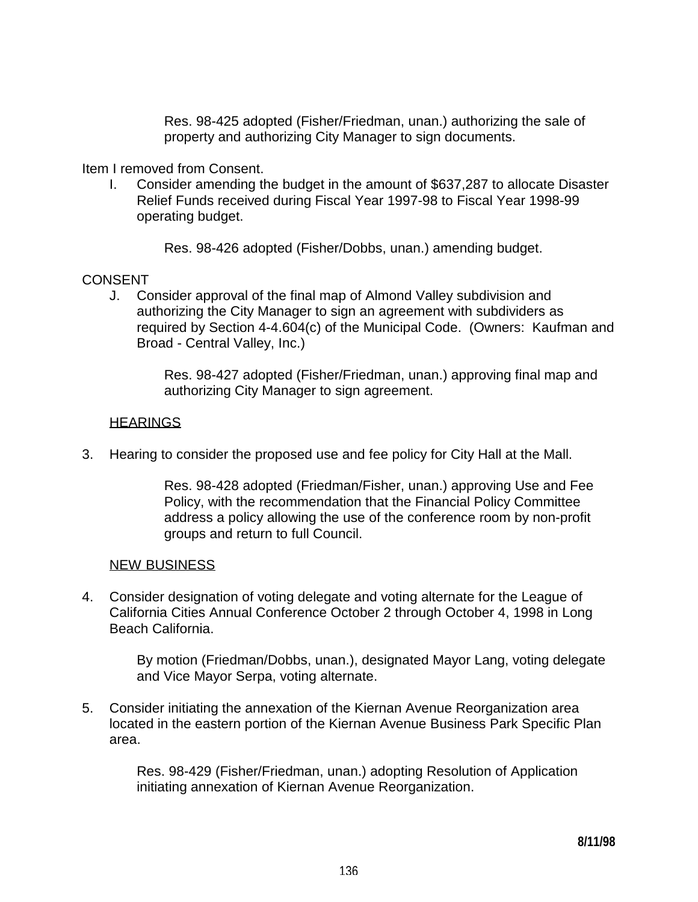Res. 98-425 adopted (Fisher/Friedman, unan.) authorizing the sale of property and authorizing City Manager to sign documents.

Item I removed from Consent.

 I. Consider amending the budget in the amount of \$637,287 to allocate Disaster Relief Funds received during Fiscal Year 1997-98 to Fiscal Year 1998-99 operating budget.

Res. 98-426 adopted (Fisher/Dobbs, unan.) amending budget.

### CONSENT

 J. Consider approval of the final map of Almond Valley subdivision and authorizing the City Manager to sign an agreement with subdividers as required by Section 4-4.604(c) of the Municipal Code. (Owners: Kaufman and Broad - Central Valley, Inc.)

> Res. 98-427 adopted (Fisher/Friedman, unan.) approving final map and authorizing City Manager to sign agreement.

## **HEARINGS**

3. Hearing to consider the proposed use and fee policy for City Hall at the Mall.

 Res. 98-428 adopted (Friedman/Fisher, unan.) approving Use and Fee Policy, with the recommendation that the Financial Policy Committee address a policy allowing the use of the conference room by non-profit groups and return to full Council.

#### NEW BUSINESS

4. Consider designation of voting delegate and voting alternate for the League of California Cities Annual Conference October 2 through October 4, 1998 in Long Beach California.

> By motion (Friedman/Dobbs, unan.), designated Mayor Lang, voting delegate and Vice Mayor Serpa, voting alternate.

5. Consider initiating the annexation of the Kiernan Avenue Reorganization area located in the eastern portion of the Kiernan Avenue Business Park Specific Plan area.

> Res. 98-429 (Fisher/Friedman, unan.) adopting Resolution of Application initiating annexation of Kiernan Avenue Reorganization.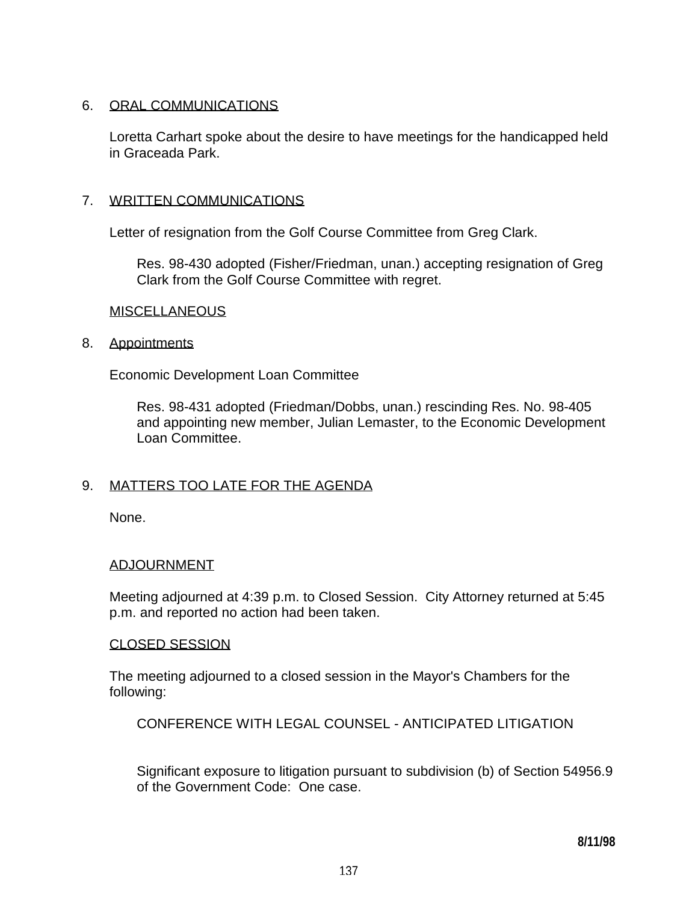## 6. ORAL COMMUNICATIONS

 Loretta Carhart spoke about the desire to have meetings for the handicapped held in Graceada Park.

## 7. WRITTEN COMMUNICATIONS

Letter of resignation from the Golf Course Committee from Greg Clark.

 Res. 98-430 adopted (Fisher/Friedman, unan.) accepting resignation of Greg Clark from the Golf Course Committee with regret.

#### **MISCELLANEOUS**

#### 8. Appointments

Economic Development Loan Committee

 Res. 98-431 adopted (Friedman/Dobbs, unan.) rescinding Res. No. 98-405 and appointing new member, Julian Lemaster, to the Economic Development Loan Committee.

## 9. MATTERS TOO LATE FOR THE AGENDA

None.

#### ADJOURNMENT

 Meeting adjourned at 4:39 p.m. to Closed Session. City Attorney returned at 5:45 p.m. and reported no action had been taken.

#### CLOSED SESSION

 The meeting adjourned to a closed session in the Mayor's Chambers for the following:

CONFERENCE WITH LEGAL COUNSEL - ANTICIPATED LITIGATION

 Significant exposure to litigation pursuant to subdivision (b) of Section 54956.9 of the Government Code: One case.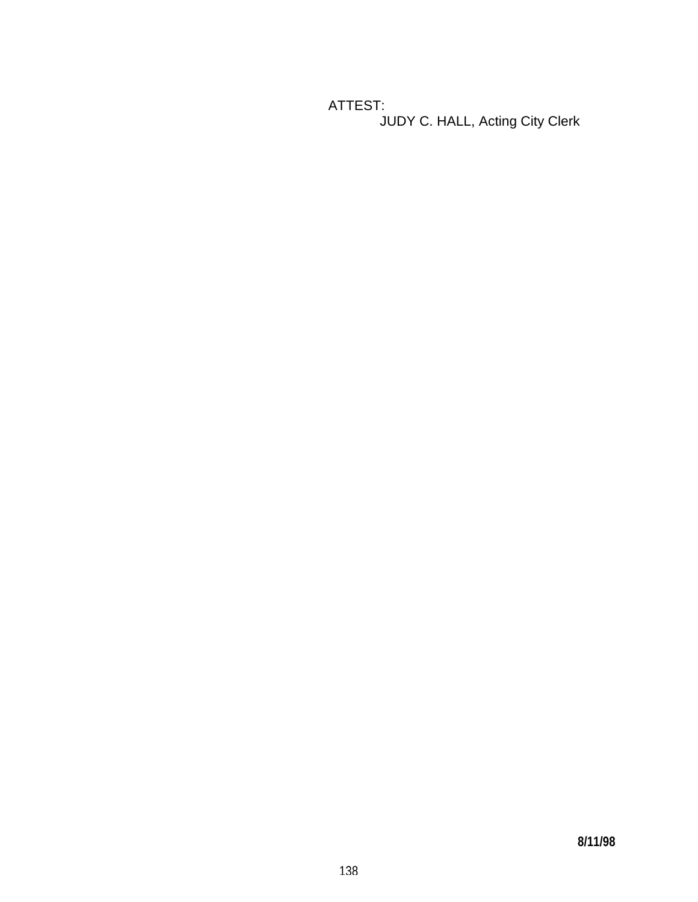ATTEST: JUDY C. HALL, Acting City Clerk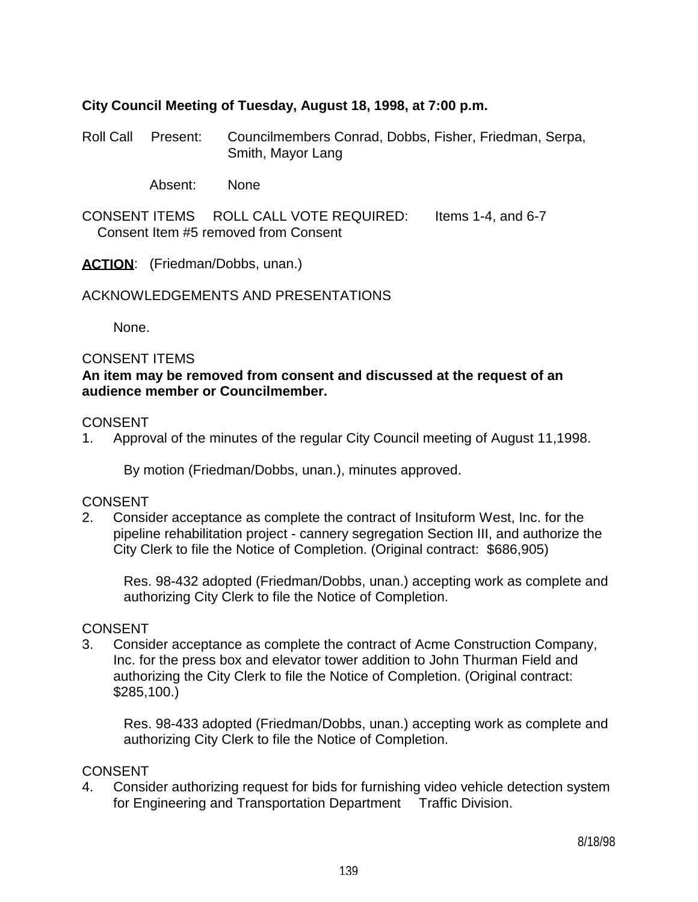## **City Council Meeting of Tuesday, August 18, 1998, at 7:00 p.m.**

Roll Call Present: Councilmembers Conrad, Dobbs, Fisher, Friedman, Serpa, Smith, Mayor Lang

Absent: None

CONSENT ITEMS ROLL CALL VOTE REQUIRED: Items 1-4, and 6-7 Consent Item #5 removed from Consent

ACTION: (Friedman/Dobbs, unan.)

ACKNOWLEDGEMENTS AND PRESENTATIONS

None.

### CONSENT ITEMS

## **An item may be removed from consent and discussed at the request of an audience member or Councilmember.**

#### **CONSENT**

1. Approval of the minutes of the regular City Council meeting of August 11,1998.

By motion (Friedman/Dobbs, unan.), minutes approved.

### CONSENT

2. Consider acceptance as complete the contract of Insituform West, Inc. for the pipeline rehabilitation project - cannery segregation Section III, and authorize the City Clerk to file the Notice of Completion. (Original contract: \$686,905)

 Res. 98-432 adopted (Friedman/Dobbs, unan.) accepting work as complete and authorizing City Clerk to file the Notice of Completion.

#### **CONSENT**

3. Consider acceptance as complete the contract of Acme Construction Company, Inc. for the press box and elevator tower addition to John Thurman Field and authorizing the City Clerk to file the Notice of Completion. (Original contract: \$285,100.)

 Res. 98-433 adopted (Friedman/Dobbs, unan.) accepting work as complete and authorizing City Clerk to file the Notice of Completion.

## CONSENT

4. Consider authorizing request for bids for furnishing video vehicle detection system for Engineering and Transportation Department Traffic Division.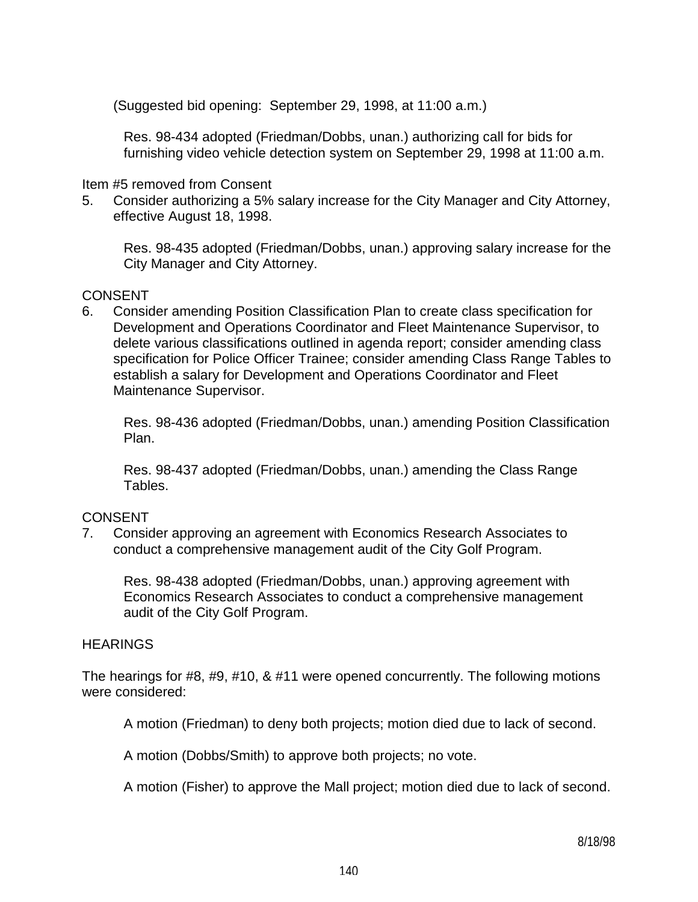(Suggested bid opening: September 29, 1998, at 11:00 a.m.)

 Res. 98-434 adopted (Friedman/Dobbs, unan.) authorizing call for bids for furnishing video vehicle detection system on September 29, 1998 at 11:00 a.m.

Item #5 removed from Consent

5. Consider authorizing a 5% salary increase for the City Manager and City Attorney, effective August 18, 1998.

 Res. 98-435 adopted (Friedman/Dobbs, unan.) approving salary increase for the City Manager and City Attorney.

## **CONSENT**

6. Consider amending Position Classification Plan to create class specification for Development and Operations Coordinator and Fleet Maintenance Supervisor, to delete various classifications outlined in agenda report; consider amending class specification for Police Officer Trainee; consider amending Class Range Tables to establish a salary for Development and Operations Coordinator and Fleet Maintenance Supervisor.

 Res. 98-436 adopted (Friedman/Dobbs, unan.) amending Position Classification Plan.

 Res. 98-437 adopted (Friedman/Dobbs, unan.) amending the Class Range Tables.

## CONSENT

7. Consider approving an agreement with Economics Research Associates to conduct a comprehensive management audit of the City Golf Program.

 Res. 98-438 adopted (Friedman/Dobbs, unan.) approving agreement with Economics Research Associates to conduct a comprehensive management audit of the City Golf Program.

## **HEARINGS**

The hearings for #8, #9, #10, & #11 were opened concurrently. The following motions were considered:

A motion (Friedman) to deny both projects; motion died due to lack of second.

A motion (Dobbs/Smith) to approve both projects; no vote.

A motion (Fisher) to approve the Mall project; motion died due to lack of second.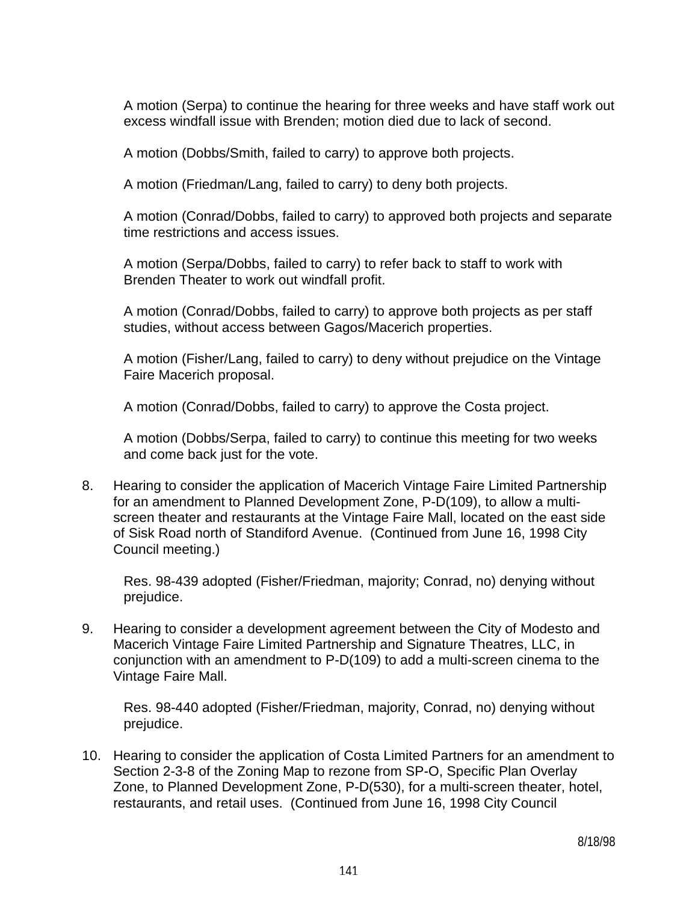A motion (Serpa) to continue the hearing for three weeks and have staff work out excess windfall issue with Brenden; motion died due to lack of second.

A motion (Dobbs/Smith, failed to carry) to approve both projects.

A motion (Friedman/Lang, failed to carry) to deny both projects.

 A motion (Conrad/Dobbs, failed to carry) to approved both projects and separate time restrictions and access issues.

 A motion (Serpa/Dobbs, failed to carry) to refer back to staff to work with Brenden Theater to work out windfall profit.

 A motion (Conrad/Dobbs, failed to carry) to approve both projects as per staff studies, without access between Gagos/Macerich properties.

 A motion (Fisher/Lang, failed to carry) to deny without prejudice on the Vintage Faire Macerich proposal.

A motion (Conrad/Dobbs, failed to carry) to approve the Costa project.

 A motion (Dobbs/Serpa, failed to carry) to continue this meeting for two weeks and come back just for the vote.

8. Hearing to consider the application of Macerich Vintage Faire Limited Partnership for an amendment to Planned Development Zone, P-D(109), to allow a multiscreen theater and restaurants at the Vintage Faire Mall, located on the east side of Sisk Road north of Standiford Avenue. (Continued from June 16, 1998 City Council meeting.)

 Res. 98-439 adopted (Fisher/Friedman, majority; Conrad, no) denying without prejudice.

9. Hearing to consider a development agreement between the City of Modesto and Macerich Vintage Faire Limited Partnership and Signature Theatres, LLC, in conjunction with an amendment to P-D(109) to add a multi-screen cinema to the Vintage Faire Mall.

 Res. 98-440 adopted (Fisher/Friedman, majority, Conrad, no) denying without prejudice.

10. Hearing to consider the application of Costa Limited Partners for an amendment to Section 2-3-8 of the Zoning Map to rezone from SP-O, Specific Plan Overlay Zone, to Planned Development Zone, P-D(530), for a multi-screen theater, hotel, restaurants, and retail uses. (Continued from June 16, 1998 City Council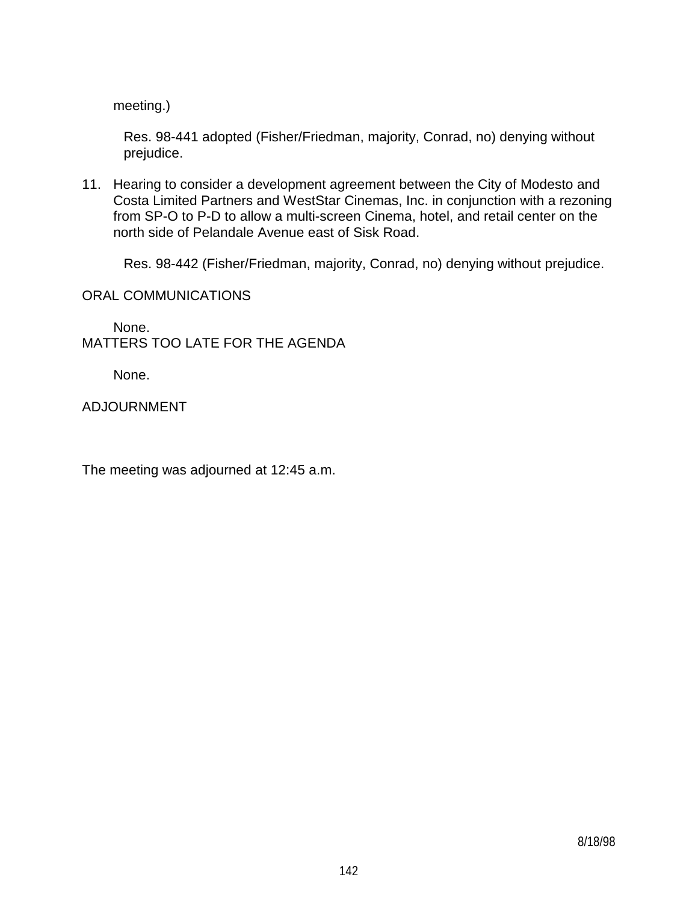meeting.)

 Res. 98-441 adopted (Fisher/Friedman, majority, Conrad, no) denying without prejudice.

11. Hearing to consider a development agreement between the City of Modesto and Costa Limited Partners and WestStar Cinemas, Inc. in conjunction with a rezoning from SP-O to P-D to allow a multi-screen Cinema, hotel, and retail center on the north side of Pelandale Avenue east of Sisk Road.

Res. 98-442 (Fisher/Friedman, majority, Conrad, no) denying without prejudice.

ORAL COMMUNICATIONS

 None. MATTERS TOO LATE FOR THE AGENDA

None.

ADJOURNMENT

The meeting was adjourned at 12:45 a.m.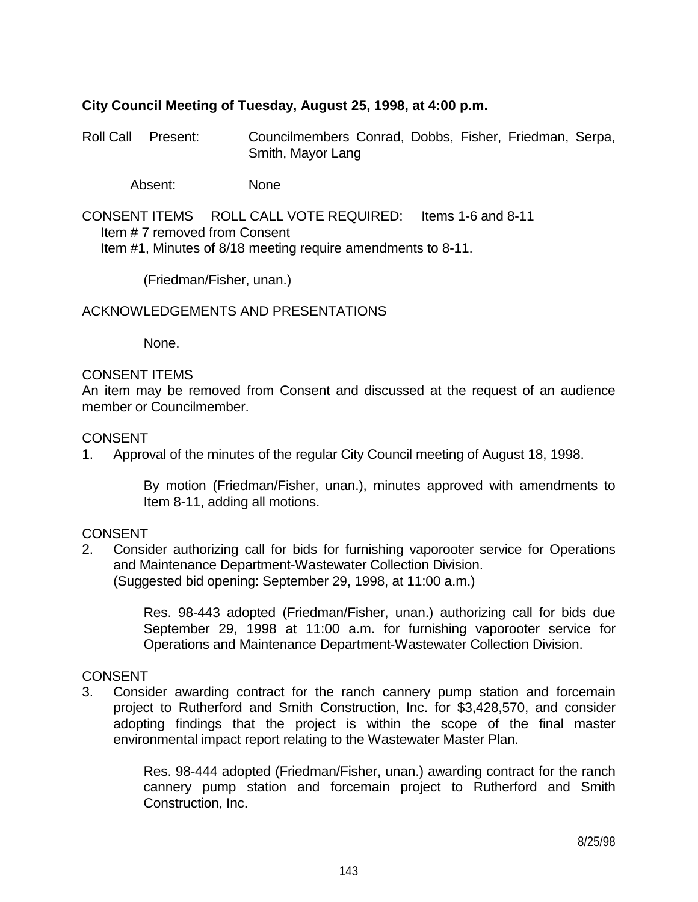## **City Council Meeting of Tuesday, August 25, 1998, at 4:00 p.m.**

Roll Call Present: Councilmembers Conrad, Dobbs, Fisher, Friedman, Serpa, Smith, Mayor Lang

Absent: None

CONSENT ITEMS ROLL CALL VOTE REQUIRED: Items 1-6 and 8-11 Item # 7 removed from Consent Item #1, Minutes of 8/18 meeting require amendments to 8-11.

(Friedman/Fisher, unan.)

ACKNOWLEDGEMENTS AND PRESENTATIONS

None.

#### CONSENT ITEMS

An item may be removed from Consent and discussed at the request of an audience member or Councilmember.

#### CONSENT

1. Approval of the minutes of the regular City Council meeting of August 18, 1998.

 By motion (Friedman/Fisher, unan.), minutes approved with amendments to Item 8-11, adding all motions.

## **CONSENT**

2. Consider authorizing call for bids for furnishing vaporooter service for Operations and Maintenance Department-Wastewater Collection Division. (Suggested bid opening: September 29, 1998, at 11:00 a.m.)

> Res. 98-443 adopted (Friedman/Fisher, unan.) authorizing call for bids due September 29, 1998 at 11:00 a.m. for furnishing vaporooter service for Operations and Maintenance Department-Wastewater Collection Division.

#### CONSENT

3. Consider awarding contract for the ranch cannery pump station and forcemain project to Rutherford and Smith Construction, Inc. for \$3,428,570, and consider adopting findings that the project is within the scope of the final master environmental impact report relating to the Wastewater Master Plan.

> Res. 98-444 adopted (Friedman/Fisher, unan.) awarding contract for the ranch cannery pump station and forcemain project to Rutherford and Smith Construction, Inc.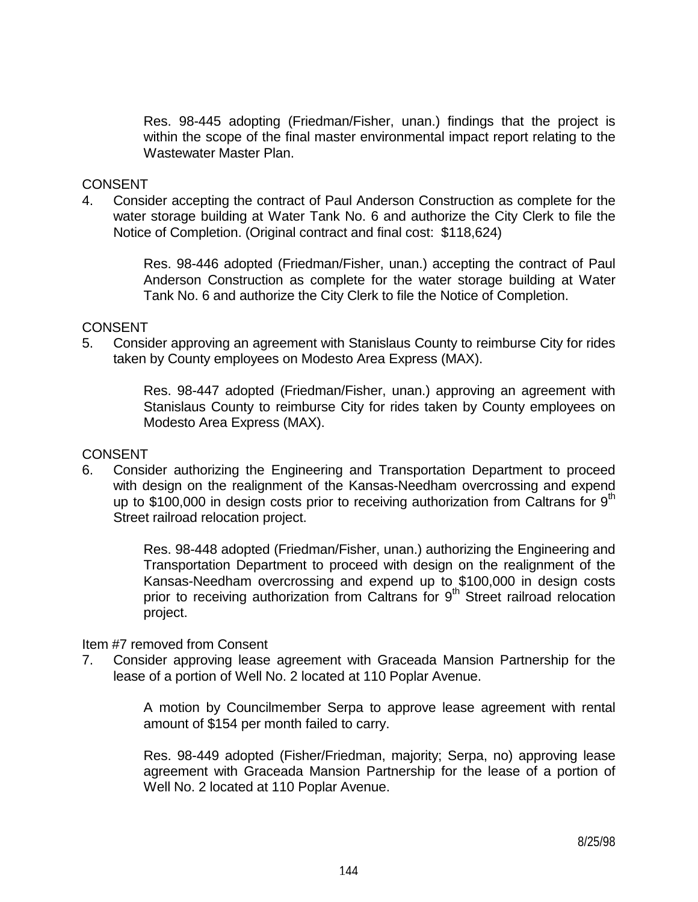Res. 98-445 adopting (Friedman/Fisher, unan.) findings that the project is within the scope of the final master environmental impact report relating to the Wastewater Master Plan.

### **CONSENT**

4. Consider accepting the contract of Paul Anderson Construction as complete for the water storage building at Water Tank No. 6 and authorize the City Clerk to file the Notice of Completion. (Original contract and final cost: \$118,624)

> Res. 98-446 adopted (Friedman/Fisher, unan.) accepting the contract of Paul Anderson Construction as complete for the water storage building at Water Tank No. 6 and authorize the City Clerk to file the Notice of Completion.

### **CONSENT**

5. Consider approving an agreement with Stanislaus County to reimburse City for rides taken by County employees on Modesto Area Express (MAX).

> Res. 98-447 adopted (Friedman/Fisher, unan.) approving an agreement with Stanislaus County to reimburse City for rides taken by County employees on Modesto Area Express (MAX).

#### **CONSENT**

6. Consider authorizing the Engineering and Transportation Department to proceed with design on the realignment of the Kansas-Needham overcrossing and expend up to \$100,000 in design costs prior to receiving authorization from Caltrans for  $9<sup>th</sup>$ Street railroad relocation project.

> Res. 98-448 adopted (Friedman/Fisher, unan.) authorizing the Engineering and Transportation Department to proceed with design on the realignment of the Kansas-Needham overcrossing and expend up to \$100,000 in design costs prior to receiving authorization from Caltrans for  $9<sup>th</sup>$  Street railroad relocation project.

#### Item #7 removed from Consent

7. Consider approving lease agreement with Graceada Mansion Partnership for the lease of a portion of Well No. 2 located at 110 Poplar Avenue.

> A motion by Councilmember Serpa to approve lease agreement with rental amount of \$154 per month failed to carry.

> Res. 98-449 adopted (Fisher/Friedman, majority; Serpa, no) approving lease agreement with Graceada Mansion Partnership for the lease of a portion of Well No. 2 located at 110 Poplar Avenue.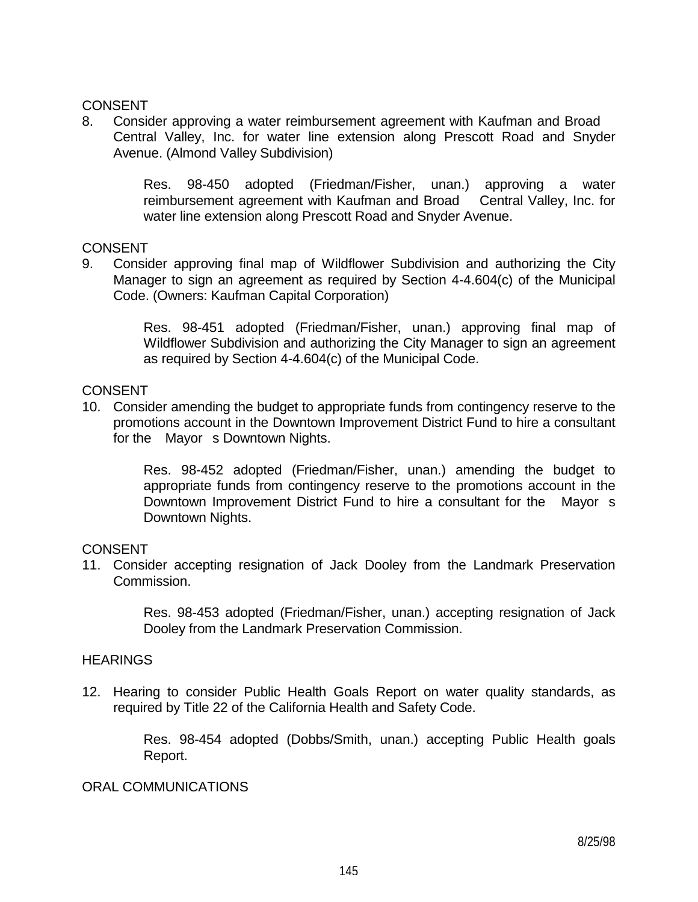### CONSENT

8. Consider approving a water reimbursement agreement with Kaufman and Broad Central Valley, Inc. for water line extension along Prescott Road and Snyder Avenue. (Almond Valley Subdivision)

> Res. 98-450 adopted (Friedman/Fisher, unan.) approving a water reimbursement agreement with Kaufman and Broad Central Valley, Inc. for water line extension along Prescott Road and Snyder Avenue.

#### CONSENT

9. Consider approving final map of Wildflower Subdivision and authorizing the City Manager to sign an agreement as required by Section 4-4.604(c) of the Municipal Code. (Owners: Kaufman Capital Corporation)

> Res. 98-451 adopted (Friedman/Fisher, unan.) approving final map of Wildflower Subdivision and authorizing the City Manager to sign an agreement as required by Section 4-4.604(c) of the Municipal Code.

#### CONSENT

10. Consider amending the budget to appropriate funds from contingency reserve to the promotions account in the Downtown Improvement District Fund to hire a consultant for the Mayor s Downtown Nights.

> Res. 98-452 adopted (Friedman/Fisher, unan.) amending the budget to appropriate funds from contingency reserve to the promotions account in the Downtown Improvement District Fund to hire a consultant for the Mayor s Downtown Nights.

## **CONSENT**

11. Consider accepting resignation of Jack Dooley from the Landmark Preservation Commission.

> Res. 98-453 adopted (Friedman/Fisher, unan.) accepting resignation of Jack Dooley from the Landmark Preservation Commission.

## **HEARINGS**

12. Hearing to consider Public Health Goals Report on water quality standards, as required by Title 22 of the California Health and Safety Code.

> Res. 98-454 adopted (Dobbs/Smith, unan.) accepting Public Health goals Report.

#### ORAL COMMUNICATIONS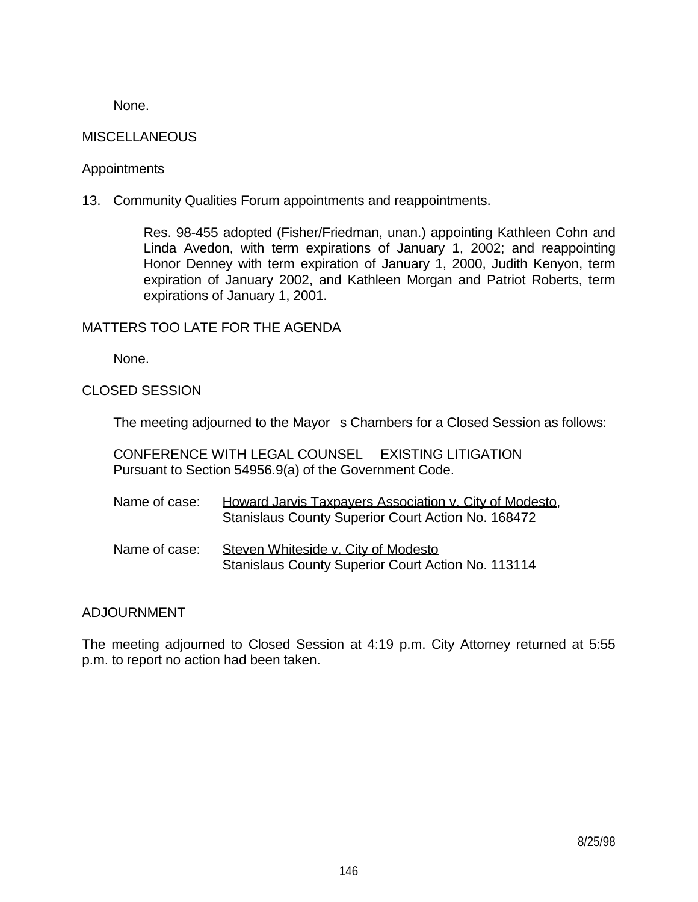None.

## **MISCELLANEOUS**

### **Appointments**

13. Community Qualities Forum appointments and reappointments.

 Res. 98-455 adopted (Fisher/Friedman, unan.) appointing Kathleen Cohn and Linda Avedon, with term expirations of January 1, 2002; and reappointing Honor Denney with term expiration of January 1, 2000, Judith Kenyon, term expiration of January 2002, and Kathleen Morgan and Patriot Roberts, term expirations of January 1, 2001.

## MATTERS TOO LATE FOR THE AGENDA

None.

CLOSED SESSION

The meeting adjourned to the Mayor s Chambers for a Closed Session as follows:

 CONFERENCE WITH LEGAL COUNSEL EXISTING LITIGATION Pursuant to Section 54956.9(a) of the Government Code.

| Name of case: | Howard Jarvis Taxpayers Association v. City of Modesto.   |
|---------------|-----------------------------------------------------------|
|               | <b>Stanislaus County Superior Court Action No. 168472</b> |

Name of case: Steven Whiteside v. City of Modesto Stanislaus County Superior Court Action No. 113114

## ADJOURNMENT

The meeting adjourned to Closed Session at 4:19 p.m. City Attorney returned at 5:55 p.m. to report no action had been taken.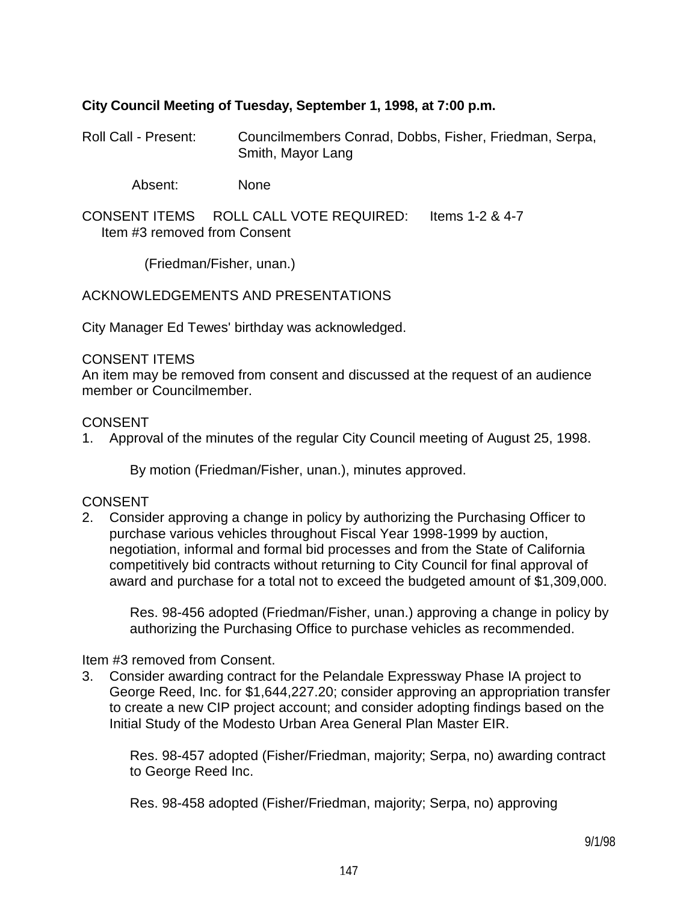## **City Council Meeting of Tuesday, September 1, 1998, at 7:00 p.m.**

Roll Call - Present: Councilmembers Conrad, Dobbs, Fisher, Friedman, Serpa, Smith, Mayor Lang

Absent: None

CONSENT ITEMS ROLL CALL VOTE REQUIRED: Items 1-2 & 4-7 Item #3 removed from Consent

(Friedman/Fisher, unan.)

ACKNOWLEDGEMENTS AND PRESENTATIONS

City Manager Ed Tewes' birthday was acknowledged.

#### CONSENT ITEMS

An item may be removed from consent and discussed at the request of an audience member or Councilmember.

#### CONSENT

1. Approval of the minutes of the regular City Council meeting of August 25, 1998.

By motion (Friedman/Fisher, unan.), minutes approved.

## CONSENT

2. Consider approving a change in policy by authorizing the Purchasing Officer to purchase various vehicles throughout Fiscal Year 1998-1999 by auction, negotiation, informal and formal bid processes and from the State of California competitively bid contracts without returning to City Council for final approval of award and purchase for a total not to exceed the budgeted amount of \$1,309,000.

 Res. 98-456 adopted (Friedman/Fisher, unan.) approving a change in policy by authorizing the Purchasing Office to purchase vehicles as recommended.

#### Item #3 removed from Consent.

3. Consider awarding contract for the Pelandale Expressway Phase IA project to George Reed, Inc. for \$1,644,227.20; consider approving an appropriation transfer to create a new CIP project account; and consider adopting findings based on the Initial Study of the Modesto Urban Area General Plan Master EIR.

 Res. 98-457 adopted (Fisher/Friedman, majority; Serpa, no) awarding contract to George Reed Inc.

Res. 98-458 adopted (Fisher/Friedman, majority; Serpa, no) approving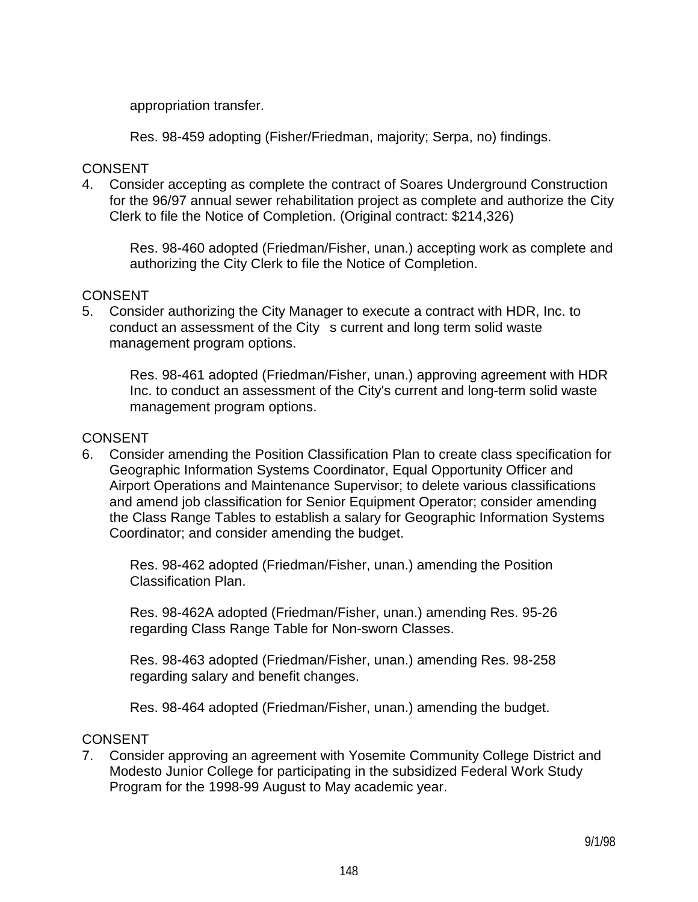appropriation transfer.

Res. 98-459 adopting (Fisher/Friedman, majority; Serpa, no) findings.

## CONSENT

4. Consider accepting as complete the contract of Soares Underground Construction for the 96/97 annual sewer rehabilitation project as complete and authorize the City Clerk to file the Notice of Completion. (Original contract: \$214,326)

 Res. 98-460 adopted (Friedman/Fisher, unan.) accepting work as complete and authorizing the City Clerk to file the Notice of Completion.

## **CONSENT**

5. Consider authorizing the City Manager to execute a contract with HDR, Inc. to conduct an assessment of the City s current and long term solid waste management program options.

 Res. 98-461 adopted (Friedman/Fisher, unan.) approving agreement with HDR Inc. to conduct an assessment of the City's current and long-term solid waste management program options.

## **CONSENT**

6. Consider amending the Position Classification Plan to create class specification for Geographic Information Systems Coordinator, Equal Opportunity Officer and Airport Operations and Maintenance Supervisor; to delete various classifications and amend job classification for Senior Equipment Operator; consider amending the Class Range Tables to establish a salary for Geographic Information Systems Coordinator; and consider amending the budget.

 Res. 98-462 adopted (Friedman/Fisher, unan.) amending the Position Classification Plan.

 Res. 98-462A adopted (Friedman/Fisher, unan.) amending Res. 95-26 regarding Class Range Table for Non-sworn Classes.

 Res. 98-463 adopted (Friedman/Fisher, unan.) amending Res. 98-258 regarding salary and benefit changes.

Res. 98-464 adopted (Friedman/Fisher, unan.) amending the budget.

## CONSENT

7. Consider approving an agreement with Yosemite Community College District and Modesto Junior College for participating in the subsidized Federal Work Study Program for the 1998-99 August to May academic year.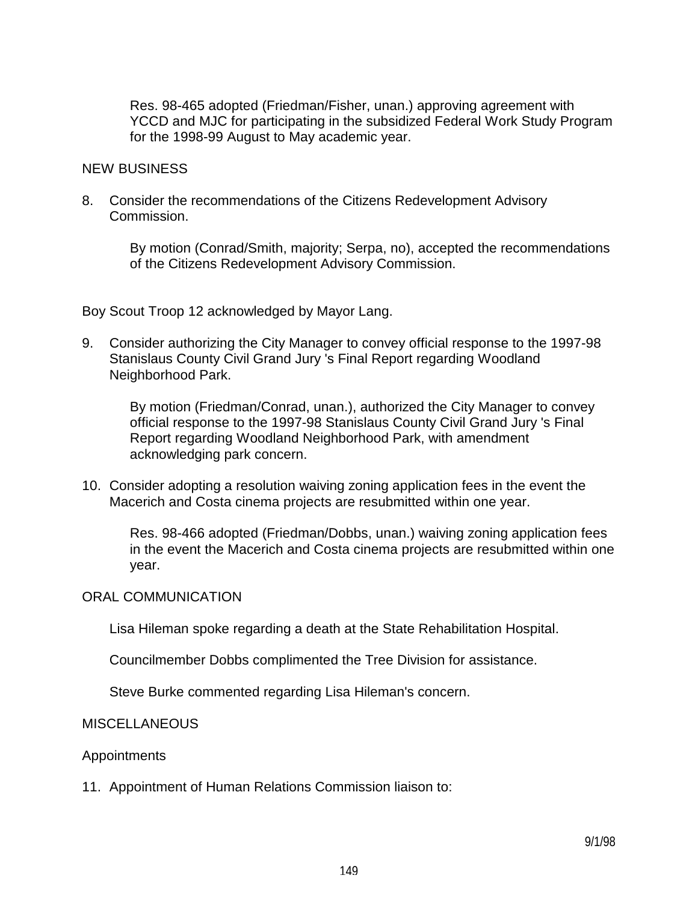Res. 98-465 adopted (Friedman/Fisher, unan.) approving agreement with YCCD and MJC for participating in the subsidized Federal Work Study Program for the 1998-99 August to May academic year.

#### NEW BUSINESS

8. Consider the recommendations of the Citizens Redevelopment Advisory Commission.

> By motion (Conrad/Smith, majority; Serpa, no), accepted the recommendations of the Citizens Redevelopment Advisory Commission.

Boy Scout Troop 12 acknowledged by Mayor Lang.

9. Consider authorizing the City Manager to convey official response to the 1997-98 Stanislaus County Civil Grand Jury 's Final Report regarding Woodland Neighborhood Park.

 By motion (Friedman/Conrad, unan.), authorized the City Manager to convey official response to the 1997-98 Stanislaus County Civil Grand Jury 's Final Report regarding Woodland Neighborhood Park, with amendment acknowledging park concern.

10. Consider adopting a resolution waiving zoning application fees in the event the Macerich and Costa cinema projects are resubmitted within one year.

 Res. 98-466 adopted (Friedman/Dobbs, unan.) waiving zoning application fees in the event the Macerich and Costa cinema projects are resubmitted within one year.

#### ORAL COMMUNICATION

Lisa Hileman spoke regarding a death at the State Rehabilitation Hospital.

Councilmember Dobbs complimented the Tree Division for assistance.

Steve Burke commented regarding Lisa Hileman's concern.

#### **MISCELLANEOUS**

#### Appointments

11. Appointment of Human Relations Commission liaison to: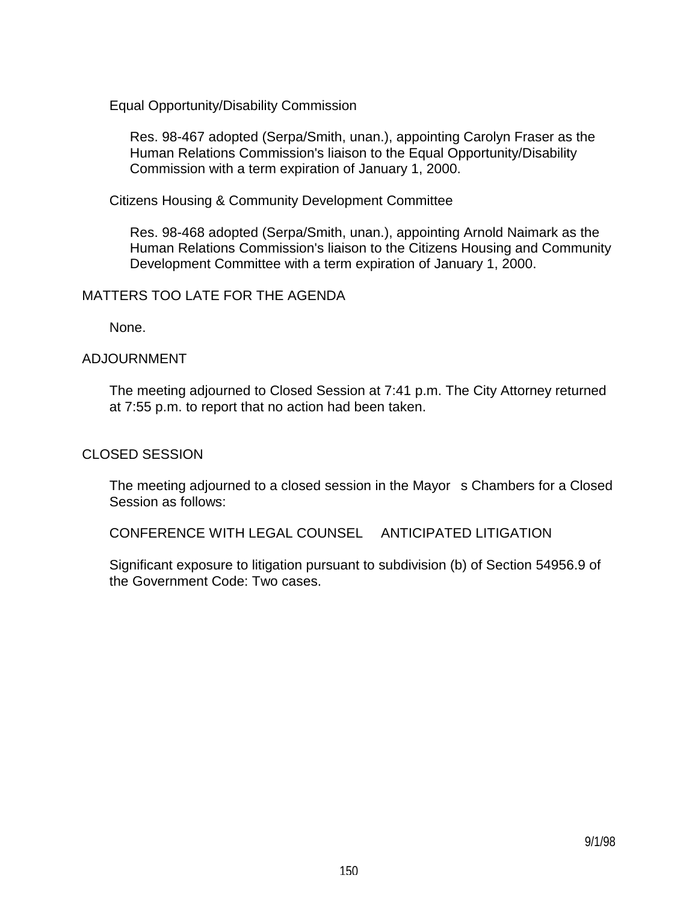Equal Opportunity/Disability Commission

 Res. 98-467 adopted (Serpa/Smith, unan.), appointing Carolyn Fraser as the Human Relations Commission's liaison to the Equal Opportunity/Disability Commission with a term expiration of January 1, 2000.

Citizens Housing & Community Development Committee

 Res. 98-468 adopted (Serpa/Smith, unan.), appointing Arnold Naimark as the Human Relations Commission's liaison to the Citizens Housing and Community Development Committee with a term expiration of January 1, 2000.

## MATTERS TOO LATE FOR THE AGENDA

None.

## ADJOURNMENT

 The meeting adjourned to Closed Session at 7:41 p.m. The City Attorney returned at 7:55 p.m. to report that no action had been taken.

### CLOSED SESSION

The meeting adjourned to a closed session in the Mayor s Chambers for a Closed Session as follows:

CONFERENCE WITH LEGAL COUNSEL ANTICIPATED LITIGATION

 Significant exposure to litigation pursuant to subdivision (b) of Section 54956.9 of the Government Code: Two cases.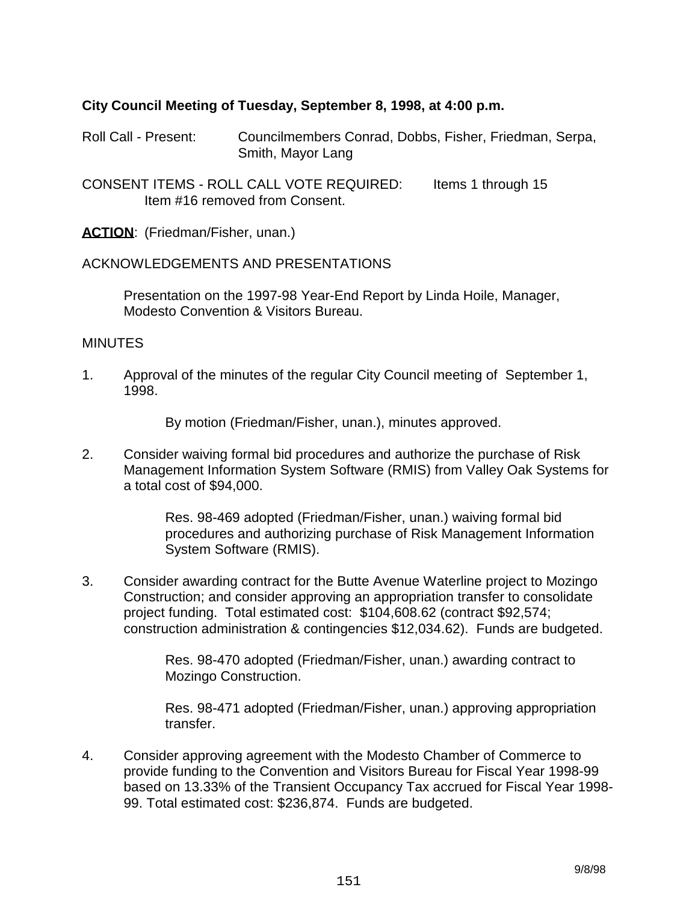## **City Council Meeting of Tuesday, September 8, 1998, at 4:00 p.m.**

Roll Call - Present: Councilmembers Conrad, Dobbs, Fisher, Friedman, Serpa, Smith, Mayor Lang

CONSENT ITEMS - ROLL CALL VOTE REQUIRED: ltems 1 through 15 Item #16 removed from Consent.

**ACTION**: (Friedman/Fisher, unan.)

#### ACKNOWLEDGEMENTS AND PRESENTATIONS

 Presentation on the 1997-98 Year-End Report by Linda Hoile, Manager, Modesto Convention & Visitors Bureau.

#### **MINUTES**

1. Approval of the minutes of the regular City Council meeting of September 1, 1998.

By motion (Friedman/Fisher, unan.), minutes approved.

2. Consider waiving formal bid procedures and authorize the purchase of Risk Management Information System Software (RMIS) from Valley Oak Systems for a total cost of \$94,000.

> Res. 98-469 adopted (Friedman/Fisher, unan.) waiving formal bid procedures and authorizing purchase of Risk Management Information System Software (RMIS).

3. Consider awarding contract for the Butte Avenue Waterline project to Mozingo Construction; and consider approving an appropriation transfer to consolidate project funding. Total estimated cost: \$104,608.62 (contract \$92,574; construction administration & contingencies \$12,034.62). Funds are budgeted.

> Res. 98-470 adopted (Friedman/Fisher, unan.) awarding contract to Mozingo Construction.

 Res. 98-471 adopted (Friedman/Fisher, unan.) approving appropriation transfer.

4. Consider approving agreement with the Modesto Chamber of Commerce to provide funding to the Convention and Visitors Bureau for Fiscal Year 1998-99 based on 13.33% of the Transient Occupancy Tax accrued for Fiscal Year 1998- 99. Total estimated cost: \$236,874. Funds are budgeted.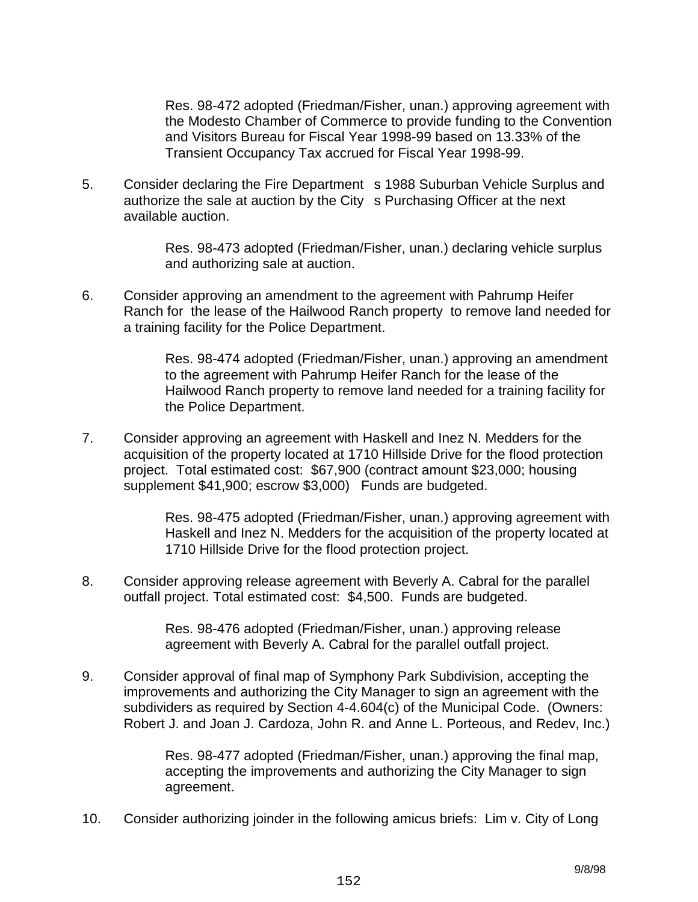Res. 98-472 adopted (Friedman/Fisher, unan.) approving agreement with the Modesto Chamber of Commerce to provide funding to the Convention and Visitors Bureau for Fiscal Year 1998-99 based on 13.33% of the Transient Occupancy Tax accrued for Fiscal Year 1998-99.

5. Consider declaring the Fire Department s 1988 Suburban Vehicle Surplus and authorize the sale at auction by the City s Purchasing Officer at the next available auction.

> Res. 98-473 adopted (Friedman/Fisher, unan.) declaring vehicle surplus and authorizing sale at auction.

6. Consider approving an amendment to the agreement with Pahrump Heifer Ranch for the lease of the Hailwood Ranch property to remove land needed for a training facility for the Police Department.

> Res. 98-474 adopted (Friedman/Fisher, unan.) approving an amendment to the agreement with Pahrump Heifer Ranch for the lease of the Hailwood Ranch property to remove land needed for a training facility for the Police Department.

7. Consider approving an agreement with Haskell and Inez N. Medders for the acquisition of the property located at 1710 Hillside Drive for the flood protection project. Total estimated cost: \$67,900 (contract amount \$23,000; housing supplement \$41,900; escrow \$3,000) Funds are budgeted.

> Res. 98-475 adopted (Friedman/Fisher, unan.) approving agreement with Haskell and Inez N. Medders for the acquisition of the property located at 1710 Hillside Drive for the flood protection project.

8. Consider approving release agreement with Beverly A. Cabral for the parallel outfall project. Total estimated cost: \$4,500. Funds are budgeted.

> Res. 98-476 adopted (Friedman/Fisher, unan.) approving release agreement with Beverly A. Cabral for the parallel outfall project.

9. Consider approval of final map of Symphony Park Subdivision, accepting the improvements and authorizing the City Manager to sign an agreement with the subdividers as required by Section 4-4.604(c) of the Municipal Code. (Owners: Robert J. and Joan J. Cardoza, John R. and Anne L. Porteous, and Redev, Inc.)

> Res. 98-477 adopted (Friedman/Fisher, unan.) approving the final map, accepting the improvements and authorizing the City Manager to sign agreement.

10. Consider authorizing joinder in the following amicus briefs: Lim v. City of Long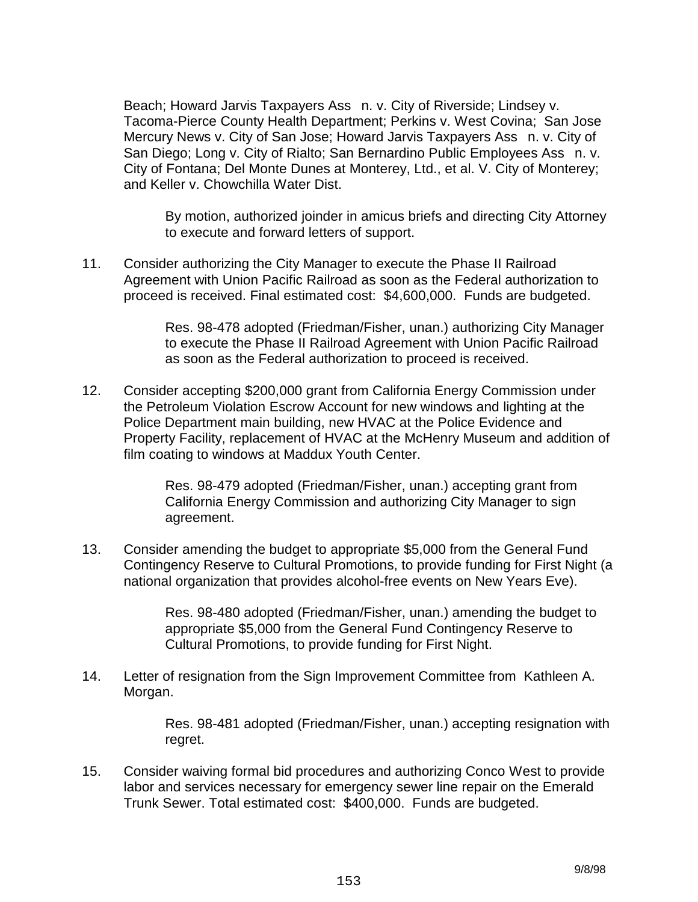Beach; Howard Jarvis Taxpayers Ass n. v. City of Riverside; Lindsey v. Tacoma-Pierce County Health Department; Perkins v. West Covina; San Jose Mercury News v. City of San Jose; Howard Jarvis Taxpayers Ass n. v. City of San Diego; Long v. City of Rialto; San Bernardino Public Employees Ass n. v. City of Fontana; Del Monte Dunes at Monterey, Ltd., et al. V. City of Monterey; and Keller v. Chowchilla Water Dist.

 By motion, authorized joinder in amicus briefs and directing City Attorney to execute and forward letters of support.

11. Consider authorizing the City Manager to execute the Phase II Railroad Agreement with Union Pacific Railroad as soon as the Federal authorization to proceed is received. Final estimated cost: \$4,600,000. Funds are budgeted.

> Res. 98-478 adopted (Friedman/Fisher, unan.) authorizing City Manager to execute the Phase II Railroad Agreement with Union Pacific Railroad as soon as the Federal authorization to proceed is received.

12. Consider accepting \$200,000 grant from California Energy Commission under the Petroleum Violation Escrow Account for new windows and lighting at the Police Department main building, new HVAC at the Police Evidence and Property Facility, replacement of HVAC at the McHenry Museum and addition of film coating to windows at Maddux Youth Center.

> Res. 98-479 adopted (Friedman/Fisher, unan.) accepting grant from California Energy Commission and authorizing City Manager to sign agreement.

13. Consider amending the budget to appropriate \$5,000 from the General Fund Contingency Reserve to Cultural Promotions, to provide funding for First Night (a national organization that provides alcohol-free events on New Years Eve).

> Res. 98-480 adopted (Friedman/Fisher, unan.) amending the budget to appropriate \$5,000 from the General Fund Contingency Reserve to Cultural Promotions, to provide funding for First Night.

14. Letter of resignation from the Sign Improvement Committee from Kathleen A. Morgan.

> Res. 98-481 adopted (Friedman/Fisher, unan.) accepting resignation with regret.

15. Consider waiving formal bid procedures and authorizing Conco West to provide labor and services necessary for emergency sewer line repair on the Emerald Trunk Sewer. Total estimated cost: \$400,000. Funds are budgeted.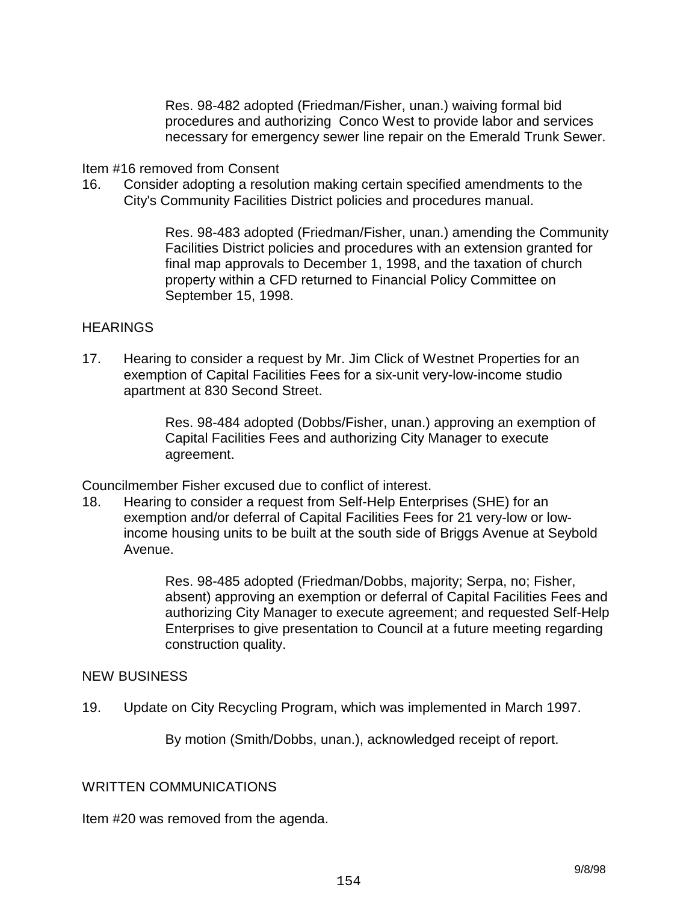Res. 98-482 adopted (Friedman/Fisher, unan.) waiving formal bid procedures and authorizing Conco West to provide labor and services necessary for emergency sewer line repair on the Emerald Trunk Sewer.

Item #16 removed from Consent

16. Consider adopting a resolution making certain specified amendments to the City's Community Facilities District policies and procedures manual.

> Res. 98-483 adopted (Friedman/Fisher, unan.) amending the Community Facilities District policies and procedures with an extension granted for final map approvals to December 1, 1998, and the taxation of church property within a CFD returned to Financial Policy Committee on September 15, 1998.

## **HEARINGS**

17. Hearing to consider a request by Mr. Jim Click of Westnet Properties for an exemption of Capital Facilities Fees for a six-unit very-low-income studio apartment at 830 Second Street.

> Res. 98-484 adopted (Dobbs/Fisher, unan.) approving an exemption of Capital Facilities Fees and authorizing City Manager to execute agreement.

Councilmember Fisher excused due to conflict of interest.

18. Hearing to consider a request from Self-Help Enterprises (SHE) for an exemption and/or deferral of Capital Facilities Fees for 21 very-low or lowincome housing units to be built at the south side of Briggs Avenue at Seybold Avenue.

> Res. 98-485 adopted (Friedman/Dobbs, majority; Serpa, no; Fisher, absent) approving an exemption or deferral of Capital Facilities Fees and authorizing City Manager to execute agreement; and requested Self-Help Enterprises to give presentation to Council at a future meeting regarding construction quality.

#### NEW BUSINESS

19. Update on City Recycling Program, which was implemented in March 1997.

By motion (Smith/Dobbs, unan.), acknowledged receipt of report.

WRITTEN COMMUNICATIONS

Item #20 was removed from the agenda.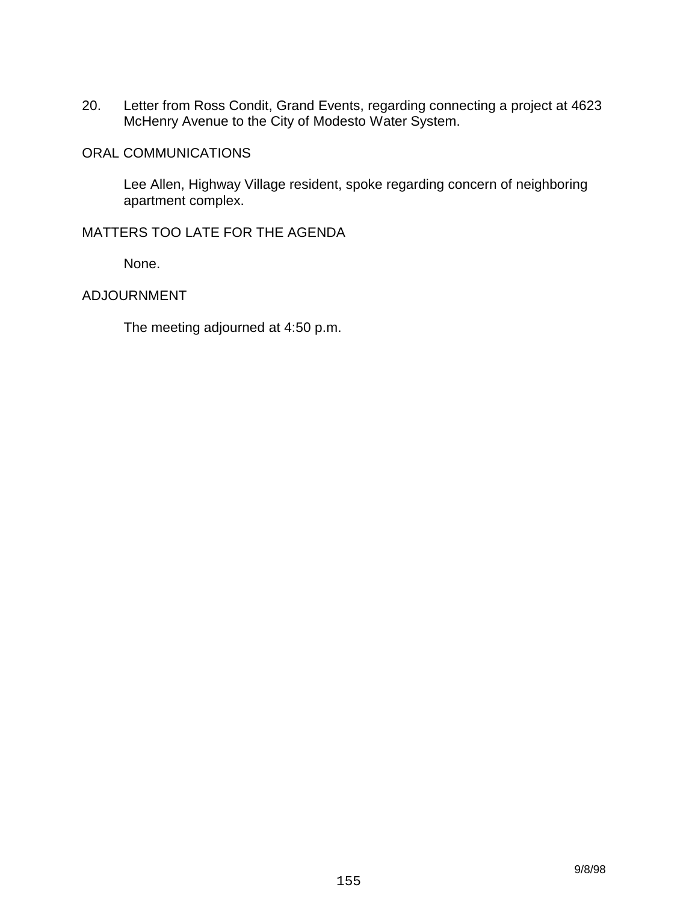20. Letter from Ross Condit, Grand Events, regarding connecting a project at 4623 McHenry Avenue to the City of Modesto Water System.

### ORAL COMMUNICATIONS

 Lee Allen, Highway Village resident, spoke regarding concern of neighboring apartment complex.

## MATTERS TOO LATE FOR THE AGENDA

None.

## ADJOURNMENT

The meeting adjourned at 4:50 p.m.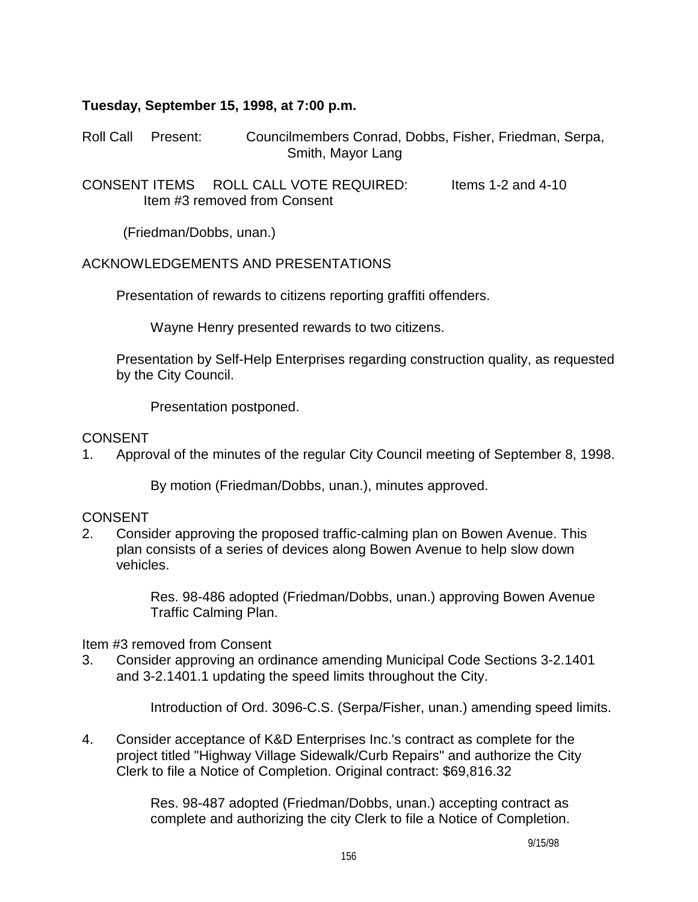## **Tuesday, September 15, 1998, at 7:00 p.m.**

Roll Call Present: Councilmembers Conrad, Dobbs, Fisher, Friedman, Serpa, Smith, Mayor Lang

CONSENT ITEMS ROLL CALL VOTE REQUIRED: Items 1-2 and 4-10 Item #3 removed from Consent

(Friedman/Dobbs, unan.)

## ACKNOWLEDGEMENTS AND PRESENTATIONS

Presentation of rewards to citizens reporting graffiti offenders.

Wayne Henry presented rewards to two citizens.

 Presentation by Self-Help Enterprises regarding construction quality, as requested by the City Council.

Presentation postponed.

#### CONSENT

1. Approval of the minutes of the regular City Council meeting of September 8, 1998.

By motion (Friedman/Dobbs, unan.), minutes approved.

## CONSENT

2. Consider approving the proposed traffic-calming plan on Bowen Avenue. This plan consists of a series of devices along Bowen Avenue to help slow down vehicles.

> Res. 98-486 adopted (Friedman/Dobbs, unan.) approving Bowen Avenue Traffic Calming Plan.

Item #3 removed from Consent

3. Consider approving an ordinance amending Municipal Code Sections 3-2.1401 and 3-2.1401.1 updating the speed limits throughout the City.

Introduction of Ord. 3096-C.S. (Serpa/Fisher, unan.) amending speed limits.

4. Consider acceptance of K&D Enterprises Inc.'s contract as complete for the project titled "Highway Village Sidewalk/Curb Repairs" and authorize the City Clerk to file a Notice of Completion. Original contract: \$69,816.32

> Res. 98-487 adopted (Friedman/Dobbs, unan.) accepting contract as complete and authorizing the city Clerk to file a Notice of Completion.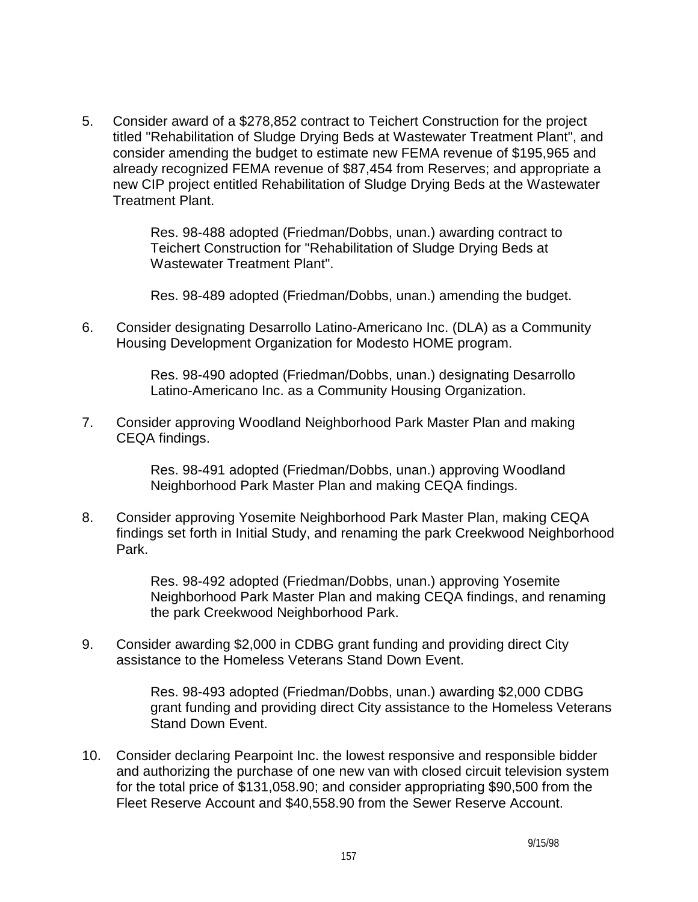5. Consider award of a \$278,852 contract to Teichert Construction for the project titled "Rehabilitation of Sludge Drying Beds at Wastewater Treatment Plant", and consider amending the budget to estimate new FEMA revenue of \$195,965 and already recognized FEMA revenue of \$87,454 from Reserves; and appropriate a new CIP project entitled Rehabilitation of Sludge Drying Beds at the Wastewater Treatment Plant.

> Res. 98-488 adopted (Friedman/Dobbs, unan.) awarding contract to Teichert Construction for "Rehabilitation of Sludge Drying Beds at Wastewater Treatment Plant".

Res. 98-489 adopted (Friedman/Dobbs, unan.) amending the budget.

6. Consider designating Desarrollo Latino-Americano Inc. (DLA) as a Community Housing Development Organization for Modesto HOME program.

> Res. 98-490 adopted (Friedman/Dobbs, unan.) designating Desarrollo Latino-Americano Inc. as a Community Housing Organization.

7. Consider approving Woodland Neighborhood Park Master Plan and making CEQA findings.

> Res. 98-491 adopted (Friedman/Dobbs, unan.) approving Woodland Neighborhood Park Master Plan and making CEQA findings.

8. Consider approving Yosemite Neighborhood Park Master Plan, making CEQA findings set forth in Initial Study, and renaming the park Creekwood Neighborhood Park.

> Res. 98-492 adopted (Friedman/Dobbs, unan.) approving Yosemite Neighborhood Park Master Plan and making CEQA findings, and renaming the park Creekwood Neighborhood Park.

9. Consider awarding \$2,000 in CDBG grant funding and providing direct City assistance to the Homeless Veterans Stand Down Event.

> Res. 98-493 adopted (Friedman/Dobbs, unan.) awarding \$2,000 CDBG grant funding and providing direct City assistance to the Homeless Veterans Stand Down Event.

10. Consider declaring Pearpoint Inc. the lowest responsive and responsible bidder and authorizing the purchase of one new van with closed circuit television system for the total price of \$131,058.90; and consider appropriating \$90,500 from the Fleet Reserve Account and \$40,558.90 from the Sewer Reserve Account.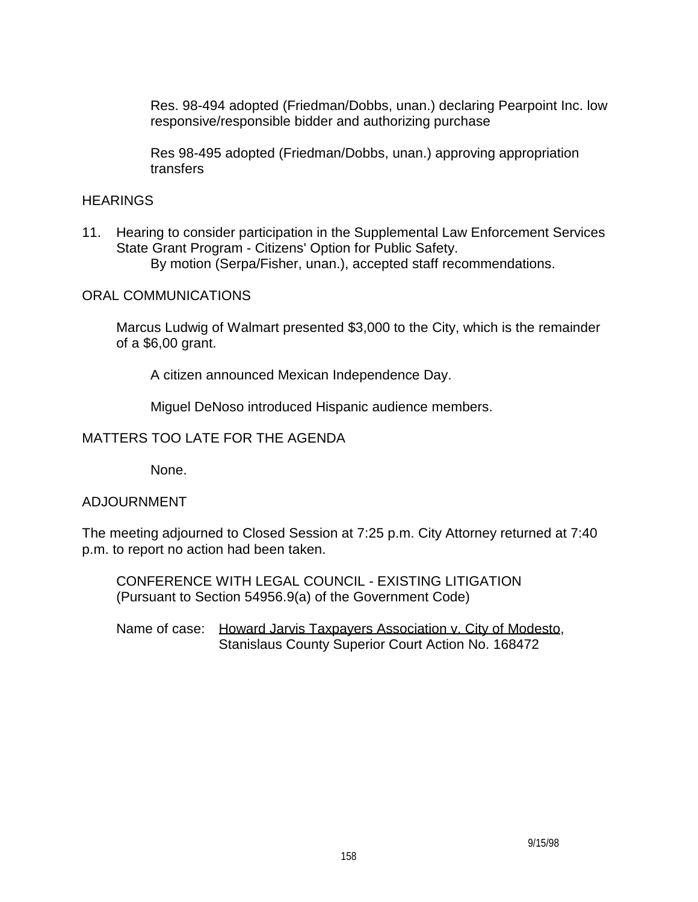Res. 98-494 adopted (Friedman/Dobbs, unan.) declaring Pearpoint Inc. low responsive/responsible bidder and authorizing purchase

 Res 98-495 adopted (Friedman/Dobbs, unan.) approving appropriation transfers

## **HEARINGS**

11. Hearing to consider participation in the Supplemental Law Enforcement Services State Grant Program - Citizens' Option for Public Safety. By motion (Serpa/Fisher, unan.), accepted staff recommendations.

ORAL COMMUNICATIONS

 Marcus Ludwig of Walmart presented \$3,000 to the City, which is the remainder of a \$6,00 grant.

A citizen announced Mexican Independence Day.

Miguel DeNoso introduced Hispanic audience members.

## MATTERS TOO LATE FOR THE AGENDA

None.

## ADJOURNMENT

The meeting adjourned to Closed Session at 7:25 p.m. City Attorney returned at 7:40 p.m. to report no action had been taken.

 CONFERENCE WITH LEGAL COUNCIL - EXISTING LITIGATION (Pursuant to Section 54956.9(a) of the Government Code)

 Name of case: Howard Jarvis Taxpayers Association v. City of Modesto, Stanislaus County Superior Court Action No. 168472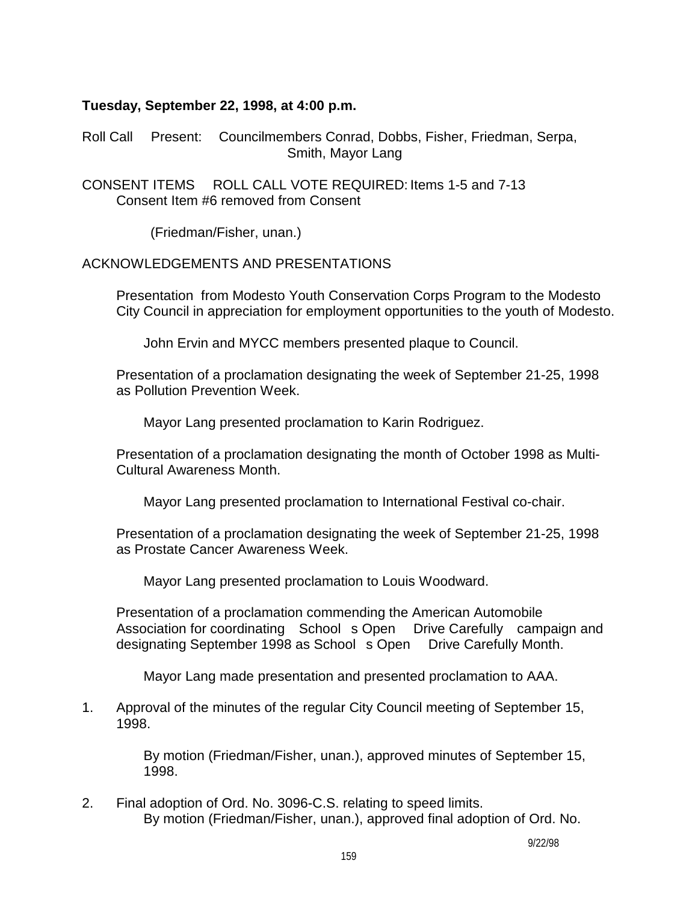## **Tuesday, September 22, 1998, at 4:00 p.m.**

Roll Call Present: Councilmembers Conrad, Dobbs, Fisher, Friedman, Serpa, Smith, Mayor Lang

CONSENT ITEMS ROLL CALL VOTE REQUIRED: Items 1-5 and 7-13 Consent Item #6 removed from Consent

(Friedman/Fisher, unan.)

## ACKNOWLEDGEMENTS AND PRESENTATIONS

 Presentation from Modesto Youth Conservation Corps Program to the Modesto City Council in appreciation for employment opportunities to the youth of Modesto.

John Ervin and MYCC members presented plaque to Council.

 Presentation of a proclamation designating the week of September 21-25, 1998 as Pollution Prevention Week.

Mayor Lang presented proclamation to Karin Rodriguez.

 Presentation of a proclamation designating the month of October 1998 as Multi-Cultural Awareness Month.

Mayor Lang presented proclamation to International Festival co-chair.

 Presentation of a proclamation designating the week of September 21-25, 1998 as Prostate Cancer Awareness Week.

Mayor Lang presented proclamation to Louis Woodward.

 Presentation of a proclamation commending the American Automobile Association for coordinating School s Open Drive Carefully campaign and designating September 1998 as School s Open Drive Carefully Month.

Mayor Lang made presentation and presented proclamation to AAA.

1. Approval of the minutes of the regular City Council meeting of September 15, 1998.

> By motion (Friedman/Fisher, unan.), approved minutes of September 15, 1998.

2. Final adoption of Ord. No. 3096-C.S. relating to speed limits. By motion (Friedman/Fisher, unan.), approved final adoption of Ord. No.

9/22/98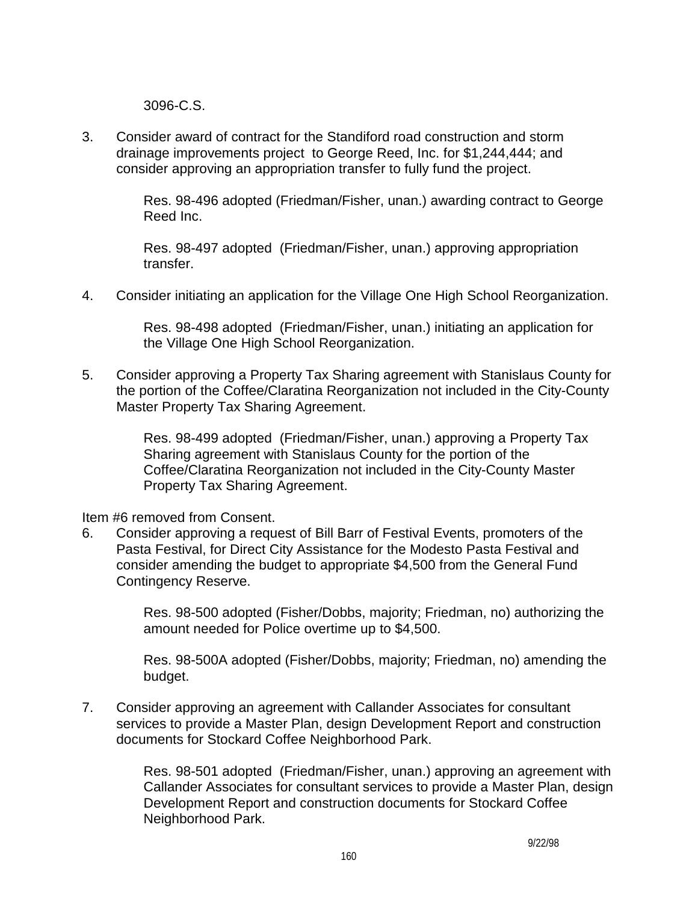3096-C.S.

3. Consider award of contract for the Standiford road construction and storm drainage improvements project to George Reed, Inc. for \$1,244,444; and consider approving an appropriation transfer to fully fund the project.

> Res. 98-496 adopted (Friedman/Fisher, unan.) awarding contract to George Reed Inc.

 Res. 98-497 adopted (Friedman/Fisher, unan.) approving appropriation transfer.

4. Consider initiating an application for the Village One High School Reorganization.

 Res. 98-498 adopted (Friedman/Fisher, unan.) initiating an application for the Village One High School Reorganization.

5. Consider approving a Property Tax Sharing agreement with Stanislaus County for the portion of the Coffee/Claratina Reorganization not included in the City-County Master Property Tax Sharing Agreement.

> Res. 98-499 adopted (Friedman/Fisher, unan.) approving a Property Tax Sharing agreement with Stanislaus County for the portion of the Coffee/Claratina Reorganization not included in the City-County Master Property Tax Sharing Agreement.

Item #6 removed from Consent.

6. Consider approving a request of Bill Barr of Festival Events, promoters of the Pasta Festival, for Direct City Assistance for the Modesto Pasta Festival and consider amending the budget to appropriate \$4,500 from the General Fund Contingency Reserve.

> Res. 98-500 adopted (Fisher/Dobbs, majority; Friedman, no) authorizing the amount needed for Police overtime up to \$4,500.

> Res. 98-500A adopted (Fisher/Dobbs, majority; Friedman, no) amending the budget.

7. Consider approving an agreement with Callander Associates for consultant services to provide a Master Plan, design Development Report and construction documents for Stockard Coffee Neighborhood Park.

> Res. 98-501 adopted (Friedman/Fisher, unan.) approving an agreement with Callander Associates for consultant services to provide a Master Plan, design Development Report and construction documents for Stockard Coffee Neighborhood Park.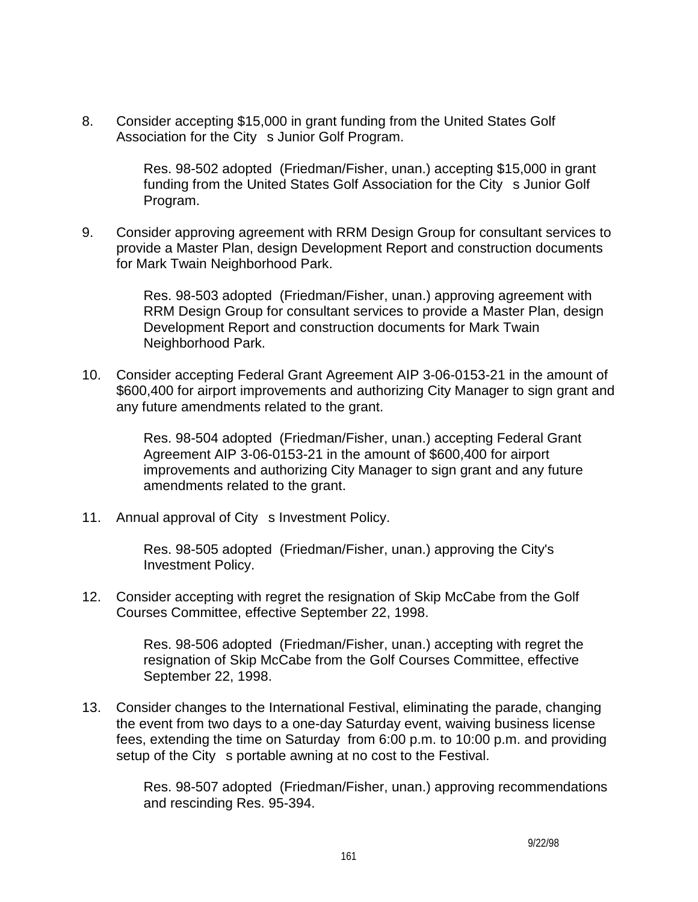8. Consider accepting \$15,000 in grant funding from the United States Golf Association for the City s Junior Golf Program.

> Res. 98-502 adopted (Friedman/Fisher, unan.) accepting \$15,000 in grant funding from the United States Golf Association for the City s Junior Golf Program.

9. Consider approving agreement with RRM Design Group for consultant services to provide a Master Plan, design Development Report and construction documents for Mark Twain Neighborhood Park.

> Res. 98-503 adopted (Friedman/Fisher, unan.) approving agreement with RRM Design Group for consultant services to provide a Master Plan, design Development Report and construction documents for Mark Twain Neighborhood Park.

10. Consider accepting Federal Grant Agreement AIP 3-06-0153-21 in the amount of \$600,400 for airport improvements and authorizing City Manager to sign grant and any future amendments related to the grant.

> Res. 98-504 adopted (Friedman/Fisher, unan.) accepting Federal Grant Agreement AIP 3-06-0153-21 in the amount of \$600,400 for airport improvements and authorizing City Manager to sign grant and any future amendments related to the grant.

11. Annual approval of City s Investment Policy.

 Res. 98-505 adopted (Friedman/Fisher, unan.) approving the City's Investment Policy.

12. Consider accepting with regret the resignation of Skip McCabe from the Golf Courses Committee, effective September 22, 1998.

> Res. 98-506 adopted (Friedman/Fisher, unan.) accepting with regret the resignation of Skip McCabe from the Golf Courses Committee, effective September 22, 1998.

13. Consider changes to the International Festival, eliminating the parade, changing the event from two days to a one-day Saturday event, waiving business license fees, extending the time on Saturday from 6:00 p.m. to 10:00 p.m. and providing setup of the City s portable awning at no cost to the Festival.

> Res. 98-507 adopted (Friedman/Fisher, unan.) approving recommendations and rescinding Res. 95-394.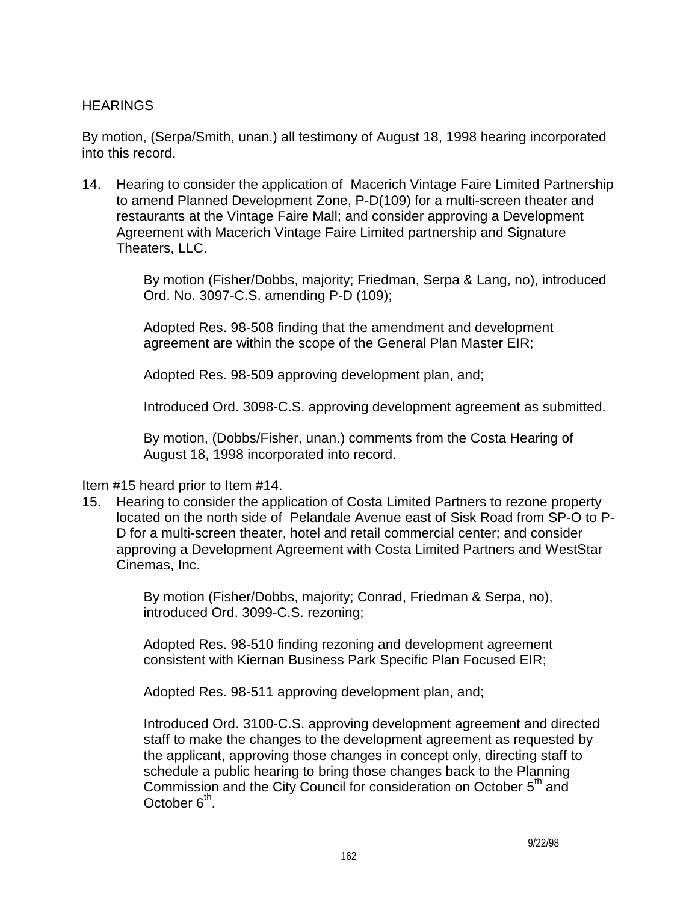## **HEARINGS**

By motion, (Serpa/Smith, unan.) all testimony of August 18, 1998 hearing incorporated into this record.

14. Hearing to consider the application of Macerich Vintage Faire Limited Partnership to amend Planned Development Zone, P-D(109) for a multi-screen theater and restaurants at the Vintage Faire Mall; and consider approving a Development Agreement with Macerich Vintage Faire Limited partnership and Signature Theaters, LLC.

> By motion (Fisher/Dobbs, majority; Friedman, Serpa & Lang, no), introduced Ord. No. 3097-C.S. amending P-D (109);

 Adopted Res. 98-508 finding that the amendment and development agreement are within the scope of the General Plan Master EIR;

Adopted Res. 98-509 approving development plan, and;

Introduced Ord. 3098-C.S. approving development agreement as submitted.

 By motion, (Dobbs/Fisher, unan.) comments from the Costa Hearing of August 18, 1998 incorporated into record.

Item #15 heard prior to Item #14.

15. Hearing to consider the application of Costa Limited Partners to rezone property located on the north side of Pelandale Avenue east of Sisk Road from SP-O to P-D for a multi-screen theater, hotel and retail commercial center; and consider approving a Development Agreement with Costa Limited Partners and WestStar Cinemas, Inc.

> By motion (Fisher/Dobbs, majority; Conrad, Friedman & Serpa, no), introduced Ord. 3099-C.S. rezoning;

> Adopted Res. 98-510 finding rezoning and development agreement consistent with Kiernan Business Park Specific Plan Focused EIR;

Adopted Res. 98-511 approving development plan, and;

 Introduced Ord. 3100-C.S. approving development agreement and directed staff to make the changes to the development agreement as requested by the applicant, approving those changes in concept only, directing staff to schedule a public hearing to bring those changes back to the Planning Commission and the City Council for consideration on October 5<sup>th</sup> and October  $6<sup>th</sup>$ .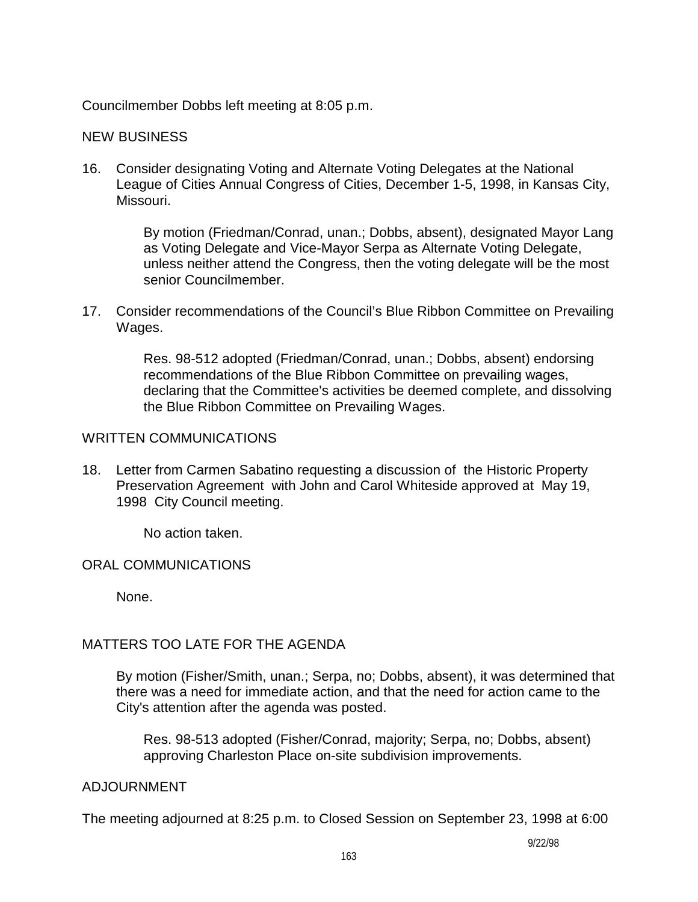Councilmember Dobbs left meeting at 8:05 p.m.

#### NEW BUSINESS

16. Consider designating Voting and Alternate Voting Delegates at the National League of Cities Annual Congress of Cities, December 1-5, 1998, in Kansas City, Missouri.

> By motion (Friedman/Conrad, unan.; Dobbs, absent), designated Mayor Lang as Voting Delegate and Vice-Mayor Serpa as Alternate Voting Delegate, unless neither attend the Congress, then the voting delegate will be the most senior Councilmember.

17. Consider recommendations of the Council's Blue Ribbon Committee on Prevailing Wages.

> Res. 98-512 adopted (Friedman/Conrad, unan.; Dobbs, absent) endorsing recommendations of the Blue Ribbon Committee on prevailing wages, declaring that the Committee's activities be deemed complete, and dissolving the Blue Ribbon Committee on Prevailing Wages.

#### WRITTEN COMMUNICATIONS

18. Letter from Carmen Sabatino requesting a discussion of the Historic Property Preservation Agreement with John and Carol Whiteside approved at May 19, 1998 City Council meeting.

No action taken.

#### ORAL COMMUNICATIONS

None.

## MATTERS TOO LATE FOR THE AGENDA

 By motion (Fisher/Smith, unan.; Serpa, no; Dobbs, absent), it was determined that there was a need for immediate action, and that the need for action came to the City's attention after the agenda was posted.

 Res. 98-513 adopted (Fisher/Conrad, majority; Serpa, no; Dobbs, absent) approving Charleston Place on-site subdivision improvements.

#### ADJOURNMENT

The meeting adjourned at 8:25 p.m. to Closed Session on September 23, 1998 at 6:00

9/22/98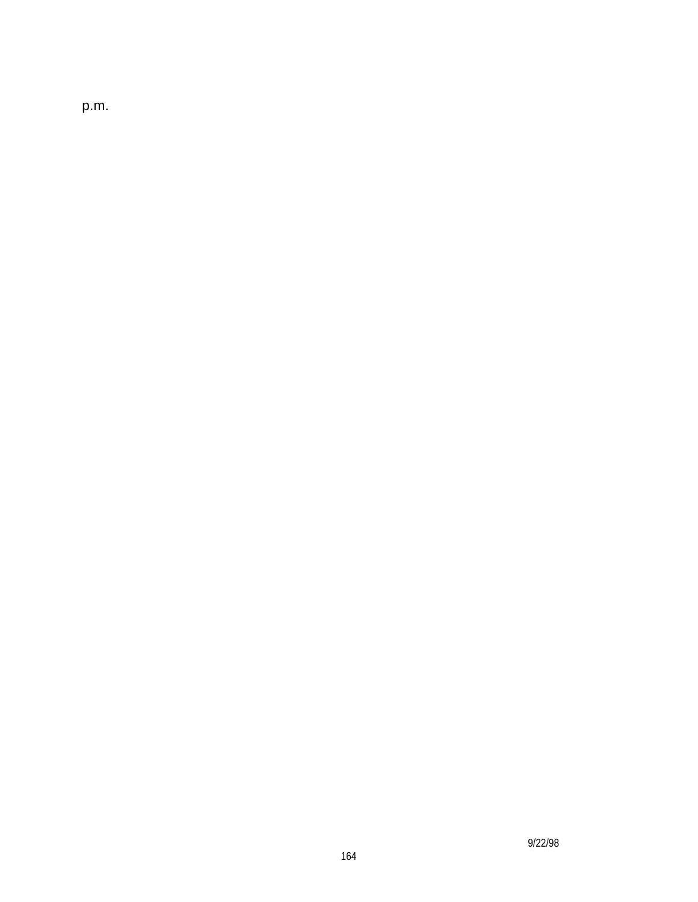p.m.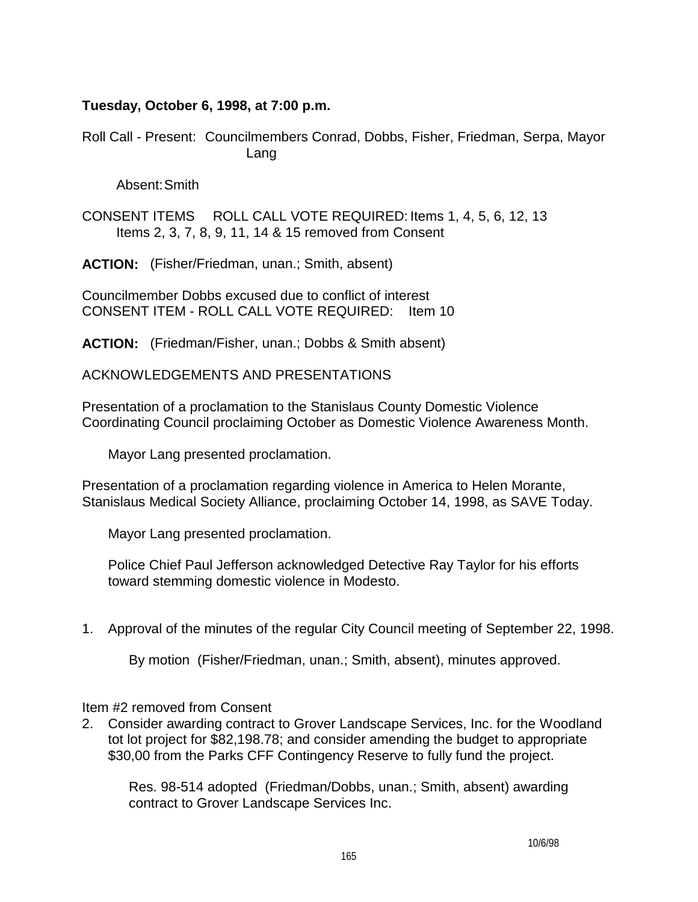## **Tuesday, October 6, 1998, at 7:00 p.m.**

Roll Call - Present: Councilmembers Conrad, Dobbs, Fisher, Friedman, Serpa, Mayor Lang

Absent: Smith

CONSENT ITEMS ROLL CALL VOTE REQUIRED: Items 1, 4, 5, 6, 12, 13 Items 2, 3, 7, 8, 9, 11, 14 & 15 removed from Consent

**ACTION:** (Fisher/Friedman, unan.; Smith, absent)

Councilmember Dobbs excused due to conflict of interest CONSENT ITEM - ROLL CALL VOTE REQUIRED: Item 10

**ACTION:** (Friedman/Fisher, unan.; Dobbs & Smith absent)

ACKNOWLEDGEMENTS AND PRESENTATIONS

Presentation of a proclamation to the Stanislaus County Domestic Violence Coordinating Council proclaiming October as Domestic Violence Awareness Month.

Mayor Lang presented proclamation.

Presentation of a proclamation regarding violence in America to Helen Morante, Stanislaus Medical Society Alliance, proclaiming October 14, 1998, as SAVE Today.

Mayor Lang presented proclamation.

 Police Chief Paul Jefferson acknowledged Detective Ray Taylor for his efforts toward stemming domestic violence in Modesto.

1. Approval of the minutes of the regular City Council meeting of September 22, 1998.

By motion (Fisher/Friedman, unan.; Smith, absent), minutes approved.

Item #2 removed from Consent

2. Consider awarding contract to Grover Landscape Services, Inc. for the Woodland tot lot project for \$82,198.78; and consider amending the budget to appropriate \$30,00 from the Parks CFF Contingency Reserve to fully fund the project.

 Res. 98-514 adopted (Friedman/Dobbs, unan.; Smith, absent) awarding contract to Grover Landscape Services Inc.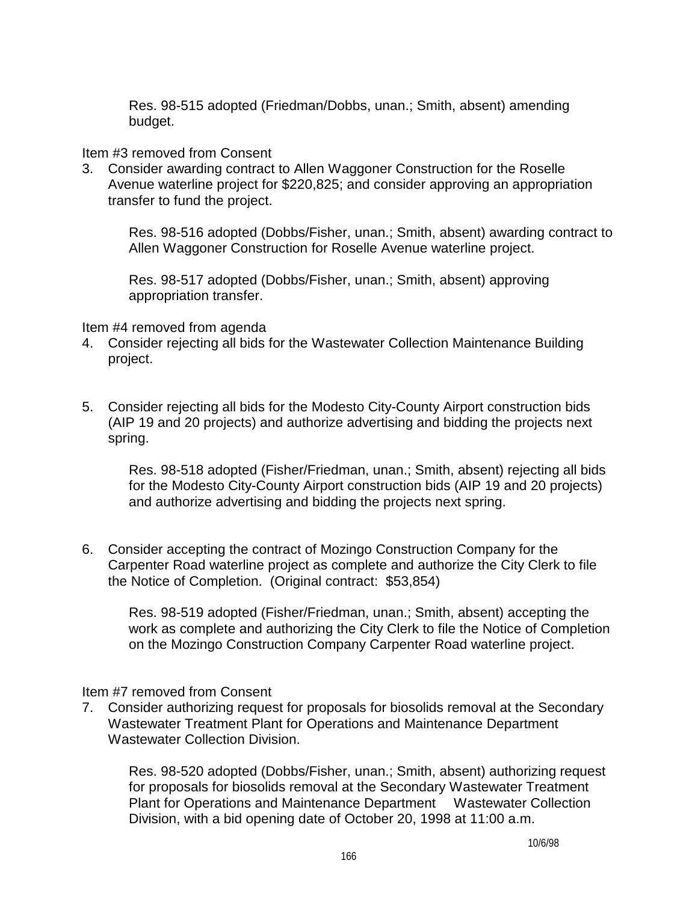Res. 98-515 adopted (Friedman/Dobbs, unan.; Smith, absent) amending budget.

#### Item #3 removed from Consent

3. Consider awarding contract to Allen Waggoner Construction for the Roselle Avenue waterline project for \$220,825; and consider approving an appropriation transfer to fund the project.

 Res. 98-516 adopted (Dobbs/Fisher, unan.; Smith, absent) awarding contract to Allen Waggoner Construction for Roselle Avenue waterline project.

 Res. 98-517 adopted (Dobbs/Fisher, unan.; Smith, absent) approving appropriation transfer.

#### Item #4 removed from agenda

- 4. Consider rejecting all bids for the Wastewater Collection Maintenance Building project.
- 5. Consider rejecting all bids for the Modesto City-County Airport construction bids (AIP 19 and 20 projects) and authorize advertising and bidding the projects next spring.

 Res. 98-518 adopted (Fisher/Friedman, unan.; Smith, absent) rejecting all bids for the Modesto City-County Airport construction bids (AIP 19 and 20 projects) and authorize advertising and bidding the projects next spring.

6. Consider accepting the contract of Mozingo Construction Company for the Carpenter Road waterline project as complete and authorize the City Clerk to file the Notice of Completion. (Original contract: \$53,854)

 Res. 98-519 adopted (Fisher/Friedman, unan.; Smith, absent) accepting the work as complete and authorizing the City Clerk to file the Notice of Completion on the Mozingo Construction Company Carpenter Road waterline project.

Item #7 removed from Consent

7. Consider authorizing request for proposals for biosolids removal at the Secondary Wastewater Treatment Plant for Operations and Maintenance Department Wastewater Collection Division.

 Res. 98-520 adopted (Dobbs/Fisher, unan.; Smith, absent) authorizing request for proposals for biosolids removal at the Secondary Wastewater Treatment Plant for Operations and Maintenance Department Wastewater Collection Division, with a bid opening date of October 20, 1998 at 11:00 a.m.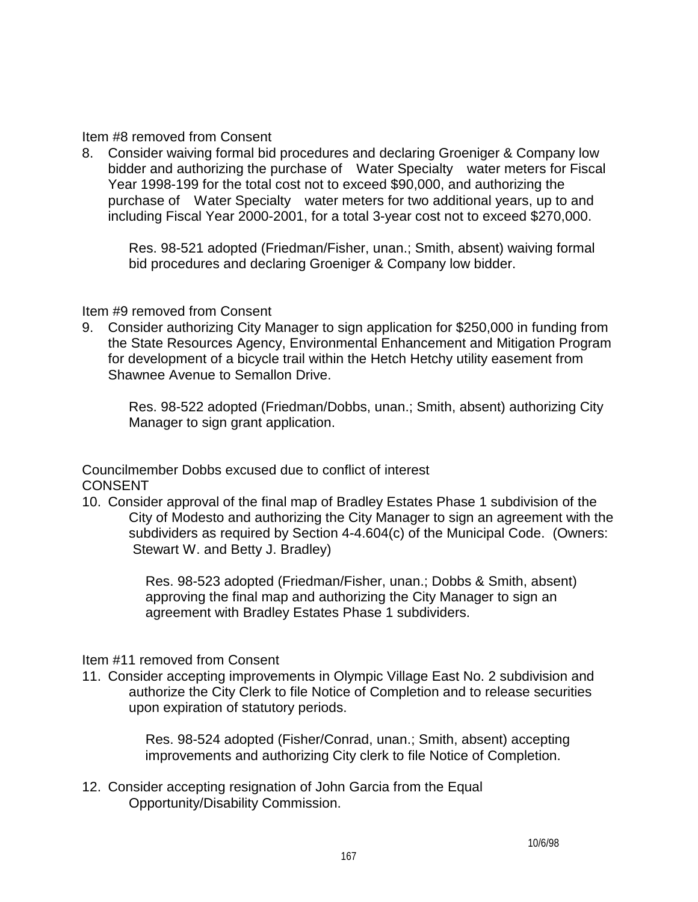Item #8 removed from Consent

8. Consider waiving formal bid procedures and declaring Groeniger & Company low bidder and authorizing the purchase of Water Specialty water meters for Fiscal Year 1998-199 for the total cost not to exceed \$90,000, and authorizing the purchase of Water Specialty water meters for two additional years, up to and including Fiscal Year 2000-2001, for a total 3-year cost not to exceed \$270,000.

 Res. 98-521 adopted (Friedman/Fisher, unan.; Smith, absent) waiving formal bid procedures and declaring Groeniger & Company low bidder.

## Item #9 removed from Consent

9. Consider authorizing City Manager to sign application for \$250,000 in funding from the State Resources Agency, Environmental Enhancement and Mitigation Program for development of a bicycle trail within the Hetch Hetchy utility easement from Shawnee Avenue to Semallon Drive.

 Res. 98-522 adopted (Friedman/Dobbs, unan.; Smith, absent) authorizing City Manager to sign grant application.

Councilmember Dobbs excused due to conflict of interest CONSENT

10. Consider approval of the final map of Bradley Estates Phase 1 subdivision of the City of Modesto and authorizing the City Manager to sign an agreement with the subdividers as required by Section 4-4.604(c) of the Municipal Code. (Owners: Stewart W. and Betty J. Bradley)

> Res. 98-523 adopted (Friedman/Fisher, unan.; Dobbs & Smith, absent) approving the final map and authorizing the City Manager to sign an agreement with Bradley Estates Phase 1 subdividers.

## Item #11 removed from Consent

11. Consider accepting improvements in Olympic Village East No. 2 subdivision and authorize the City Clerk to file Notice of Completion and to release securities upon expiration of statutory periods.

> Res. 98-524 adopted (Fisher/Conrad, unan.; Smith, absent) accepting improvements and authorizing City clerk to file Notice of Completion.

12. Consider accepting resignation of John Garcia from the Equal Opportunity/Disability Commission.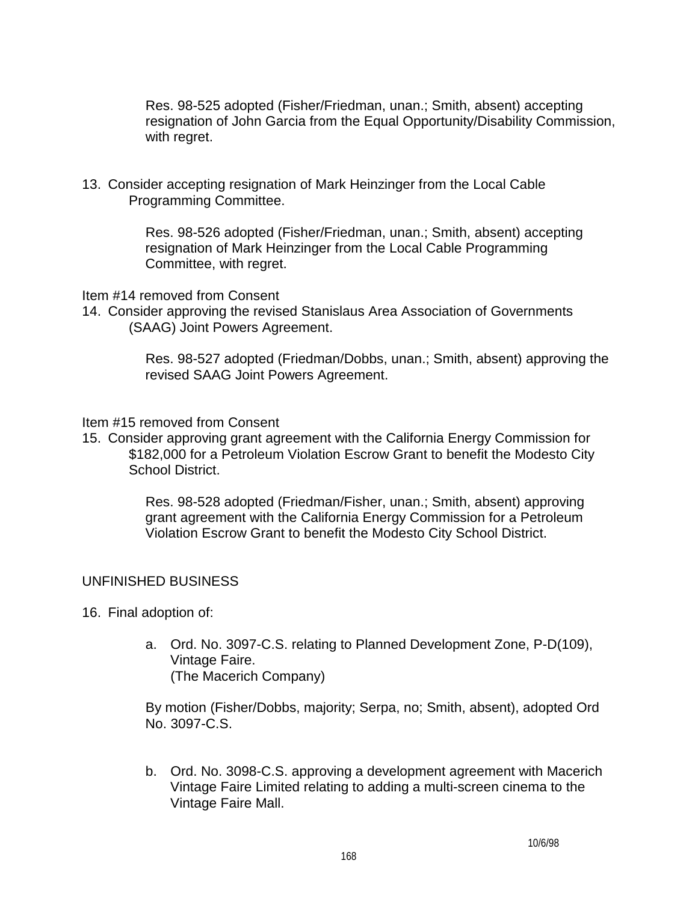Res. 98-525 adopted (Fisher/Friedman, unan.; Smith, absent) accepting resignation of John Garcia from the Equal Opportunity/Disability Commission, with regret.

13. Consider accepting resignation of Mark Heinzinger from the Local Cable Programming Committee.

> Res. 98-526 adopted (Fisher/Friedman, unan.; Smith, absent) accepting resignation of Mark Heinzinger from the Local Cable Programming Committee, with regret.

Item #14 removed from Consent

14. Consider approving the revised Stanislaus Area Association of Governments (SAAG) Joint Powers Agreement.

> Res. 98-527 adopted (Friedman/Dobbs, unan.; Smith, absent) approving the revised SAAG Joint Powers Agreement.

Item #15 removed from Consent

15. Consider approving grant agreement with the California Energy Commission for \$182,000 for a Petroleum Violation Escrow Grant to benefit the Modesto City School District.

> Res. 98-528 adopted (Friedman/Fisher, unan.; Smith, absent) approving grant agreement with the California Energy Commission for a Petroleum Violation Escrow Grant to benefit the Modesto City School District.

## UNFINISHED BUSINESS

16. Final adoption of:

 a. Ord. No. 3097-C.S. relating to Planned Development Zone, P-D(109), Vintage Faire. (The Macerich Company)

 By motion (Fisher/Dobbs, majority; Serpa, no; Smith, absent), adopted Ord No. 3097-C.S.

 b. Ord. No. 3098-C.S. approving a development agreement with Macerich Vintage Faire Limited relating to adding a multi-screen cinema to the Vintage Faire Mall.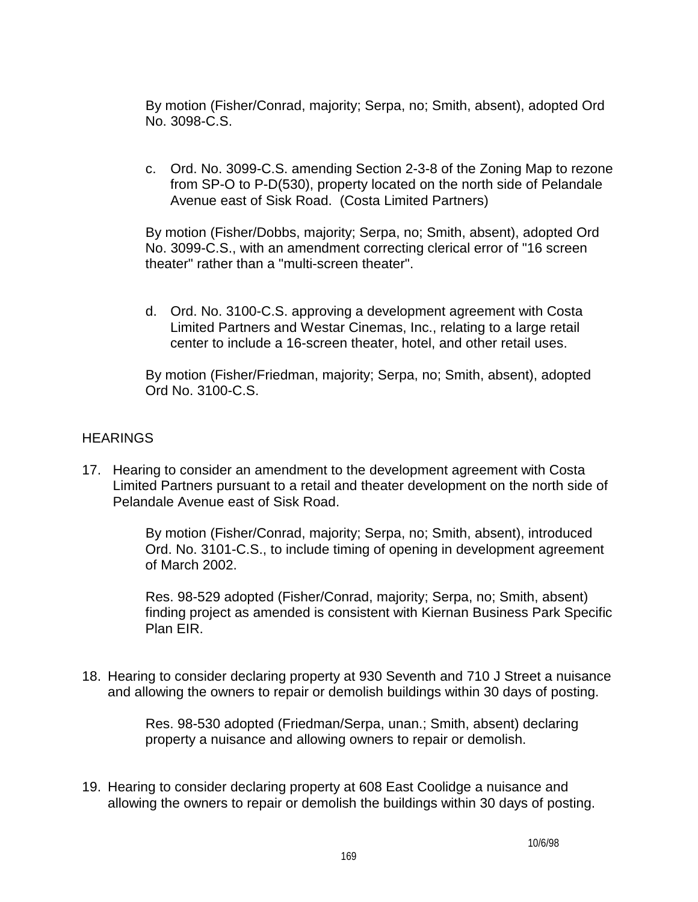By motion (Fisher/Conrad, majority; Serpa, no; Smith, absent), adopted Ord No. 3098-C.S.

 c. Ord. No. 3099-C.S. amending Section 2-3-8 of the Zoning Map to rezone from SP-O to P-D(530), property located on the north side of Pelandale Avenue east of Sisk Road. (Costa Limited Partners)

 By motion (Fisher/Dobbs, majority; Serpa, no; Smith, absent), adopted Ord No. 3099-C.S., with an amendment correcting clerical error of "16 screen theater" rather than a "multi-screen theater".

 d. Ord. No. 3100-C.S. approving a development agreement with Costa Limited Partners and Westar Cinemas, Inc., relating to a large retail center to include a 16-screen theater, hotel, and other retail uses.

 By motion (Fisher/Friedman, majority; Serpa, no; Smith, absent), adopted Ord No. 3100-C.S.

## **HEARINGS**

17. Hearing to consider an amendment to the development agreement with Costa Limited Partners pursuant to a retail and theater development on the north side of Pelandale Avenue east of Sisk Road.

> By motion (Fisher/Conrad, majority; Serpa, no; Smith, absent), introduced Ord. No. 3101-C.S., to include timing of opening in development agreement of March 2002.

 Res. 98-529 adopted (Fisher/Conrad, majority; Serpa, no; Smith, absent) finding project as amended is consistent with Kiernan Business Park Specific Plan EIR.

18. Hearing to consider declaring property at 930 Seventh and 710 J Street a nuisance and allowing the owners to repair or demolish buildings within 30 days of posting.

> Res. 98-530 adopted (Friedman/Serpa, unan.; Smith, absent) declaring property a nuisance and allowing owners to repair or demolish.

19. Hearing to consider declaring property at 608 East Coolidge a nuisance and allowing the owners to repair or demolish the buildings within 30 days of posting.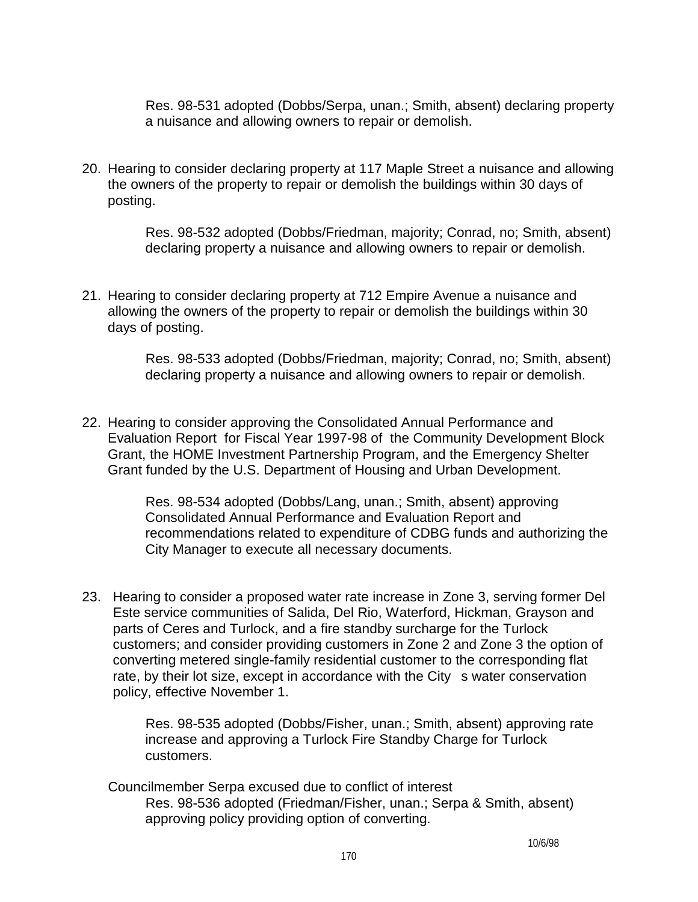Res. 98-531 adopted (Dobbs/Serpa, unan.; Smith, absent) declaring property a nuisance and allowing owners to repair or demolish.

20. Hearing to consider declaring property at 117 Maple Street a nuisance and allowing the owners of the property to repair or demolish the buildings within 30 days of posting.

> Res. 98-532 adopted (Dobbs/Friedman, majority; Conrad, no; Smith, absent) declaring property a nuisance and allowing owners to repair or demolish.

21. Hearing to consider declaring property at 712 Empire Avenue a nuisance and allowing the owners of the property to repair or demolish the buildings within 30 days of posting.

> Res. 98-533 adopted (Dobbs/Friedman, majority; Conrad, no; Smith, absent) declaring property a nuisance and allowing owners to repair or demolish.

22. Hearing to consider approving the Consolidated Annual Performance and Evaluation Report for Fiscal Year 1997-98 of the Community Development Block Grant, the HOME Investment Partnership Program, and the Emergency Shelter Grant funded by the U.S. Department of Housing and Urban Development.

> Res. 98-534 adopted (Dobbs/Lang, unan.; Smith, absent) approving Consolidated Annual Performance and Evaluation Report and recommendations related to expenditure of CDBG funds and authorizing the City Manager to execute all necessary documents.

23. Hearing to consider a proposed water rate increase in Zone 3, serving former Del Este service communities of Salida, Del Rio, Waterford, Hickman, Grayson and parts of Ceres and Turlock, and a fire standby surcharge for the Turlock customers; and consider providing customers in Zone 2 and Zone 3 the option of converting metered single-family residential customer to the corresponding flat rate, by their lot size, except in accordance with the City s water conservation policy, effective November 1.

> Res. 98-535 adopted (Dobbs/Fisher, unan.; Smith, absent) approving rate increase and approving a Turlock Fire Standby Charge for Turlock customers.

 Councilmember Serpa excused due to conflict of interest Res. 98-536 adopted (Friedman/Fisher, unan.; Serpa & Smith, absent) approving policy providing option of converting.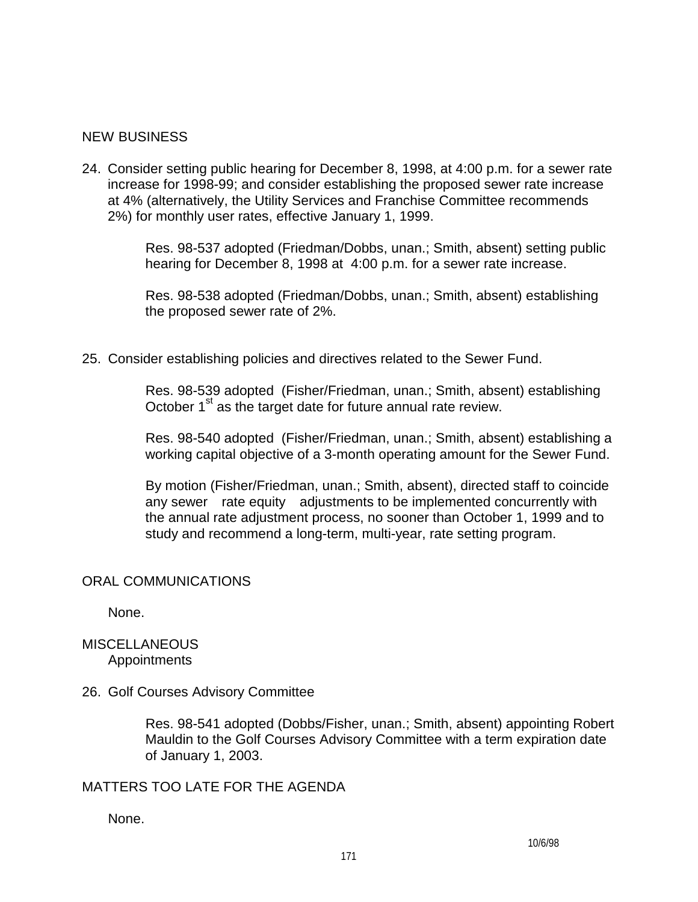## NEW BUSINESS

24. Consider setting public hearing for December 8, 1998, at 4:00 p.m. for a sewer rate increase for 1998-99; and consider establishing the proposed sewer rate increase at 4% (alternatively, the Utility Services and Franchise Committee recommends 2%) for monthly user rates, effective January 1, 1999.

> Res. 98-537 adopted (Friedman/Dobbs, unan.; Smith, absent) setting public hearing for December 8, 1998 at 4:00 p.m. for a sewer rate increase.

 Res. 98-538 adopted (Friedman/Dobbs, unan.; Smith, absent) establishing the proposed sewer rate of 2%.

25. Consider establishing policies and directives related to the Sewer Fund.

 Res. 98-539 adopted (Fisher/Friedman, unan.; Smith, absent) establishing October  $1<sup>st</sup>$  as the target date for future annual rate review.

 Res. 98-540 adopted (Fisher/Friedman, unan.; Smith, absent) establishing a working capital objective of a 3-month operating amount for the Sewer Fund.

 By motion (Fisher/Friedman, unan.; Smith, absent), directed staff to coincide any sewer rate equity adjustments to be implemented concurrently with the annual rate adjustment process, no sooner than October 1, 1999 and to study and recommend a long-term, multi-year, rate setting program.

## ORAL COMMUNICATIONS

None.

## **MISCELLANEOUS** Appointments

26. Golf Courses Advisory Committee

 Res. 98-541 adopted (Dobbs/Fisher, unan.; Smith, absent) appointing Robert Mauldin to the Golf Courses Advisory Committee with a term expiration date of January 1, 2003.

## MATTERS TOO LATE FOR THE AGENDA

None.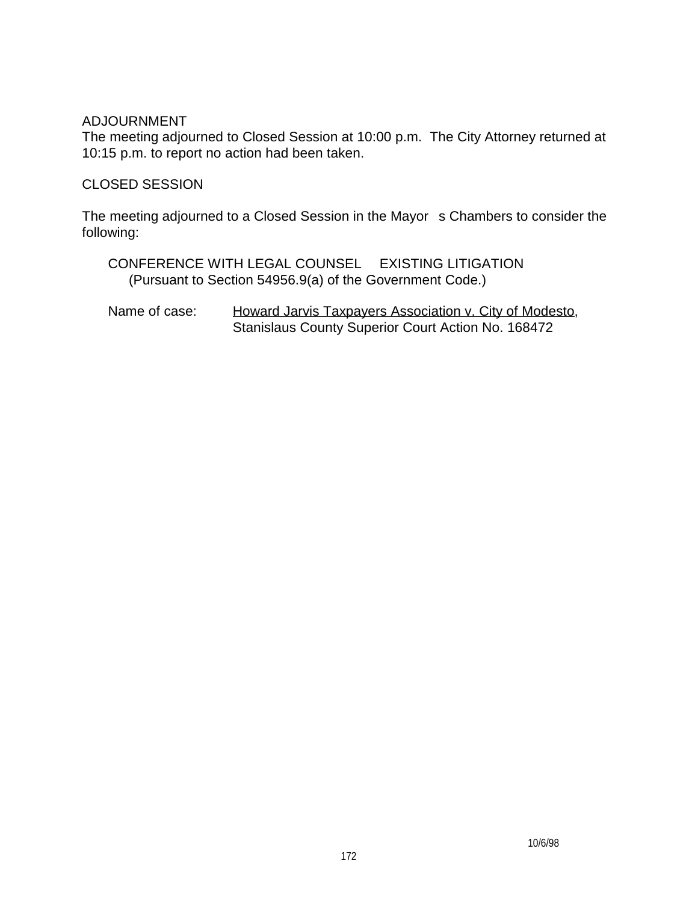### ADJOURNMENT

The meeting adjourned to Closed Session at 10:00 p.m. The City Attorney returned at 10:15 p.m. to report no action had been taken.

## CLOSED SESSION

The meeting adjourned to a Closed Session in the Mayor s Chambers to consider the following:

 CONFERENCE WITH LEGAL COUNSEL EXISTING LITIGATION (Pursuant to Section 54956.9(a) of the Government Code.)

Name of case: Howard Jarvis Taxpayers Association v. City of Modesto, Stanislaus County Superior Court Action No. 168472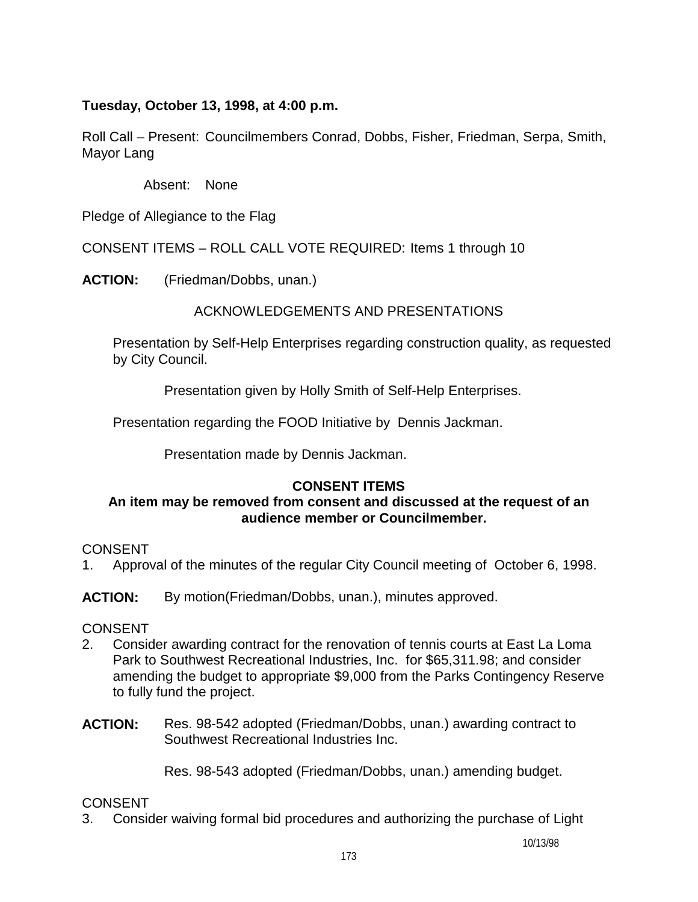## **Tuesday, October 13, 1998, at 4:00 p.m.**

Roll Call – Present: Councilmembers Conrad, Dobbs, Fisher, Friedman, Serpa, Smith, Mayor Lang

Absent: None

Pledge of Allegiance to the Flag

CONSENT ITEMS – ROLL CALL VOTE REQUIRED: Items 1 through 10

**ACTION:** (Friedman/Dobbs, unan.)

ACKNOWLEDGEMENTS AND PRESENTATIONS

 Presentation by Self-Help Enterprises regarding construction quality, as requested by City Council.

Presentation given by Holly Smith of Self-Help Enterprises.

Presentation regarding the FOOD Initiative by Dennis Jackman.

Presentation made by Dennis Jackman.

## **CONSENT ITEMS**

## **An item may be removed from consent and discussed at the request of an audience member or Councilmember.**

**CONSENT** 

1. Approval of the minutes of the regular City Council meeting of October 6, 1998.

**ACTION:** By motion(Friedman/Dobbs, unan.), minutes approved.

## **CONSENT**

- 2. Consider awarding contract for the renovation of tennis courts at East La Loma Park to Southwest Recreational Industries, Inc. for \$65,311.98; and consider amending the budget to appropriate \$9,000 from the Parks Contingency Reserve to fully fund the project.
- **ACTION:** Res. 98-542 adopted (Friedman/Dobbs, unan.) awarding contract to Southwest Recreational Industries Inc.

Res. 98-543 adopted (Friedman/Dobbs, unan.) amending budget.

## CONSENT

3. Consider waiving formal bid procedures and authorizing the purchase of Light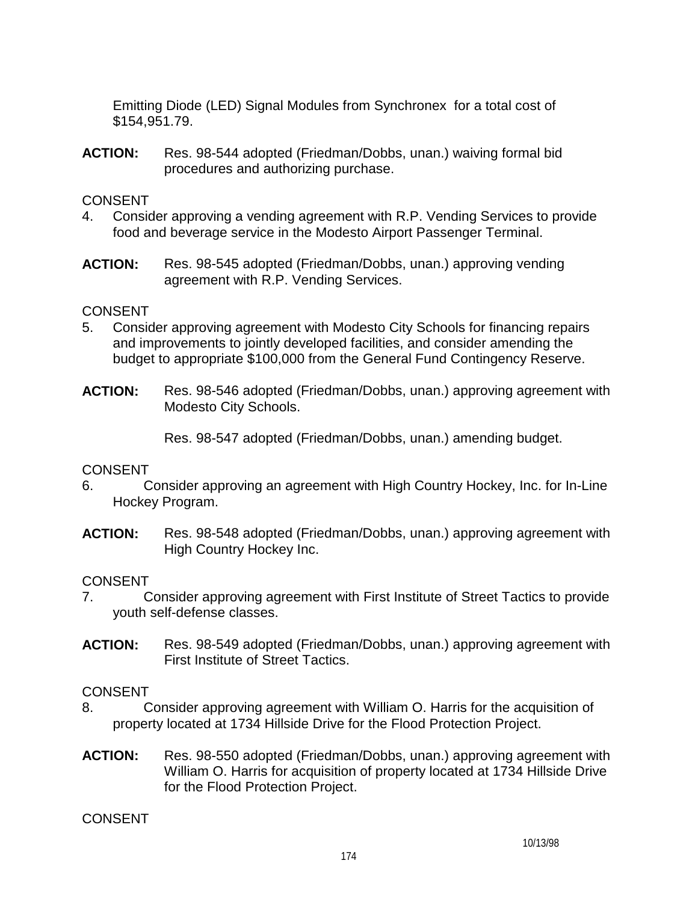Emitting Diode (LED) Signal Modules from Synchronex for a total cost of \$154,951.79.

**ACTION:** Res. 98-544 adopted (Friedman/Dobbs, unan.) waiving formal bid procedures and authorizing purchase.

## CONSENT

- 4. Consider approving a vending agreement with R.P. Vending Services to provide food and beverage service in the Modesto Airport Passenger Terminal.
- **ACTION:** Res. 98-545 adopted (Friedman/Dobbs, unan.) approving vending agreement with R.P. Vending Services.

## CONSENT

- 5. Consider approving agreement with Modesto City Schools for financing repairs and improvements to jointly developed facilities, and consider amending the budget to appropriate \$100,000 from the General Fund Contingency Reserve.
- **ACTION:** Res. 98-546 adopted (Friedman/Dobbs, unan.) approving agreement with Modesto City Schools.

Res. 98-547 adopted (Friedman/Dobbs, unan.) amending budget.

## CONSENT

- 6. Consider approving an agreement with High Country Hockey, Inc. for In-Line Hockey Program.
- **ACTION:** Res. 98-548 adopted (Friedman/Dobbs, unan.) approving agreement with High Country Hockey Inc.

## CONSENT

- 7. Consider approving agreement with First Institute of Street Tactics to provide youth self-defense classes.
- **ACTION:** Res. 98-549 adopted (Friedman/Dobbs, unan.) approving agreement with First Institute of Street Tactics.

## CONSENT

- 8. Consider approving agreement with William O. Harris for the acquisition of property located at 1734 Hillside Drive for the Flood Protection Project.
- **ACTION:** Res. 98-550 adopted (Friedman/Dobbs, unan.) approving agreement with William O. Harris for acquisition of property located at 1734 Hillside Drive for the Flood Protection Project.

## CONSENT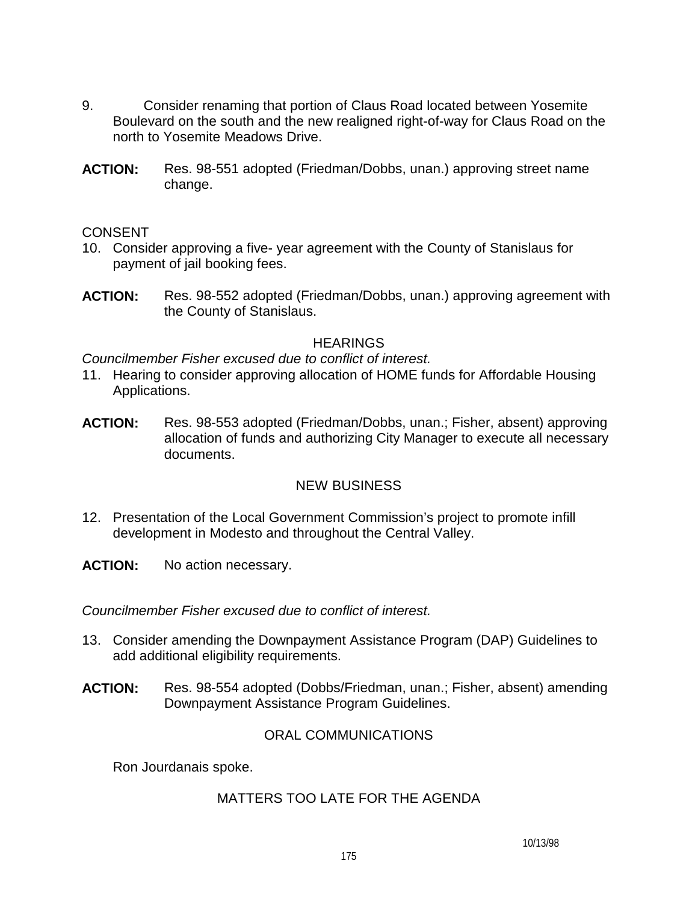- 9. Consider renaming that portion of Claus Road located between Yosemite Boulevard on the south and the new realigned right-of-way for Claus Road on the north to Yosemite Meadows Drive.
- **ACTION:** Res. 98-551 adopted (Friedman/Dobbs, unan.) approving street name change.

#### **CONSENT**

- 10. Consider approving a five- year agreement with the County of Stanislaus for payment of jail booking fees.
- **ACTION:** Res. 98-552 adopted (Friedman/Dobbs, unan.) approving agreement with the County of Stanislaus.

## **HEARINGS**

*Councilmember Fisher excused due to conflict of interest.* 

- 11. Hearing to consider approving allocation of HOME funds for Affordable Housing Applications.
- **ACTION:** Res. 98-553 adopted (Friedman/Dobbs, unan.; Fisher, absent) approving allocation of funds and authorizing City Manager to execute all necessary documents.

## NEW BUSINESS

12. Presentation of the Local Government Commission's project to promote infill development in Modesto and throughout the Central Valley.

**ACTION:** No action necessary.

*Councilmember Fisher excused due to conflict of interest.* 

- 13. Consider amending the Downpayment Assistance Program (DAP) Guidelines to add additional eligibility requirements.
- **ACTION:** Res. 98-554 adopted (Dobbs/Friedman, unan.; Fisher, absent) amending Downpayment Assistance Program Guidelines.

## ORAL COMMUNICATIONS

Ron Jourdanais spoke.

## MATTERS TOO LATE FOR THE AGENDA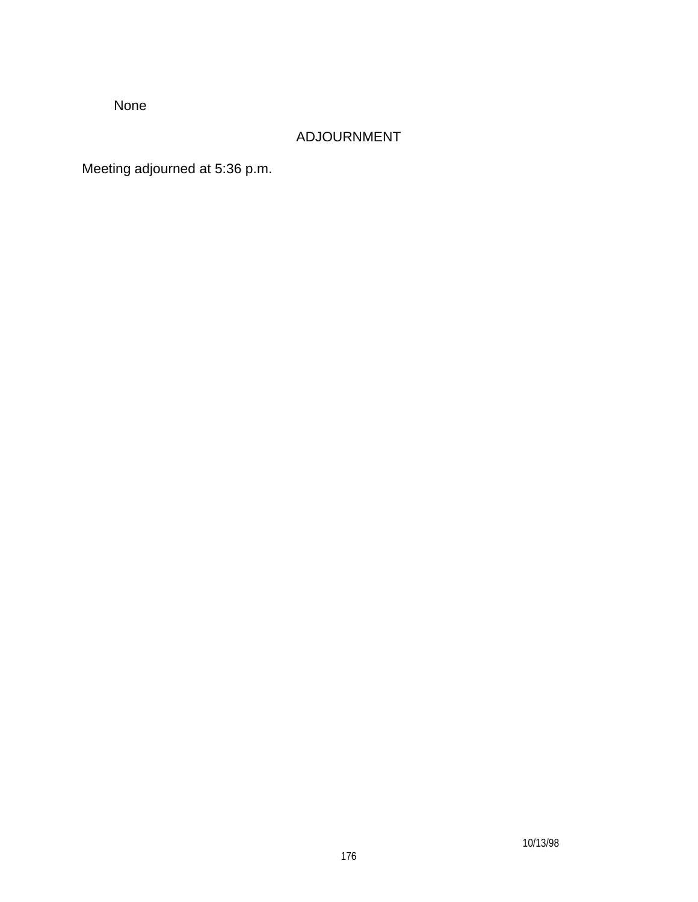None

# ADJOURNMENT

Meeting adjourned at 5:36 p.m.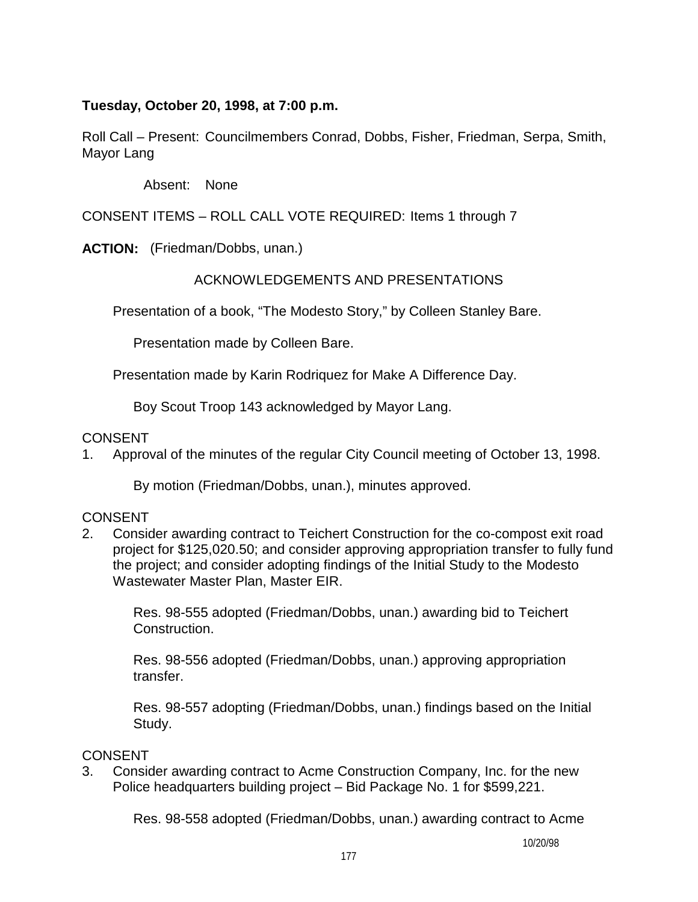**Tuesday, October 20, 1998, at 7:00 p.m.** 

Roll Call – Present: Councilmembers Conrad, Dobbs, Fisher, Friedman, Serpa, Smith, Mayor Lang

Absent: None

CONSENT ITEMS – ROLL CALL VOTE REQUIRED: Items 1 through 7

**ACTION:** (Friedman/Dobbs, unan.)

# ACKNOWLEDGEMENTS AND PRESENTATIONS

Presentation of a book, "The Modesto Story," by Colleen Stanley Bare.

Presentation made by Colleen Bare.

Presentation made by Karin Rodriquez for Make A Difference Day.

Boy Scout Troop 143 acknowledged by Mayor Lang.

## CONSENT

1. Approval of the minutes of the regular City Council meeting of October 13, 1998.

By motion (Friedman/Dobbs, unan.), minutes approved.

# CONSENT

2. Consider awarding contract to Teichert Construction for the co-compost exit road project for \$125,020.50; and consider approving appropriation transfer to fully fund the project; and consider adopting findings of the Initial Study to the Modesto Wastewater Master Plan, Master EIR.

 Res. 98-555 adopted (Friedman/Dobbs, unan.) awarding bid to Teichert Construction.

 Res. 98-556 adopted (Friedman/Dobbs, unan.) approving appropriation transfer.

 Res. 98-557 adopting (Friedman/Dobbs, unan.) findings based on the Initial Study.

## CONSENT

3. Consider awarding contract to Acme Construction Company, Inc. for the new Police headquarters building project – Bid Package No. 1 for \$599,221.

Res. 98-558 adopted (Friedman/Dobbs, unan.) awarding contract to Acme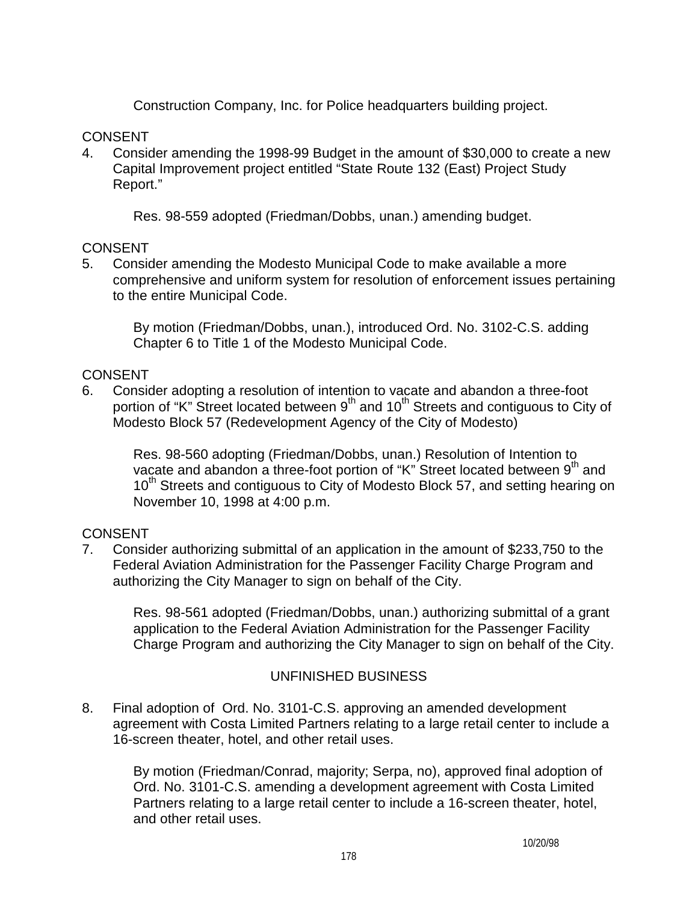Construction Company, Inc. for Police headquarters building project.

## **CONSENT**

4. Consider amending the 1998-99 Budget in the amount of \$30,000 to create a new Capital Improvement project entitled "State Route 132 (East) Project Study Report."

Res. 98-559 adopted (Friedman/Dobbs, unan.) amending budget.

## **CONSENT**

5. Consider amending the Modesto Municipal Code to make available a more comprehensive and uniform system for resolution of enforcement issues pertaining to the entire Municipal Code.

By motion (Friedman/Dobbs, unan.), introduced Ord. No. 3102-C.S. adding Chapter 6 to Title 1 of the Modesto Municipal Code.

## **CONSENT**

6. Consider adopting a resolution of intention to vacate and abandon a three-foot portion of "K" Street located between  $9<sup>th</sup>$  and  $10<sup>th</sup>$  Streets and contiguous to City of Modesto Block 57 (Redevelopment Agency of the City of Modesto)

 Res. 98-560 adopting (Friedman/Dobbs, unan.) Resolution of Intention to vacate and abandon a three-foot portion of "K" Street located between  $9<sup>th</sup>$  and 10<sup>th</sup> Streets and contiguous to City of Modesto Block 57, and setting hearing on November 10, 1998 at 4:00 p.m.

## **CONSENT**

7. Consider authorizing submittal of an application in the amount of \$233,750 to the Federal Aviation Administration for the Passenger Facility Charge Program and authorizing the City Manager to sign on behalf of the City.

 Res. 98-561 adopted (Friedman/Dobbs, unan.) authorizing submittal of a grant application to the Federal Aviation Administration for the Passenger Facility Charge Program and authorizing the City Manager to sign on behalf of the City.

## UNFINISHED BUSINESS

8. Final adoption of Ord. No. 3101-C.S. approving an amended development agreement with Costa Limited Partners relating to a large retail center to include a 16-screen theater, hotel, and other retail uses.

By motion (Friedman/Conrad, majority; Serpa, no), approved final adoption of Ord. No. 3101-C.S. amending a development agreement with Costa Limited Partners relating to a large retail center to include a 16-screen theater, hotel, and other retail uses.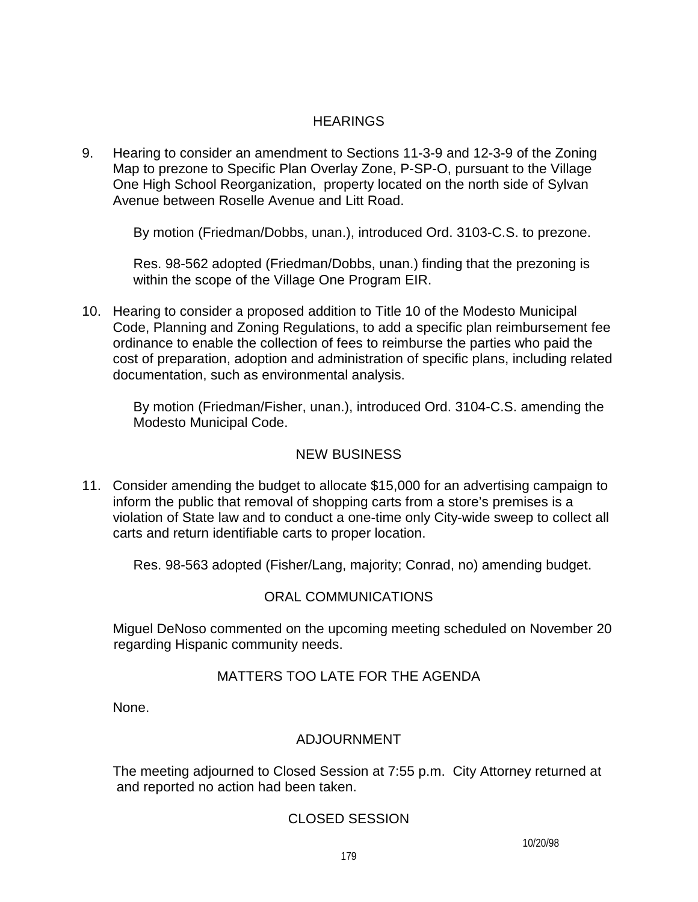## **HEARINGS**

9. Hearing to consider an amendment to Sections 11-3-9 and 12-3-9 of the Zoning Map to prezone to Specific Plan Overlay Zone, P-SP-O, pursuant to the Village One High School Reorganization, property located on the north side of Sylvan Avenue between Roselle Avenue and Litt Road.

By motion (Friedman/Dobbs, unan.), introduced Ord. 3103-C.S. to prezone.

 Res. 98-562 adopted (Friedman/Dobbs, unan.) finding that the prezoning is within the scope of the Village One Program EIR.

10. Hearing to consider a proposed addition to Title 10 of the Modesto Municipal Code, Planning and Zoning Regulations, to add a specific plan reimbursement fee ordinance to enable the collection of fees to reimburse the parties who paid the cost of preparation, adoption and administration of specific plans, including related documentation, such as environmental analysis.

 By motion (Friedman/Fisher, unan.), introduced Ord. 3104-C.S. amending the Modesto Municipal Code.

## NEW BUSINESS

11. Consider amending the budget to allocate \$15,000 for an advertising campaign to inform the public that removal of shopping carts from a store's premises is a violation of State law and to conduct a one-time only City-wide sweep to collect all carts and return identifiable carts to proper location.

Res. 98-563 adopted (Fisher/Lang, majority; Conrad, no) amending budget.

## ORAL COMMUNICATIONS

 Miguel DeNoso commented on the upcoming meeting scheduled on November 20 regarding Hispanic community needs.

## MATTERS TOO LATE FOR THE AGENDA

None.

## ADJOURNMENT

 The meeting adjourned to Closed Session at 7:55 p.m. City Attorney returned at and reported no action had been taken.

## CLOSED SESSION

10/20/98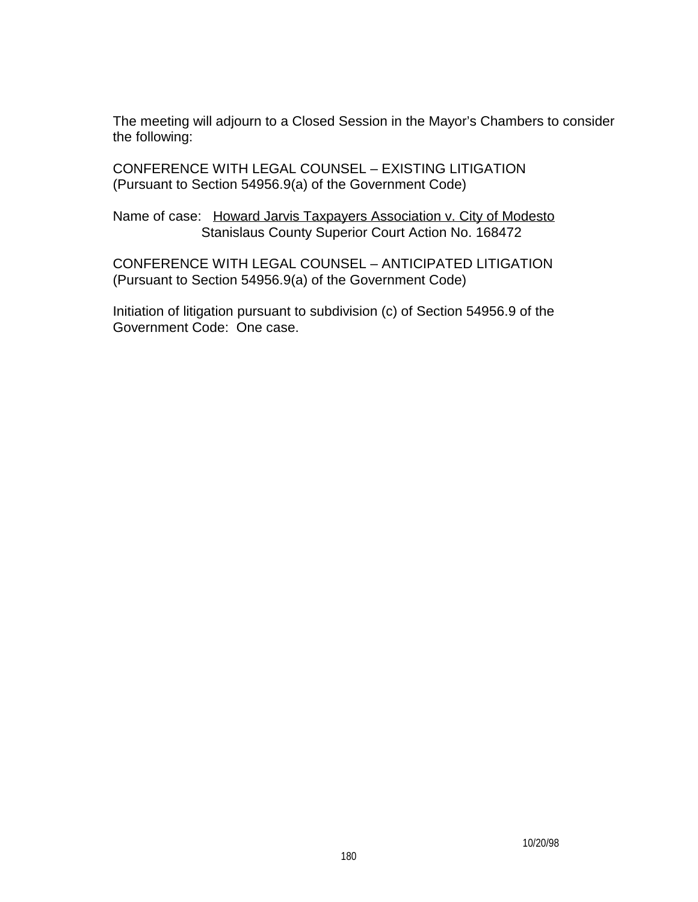The meeting will adjourn to a Closed Session in the Mayor's Chambers to consider the following:

CONFERENCE WITH LEGAL COUNSEL – EXISTING LITIGATION (Pursuant to Section 54956.9(a) of the Government Code)

Name of case: Howard Jarvis Taxpayers Association v. City of Modesto Stanislaus County Superior Court Action No. 168472

CONFERENCE WITH LEGAL COUNSEL – ANTICIPATED LITIGATION (Pursuant to Section 54956.9(a) of the Government Code)

Initiation of litigation pursuant to subdivision (c) of Section 54956.9 of the Government Code: One case.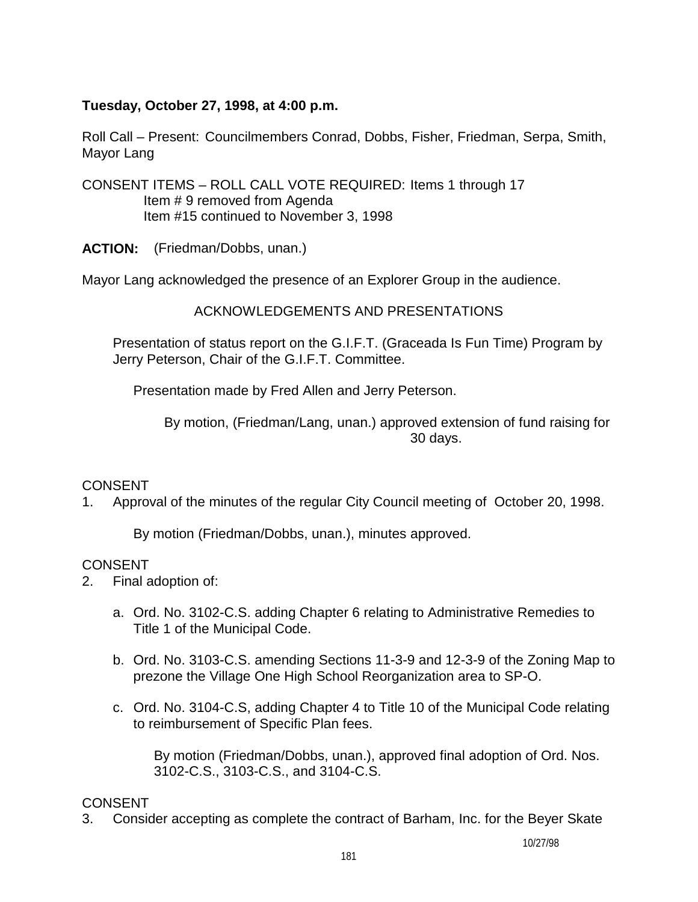## **Tuesday, October 27, 1998, at 4:00 p.m.**

Roll Call – Present: Councilmembers Conrad, Dobbs, Fisher, Friedman, Serpa, Smith, Mayor Lang

CONSENT ITEMS – ROLL CALL VOTE REQUIRED: Items 1 through 17 Item # 9 removed from Agenda Item #15 continued to November 3, 1998

**ACTION:** (Friedman/Dobbs, unan.)

Mayor Lang acknowledged the presence of an Explorer Group in the audience.

ACKNOWLEDGEMENTS AND PRESENTATIONS

 Presentation of status report on the G.I.F.T. (Graceada Is Fun Time) Program by Jerry Peterson, Chair of the G.I.F.T. Committee.

Presentation made by Fred Allen and Jerry Peterson.

 By motion, (Friedman/Lang, unan.) approved extension of fund raising for 30 days.

# **CONSENT**

1. Approval of the minutes of the regular City Council meeting of October 20, 1998.

By motion (Friedman/Dobbs, unan.), minutes approved.

## CONSENT

- 2. Final adoption of:
	- a. Ord. No. 3102-C.S. adding Chapter 6 relating to Administrative Remedies to Title 1 of the Municipal Code.
	- b. Ord. No. 3103-C.S. amending Sections 11-3-9 and 12-3-9 of the Zoning Map to prezone the Village One High School Reorganization area to SP-O.
	- c. Ord. No. 3104-C.S, adding Chapter 4 to Title 10 of the Municipal Code relating to reimbursement of Specific Plan fees.

By motion (Friedman/Dobbs, unan.), approved final adoption of Ord. Nos. 3102-C.S., 3103-C.S., and 3104-C.S.

# CONSENT

3. Consider accepting as complete the contract of Barham, Inc. for the Beyer Skate

10/27/98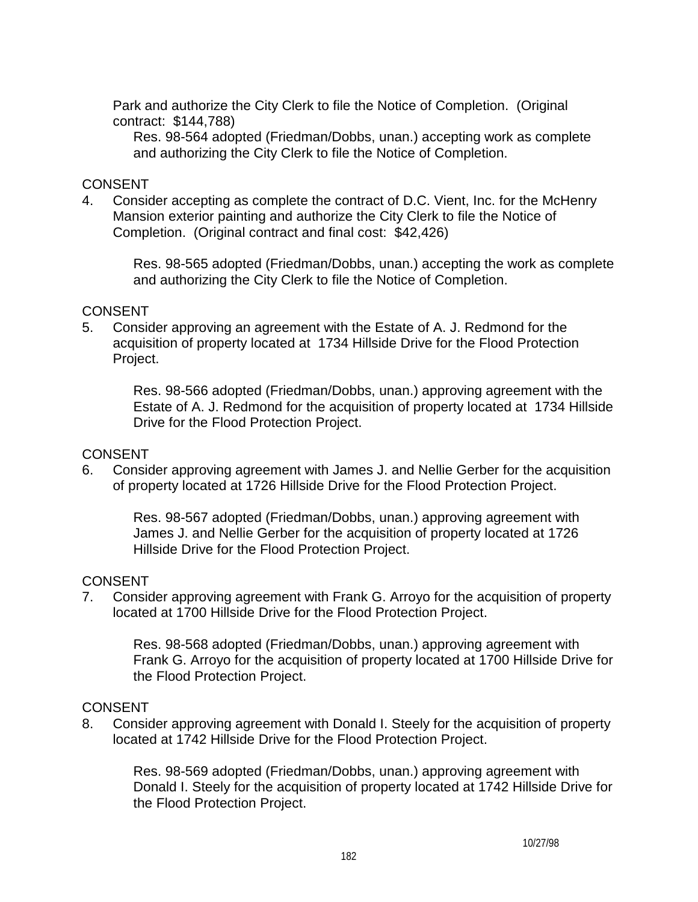Park and authorize the City Clerk to file the Notice of Completion. (Original contract: \$144,788)

Res. 98-564 adopted (Friedman/Dobbs, unan.) accepting work as complete and authorizing the City Clerk to file the Notice of Completion.

## CONSENT

4. Consider accepting as complete the contract of D.C. Vient, Inc. for the McHenry Mansion exterior painting and authorize the City Clerk to file the Notice of Completion. (Original contract and final cost: \$42,426)

Res. 98-565 adopted (Friedman/Dobbs, unan.) accepting the work as complete and authorizing the City Clerk to file the Notice of Completion.

#### CONSENT

5. Consider approving an agreement with the Estate of A. J. Redmond for the acquisition of property located at 1734 Hillside Drive for the Flood Protection Project.

> Res. 98-566 adopted (Friedman/Dobbs, unan.) approving agreement with the Estate of A. J. Redmond for the acquisition of property located at 1734 Hillside Drive for the Flood Protection Project.

#### **CONSENT**

6. Consider approving agreement with James J. and Nellie Gerber for the acquisition of property located at 1726 Hillside Drive for the Flood Protection Project.

Res. 98-567 adopted (Friedman/Dobbs, unan.) approving agreement with James J. and Nellie Gerber for the acquisition of property located at 1726 Hillside Drive for the Flood Protection Project.

#### **CONSENT**

7. Consider approving agreement with Frank G. Arroyo for the acquisition of property located at 1700 Hillside Drive for the Flood Protection Project.

Res. 98-568 adopted (Friedman/Dobbs, unan.) approving agreement with Frank G. Arroyo for the acquisition of property located at 1700 Hillside Drive for the Flood Protection Project.

## CONSENT

8. Consider approving agreement with Donald I. Steely for the acquisition of property located at 1742 Hillside Drive for the Flood Protection Project.

Res. 98-569 adopted (Friedman/Dobbs, unan.) approving agreement with Donald I. Steely for the acquisition of property located at 1742 Hillside Drive for the Flood Protection Project.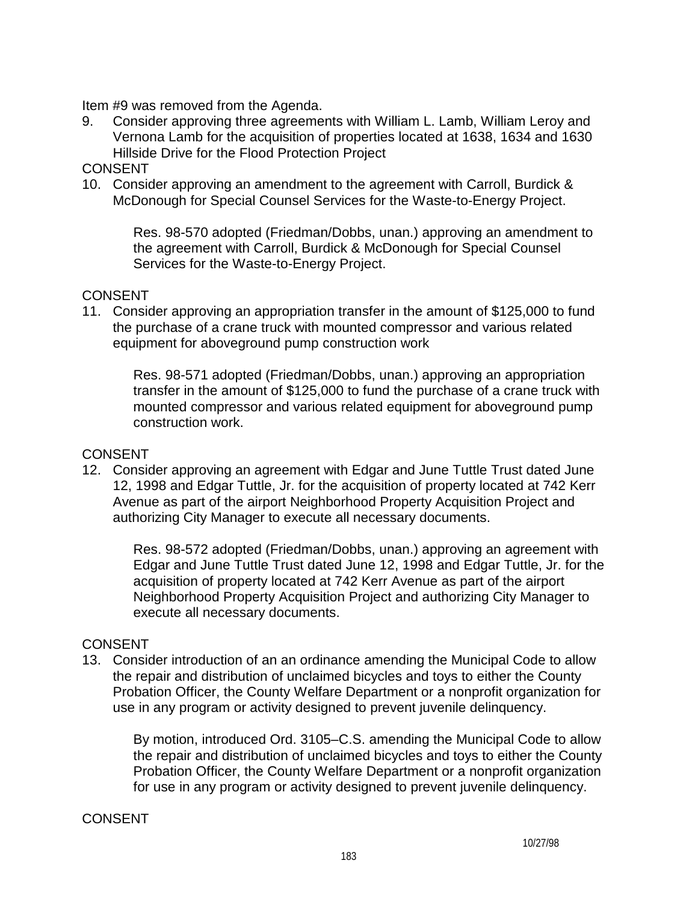Item #9 was removed from the Agenda.

9. Consider approving three agreements with William L. Lamb, William Leroy and Vernona Lamb for the acquisition of properties located at 1638, 1634 and 1630 Hillside Drive for the Flood Protection Project

#### CONSENT

10. Consider approving an amendment to the agreement with Carroll, Burdick & McDonough for Special Counsel Services for the Waste-to-Energy Project.

> Res. 98-570 adopted (Friedman/Dobbs, unan.) approving an amendment to the agreement with Carroll, Burdick & McDonough for Special Counsel Services for the Waste-to-Energy Project.

## **CONSENT**

11. Consider approving an appropriation transfer in the amount of \$125,000 to fund the purchase of a crane truck with mounted compressor and various related equipment for aboveground pump construction work

Res. 98-571 adopted (Friedman/Dobbs, unan.) approving an appropriation transfer in the amount of \$125,000 to fund the purchase of a crane truck with mounted compressor and various related equipment for aboveground pump construction work.

## **CONSENT**

12. Consider approving an agreement with Edgar and June Tuttle Trust dated June 12, 1998 and Edgar Tuttle, Jr. for the acquisition of property located at 742 Kerr Avenue as part of the airport Neighborhood Property Acquisition Project and authorizing City Manager to execute all necessary documents.

Res. 98-572 adopted (Friedman/Dobbs, unan.) approving an agreement with Edgar and June Tuttle Trust dated June 12, 1998 and Edgar Tuttle, Jr. for the acquisition of property located at 742 Kerr Avenue as part of the airport Neighborhood Property Acquisition Project and authorizing City Manager to execute all necessary documents.

## **CONSENT**

13. Consider introduction of an an ordinance amending the Municipal Code to allow the repair and distribution of unclaimed bicycles and toys to either the County Probation Officer, the County Welfare Department or a nonprofit organization for use in any program or activity designed to prevent juvenile delinquency.

By motion, introduced Ord. 3105–C.S. amending the Municipal Code to allow the repair and distribution of unclaimed bicycles and toys to either the County Probation Officer, the County Welfare Department or a nonprofit organization for use in any program or activity designed to prevent juvenile delinquency.

## CONSENT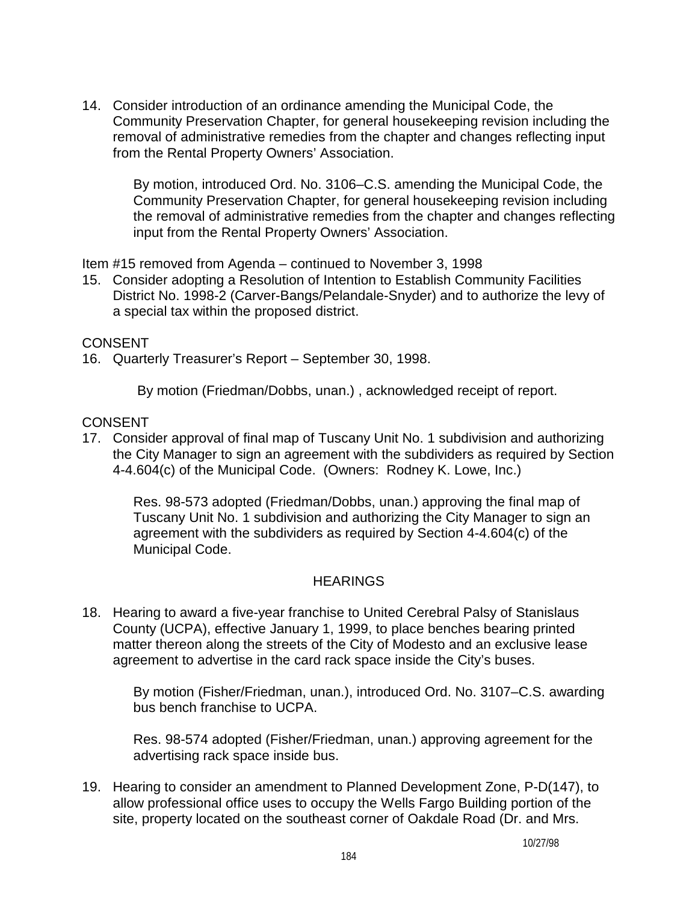14. Consider introduction of an ordinance amending the Municipal Code, the Community Preservation Chapter, for general housekeeping revision including the removal of administrative remedies from the chapter and changes reflecting input from the Rental Property Owners' Association.

By motion, introduced Ord. No. 3106–C.S. amending the Municipal Code, the Community Preservation Chapter, for general housekeeping revision including the removal of administrative remedies from the chapter and changes reflecting input from the Rental Property Owners' Association.

Item #15 removed from Agenda – continued to November 3, 1998

15. Consider adopting a Resolution of Intention to Establish Community Facilities District No. 1998-2 (Carver-Bangs/Pelandale-Snyder) and to authorize the levy of a special tax within the proposed district.

#### CONSENT

16. Quarterly Treasurer's Report – September 30, 1998.

By motion (Friedman/Dobbs, unan.) , acknowledged receipt of report.

#### CONSENT

17. Consider approval of final map of Tuscany Unit No. 1 subdivision and authorizing the City Manager to sign an agreement with the subdividers as required by Section 4-4.604(c) of the Municipal Code. (Owners: Rodney K. Lowe, Inc.)

 Res. 98-573 adopted (Friedman/Dobbs, unan.) approving the final map of Tuscany Unit No. 1 subdivision and authorizing the City Manager to sign an agreement with the subdividers as required by Section 4-4.604(c) of the Municipal Code.

## **HEARINGS**

18. Hearing to award a five-year franchise to United Cerebral Palsy of Stanislaus County (UCPA), effective January 1, 1999, to place benches bearing printed matter thereon along the streets of the City of Modesto and an exclusive lease agreement to advertise in the card rack space inside the City's buses.

By motion (Fisher/Friedman, unan.), introduced Ord. No. 3107–C.S. awarding bus bench franchise to UCPA.

Res. 98-574 adopted (Fisher/Friedman, unan.) approving agreement for the advertising rack space inside bus.

19. Hearing to consider an amendment to Planned Development Zone, P-D(147), to allow professional office uses to occupy the Wells Fargo Building portion of the site, property located on the southeast corner of Oakdale Road (Dr. and Mrs.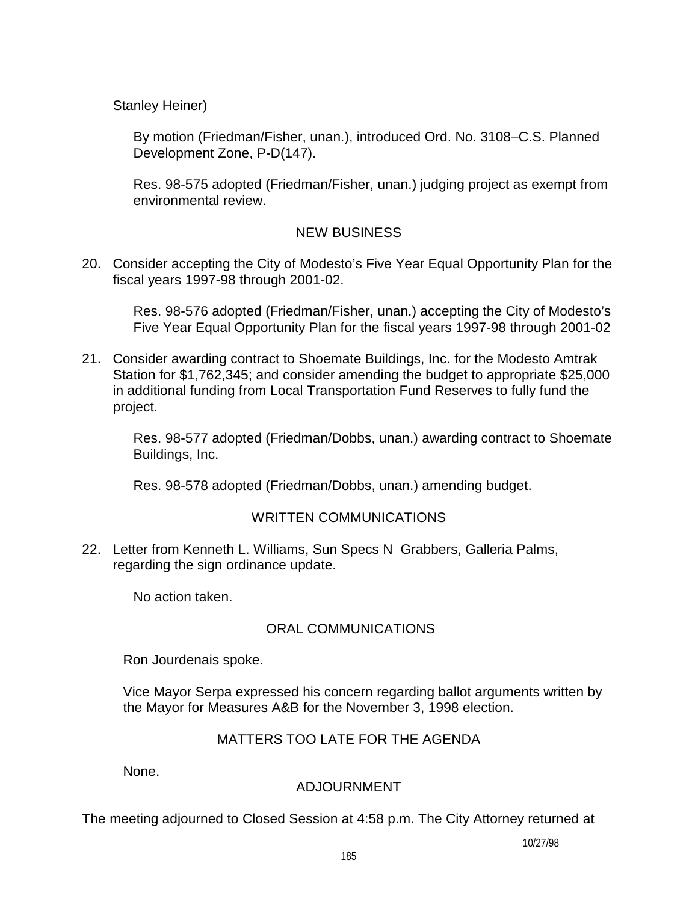Stanley Heiner)

By motion (Friedman/Fisher, unan.), introduced Ord. No. 3108–C.S. Planned Development Zone, P-D(147).

Res. 98-575 adopted (Friedman/Fisher, unan.) judging project as exempt from environmental review.

# NEW BUSINESS

20. Consider accepting the City of Modesto's Five Year Equal Opportunity Plan for the fiscal years 1997-98 through 2001-02.

Res. 98-576 adopted (Friedman/Fisher, unan.) accepting the City of Modesto's Five Year Equal Opportunity Plan for the fiscal years 1997-98 through 2001-02

21. Consider awarding contract to Shoemate Buildings, Inc. for the Modesto Amtrak Station for \$1,762,345; and consider amending the budget to appropriate \$25,000 in additional funding from Local Transportation Fund Reserves to fully fund the project.

Res. 98-577 adopted (Friedman/Dobbs, unan.) awarding contract to Shoemate Buildings, Inc.

Res. 98-578 adopted (Friedman/Dobbs, unan.) amending budget.

# WRITTEN COMMUNICATIONS

22. Letter from Kenneth L. Williams, Sun Specs N Grabbers, Galleria Palms, regarding the sign ordinance update.

No action taken.

# ORAL COMMUNICATIONS

Ron Jourdenais spoke.

 Vice Mayor Serpa expressed his concern regarding ballot arguments written by the Mayor for Measures A&B for the November 3, 1998 election.

# MATTERS TOO LATE FOR THE AGENDA

None.

# ADJOURNMENT

The meeting adjourned to Closed Session at 4:58 p.m. The City Attorney returned at

10/27/98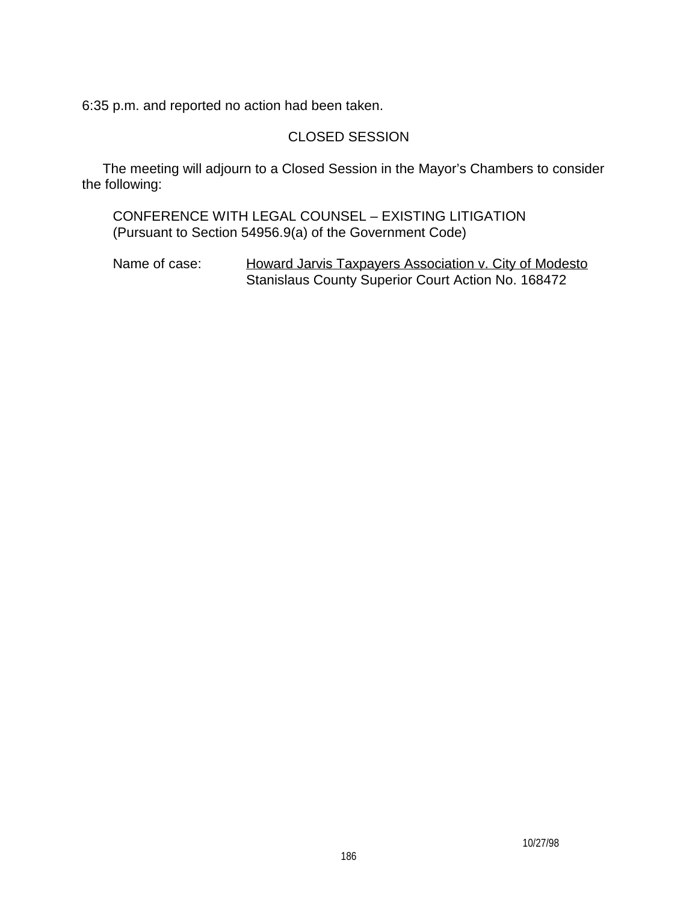6:35 p.m. and reported no action had been taken.

# CLOSED SESSION

 The meeting will adjourn to a Closed Session in the Mayor's Chambers to consider the following:

 CONFERENCE WITH LEGAL COUNSEL – EXISTING LITIGATION (Pursuant to Section 54956.9(a) of the Government Code)

Name of case: Howard Jarvis Taxpayers Association v. City of Modesto Stanislaus County Superior Court Action No. 168472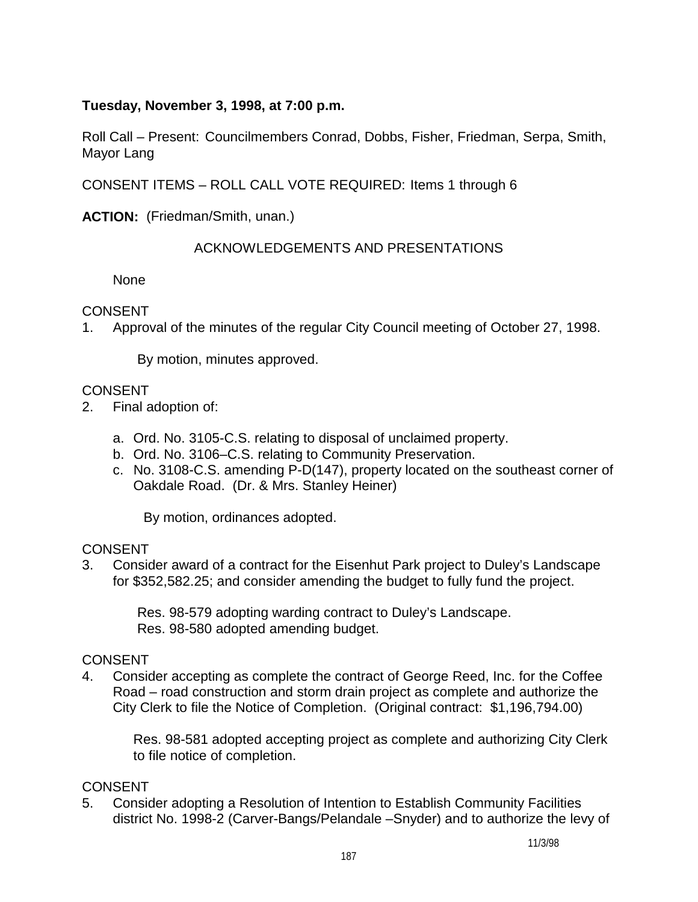# **Tuesday, November 3, 1998, at 7:00 p.m.**

Roll Call – Present: Councilmembers Conrad, Dobbs, Fisher, Friedman, Serpa, Smith, Mayor Lang

CONSENT ITEMS – ROLL CALL VOTE REQUIRED: Items 1 through 6

**ACTION:** (Friedman/Smith, unan.)

## ACKNOWLEDGEMENTS AND PRESENTATIONS

None

## CONSENT

1. Approval of the minutes of the regular City Council meeting of October 27, 1998.

By motion, minutes approved.

## CONSENT

- 2. Final adoption of:
	- a. Ord. No. 3105-C.S. relating to disposal of unclaimed property.
	- b. Ord. No. 3106–C.S. relating to Community Preservation.
	- c. No. 3108-C.S. amending P-D(147), property located on the southeast corner of Oakdale Road. (Dr. & Mrs. Stanley Heiner)

By motion, ordinances adopted.

## **CONSENT**

3. Consider award of a contract for the Eisenhut Park project to Duley's Landscape for \$352,582.25; and consider amending the budget to fully fund the project.

> Res. 98-579 adopting warding contract to Duley's Landscape. Res. 98-580 adopted amending budget.

# **CONSENT**

4. Consider accepting as complete the contract of George Reed, Inc. for the Coffee Road – road construction and storm drain project as complete and authorize the City Clerk to file the Notice of Completion. (Original contract: \$1,196,794.00)

 Res. 98-581 adopted accepting project as complete and authorizing City Clerk to file notice of completion.

## CONSENT

5. Consider adopting a Resolution of Intention to Establish Community Facilities district No. 1998-2 (Carver-Bangs/Pelandale –Snyder) and to authorize the levy of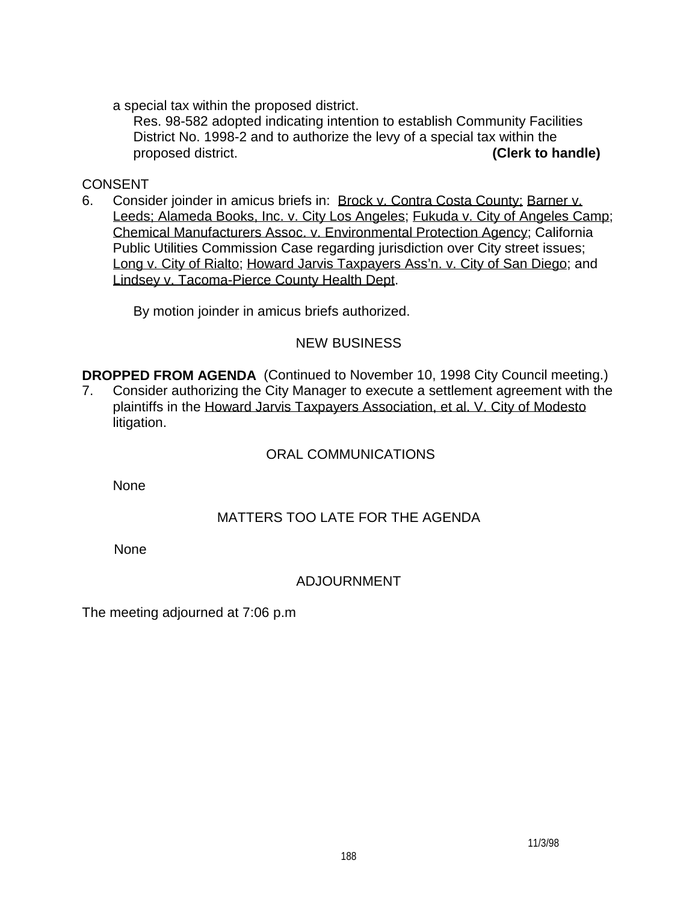a special tax within the proposed district.

 Res. 98-582 adopted indicating intention to establish Community Facilities District No. 1998-2 and to authorize the levy of a special tax within the proposed district. **(Clerk to handle)** 

# CONSENT

6. Consider joinder in amicus briefs in: Brock v. Contra Costa County; Barner v. Leeds; Alameda Books, Inc. v. City Los Angeles; Fukuda v. City of Angeles Camp; Chemical Manufacturers Assoc. v. Environmental Protection Agency; California Public Utilities Commission Case regarding jurisdiction over City street issues; Long v. City of Rialto; Howard Jarvis Taxpayers Ass'n. v. City of San Diego; and Lindsey v. Tacoma-Pierce County Health Dept.

By motion joinder in amicus briefs authorized.

# NEW BUSINESS

**DROPPED FROM AGENDA** (Continued to November 10, 1998 City Council meeting.)

7. Consider authorizing the City Manager to execute a settlement agreement with the plaintiffs in the Howard Jarvis Taxpayers Association, et al. V. City of Modesto litigation.

# ORAL COMMUNICATIONS

**None** 

# MATTERS TOO LATE FOR THE AGENDA

None

# ADJOURNMENT

The meeting adjourned at 7:06 p.m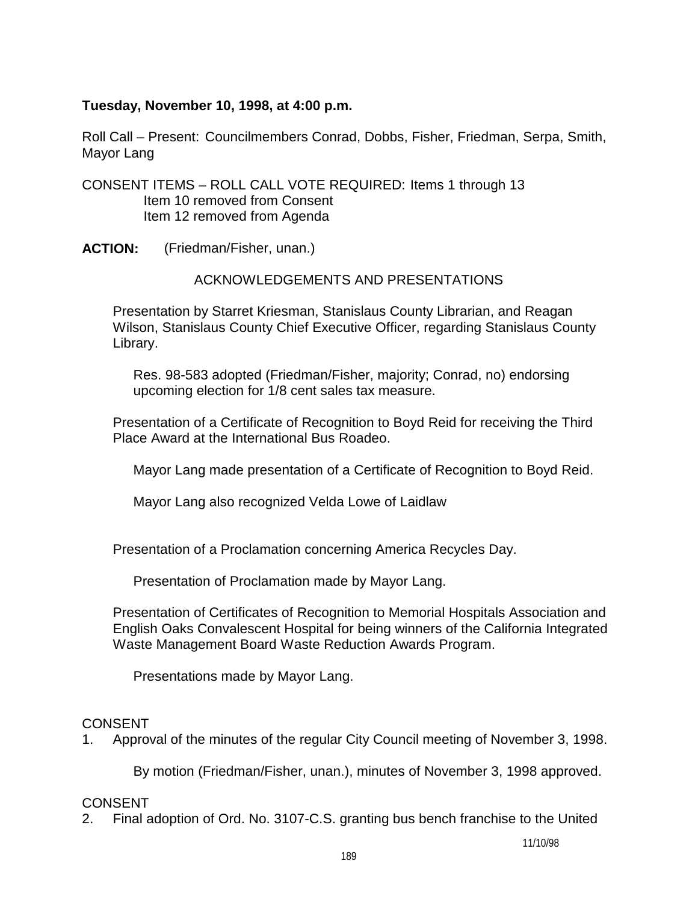## **Tuesday, November 10, 1998, at 4:00 p.m.**

Roll Call – Present: Councilmembers Conrad, Dobbs, Fisher, Friedman, Serpa, Smith, Mayor Lang

CONSENT ITEMS – ROLL CALL VOTE REQUIRED: Items 1 through 13 Item 10 removed from Consent Item 12 removed from Agenda

**ACTION:** (Friedman/Fisher, unan.)

## ACKNOWLEDGEMENTS AND PRESENTATIONS

 Presentation by Starret Kriesman, Stanislaus County Librarian, and Reagan Wilson, Stanislaus County Chief Executive Officer, regarding Stanislaus County Library.

Res. 98-583 adopted (Friedman/Fisher, majority; Conrad, no) endorsing upcoming election for 1/8 cent sales tax measure.

 Presentation of a Certificate of Recognition to Boyd Reid for receiving the Third Place Award at the International Bus Roadeo.

Mayor Lang made presentation of a Certificate of Recognition to Boyd Reid.

Mayor Lang also recognized Velda Lowe of Laidlaw

Presentation of a Proclamation concerning America Recycles Day.

Presentation of Proclamation made by Mayor Lang.

 Presentation of Certificates of Recognition to Memorial Hospitals Association and English Oaks Convalescent Hospital for being winners of the California Integrated Waste Management Board Waste Reduction Awards Program.

Presentations made by Mayor Lang.

## CONSENT

1. Approval of the minutes of the regular City Council meeting of November 3, 1998.

By motion (Friedman/Fisher, unan.), minutes of November 3, 1998 approved.

# CONSENT

2. Final adoption of Ord. No. 3107-C.S. granting bus bench franchise to the United

11/10/98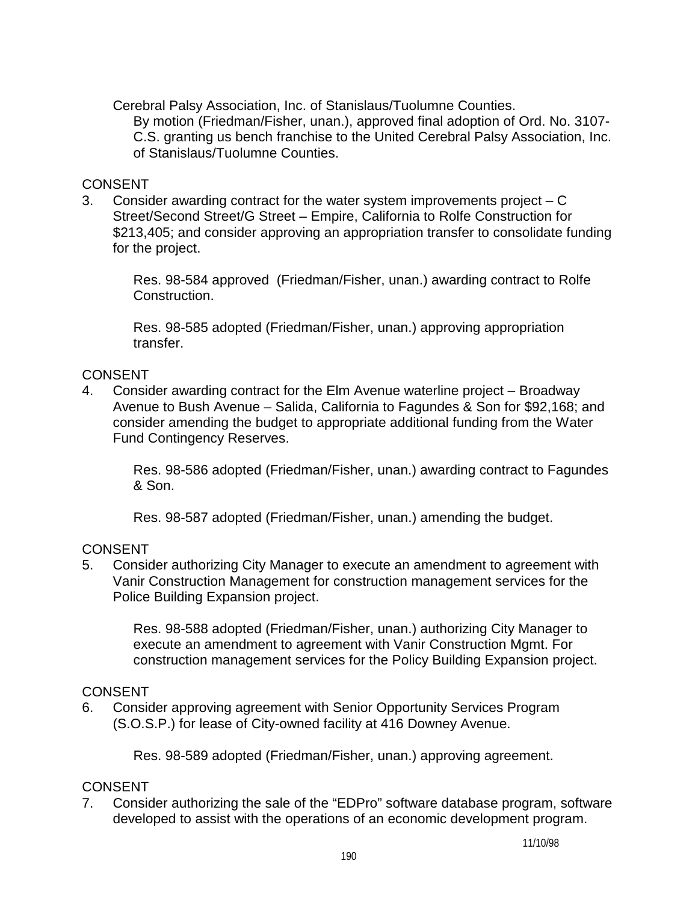Cerebral Palsy Association, Inc. of Stanislaus/Tuolumne Counties. By motion (Friedman/Fisher, unan.), approved final adoption of Ord. No. 3107- C.S. granting us bench franchise to the United Cerebral Palsy Association, Inc. of Stanislaus/Tuolumne Counties.

## **CONSENT**

3. Consider awarding contract for the water system improvements project – C Street/Second Street/G Street – Empire, California to Rolfe Construction for \$213,405; and consider approving an appropriation transfer to consolidate funding for the project.

 Res. 98-584 approved (Friedman/Fisher, unan.) awarding contract to Rolfe Construction.

 Res. 98-585 adopted (Friedman/Fisher, unan.) approving appropriation transfer.

## **CONSENT**

4. Consider awarding contract for the Elm Avenue waterline project – Broadway Avenue to Bush Avenue – Salida, California to Fagundes & Son for \$92,168; and consider amending the budget to appropriate additional funding from the Water Fund Contingency Reserves.

 Res. 98-586 adopted (Friedman/Fisher, unan.) awarding contract to Fagundes & Son.

Res. 98-587 adopted (Friedman/Fisher, unan.) amending the budget.

# **CONSENT**

5. Consider authorizing City Manager to execute an amendment to agreement with Vanir Construction Management for construction management services for the Police Building Expansion project.

 Res. 98-588 adopted (Friedman/Fisher, unan.) authorizing City Manager to execute an amendment to agreement with Vanir Construction Mgmt. For construction management services for the Policy Building Expansion project.

## CONSENT

6. Consider approving agreement with Senior Opportunity Services Program (S.O.S.P.) for lease of City-owned facility at 416 Downey Avenue.

Res. 98-589 adopted (Friedman/Fisher, unan.) approving agreement.

# **CONSENT**

7. Consider authorizing the sale of the "EDPro" software database program, software developed to assist with the operations of an economic development program.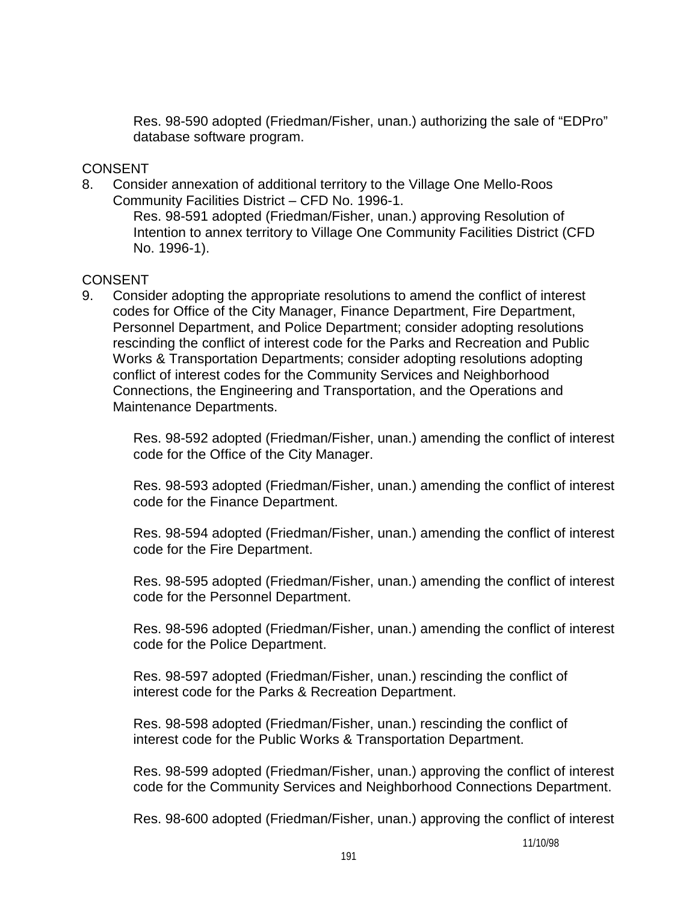Res. 98-590 adopted (Friedman/Fisher, unan.) authorizing the sale of "EDPro" database software program.

## CONSENT

8. Consider annexation of additional territory to the Village One Mello-Roos Community Facilities District – CFD No. 1996-1.

 Res. 98-591 adopted (Friedman/Fisher, unan.) approving Resolution of Intention to annex territory to Village One Community Facilities District (CFD No. 1996-1).

## CONSENT

9. Consider adopting the appropriate resolutions to amend the conflict of interest codes for Office of the City Manager, Finance Department, Fire Department, Personnel Department, and Police Department; consider adopting resolutions rescinding the conflict of interest code for the Parks and Recreation and Public Works & Transportation Departments; consider adopting resolutions adopting conflict of interest codes for the Community Services and Neighborhood Connections, the Engineering and Transportation, and the Operations and Maintenance Departments.

 Res. 98-592 adopted (Friedman/Fisher, unan.) amending the conflict of interest code for the Office of the City Manager.

 Res. 98-593 adopted (Friedman/Fisher, unan.) amending the conflict of interest code for the Finance Department.

 Res. 98-594 adopted (Friedman/Fisher, unan.) amending the conflict of interest code for the Fire Department.

 Res. 98-595 adopted (Friedman/Fisher, unan.) amending the conflict of interest code for the Personnel Department.

 Res. 98-596 adopted (Friedman/Fisher, unan.) amending the conflict of interest code for the Police Department.

 Res. 98-597 adopted (Friedman/Fisher, unan.) rescinding the conflict of interest code for the Parks & Recreation Department.

 Res. 98-598 adopted (Friedman/Fisher, unan.) rescinding the conflict of interest code for the Public Works & Transportation Department.

 Res. 98-599 adopted (Friedman/Fisher, unan.) approving the conflict of interest code for the Community Services and Neighborhood Connections Department.

Res. 98-600 adopted (Friedman/Fisher, unan.) approving the conflict of interest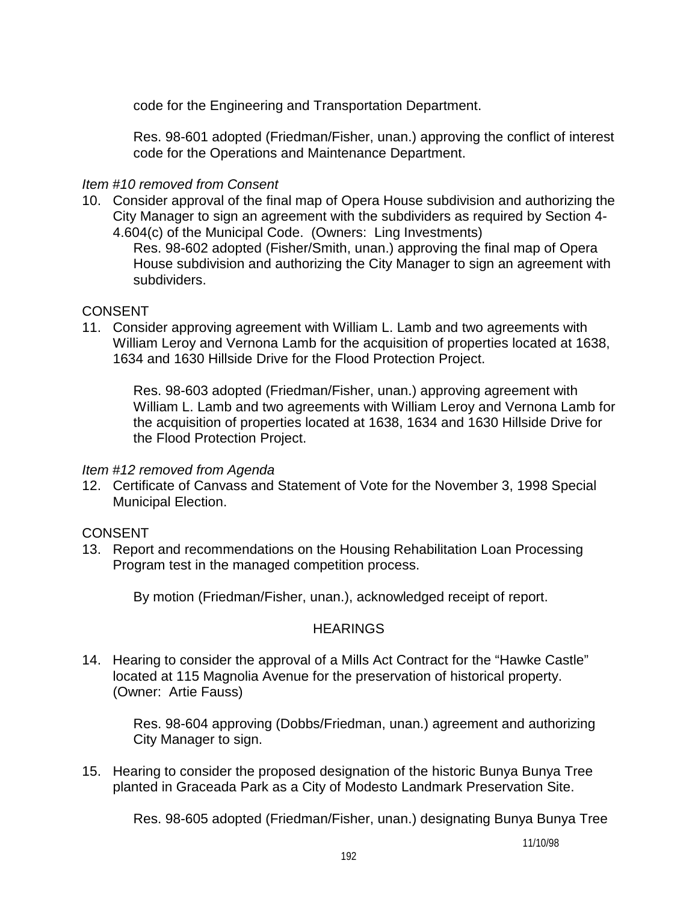code for the Engineering and Transportation Department.

 Res. 98-601 adopted (Friedman/Fisher, unan.) approving the conflict of interest code for the Operations and Maintenance Department.

## *Item #10 removed from Consent*

10. Consider approval of the final map of Opera House subdivision and authorizing the City Manager to sign an agreement with the subdividers as required by Section 4- 4.604(c) of the Municipal Code. (Owners: Ling Investments)

 Res. 98-602 adopted (Fisher/Smith, unan.) approving the final map of Opera House subdivision and authorizing the City Manager to sign an agreement with subdividers.

## CONSENT

11. Consider approving agreement with William L. Lamb and two agreements with William Leroy and Vernona Lamb for the acquisition of properties located at 1638, 1634 and 1630 Hillside Drive for the Flood Protection Project.

 Res. 98-603 adopted (Friedman/Fisher, unan.) approving agreement with William L. Lamb and two agreements with William Leroy and Vernona Lamb for the acquisition of properties located at 1638, 1634 and 1630 Hillside Drive for the Flood Protection Project.

## *Item #12 removed from Agenda*

12. Certificate of Canvass and Statement of Vote for the November 3, 1998 Special Municipal Election.

# **CONSENT**

13. Report and recommendations on the Housing Rehabilitation Loan Processing Program test in the managed competition process.

By motion (Friedman/Fisher, unan.), acknowledged receipt of report.

# **HEARINGS**

14. Hearing to consider the approval of a Mills Act Contract for the "Hawke Castle" located at 115 Magnolia Avenue for the preservation of historical property. (Owner: Artie Fauss)

 Res. 98-604 approving (Dobbs/Friedman, unan.) agreement and authorizing City Manager to sign.

15. Hearing to consider the proposed designation of the historic Bunya Bunya Tree planted in Graceada Park as a City of Modesto Landmark Preservation Site.

Res. 98-605 adopted (Friedman/Fisher, unan.) designating Bunya Bunya Tree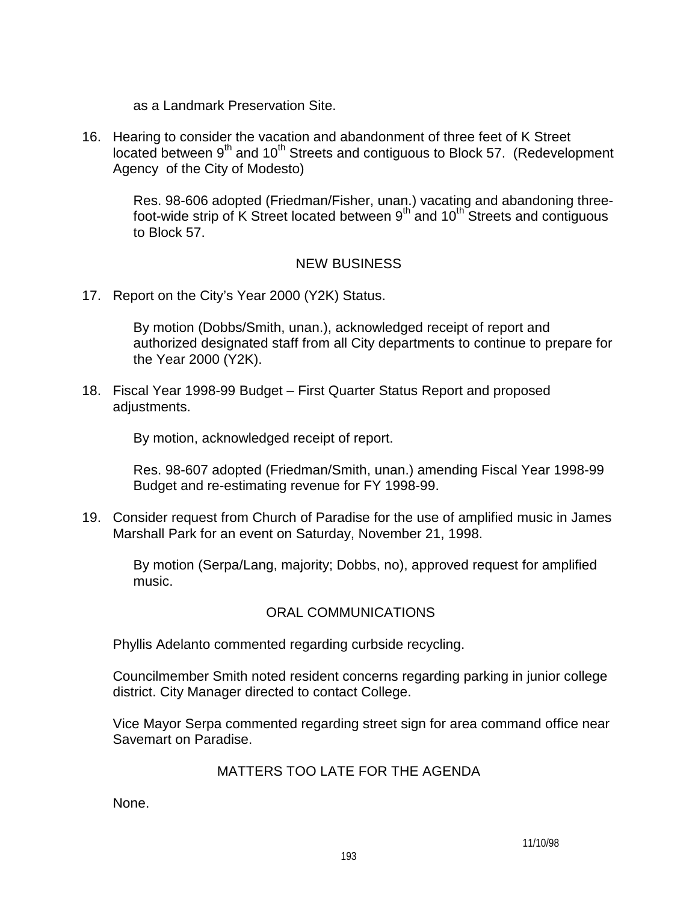as a Landmark Preservation Site.

16. Hearing to consider the vacation and abandonment of three feet of K Street  $\log$  between 9<sup>th</sup> and 10<sup>th</sup> Streets and contiguous to Block 57. (Redevelopment Agency of the City of Modesto)

 Res. 98-606 adopted (Friedman/Fisher, unan.) vacating and abandoning threefoot-wide strip of K Street located between  $9^{th}$  and  $10^{th}$  Streets and contiguous to Block 57.

## NEW BUSINESS

17. Report on the City's Year 2000 (Y2K) Status.

 By motion (Dobbs/Smith, unan.), acknowledged receipt of report and authorized designated staff from all City departments to continue to prepare for the Year 2000 (Y2K).

18. Fiscal Year 1998-99 Budget – First Quarter Status Report and proposed adjustments.

By motion, acknowledged receipt of report.

 Res. 98-607 adopted (Friedman/Smith, unan.) amending Fiscal Year 1998-99 Budget and re-estimating revenue for FY 1998-99.

19. Consider request from Church of Paradise for the use of amplified music in James Marshall Park for an event on Saturday, November 21, 1998.

 By motion (Serpa/Lang, majority; Dobbs, no), approved request for amplified music.

# ORAL COMMUNICATIONS

Phyllis Adelanto commented regarding curbside recycling.

 Councilmember Smith noted resident concerns regarding parking in junior college district. City Manager directed to contact College.

 Vice Mayor Serpa commented regarding street sign for area command office near Savemart on Paradise.

## MATTERS TOO LATE FOR THE AGENDA

None.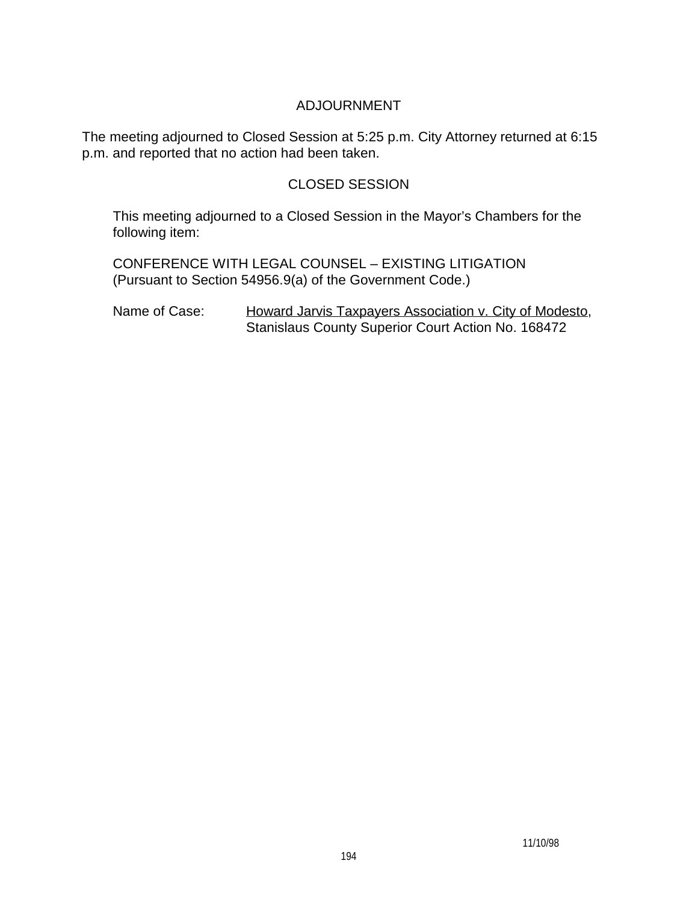# ADJOURNMENT

The meeting adjourned to Closed Session at 5:25 p.m. City Attorney returned at 6:15 p.m. and reported that no action had been taken.

# CLOSED SESSION

 This meeting adjourned to a Closed Session in the Mayor's Chambers for the following item:

 CONFERENCE WITH LEGAL COUNSEL – EXISTING LITIGATION (Pursuant to Section 54956.9(a) of the Government Code.)

Name of Case: Howard Jarvis Taxpayers Association v. City of Modesto, Stanislaus County Superior Court Action No. 168472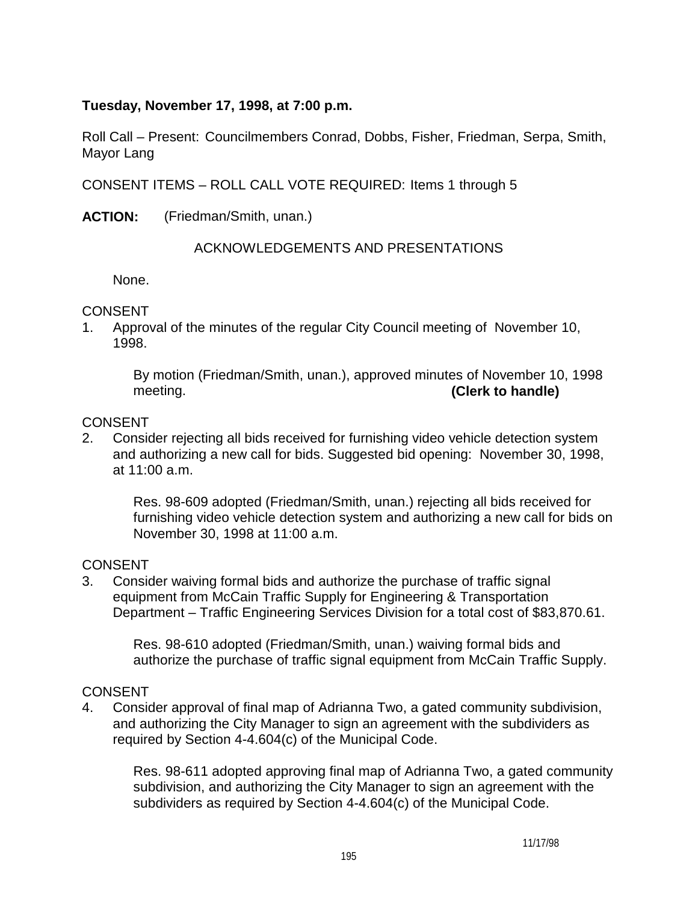# **Tuesday, November 17, 1998, at 7:00 p.m.**

Roll Call – Present: Councilmembers Conrad, Dobbs, Fisher, Friedman, Serpa, Smith, Mayor Lang

CONSENT ITEMS – ROLL CALL VOTE REQUIRED: Items 1 through 5

**ACTION:** (Friedman/Smith, unan.)

## ACKNOWLEDGEMENTS AND PRESENTATIONS

None.

## CONSENT

1. Approval of the minutes of the regular City Council meeting of November 10, 1998.

> By motion (Friedman/Smith, unan.), approved minutes of November 10, 1998 meeting. **(Clerk to handle)**

## CONSENT

2. Consider rejecting all bids received for furnishing video vehicle detection system and authorizing a new call for bids. Suggested bid opening: November 30, 1998, at 11:00 a.m.

 Res. 98-609 adopted (Friedman/Smith, unan.) rejecting all bids received for furnishing video vehicle detection system and authorizing a new call for bids on November 30, 1998 at 11:00 a.m.

## **CONSENT**

3. Consider waiving formal bids and authorize the purchase of traffic signal equipment from McCain Traffic Supply for Engineering & Transportation Department – Traffic Engineering Services Division for a total cost of \$83,870.61.

 Res. 98-610 adopted (Friedman/Smith, unan.) waiving formal bids and authorize the purchase of traffic signal equipment from McCain Traffic Supply.

# CONSENT

4. Consider approval of final map of Adrianna Two, a gated community subdivision, and authorizing the City Manager to sign an agreement with the subdividers as required by Section 4-4.604(c) of the Municipal Code.

 Res. 98-611 adopted approving final map of Adrianna Two, a gated community subdivision, and authorizing the City Manager to sign an agreement with the subdividers as required by Section 4-4.604(c) of the Municipal Code.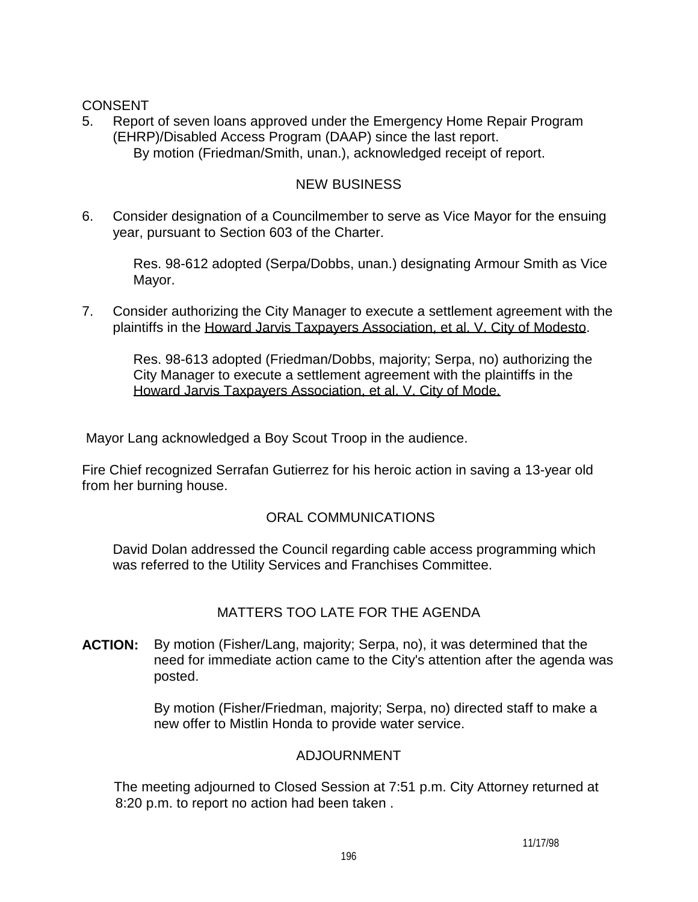# CONSENT

5. Report of seven loans approved under the Emergency Home Repair Program (EHRP)/Disabled Access Program (DAAP) since the last report. By motion (Friedman/Smith, unan.), acknowledged receipt of report.

## NEW BUSINESS

6. Consider designation of a Councilmember to serve as Vice Mayor for the ensuing year, pursuant to Section 603 of the Charter.

 Res. 98-612 adopted (Serpa/Dobbs, unan.) designating Armour Smith as Vice Mayor.

7. Consider authorizing the City Manager to execute a settlement agreement with the plaintiffs in the Howard Jarvis Taxpayers Association, et al. V. City of Modesto.

 Res. 98-613 adopted (Friedman/Dobbs, majority; Serpa, no) authorizing the City Manager to execute a settlement agreement with the plaintiffs in the Howard Jarvis Taxpayers Association, et al. V. City of Mode.

Mayor Lang acknowledged a Boy Scout Troop in the audience.

Fire Chief recognized Serrafan Gutierrez for his heroic action in saving a 13-year old from her burning house.

# ORAL COMMUNICATIONS

 David Dolan addressed the Council regarding cable access programming which was referred to the Utility Services and Franchises Committee.

# MATTERS TOO LATE FOR THE AGENDA

**ACTION:** By motion (Fisher/Lang, majority; Serpa, no), it was determined that the need for immediate action came to the City's attention after the agenda was posted.

> By motion (Fisher/Friedman, majority; Serpa, no) directed staff to make a new offer to Mistlin Honda to provide water service.

## ADJOURNMENT

 The meeting adjourned to Closed Session at 7:51 p.m. City Attorney returned at 8:20 p.m. to report no action had been taken .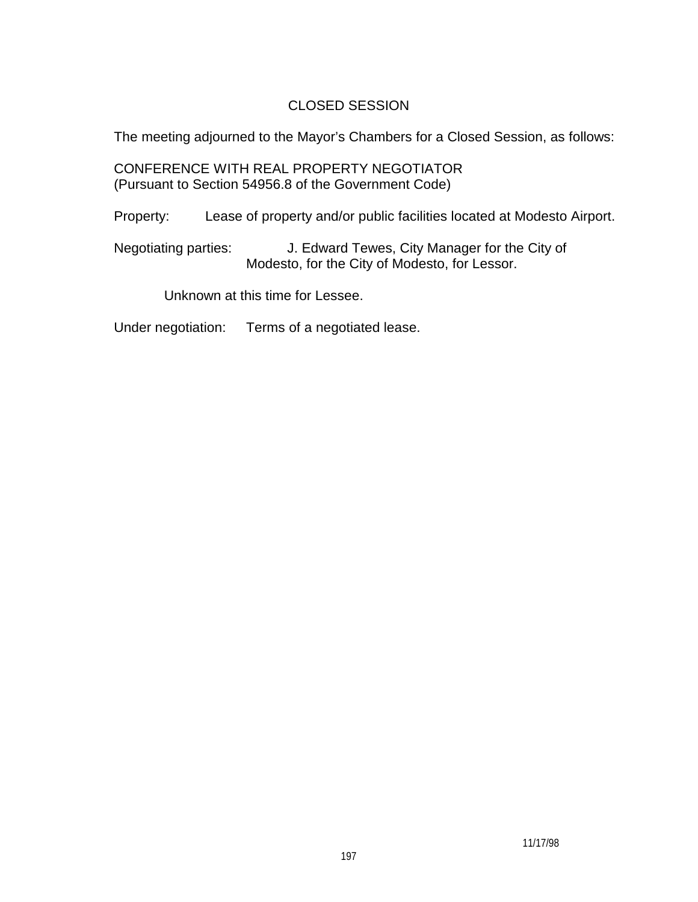# CLOSED SESSION

The meeting adjourned to the Mayor's Chambers for a Closed Session, as follows:

 CONFERENCE WITH REAL PROPERTY NEGOTIATOR (Pursuant to Section 54956.8 of the Government Code)

Property: Lease of property and/or public facilities located at Modesto Airport.

 Negotiating parties: J. Edward Tewes, City Manager for the City of Modesto, for the City of Modesto, for Lessor.

Unknown at this time for Lessee.

Under negotiation: Terms of a negotiated lease.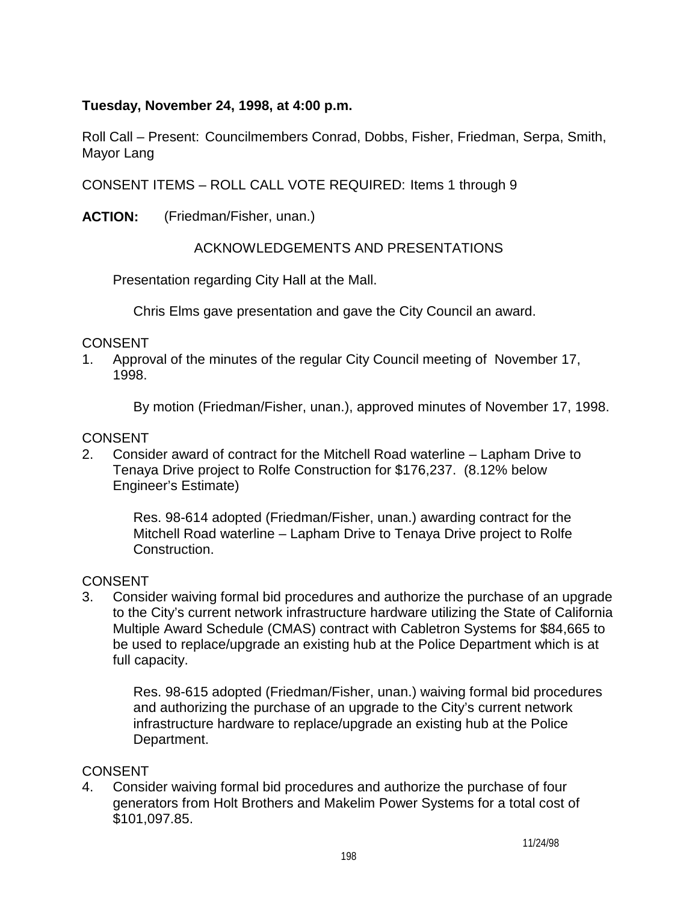# **Tuesday, November 24, 1998, at 4:00 p.m.**

Roll Call – Present: Councilmembers Conrad, Dobbs, Fisher, Friedman, Serpa, Smith, Mayor Lang

CONSENT ITEMS – ROLL CALL VOTE REQUIRED: Items 1 through 9

**ACTION:** (Friedman/Fisher, unan.)

# ACKNOWLEDGEMENTS AND PRESENTATIONS

Presentation regarding City Hall at the Mall.

Chris Elms gave presentation and gave the City Council an award.

## CONSENT

1. Approval of the minutes of the regular City Council meeting of November 17, 1998.

By motion (Friedman/Fisher, unan.), approved minutes of November 17, 1998.

# **CONSENT**

2. Consider award of contract for the Mitchell Road waterline – Lapham Drive to Tenaya Drive project to Rolfe Construction for \$176,237. (8.12% below Engineer's Estimate)

> Res. 98-614 adopted (Friedman/Fisher, unan.) awarding contract for the Mitchell Road waterline – Lapham Drive to Tenaya Drive project to Rolfe Construction.

# **CONSENT**

3. Consider waiving formal bid procedures and authorize the purchase of an upgrade to the City's current network infrastructure hardware utilizing the State of California Multiple Award Schedule (CMAS) contract with Cabletron Systems for \$84,665 to be used to replace/upgrade an existing hub at the Police Department which is at full capacity.

 Res. 98-615 adopted (Friedman/Fisher, unan.) waiving formal bid procedures and authorizing the purchase of an upgrade to the City's current network infrastructure hardware to replace/upgrade an existing hub at the Police Department.

# **CONSENT**

4. Consider waiving formal bid procedures and authorize the purchase of four generators from Holt Brothers and Makelim Power Systems for a total cost of \$101,097.85.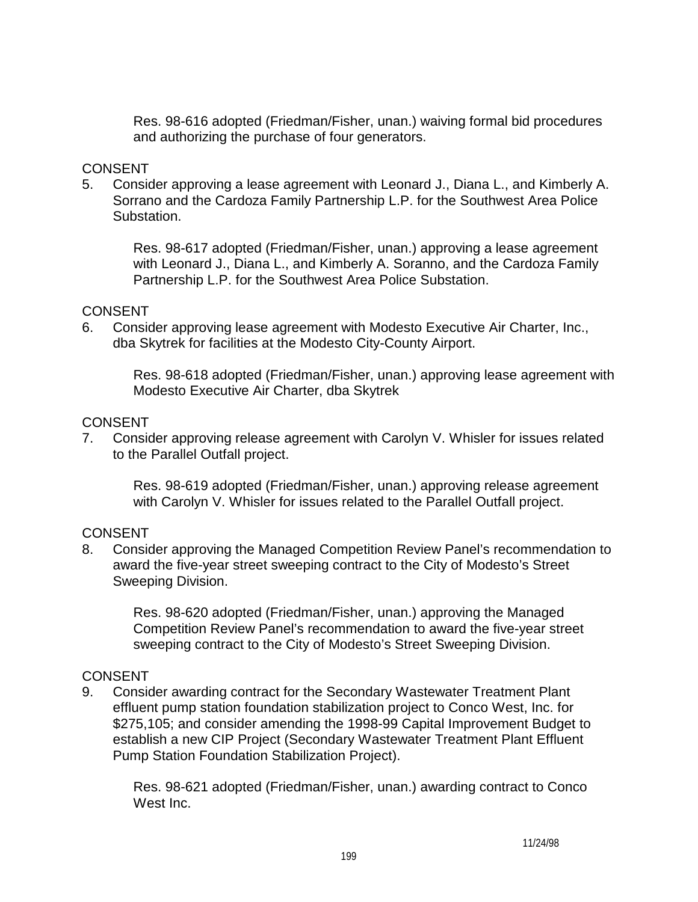Res. 98-616 adopted (Friedman/Fisher, unan.) waiving formal bid procedures and authorizing the purchase of four generators.

## CONSENT

5. Consider approving a lease agreement with Leonard J., Diana L., and Kimberly A. Sorrano and the Cardoza Family Partnership L.P. for the Southwest Area Police Substation.

 Res. 98-617 adopted (Friedman/Fisher, unan.) approving a lease agreement with Leonard J., Diana L., and Kimberly A. Soranno, and the Cardoza Family Partnership L.P. for the Southwest Area Police Substation.

#### CONSENT

6. Consider approving lease agreement with Modesto Executive Air Charter, Inc., dba Skytrek for facilities at the Modesto City-County Airport.

 Res. 98-618 adopted (Friedman/Fisher, unan.) approving lease agreement with Modesto Executive Air Charter, dba Skytrek

#### CONSENT

7. Consider approving release agreement with Carolyn V. Whisler for issues related to the Parallel Outfall project.

 Res. 98-619 adopted (Friedman/Fisher, unan.) approving release agreement with Carolyn V. Whisler for issues related to the Parallel Outfall project.

## **CONSENT**

8. Consider approving the Managed Competition Review Panel's recommendation to award the five-year street sweeping contract to the City of Modesto's Street Sweeping Division.

 Res. 98-620 adopted (Friedman/Fisher, unan.) approving the Managed Competition Review Panel's recommendation to award the five-year street sweeping contract to the City of Modesto's Street Sweeping Division.

## **CONSENT**

9. Consider awarding contract for the Secondary Wastewater Treatment Plant effluent pump station foundation stabilization project to Conco West, Inc. for \$275,105; and consider amending the 1998-99 Capital Improvement Budget to establish a new CIP Project (Secondary Wastewater Treatment Plant Effluent Pump Station Foundation Stabilization Project).

 Res. 98-621 adopted (Friedman/Fisher, unan.) awarding contract to Conco West Inc.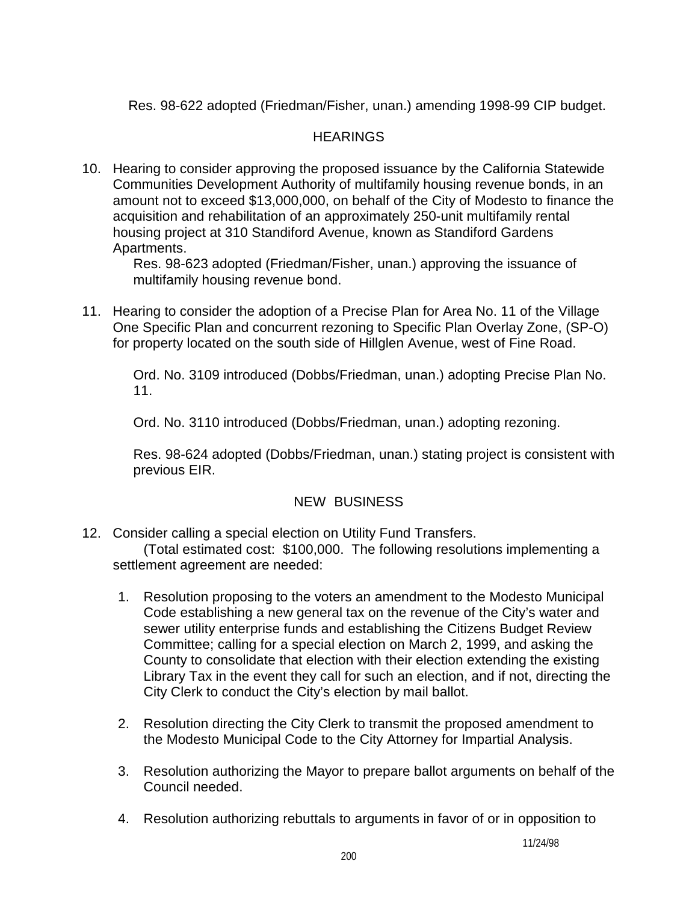Res. 98-622 adopted (Friedman/Fisher, unan.) amending 1998-99 CIP budget.

# **HEARINGS**

10. Hearing to consider approving the proposed issuance by the California Statewide Communities Development Authority of multifamily housing revenue bonds, in an amount not to exceed \$13,000,000, on behalf of the City of Modesto to finance the acquisition and rehabilitation of an approximately 250-unit multifamily rental housing project at 310 Standiford Avenue, known as Standiford Gardens Apartments.

 Res. 98-623 adopted (Friedman/Fisher, unan.) approving the issuance of multifamily housing revenue bond.

11. Hearing to consider the adoption of a Precise Plan for Area No. 11 of the Village One Specific Plan and concurrent rezoning to Specific Plan Overlay Zone, (SP-O) for property located on the south side of Hillglen Avenue, west of Fine Road.

 Ord. No. 3109 introduced (Dobbs/Friedman, unan.) adopting Precise Plan No. 11.

Ord. No. 3110 introduced (Dobbs/Friedman, unan.) adopting rezoning.

 Res. 98-624 adopted (Dobbs/Friedman, unan.) stating project is consistent with previous EIR.

# NEW BUSINESS

12. Consider calling a special election on Utility Fund Transfers.

 (Total estimated cost: \$100,000. The following resolutions implementing a settlement agreement are needed:

- 1. Resolution proposing to the voters an amendment to the Modesto Municipal Code establishing a new general tax on the revenue of the City's water and sewer utility enterprise funds and establishing the Citizens Budget Review Committee; calling for a special election on March 2, 1999, and asking the County to consolidate that election with their election extending the existing Library Tax in the event they call for such an election, and if not, directing the City Clerk to conduct the City's election by mail ballot.
- 2. Resolution directing the City Clerk to transmit the proposed amendment to the Modesto Municipal Code to the City Attorney for Impartial Analysis.
- 3. Resolution authorizing the Mayor to prepare ballot arguments on behalf of the Council needed.
- 4. Resolution authorizing rebuttals to arguments in favor of or in opposition to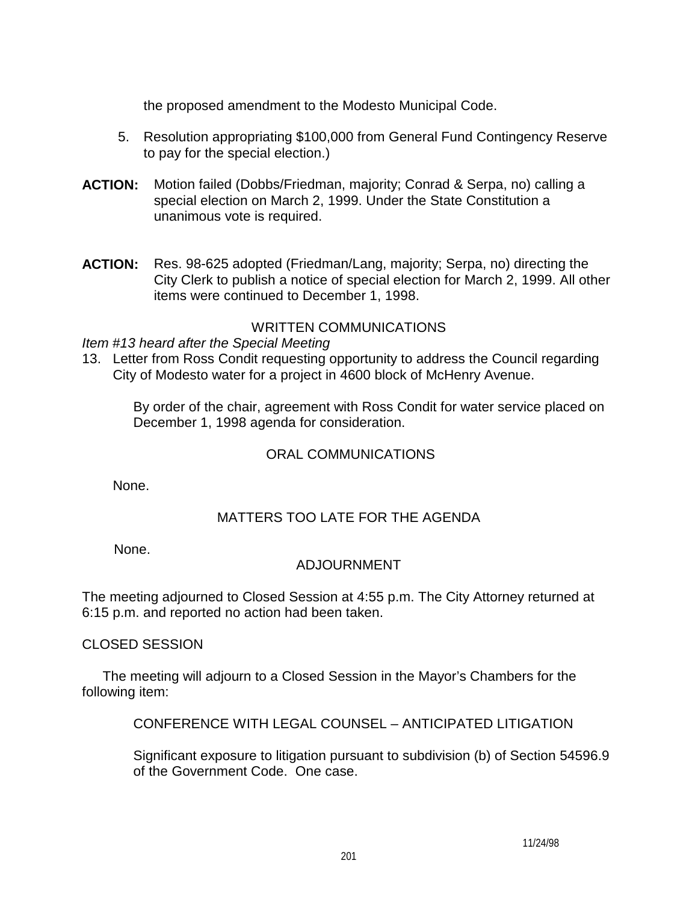the proposed amendment to the Modesto Municipal Code.

- 5. Resolution appropriating \$100,000 from General Fund Contingency Reserve to pay for the special election.)
- **ACTION:** Motion failed (Dobbs/Friedman, majority; Conrad & Serpa, no) calling a special election on March 2, 1999. Under the State Constitution a unanimous vote is required.
- **ACTION:** Res. 98-625 adopted (Friedman/Lang, majority; Serpa, no) directing the City Clerk to publish a notice of special election for March 2, 1999. All other items were continued to December 1, 1998.

## WRITTEN COMMUNICATIONS

#### *Item #13 heard after the Special Meeting*

13. Letter from Ross Condit requesting opportunity to address the Council regarding City of Modesto water for a project in 4600 block of McHenry Avenue.

 By order of the chair, agreement with Ross Condit for water service placed on December 1, 1998 agenda for consideration.

## ORAL COMMUNICATIONS

None.

# MATTERS TOO LATE FOR THE AGENDA

None.

# ADJOURNMENT

The meeting adjourned to Closed Session at 4:55 p.m. The City Attorney returned at 6:15 p.m. and reported no action had been taken.

CLOSED SESSION

 The meeting will adjourn to a Closed Session in the Mayor's Chambers for the following item:

CONFERENCE WITH LEGAL COUNSEL – ANTICIPATED LITIGATION

 Significant exposure to litigation pursuant to subdivision (b) of Section 54596.9 of the Government Code. One case.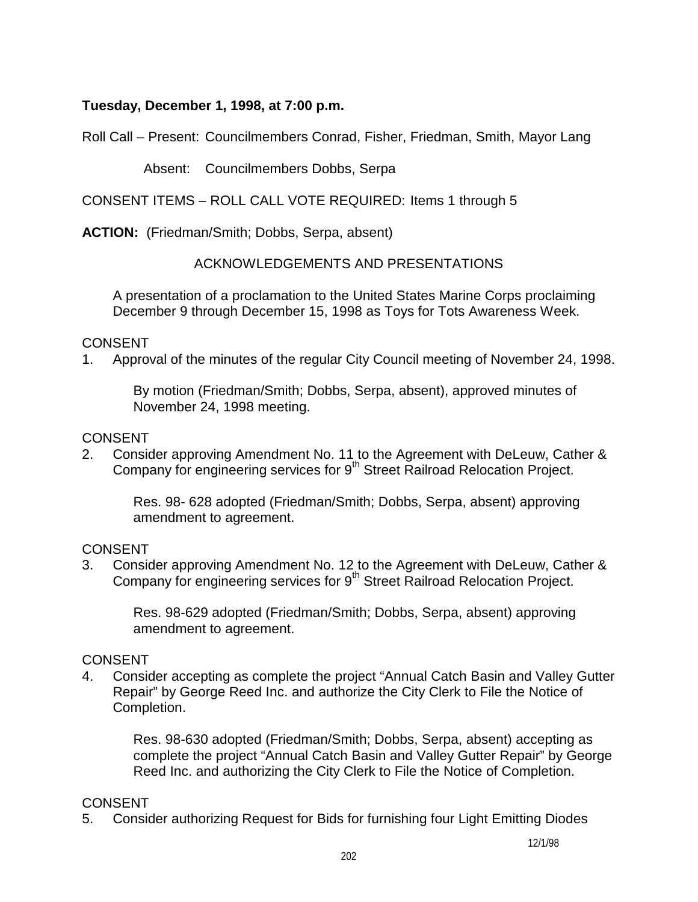## **Tuesday, December 1, 1998, at 7:00 p.m.**

Roll Call – Present: Councilmembers Conrad, Fisher, Friedman, Smith, Mayor Lang

## Absent: Councilmembers Dobbs, Serpa

CONSENT ITEMS – ROLL CALL VOTE REQUIRED: Items 1 through 5

**ACTION:** (Friedman/Smith; Dobbs, Serpa, absent)

## ACKNOWLEDGEMENTS AND PRESENTATIONS

 A presentation of a proclamation to the United States Marine Corps proclaiming December 9 through December 15, 1998 as Toys for Tots Awareness Week.

## CONSENT

1. Approval of the minutes of the regular City Council meeting of November 24, 1998.

 By motion (Friedman/Smith; Dobbs, Serpa, absent), approved minutes of November 24, 1998 meeting.

## **CONSENT**

2. Consider approving Amendment No. 11 to the Agreement with DeLeuw, Cather & Company for engineering services for 9<sup>th</sup> Street Railroad Relocation Project.

 Res. 98- 628 adopted (Friedman/Smith; Dobbs, Serpa, absent) approving amendment to agreement.

## **CONSENT**

3. Consider approving Amendment No. 12 to the Agreement with DeLeuw, Cather & Company for engineering services for 9<sup>th</sup> Street Railroad Relocation Project.

 Res. 98-629 adopted (Friedman/Smith; Dobbs, Serpa, absent) approving amendment to agreement.

# CONSENT

4. Consider accepting as complete the project "Annual Catch Basin and Valley Gutter Repair" by George Reed Inc. and authorize the City Clerk to File the Notice of Completion.

 Res. 98-630 adopted (Friedman/Smith; Dobbs, Serpa, absent) accepting as complete the project "Annual Catch Basin and Valley Gutter Repair" by George Reed Inc. and authorizing the City Clerk to File the Notice of Completion.

# **CONSENT**

5. Consider authorizing Request for Bids for furnishing four Light Emitting Diodes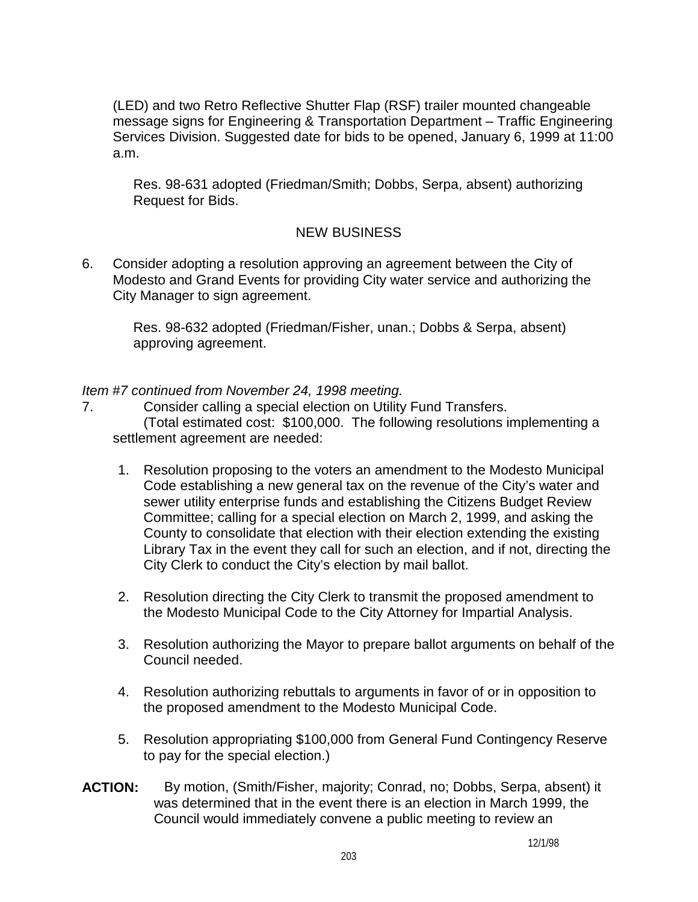(LED) and two Retro Reflective Shutter Flap (RSF) trailer mounted changeable message signs for Engineering & Transportation Department – Traffic Engineering Services Division. Suggested date for bids to be opened, January 6, 1999 at 11:00 a.m.

 Res. 98-631 adopted (Friedman/Smith; Dobbs, Serpa, absent) authorizing Request for Bids.

# NEW BUSINESS

6. Consider adopting a resolution approving an agreement between the City of Modesto and Grand Events for providing City water service and authorizing the City Manager to sign agreement.

Res. 98-632 adopted (Friedman/Fisher, unan.; Dobbs & Serpa, absent) approving agreement.

*Item #7 continued from November 24, 1998 meeting.* 

- 7. Consider calling a special election on Utility Fund Transfers. (Total estimated cost: \$100,000. The following resolutions implementing a settlement agreement are needed:
	- 1. Resolution proposing to the voters an amendment to the Modesto Municipal Code establishing a new general tax on the revenue of the City's water and sewer utility enterprise funds and establishing the Citizens Budget Review Committee; calling for a special election on March 2, 1999, and asking the County to consolidate that election with their election extending the existing Library Tax in the event they call for such an election, and if not, directing the City Clerk to conduct the City's election by mail ballot.
	- 2. Resolution directing the City Clerk to transmit the proposed amendment to the Modesto Municipal Code to the City Attorney for Impartial Analysis.
	- 3. Resolution authorizing the Mayor to prepare ballot arguments on behalf of the Council needed.
	- 4. Resolution authorizing rebuttals to arguments in favor of or in opposition to the proposed amendment to the Modesto Municipal Code.
	- 5. Resolution appropriating \$100,000 from General Fund Contingency Reserve to pay for the special election.)
- **ACTION:** By motion, (Smith/Fisher, majority; Conrad, no; Dobbs, Serpa, absent) it was determined that in the event there is an election in March 1999, the Council would immediately convene a public meeting to review an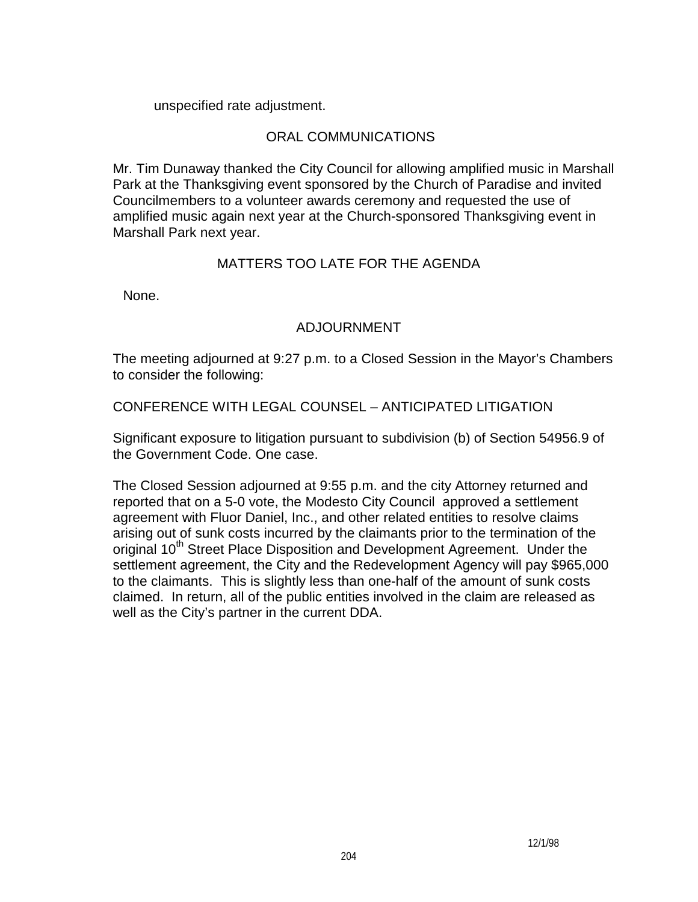unspecified rate adjustment.

## ORAL COMMUNICATIONS

 Mr. Tim Dunaway thanked the City Council for allowing amplified music in Marshall Park at the Thanksgiving event sponsored by the Church of Paradise and invited Councilmembers to a volunteer awards ceremony and requested the use of amplified music again next year at the Church-sponsored Thanksgiving event in Marshall Park next year.

## MATTERS TOO LATE FOR THE AGENDA

None.

# ADJOURNMENT

 The meeting adjourned at 9:27 p.m. to a Closed Session in the Mayor's Chambers to consider the following:

CONFERENCE WITH LEGAL COUNSEL – ANTICIPATED LITIGATION

 Significant exposure to litigation pursuant to subdivision (b) of Section 54956.9 of the Government Code. One case.

 The Closed Session adjourned at 9:55 p.m. and the city Attorney returned and reported that on a 5-0 vote, the Modesto City Council approved a settlement agreement with Fluor Daniel, Inc., and other related entities to resolve claims arising out of sunk costs incurred by the claimants prior to the termination of the original 10<sup>th</sup> Street Place Disposition and Development Agreement. Under the settlement agreement, the City and the Redevelopment Agency will pay \$965,000 to the claimants. This is slightly less than one-half of the amount of sunk costs claimed. In return, all of the public entities involved in the claim are released as well as the City's partner in the current DDA.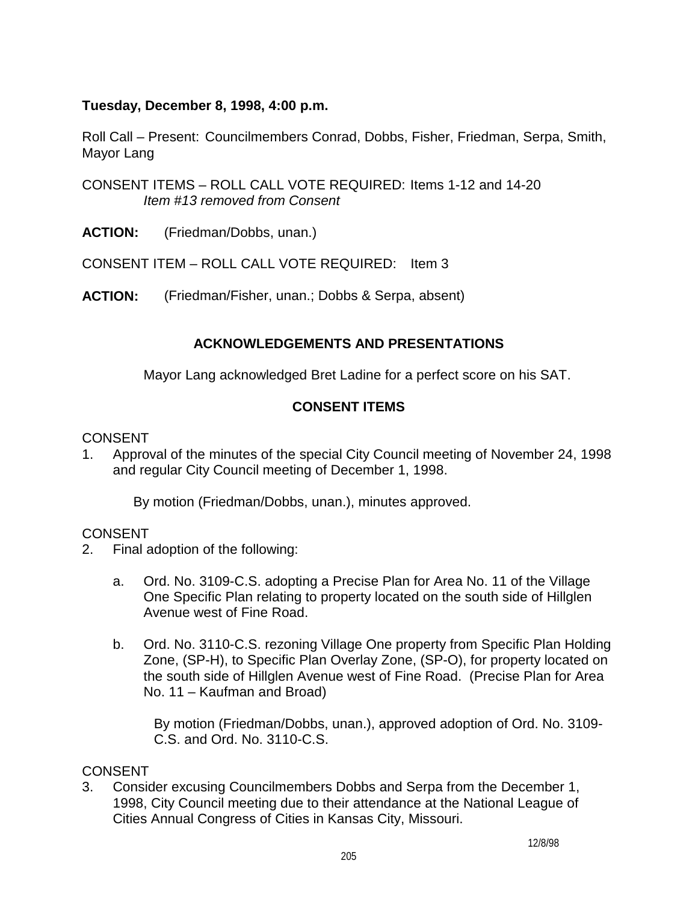# **Tuesday, December 8, 1998, 4:00 p.m.**

Roll Call – Present: Councilmembers Conrad, Dobbs, Fisher, Friedman, Serpa, Smith, Mayor Lang

CONSENT ITEMS – ROLL CALL VOTE REQUIRED: Items 1-12 and 14-20 *Item #13 removed from Consent* 

**ACTION:** (Friedman/Dobbs, unan.)

CONSENT ITEM – ROLL CALL VOTE REQUIRED: Item 3

**ACTION:** (Friedman/Fisher, unan.; Dobbs & Serpa, absent)

# **ACKNOWLEDGEMENTS AND PRESENTATIONS**

Mayor Lang acknowledged Bret Ladine for a perfect score on his SAT.

# **CONSENT ITEMS**

## **CONSENT**

1. Approval of the minutes of the special City Council meeting of November 24, 1998 and regular City Council meeting of December 1, 1998.

By motion (Friedman/Dobbs, unan.), minutes approved.

## **CONSENT**

- 2. Final adoption of the following:
	- a. Ord. No. 3109-C.S. adopting a Precise Plan for Area No. 11 of the Village One Specific Plan relating to property located on the south side of Hillglen Avenue west of Fine Road.
	- b. Ord. No. 3110-C.S. rezoning Village One property from Specific Plan Holding Zone, (SP-H), to Specific Plan Overlay Zone, (SP-O), for property located on the south side of Hillglen Avenue west of Fine Road. (Precise Plan for Area No. 11 – Kaufman and Broad)

 By motion (Friedman/Dobbs, unan.), approved adoption of Ord. No. 3109- C.S. and Ord. No. 3110-C.S.

## CONSENT

3. Consider excusing Councilmembers Dobbs and Serpa from the December 1, 1998, City Council meeting due to their attendance at the National League of Cities Annual Congress of Cities in Kansas City, Missouri.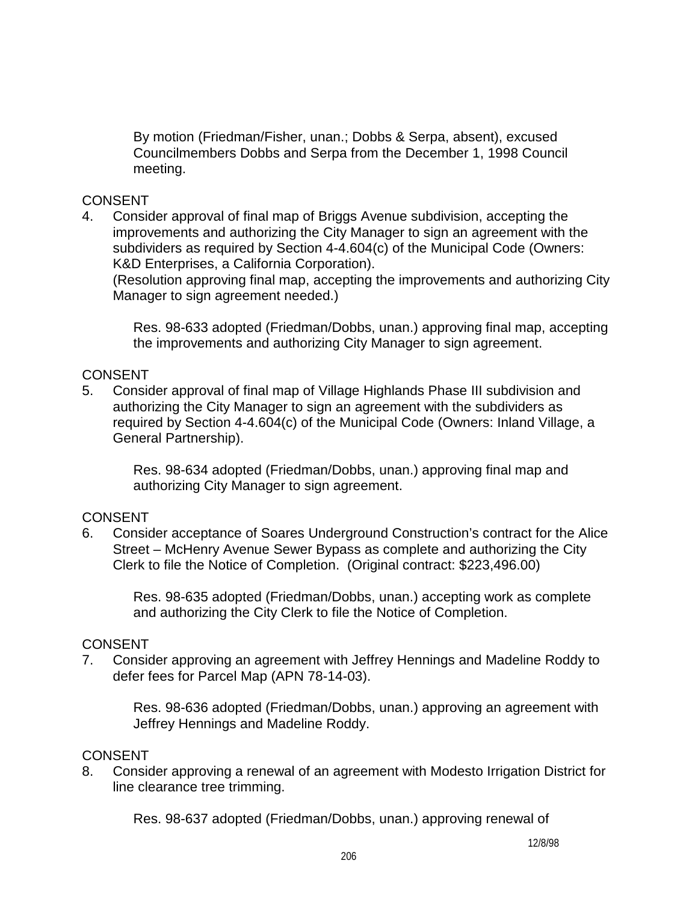By motion (Friedman/Fisher, unan.; Dobbs & Serpa, absent), excused Councilmembers Dobbs and Serpa from the December 1, 1998 Council meeting.

## **CONSENT**

4. Consider approval of final map of Briggs Avenue subdivision, accepting the improvements and authorizing the City Manager to sign an agreement with the subdividers as required by Section 4-4.604(c) of the Municipal Code (Owners: K&D Enterprises, a California Corporation).

(Resolution approving final map, accepting the improvements and authorizing City Manager to sign agreement needed.)

 Res. 98-633 adopted (Friedman/Dobbs, unan.) approving final map, accepting the improvements and authorizing City Manager to sign agreement.

## **CONSENT**

5. Consider approval of final map of Village Highlands Phase III subdivision and authorizing the City Manager to sign an agreement with the subdividers as required by Section 4-4.604(c) of the Municipal Code (Owners: Inland Village, a General Partnership).

 Res. 98-634 adopted (Friedman/Dobbs, unan.) approving final map and authorizing City Manager to sign agreement.

## CONSENT

6. Consider acceptance of Soares Underground Construction's contract for the Alice Street – McHenry Avenue Sewer Bypass as complete and authorizing the City Clerk to file the Notice of Completion. (Original contract: \$223,496.00)

 Res. 98-635 adopted (Friedman/Dobbs, unan.) accepting work as complete and authorizing the City Clerk to file the Notice of Completion.

## CONSENT

7. Consider approving an agreement with Jeffrey Hennings and Madeline Roddy to defer fees for Parcel Map (APN 78-14-03).

 Res. 98-636 adopted (Friedman/Dobbs, unan.) approving an agreement with Jeffrey Hennings and Madeline Roddy.

## CONSENT

8. Consider approving a renewal of an agreement with Modesto Irrigation District for line clearance tree trimming.

Res. 98-637 adopted (Friedman/Dobbs, unan.) approving renewal of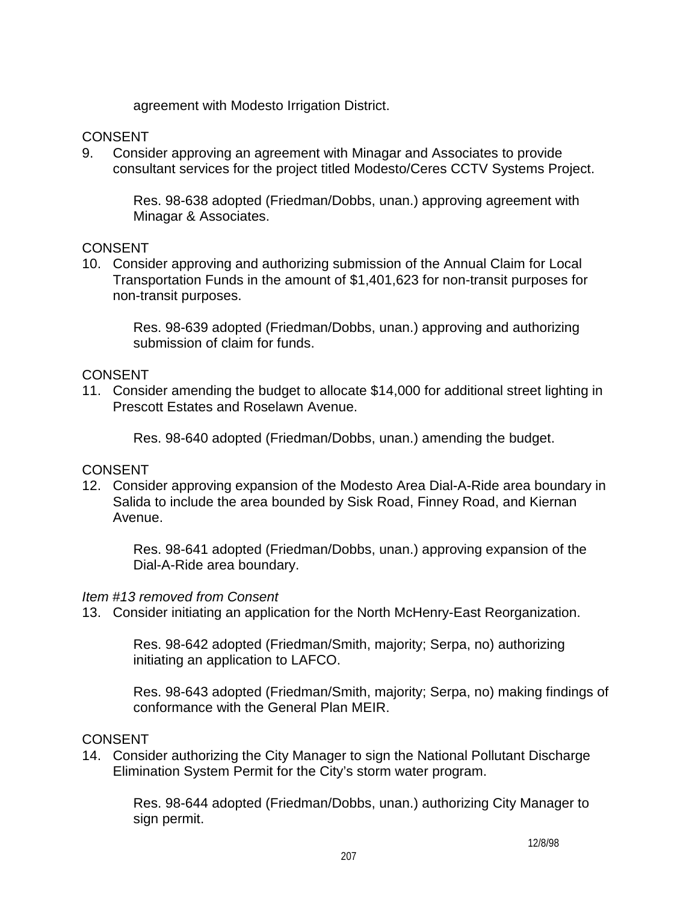agreement with Modesto Irrigation District.

## **CONSENT**

9. Consider approving an agreement with Minagar and Associates to provide consultant services for the project titled Modesto/Ceres CCTV Systems Project.

 Res. 98-638 adopted (Friedman/Dobbs, unan.) approving agreement with Minagar & Associates.

## **CONSENT**

10. Consider approving and authorizing submission of the Annual Claim for Local Transportation Funds in the amount of \$1,401,623 for non-transit purposes for non-transit purposes.

 Res. 98-639 adopted (Friedman/Dobbs, unan.) approving and authorizing submission of claim for funds.

## CONSENT

11. Consider amending the budget to allocate \$14,000 for additional street lighting in Prescott Estates and Roselawn Avenue.

Res. 98-640 adopted (Friedman/Dobbs, unan.) amending the budget.

## **CONSENT**

12. Consider approving expansion of the Modesto Area Dial-A-Ride area boundary in Salida to include the area bounded by Sisk Road, Finney Road, and Kiernan Avenue.

 Res. 98-641 adopted (Friedman/Dobbs, unan.) approving expansion of the Dial-A-Ride area boundary.

## *Item #13 removed from Consent*

13. Consider initiating an application for the North McHenry-East Reorganization.

 Res. 98-642 adopted (Friedman/Smith, majority; Serpa, no) authorizing initiating an application to LAFCO.

 Res. 98-643 adopted (Friedman/Smith, majority; Serpa, no) making findings of conformance with the General Plan MEIR.

## **CONSENT**

14. Consider authorizing the City Manager to sign the National Pollutant Discharge Elimination System Permit for the City's storm water program.

 Res. 98-644 adopted (Friedman/Dobbs, unan.) authorizing City Manager to sign permit.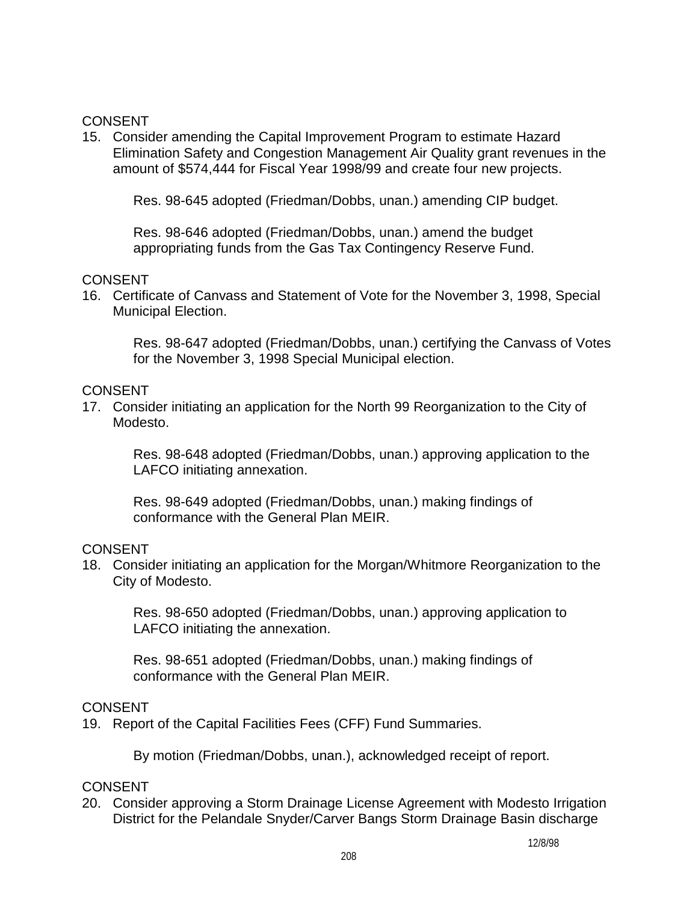## **CONSENT**

15. Consider amending the Capital Improvement Program to estimate Hazard Elimination Safety and Congestion Management Air Quality grant revenues in the amount of \$574,444 for Fiscal Year 1998/99 and create four new projects.

Res. 98-645 adopted (Friedman/Dobbs, unan.) amending CIP budget.

 Res. 98-646 adopted (Friedman/Dobbs, unan.) amend the budget appropriating funds from the Gas Tax Contingency Reserve Fund.

## CONSENT

16. Certificate of Canvass and Statement of Vote for the November 3, 1998, Special Municipal Election.

 Res. 98-647 adopted (Friedman/Dobbs, unan.) certifying the Canvass of Votes for the November 3, 1998 Special Municipal election.

## CONSENT

17. Consider initiating an application for the North 99 Reorganization to the City of Modesto.

 Res. 98-648 adopted (Friedman/Dobbs, unan.) approving application to the LAFCO initiating annexation.

 Res. 98-649 adopted (Friedman/Dobbs, unan.) making findings of conformance with the General Plan MEIR.

## CONSENT

18. Consider initiating an application for the Morgan/Whitmore Reorganization to the City of Modesto.

 Res. 98-650 adopted (Friedman/Dobbs, unan.) approving application to LAFCO initiating the annexation.

 Res. 98-651 adopted (Friedman/Dobbs, unan.) making findings of conformance with the General Plan MEIR.

# CONSENT

19. Report of the Capital Facilities Fees (CFF) Fund Summaries.

By motion (Friedman/Dobbs, unan.), acknowledged receipt of report.

# CONSENT

20. Consider approving a Storm Drainage License Agreement with Modesto Irrigation District for the Pelandale Snyder/Carver Bangs Storm Drainage Basin discharge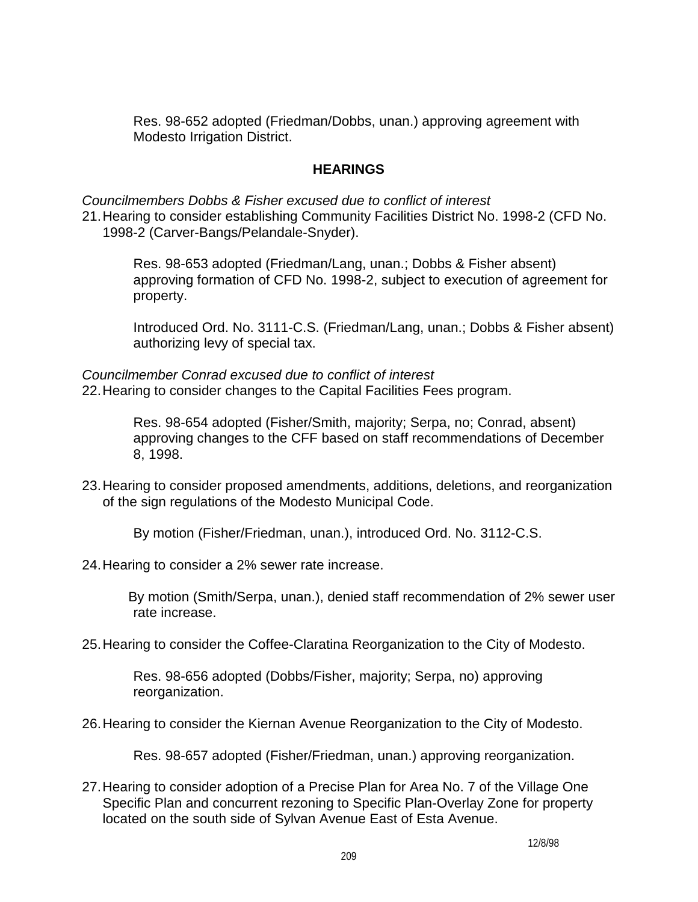Res. 98-652 adopted (Friedman/Dobbs, unan.) approving agreement with Modesto Irrigation District.

## **HEARINGS**

*Councilmembers Dobbs & Fisher excused due to conflict of interest*  21. Hearing to consider establishing Community Facilities District No. 1998-2 (CFD No. 1998-2 (Carver-Bangs/Pelandale-Snyder).

 Res. 98-653 adopted (Friedman/Lang, unan.; Dobbs & Fisher absent) approving formation of CFD No. 1998-2, subject to execution of agreement for property.

 Introduced Ord. No. 3111-C.S. (Friedman/Lang, unan.; Dobbs & Fisher absent) authorizing levy of special tax.

*Councilmember Conrad excused due to conflict of interest*  22. Hearing to consider changes to the Capital Facilities Fees program.

> Res. 98-654 adopted (Fisher/Smith, majority; Serpa, no; Conrad, absent) approving changes to the CFF based on staff recommendations of December 8, 1998.

23. Hearing to consider proposed amendments, additions, deletions, and reorganization of the sign regulations of the Modesto Municipal Code.

By motion (Fisher/Friedman, unan.), introduced Ord. No. 3112-C.S.

24. Hearing to consider a 2% sewer rate increase.

 By motion (Smith/Serpa, unan.), denied staff recommendation of 2% sewer user rate increase.

25. Hearing to consider the Coffee-Claratina Reorganization to the City of Modesto.

 Res. 98-656 adopted (Dobbs/Fisher, majority; Serpa, no) approving reorganization.

26. Hearing to consider the Kiernan Avenue Reorganization to the City of Modesto.

Res. 98-657 adopted (Fisher/Friedman, unan.) approving reorganization.

27. Hearing to consider adoption of a Precise Plan for Area No. 7 of the Village One Specific Plan and concurrent rezoning to Specific Plan-Overlay Zone for property located on the south side of Sylvan Avenue East of Esta Avenue.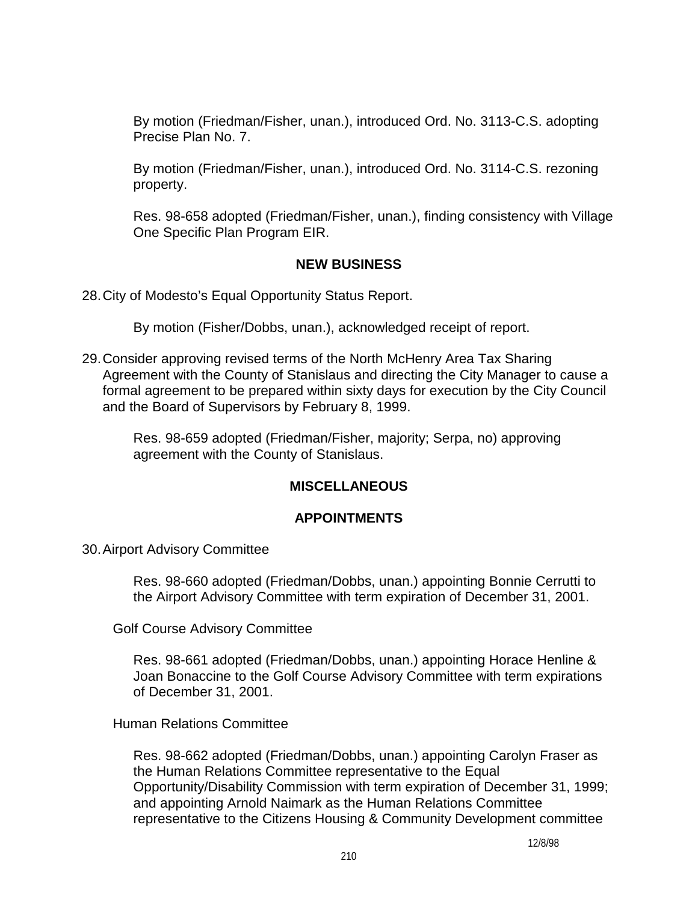By motion (Friedman/Fisher, unan.), introduced Ord. No. 3113-C.S. adopting Precise Plan No. 7.

 By motion (Friedman/Fisher, unan.), introduced Ord. No. 3114-C.S. rezoning property.

 Res. 98-658 adopted (Friedman/Fisher, unan.), finding consistency with Village One Specific Plan Program EIR.

## **NEW BUSINESS**

28. City of Modesto's Equal Opportunity Status Report.

By motion (Fisher/Dobbs, unan.), acknowledged receipt of report.

29. Consider approving revised terms of the North McHenry Area Tax Sharing Agreement with the County of Stanislaus and directing the City Manager to cause a formal agreement to be prepared within sixty days for execution by the City Council and the Board of Supervisors by February 8, 1999.

 Res. 98-659 adopted (Friedman/Fisher, majority; Serpa, no) approving agreement with the County of Stanislaus.

# **MISCELLANEOUS**

## **APPOINTMENTS**

30. Airport Advisory Committee

 Res. 98-660 adopted (Friedman/Dobbs, unan.) appointing Bonnie Cerrutti to the Airport Advisory Committee with term expiration of December 31, 2001.

Golf Course Advisory Committee

 Res. 98-661 adopted (Friedman/Dobbs, unan.) appointing Horace Henline & Joan Bonaccine to the Golf Course Advisory Committee with term expirations of December 31, 2001.

Human Relations Committee

 Res. 98-662 adopted (Friedman/Dobbs, unan.) appointing Carolyn Fraser as the Human Relations Committee representative to the Equal Opportunity/Disability Commission with term expiration of December 31, 1999; and appointing Arnold Naimark as the Human Relations Committee representative to the Citizens Housing & Community Development committee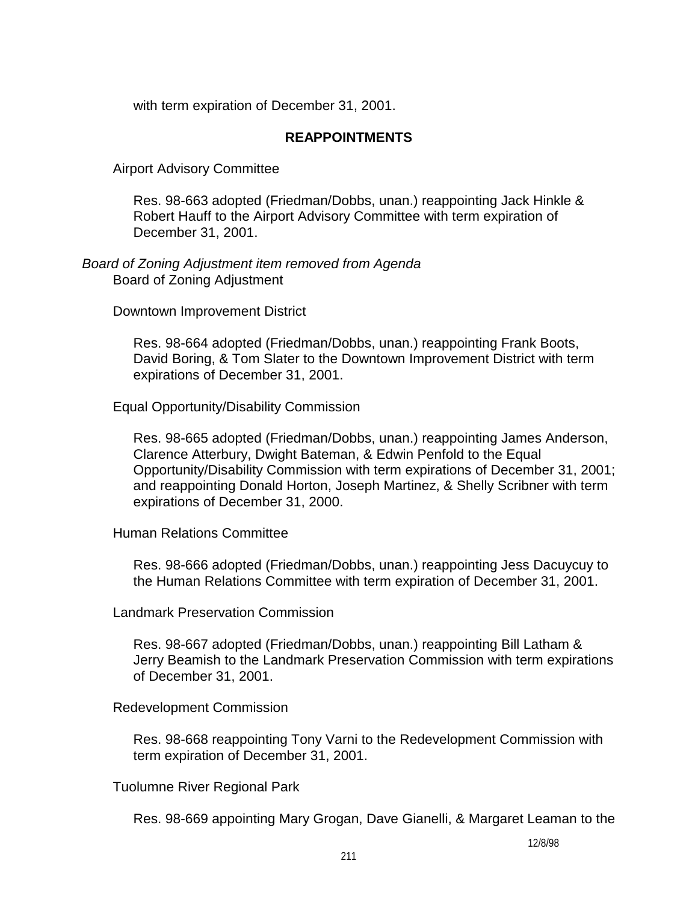with term expiration of December 31, 2001.

## **REAPPOINTMENTS**

Airport Advisory Committee

 Res. 98-663 adopted (Friedman/Dobbs, unan.) reappointing Jack Hinkle & Robert Hauff to the Airport Advisory Committee with term expiration of December 31, 2001.

#### *Board of Zoning Adjustment item removed from Agenda*  Board of Zoning Adjustment

Downtown Improvement District

 Res. 98-664 adopted (Friedman/Dobbs, unan.) reappointing Frank Boots, David Boring, & Tom Slater to the Downtown Improvement District with term expirations of December 31, 2001.

Equal Opportunity/Disability Commission

 Res. 98-665 adopted (Friedman/Dobbs, unan.) reappointing James Anderson, Clarence Atterbury, Dwight Bateman, & Edwin Penfold to the Equal Opportunity/Disability Commission with term expirations of December 31, 2001; and reappointing Donald Horton, Joseph Martinez, & Shelly Scribner with term expirations of December 31, 2000.

Human Relations Committee

 Res. 98-666 adopted (Friedman/Dobbs, unan.) reappointing Jess Dacuycuy to the Human Relations Committee with term expiration of December 31, 2001.

Landmark Preservation Commission

 Res. 98-667 adopted (Friedman/Dobbs, unan.) reappointing Bill Latham & Jerry Beamish to the Landmark Preservation Commission with term expirations of December 31, 2001.

Redevelopment Commission

 Res. 98-668 reappointing Tony Varni to the Redevelopment Commission with term expiration of December 31, 2001.

Tuolumne River Regional Park

Res. 98-669 appointing Mary Grogan, Dave Gianelli, & Margaret Leaman to the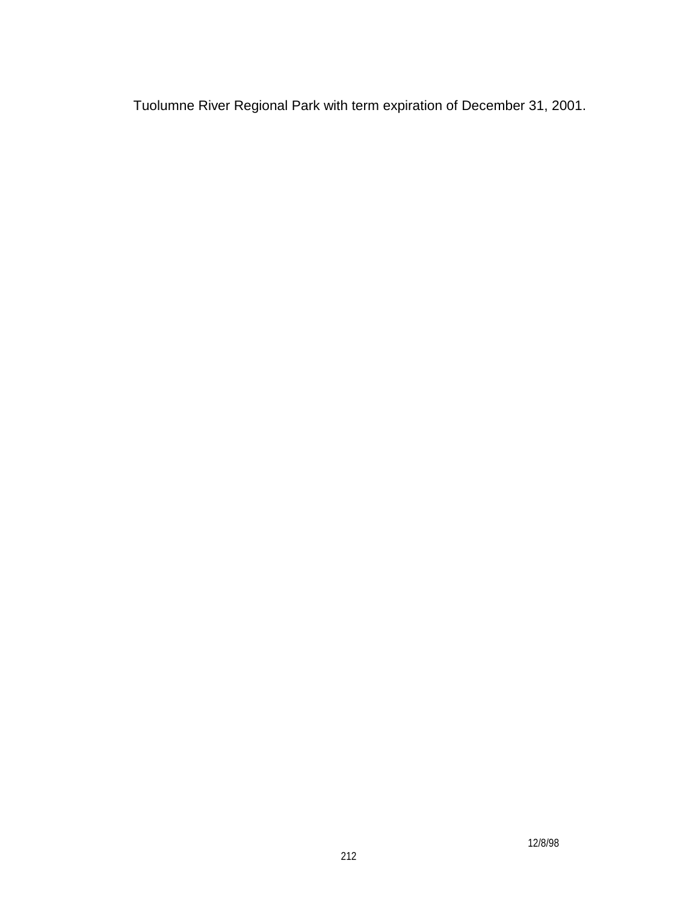Tuolumne River Regional Park with term expiration of December 31, 2001.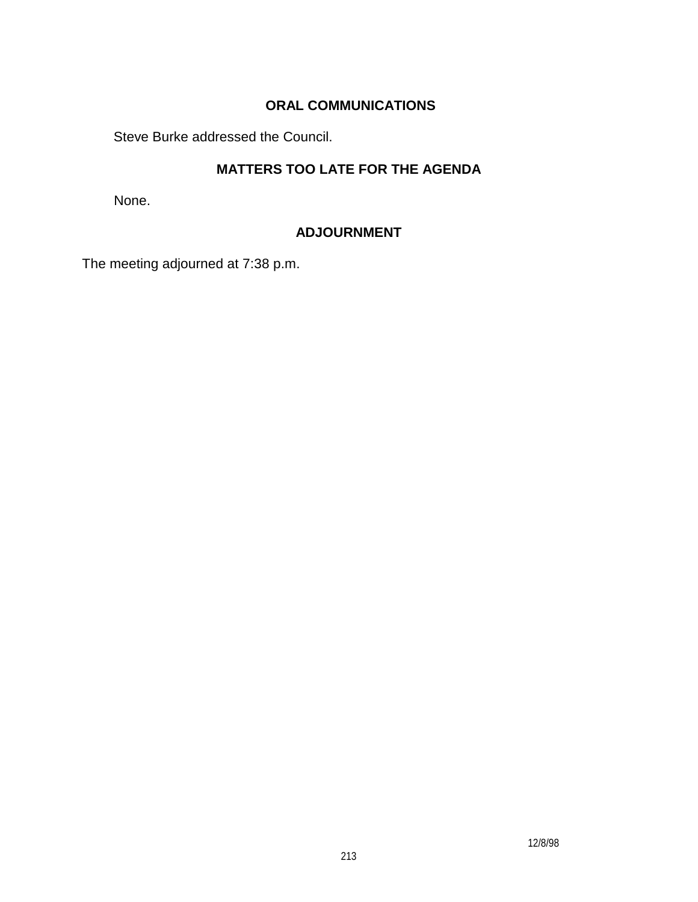# **ORAL COMMUNICATIONS**

Steve Burke addressed the Council.

# **MATTERS TOO LATE FOR THE AGENDA**

None.

# **ADJOURNMENT**

The meeting adjourned at 7:38 p.m.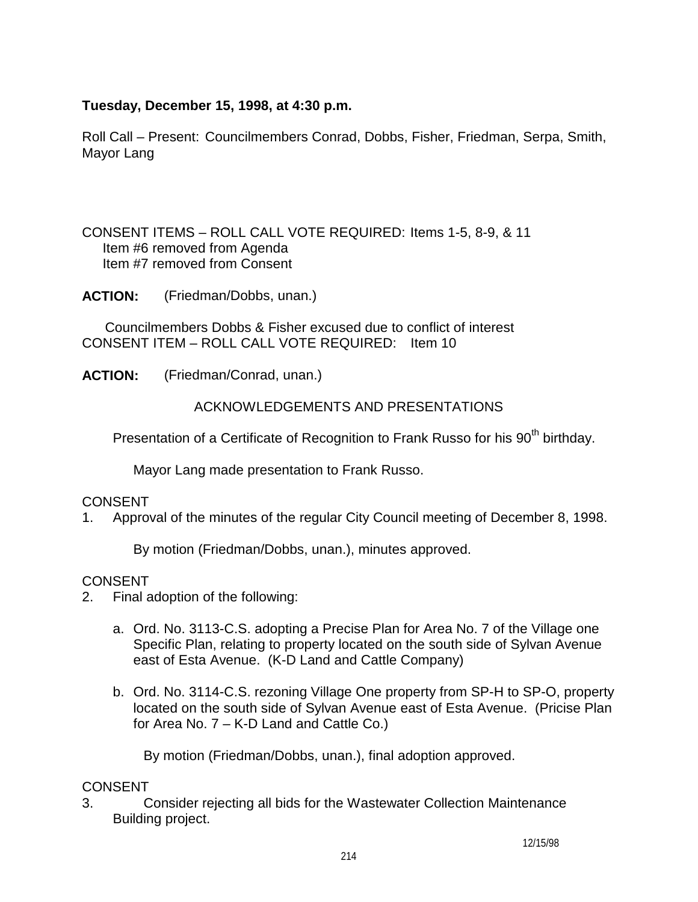# **Tuesday, December 15, 1998, at 4:30 p.m.**

Roll Call – Present: Councilmembers Conrad, Dobbs, Fisher, Friedman, Serpa, Smith, Mayor Lang

CONSENT ITEMS – ROLL CALL VOTE REQUIRED: Items 1-5, 8-9, & 11 Item #6 removed from Agenda Item #7 removed from Consent

**ACTION:** (Friedman/Dobbs, unan.)

Councilmembers Dobbs & Fisher excused due to conflict of interest CONSENT ITEM – ROLL CALL VOTE REQUIRED: Item 10

**ACTION:** (Friedman/Conrad, unan.)

ACKNOWLEDGEMENTS AND PRESENTATIONS

Presentation of a Certificate of Recognition to Frank Russo for his 90<sup>th</sup> birthday.

Mayor Lang made presentation to Frank Russo.

# CONSENT

1. Approval of the minutes of the regular City Council meeting of December 8, 1998.

By motion (Friedman/Dobbs, unan.), minutes approved.

## **CONSENT**

- 2. Final adoption of the following:
	- a. Ord. No. 3113-C.S. adopting a Precise Plan for Area No. 7 of the Village one Specific Plan, relating to property located on the south side of Sylvan Avenue east of Esta Avenue. (K-D Land and Cattle Company)
	- b. Ord. No. 3114-C.S. rezoning Village One property from SP-H to SP-O, property located on the south side of Sylvan Avenue east of Esta Avenue. (Pricise Plan for Area No. 7 – K-D Land and Cattle Co.)

By motion (Friedman/Dobbs, unan.), final adoption approved.

## CONSENT

3. Consider rejecting all bids for the Wastewater Collection Maintenance Building project.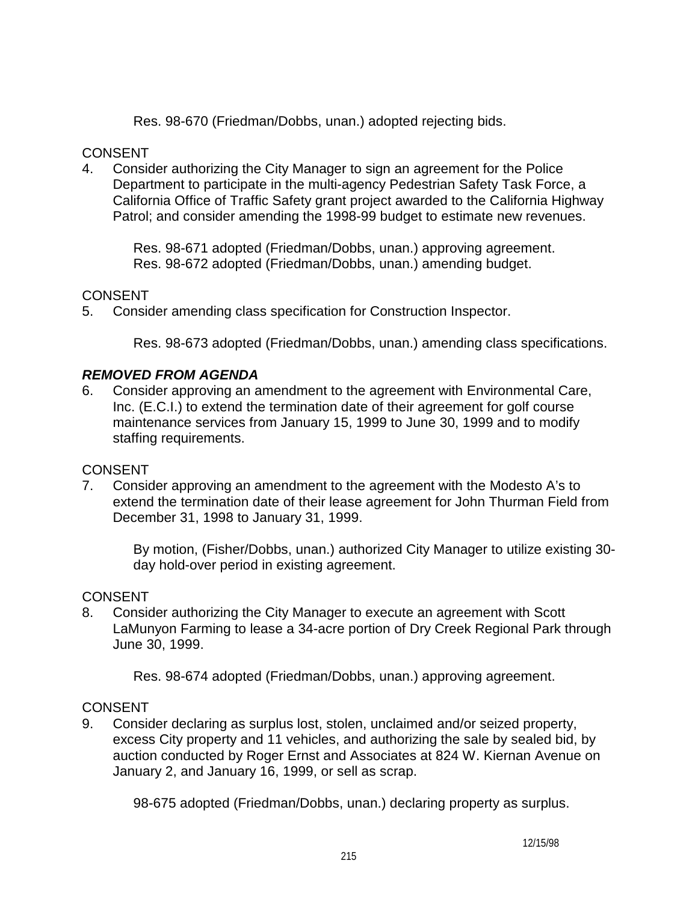Res. 98-670 (Friedman/Dobbs, unan.) adopted rejecting bids.

## CONSENT

4. Consider authorizing the City Manager to sign an agreement for the Police Department to participate in the multi-agency Pedestrian Safety Task Force, a California Office of Traffic Safety grant project awarded to the California Highway Patrol; and consider amending the 1998-99 budget to estimate new revenues.

 Res. 98-671 adopted (Friedman/Dobbs, unan.) approving agreement. Res. 98-672 adopted (Friedman/Dobbs, unan.) amending budget.

# **CONSENT**

5. Consider amending class specification for Construction Inspector.

Res. 98-673 adopted (Friedman/Dobbs, unan.) amending class specifications.

# *REMOVED FROM AGENDA*

6. Consider approving an amendment to the agreement with Environmental Care, Inc. (E.C.I.) to extend the termination date of their agreement for golf course maintenance services from January 15, 1999 to June 30, 1999 and to modify staffing requirements.

# CONSENT

7. Consider approving an amendment to the agreement with the Modesto A's to extend the termination date of their lease agreement for John Thurman Field from December 31, 1998 to January 31, 1999.

By motion, (Fisher/Dobbs, unan.) authorized City Manager to utilize existing 30 day hold-over period in existing agreement.

# **CONSENT**

8. Consider authorizing the City Manager to execute an agreement with Scott LaMunyon Farming to lease a 34-acre portion of Dry Creek Regional Park through June 30, 1999.

Res. 98-674 adopted (Friedman/Dobbs, unan.) approving agreement.

# **CONSENT**

9. Consider declaring as surplus lost, stolen, unclaimed and/or seized property, excess City property and 11 vehicles, and authorizing the sale by sealed bid, by auction conducted by Roger Ernst and Associates at 824 W. Kiernan Avenue on January 2, and January 16, 1999, or sell as scrap.

98-675 adopted (Friedman/Dobbs, unan.) declaring property as surplus.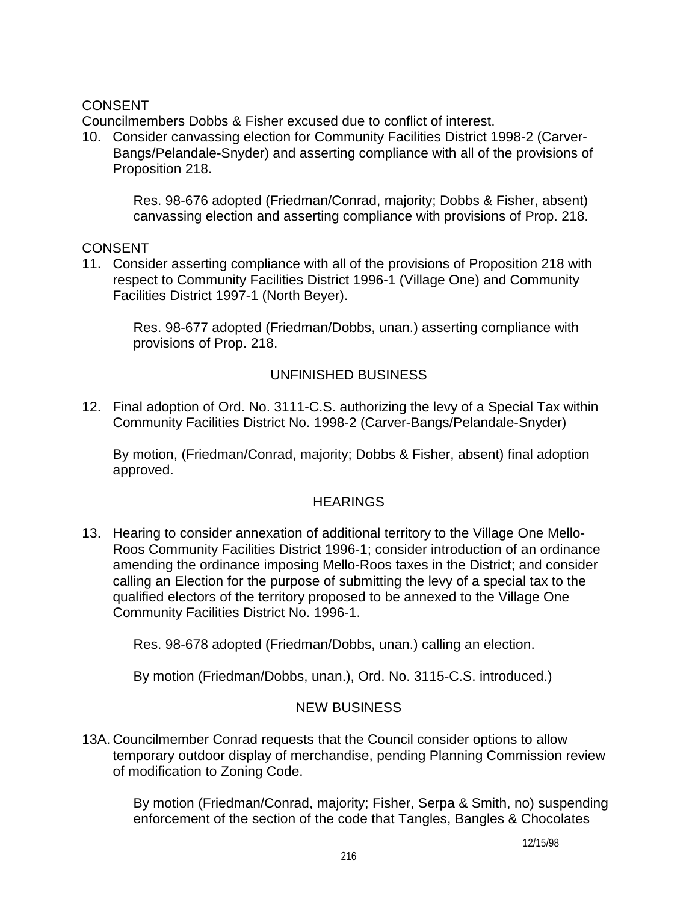# **CONSENT**

Councilmembers Dobbs & Fisher excused due to conflict of interest.

10. Consider canvassing election for Community Facilities District 1998-2 (Carver-Bangs/Pelandale-Snyder) and asserting compliance with all of the provisions of Proposition 218.

 Res. 98-676 adopted (Friedman/Conrad, majority; Dobbs & Fisher, absent) canvassing election and asserting compliance with provisions of Prop. 218.

**CONSENT** 

11. Consider asserting compliance with all of the provisions of Proposition 218 with respect to Community Facilities District 1996-1 (Village One) and Community Facilities District 1997-1 (North Beyer).

Res. 98-677 adopted (Friedman/Dobbs, unan.) asserting compliance with provisions of Prop. 218.

## UNFINISHED BUSINESS

12. Final adoption of Ord. No. 3111-C.S. authorizing the levy of a Special Tax within Community Facilities District No. 1998-2 (Carver-Bangs/Pelandale-Snyder)

By motion, (Friedman/Conrad, majority; Dobbs & Fisher, absent) final adoption approved.

## **HEARINGS**

13. Hearing to consider annexation of additional territory to the Village One Mello-Roos Community Facilities District 1996-1; consider introduction of an ordinance amending the ordinance imposing Mello-Roos taxes in the District; and consider calling an Election for the purpose of submitting the levy of a special tax to the qualified electors of the territory proposed to be annexed to the Village One Community Facilities District No. 1996-1.

Res. 98-678 adopted (Friedman/Dobbs, unan.) calling an election.

By motion (Friedman/Dobbs, unan.), Ord. No. 3115-C.S. introduced.)

# NEW BUSINESS

13A. Councilmember Conrad requests that the Council consider options to allow temporary outdoor display of merchandise, pending Planning Commission review of modification to Zoning Code.

 By motion (Friedman/Conrad, majority; Fisher, Serpa & Smith, no) suspending enforcement of the section of the code that Tangles, Bangles & Chocolates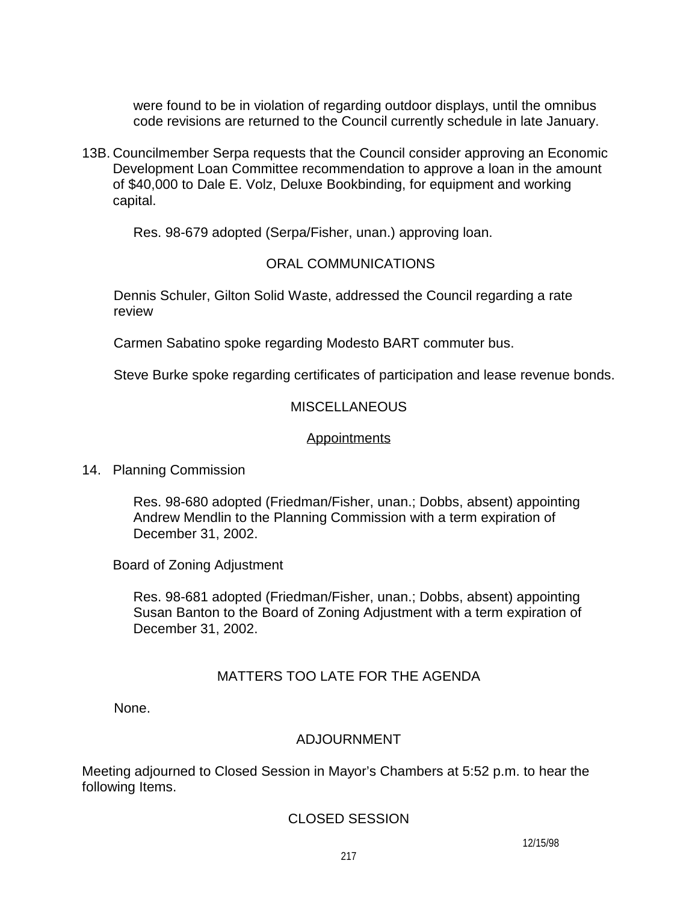were found to be in violation of regarding outdoor displays, until the omnibus code revisions are returned to the Council currently schedule in late January.

13B. Councilmember Serpa requests that the Council consider approving an Economic Development Loan Committee recommendation to approve a loan in the amount of \$40,000 to Dale E. Volz, Deluxe Bookbinding, for equipment and working capital.

Res. 98-679 adopted (Serpa/Fisher, unan.) approving loan.

## ORAL COMMUNICATIONS

Dennis Schuler, Gilton Solid Waste, addressed the Council regarding a rate review

Carmen Sabatino spoke regarding Modesto BART commuter bus.

Steve Burke spoke regarding certificates of participation and lease revenue bonds.

## **MISCELLANEOUS**

#### **Appointments**

14. Planning Commission

Res. 98-680 adopted (Friedman/Fisher, unan.; Dobbs, absent) appointing Andrew Mendlin to the Planning Commission with a term expiration of December 31, 2002.

Board of Zoning Adjustment

Res. 98-681 adopted (Friedman/Fisher, unan.; Dobbs, absent) appointing Susan Banton to the Board of Zoning Adjustment with a term expiration of December 31, 2002.

# MATTERS TOO LATE FOR THE AGENDA

None.

## ADJOURNMENT

Meeting adjourned to Closed Session in Mayor's Chambers at 5:52 p.m. to hear the following Items.

## CLOSED SESSION

12/15/98